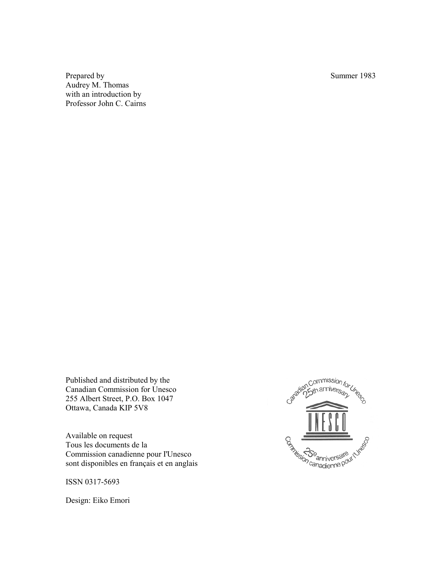Prepared by Summer 1983 Audrey M. Thomas with an introduction by Professor John C. Cairns

Published and distributed by the Canadian Commission for Unesco 255 Albert Street, P.O. Box 1047 Ottawa, Canada KIP 5V8

Available on request Tous les documents de la Commission canadienne pour I'Unesco sont disponibles en français et en anglais

ISSN 0317-5693

Design: Eiko Emori

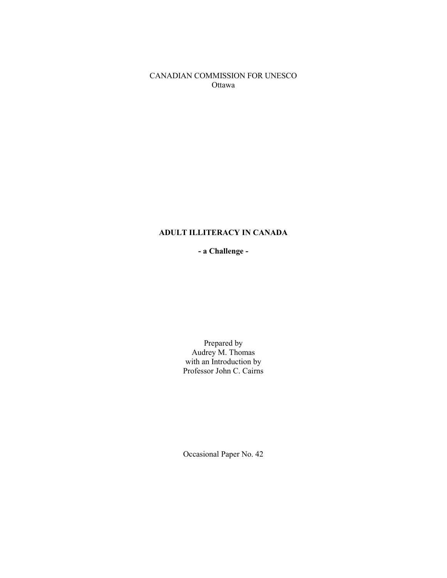CANADIAN COMMISSION FOR UNESCO Ottawa

# **ADULT ILLITERACY IN CANADA**

**- a Challenge -** 

Prepared by Audrey M. Thomas with an Introduction by Professor John C. Cairns

Occasional Paper No. 42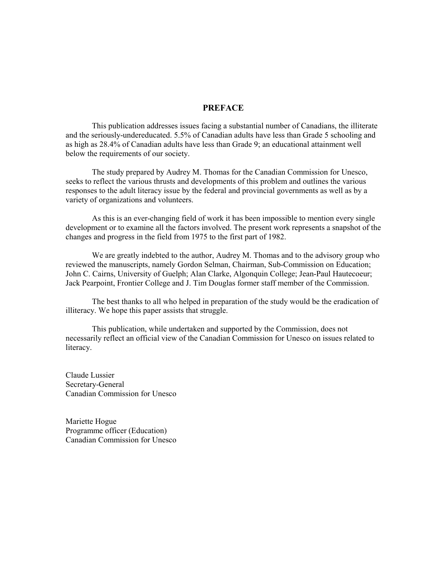## **PREFACE**

 This publication addresses issues facing a substantial number of Canadians, the illiterate and the seriously-undereducated. 5.5% of Canadian adults have less than Grade 5 schooling and as high as 28.4% of Canadian adults have less than Grade 9; an educational attainment well below the requirements of our society.

 The study prepared by Audrey M. Thomas for the Canadian Commission for Unesco, seeks to reflect the various thrusts and developments of this problem and outlines the various responses to the adult literacy issue by the federal and provincial governments as well as by a variety of organizations and volunteers.

 As this is an ever-changing field of work it has been impossible to mention every single development or to examine all the factors involved. The present work represents a snapshot of the changes and progress in the field from 1975 to the first part of 1982.

 We are greatly indebted to the author, Audrey M. Thomas and to the advisory group who reviewed the manuscripts, namely Gordon Selman, Chairman, Sub-Commission on Education; John C. Cairns, University of Guelph; Alan Clarke, Algonquin College; Jean-Paul Hautecoeur; Jack Pearpoint, Frontier College and J. Tim Douglas former staff member of the Commission.

 The best thanks to all who helped in preparation of the study would be the eradication of illiteracy. We hope this paper assists that struggle.

 This publication, while undertaken and supported by the Commission, does not necessarily reflect an official view of the Canadian Commission for Unesco on issues related to literacy.

Claude Lussier Secretary-General Canadian Commission for Unesco

Mariette Hogue Programme officer (Education) Canadian Commission for Unesco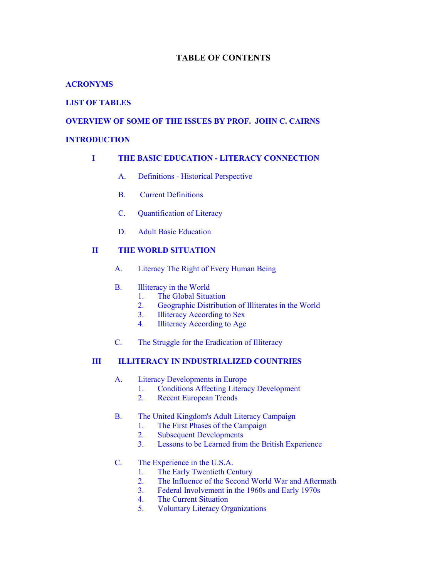# **TABLE OF CONTENTS**

# **[ACRONYMS](#page-6-0)**

# **LIST OF [TABLES](#page-8-0)**

# **OVERVIEW OF SOME OF [THE ISSUES BY](#page-9-0) PROF. JOHN C. CAIRNS**

## **[INTRODUCTION](#page-18-0)**

# **I [THE BASIC EDUCATION -](#page-21-0) LITERACY CONNECTION**

- [A. Definitions -](#page-21-0) Historical Perspective
- [B. Current](#page-22-0) Definitions
- C. [Quantification of Literacy](#page-24-0)
- [D. Adult Basic Education](#page-26-0)

# **II [THE WORLD SITUATION](#page-28-0)**

- A. Literacy [The Right of Every](#page-28-0) Human Being
- B. Illiteracy [in the World](#page-29-0)
	- [1. The Global Situation](#page-30-0)<br>2. Geographic Distributi
	- [2. Geographic Distribution of Illiterates in the World](#page-30-0)
	- [3. Illiteracy](#page-32-0) According to Sex
	- [4. Illiteracy](#page-33-0) According to Age
- C. [The Struggle for the Eradication of Illiteracy](#page-34-0)

# **III ILLITERACY [IN INDUSTRIALIZED COUNTRIES](#page-37-0)**

- A. Literacy [Developments in Europe](#page-37-0)
	- [1. Conditions Affecting](#page-38-0) Literacy Development
	- [2. Recent European Trends](#page-40-0)
- [B. The United Kingdom's Adult Literacy](#page-42-0) Campaign
	- [1. The First Phases of the Campaign](#page-43-0)<br>2. Subsequent Developments
	- **Subsequent Developments**
	- [3. Lessons to be Learned from](#page-47-0) the British Experience

# C. [The Experience in the U.S.A.](#page-48-0)

- 1. The Early [Twentieth Century](#page-49-0)
- [2. The Influence of the Second World War and Aftermath](#page-50-0)<br>3. Federal Involvement in the 1960s and Early 1970s
- [3. Federal Involvement in the 1960s and Early](#page-51-0) 1970s
- [4. The Current Situation](#page-52-0)
- [5. Voluntary](#page-53-0) Literacy Organizations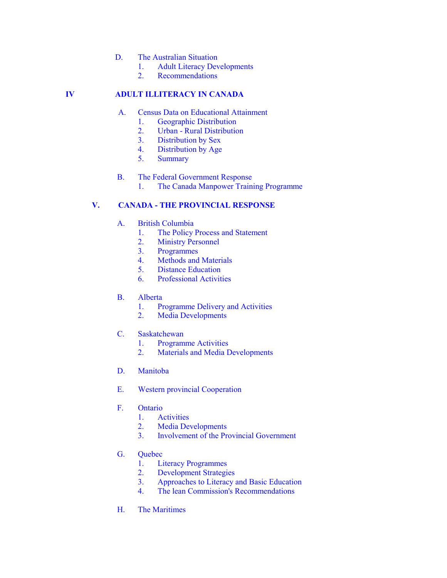- D. [The Australian Situation](#page-54-0)
	- [1. Adult Literacy](#page-55-0) Developments
	- [2. Recommendations](#page-56-0)

# **IV [ADULT ILLITERACY](#page-58-0) IN CANADA**

- [A. Census Data on Educational Attainment](#page-59-0)
	- [1. Geographic](#page-59-0) Distribution
	- 2. Urban [Rural Distribution](#page-61-0)
	- [3. Distribution](#page-62-0) by Sex
	- [4. Distribution](#page-63-0) by Age
	- [5. Summary](#page-65-0)
- [B. The Federal Government Response](#page-66-0)
	- [1. The Canada Manpower Training](#page-66-0) Programme

# **V. CANADA - [THE PROVINCIAL RESPONSE](#page-70-0)**

- A. [British Columbia](#page-71-0)
	- 1. The Policy [Process and Statement](#page-71-0)
	- [2. Ministry](#page-75-0) Personnel
	- 3. [Programmes](#page-75-0)
	- [4. Methods](#page-75-0) and Materials
	- [5. Distance](#page-75-0) Education
	- [6. Professional](#page-76-0) Activities
- [B. Alberta](#page-77-0)
	- [1. Programme Delivery](#page-77-0) and Activities
	- 2. Media [Developments](#page-78-0)
- C. [Saskatchewan](#page-78-0)
	- [1. Programme](#page-78-0) Activities
	- [2. Materials and Media Developments](#page-79-0)
- [D. Manitoba](#page-80-0)
- [E. Western provincial Cooperation](#page-81-0)
- [F. Ontario](#page-81-0)
	- [1. Activities](#page-81-0)
	- [2. Media](#page-82-0) Developments
	- [3. Involvement of the Provincial Government](#page-83-0)
- [G. Quebec](#page-84-0)
	- [1. Literacy](#page-84-0) Programmes
	- [2. Development](#page-85-0) Strategies<br>3. Approaches to Literacy
	- [3. Approaches to Literacy](#page-85-0) and Basic Education
	- [4. The lean Commission's Recommendations](#page-86-0)
- H. The [Maritimes](#page-87-0)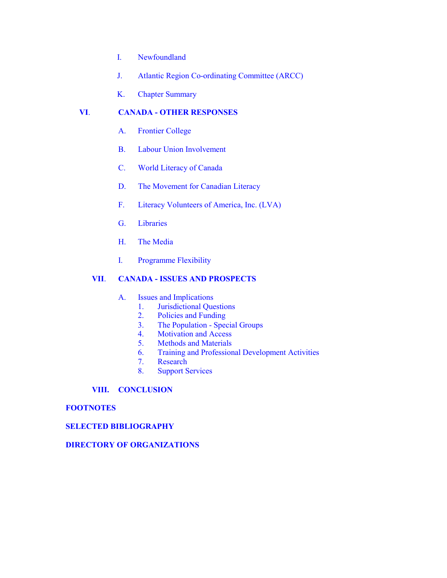- I. [Newfoundland](#page-88-0)
- J. [Atlantic Region](#page-89-0) Co-ordinating Committee (ARCC)
- [K. Chapter](#page-90-0) Summary

# **VI**. **CANADA - [OTHER RESPONSES](#page-92-0)**

- A. [Frontier College](#page-92-0)
- [B. Labour Union Involvement](#page-94-0)
- [C. World Literacy](#page-95-0) of Canada
- [D. The Movement for Canadian Literacy](#page-96-0)
- F. Literacy [Volunteers of America, Inc. \(LVA\)](#page-98-0)
- [G. Libraries](#page-99-0)
- H. The [Media](#page-99-0)
- I. [Programme](#page-99-0) Flexibility

# **VII**. **CANADA - [ISSUES AND PROSPECTS](#page-101-0)**

- [A. Issues](#page-101-0) and Implications
	- [1. Jurisdictional](#page-101-0) Questions
	- [2. Policies](#page-102-0) and Funding
	- 3. The Population [Special Groups](#page-103-0)
	- [4. Motivation](#page-106-0) and Access
	- [5. Methods](#page-108-0) and Materials
	- 6. Training [and Professional Development Activities](#page-108-0)
	- [7. Research](#page-109-0)
	- [8. Support](#page-109-0) Services

# **[VIII. CONCLUSION](#page-110-0)**

# **[FOOTNOTES](#page-111-0)**

# **[SELECTED BIBLIOGRAPHY](#page-118-0)**

# **DIRECTORY OF [ORGANIZATIONS](#page-136-0)**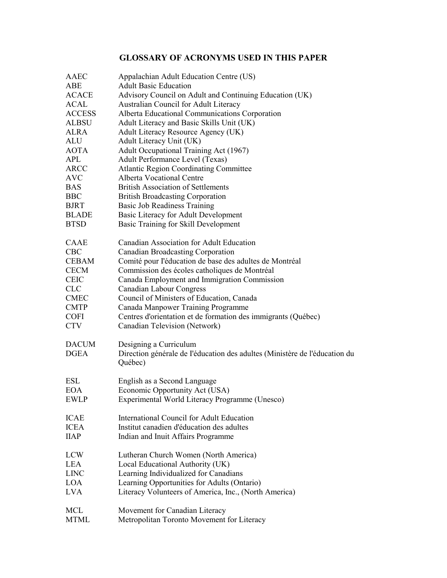# **GLOSSARY OF ACRONYMS USED IN THIS PAPER**

<span id="page-6-0"></span>

| AAEC                        | Appalachian Adult Education Centre (US)                                                                         |
|-----------------------------|-----------------------------------------------------------------------------------------------------------------|
| ABE                         | <b>Adult Basic Education</b>                                                                                    |
| <b>ACACE</b>                | Advisory Council on Adult and Continuing Education (UK)                                                         |
| <b>ACAL</b>                 | Australian Council for Adult Literacy                                                                           |
| <b>ACCESS</b>               | Alberta Educational Communications Corporation                                                                  |
| <b>ALBSU</b>                | Adult Literacy and Basic Skills Unit (UK)                                                                       |
| <b>ALRA</b>                 | <b>Adult Literacy Resource Agency (UK)</b>                                                                      |
| <b>ALU</b>                  | Adult Literacy Unit (UK)                                                                                        |
| <b>AOTA</b>                 | Adult Occupational Training Act (1967)                                                                          |
| <b>APL</b>                  | Adult Performance Level (Texas)                                                                                 |
| <b>ARCC</b>                 | <b>Atlantic Region Coordinating Committee</b>                                                                   |
| <b>AVC</b>                  | <b>Alberta Vocational Centre</b>                                                                                |
| <b>BAS</b>                  | <b>British Association of Settlements</b>                                                                       |
| <b>BBC</b>                  | <b>British Broadcasting Corporation</b>                                                                         |
| <b>BJRT</b>                 | Basic Job Readiness Training                                                                                    |
| <b>BLADE</b>                | <b>Basic Literacy for Adult Development</b>                                                                     |
| <b>BTSD</b>                 | Basic Training for Skill Development                                                                            |
| CAAE                        | Canadian Association for Adult Education                                                                        |
| <b>CBC</b>                  | <b>Canadian Broadcasting Corporation</b>                                                                        |
| <b>CEBAM</b>                | Comité pour l'éducation de base des adultes de Montréal                                                         |
| <b>CECM</b>                 | Commission des écoles catholiques de Montréal                                                                   |
| <b>CEIC</b>                 | Canada Employment and Immigration Commission                                                                    |
| <b>CLC</b>                  | <b>Canadian Labour Congress</b>                                                                                 |
| <b>CMEC</b>                 | Council of Ministers of Education, Canada                                                                       |
| <b>CMTP</b>                 | Canada Manpower Training Programme                                                                              |
| <b>COFI</b>                 | Centres d'orientation et de formation des immigrants (Québec)                                                   |
| <b>CTV</b>                  | Canadian Television (Network)                                                                                   |
| <b>DACUM</b><br><b>DGEA</b> | Designing a Curriculum<br>Direction générale de l'éducation des adultes (Ministère de l'éducation du<br>Québec) |
| ESL                         | English as a Second Language                                                                                    |
| <b>EOA</b>                  | Economic Opportunity Act (USA)                                                                                  |
| <b>EWLP</b>                 | Experimental World Literacy Programme (Unesco)                                                                  |
| <b>ICAE</b>                 | International Council for Adult Education                                                                       |
| <b>ICEA</b>                 | Institut canadien d'éducation des adultes                                                                       |
| <b>IIAP</b>                 | Indian and Inuit Affairs Programme                                                                              |
| <b>LCW</b>                  | Lutheran Church Women (North America)                                                                           |
| LEA                         | Local Educational Authority (UK)                                                                                |
| <b>LINC</b>                 | Learning Individualized for Canadians                                                                           |
| LOA                         | Learning Opportunities for Adults (Ontario)                                                                     |
| LVA                         | Literacy Volunteers of America, Inc., (North America)                                                           |
| <b>MCL</b>                  | Movement for Canadian Literacy                                                                                  |
| <b>MTML</b>                 | Metropolitan Toronto Movement for Literacy                                                                      |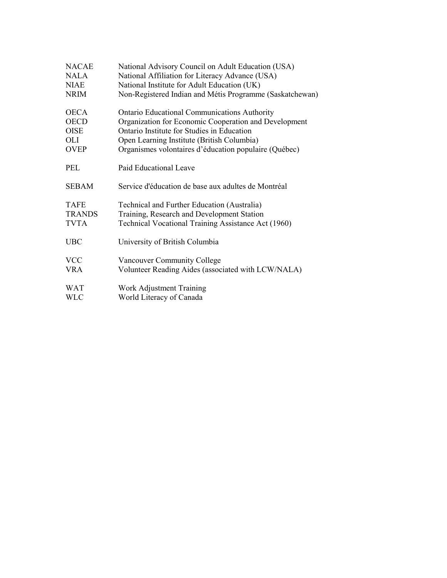| <b>NRIM</b><br><b>OECA</b><br><b>Ontario Educational Communications Authority</b><br>Organization for Economic Cooperation and Development<br><b>OECD</b><br>Ontario Institute for Studies in Education<br><b>OISE</b><br>Open Learning Institute (British Columbia)<br>OLI<br>Organismes volontaires d'éducation populaire (Québec)<br><b>OVEP</b><br><b>PEL</b><br>Paid Educational Leave | <b>NACAE</b><br><b>NALA</b><br><b>NIAE</b> | National Advisory Council on Adult Education (USA)<br>National Affiliation for Literacy Advance (USA)<br>National Institute for Adult Education (UK) |  |  |  |
|---------------------------------------------------------------------------------------------------------------------------------------------------------------------------------------------------------------------------------------------------------------------------------------------------------------------------------------------------------------------------------------------|--------------------------------------------|------------------------------------------------------------------------------------------------------------------------------------------------------|--|--|--|
|                                                                                                                                                                                                                                                                                                                                                                                             |                                            | Non-Registered Indian and Métis Programme (Saskatchewan)                                                                                             |  |  |  |
|                                                                                                                                                                                                                                                                                                                                                                                             |                                            |                                                                                                                                                      |  |  |  |
|                                                                                                                                                                                                                                                                                                                                                                                             |                                            |                                                                                                                                                      |  |  |  |
|                                                                                                                                                                                                                                                                                                                                                                                             |                                            |                                                                                                                                                      |  |  |  |
|                                                                                                                                                                                                                                                                                                                                                                                             |                                            |                                                                                                                                                      |  |  |  |
|                                                                                                                                                                                                                                                                                                                                                                                             |                                            |                                                                                                                                                      |  |  |  |
|                                                                                                                                                                                                                                                                                                                                                                                             |                                            |                                                                                                                                                      |  |  |  |
| Service d'éducation de base aux adultes de Montréal<br><b>SEBAM</b>                                                                                                                                                                                                                                                                                                                         |                                            |                                                                                                                                                      |  |  |  |
| Technical and Further Education (Australia)<br><b>TAFE</b>                                                                                                                                                                                                                                                                                                                                  |                                            |                                                                                                                                                      |  |  |  |
| <b>TRANDS</b><br>Training, Research and Development Station                                                                                                                                                                                                                                                                                                                                 |                                            |                                                                                                                                                      |  |  |  |
| <b>TVTA</b><br>Technical Vocational Training Assistance Act (1960)                                                                                                                                                                                                                                                                                                                          |                                            |                                                                                                                                                      |  |  |  |
| <b>UBC</b><br>University of British Columbia                                                                                                                                                                                                                                                                                                                                                |                                            |                                                                                                                                                      |  |  |  |
| <b>VCC</b><br><b>Vancouver Community College</b>                                                                                                                                                                                                                                                                                                                                            |                                            |                                                                                                                                                      |  |  |  |
| Volunteer Reading Aides (associated with LCW/NALA)<br><b>VRA</b>                                                                                                                                                                                                                                                                                                                            |                                            |                                                                                                                                                      |  |  |  |
| Work Adjustment Training<br><b>WAT</b>                                                                                                                                                                                                                                                                                                                                                      |                                            |                                                                                                                                                      |  |  |  |
| World Literacy of Canada<br><b>WLC</b>                                                                                                                                                                                                                                                                                                                                                      |                                            |                                                                                                                                                      |  |  |  |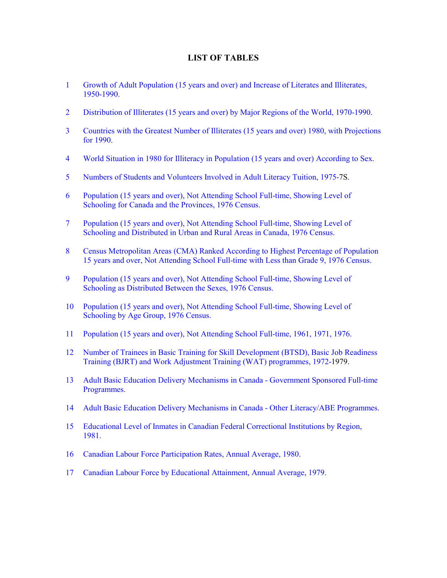# **LIST OF TABLES**

- <span id="page-8-0"></span>1 Growth of [Adult Population \(15 years and](#page-30-0) over) and Increase of Literates and Illiterates, 1950-1990.
- [2 Distribution of Illiterates \(15 years and](#page-30-0) over) by Major Regions of the World, 1970-1990.
- [3 Countries with the Greatest Number of Illiterates \(15 years and over\) 1980, with](#page-31-0) Projections for 1990.
- 4 World Situation in 1980 for Illiteracy [in Population \(15 years and over\) According](#page-32-0) to Sex.
- 5 Numbers of Students and Volunteers Involved in Adult Literacy Tuition, 1975-7S.
- [6 Population \(15 years and over\), Not Attending](#page-60-0) School Full-time, Showing Level of Schooling for Canada and the Provinces, 1976 Census.
- 7 Population (15 years and over), Not Attending School Full-time, Showing Level of Schooling [and Distributed in Urban and Rural Areas in Canada, 1976 Census.](#page-61-0)
- [8 Census Metropolitan Areas \(CMA\) Ranked According](#page-62-0) to Highest Percentage of Population 15 years and over, Not Attending School Full-time with Less than Grade 9, 1976 Census.
- [9 Population \(15 years and over\), Not Attending](#page-63-0) School Full-time, Showing Level of Schooling as Distributed Between the Sexes, 1976 Census.
- [10 Population \(15 years and over\), Not Attending](#page-64-0) School Full-time, Showing Level of Schooling by Age Group, 1976 Census.
- [11 Population \(15 years and over\), Not Attending](#page-65-0) School Full-time, 1961, 1971, 1976.
- 12 Number of Trainees in Basic Training for Skill Development (BTSD), Basic Job Readiness Training (BJRT) and Work Adjustment Training (WAT) programmes, 1972-1979.
- [13 Adult Basic Education Delivery](#page-71-0) Mechanisms in Canada Government Sponsored Full-time Programmes.
- [14 Adult Basic Education Delivery](#page-72-0) Mechanisms in Canada Other Literacy/ABE Programmes.
- [15 Educational Level of Inmates in Canadian Federal](#page-104-0) Correctional Institutions by Region, 1981.
- [16 Canadian Labour Force Participation Rates, Annual](#page-105-0) Average, 1980.
- 17 Canadian Labour Force by [Educational Attainment, Annual Average, 1979.](#page-107-0)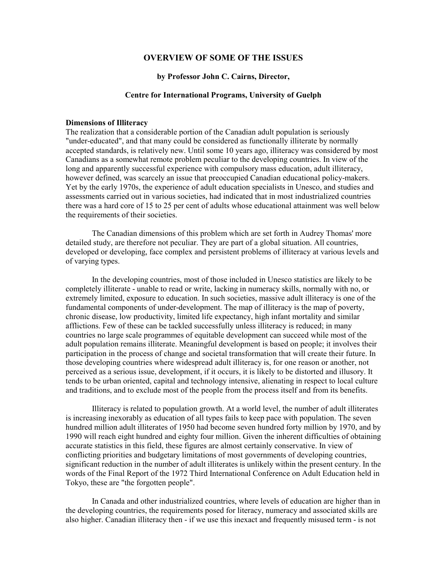## **OVERVIEW OF SOME OF THE ISSUES**

## **by Professor John C. Cairns, Director,**

## **Centre for International Programs, University of Guelph**

#### <span id="page-9-0"></span>**Dimensions of Illiteracy**

The realization that a considerable portion of the Canadian adult population is seriously "under-educated", and that many could be considered as functionally illiterate by normally accepted standards, is relatively new. Until some 10 years ago, illiteracy was considered by most Canadians as a somewhat remote problem peculiar to the developing countries. In view of the long and apparently successful experience with compulsory mass education, adult illiteracy, however defined, was scarcely an issue that preoccupied Canadian educational policy-makers. Yet by the early 1970s, the experience of adult education specialists in Unesco, and studies and assessments carried out in various societies, had indicated that in most industrialized countries there was a hard core of 15 to 25 per cent of adults whose educational attainment was well below the requirements of their societies.

 The Canadian dimensions of this problem which are set forth in Audrey Thomas' more detailed study, are therefore not peculiar. They are part of a global situation. All countries, developed or developing, face complex and persistent problems of illiteracy at various levels and of varying types.

 In the developing countries, most of those included in Unesco statistics are likely to be completely illiterate - unable to read or write, lacking in numeracy skills, normally with no, or extremely limited, exposure to education. In such societies, massive adult illiteracy is one of the fundamental components of under-development. The map of illiteracy is the map of poverty, chronic disease, low productivity, limited life expectancy, high infant mortality and similar afflictions. Few of these can be tackled successfully unless illiteracy is reduced; in many countries no large scale programmes of equitable development can succeed while most of the adult population remains illiterate. Meaningful development is based on people; it involves their participation in the process of change and societal transformation that will create their future. In those developing countries where widespread adult illiteracy is, for one reason or another, not perceived as a serious issue, development, if it occurs, it is likely to be distorted and illusory. It tends to be urban oriented, capital and technology intensive, alienating in respect to local culture and traditions, and to exclude most of the people from the process itself and from its benefits.

 Illiteracy is related to population growth. At a world level, the number of adult illiterates is increasing inexorably as education of all types fails to keep pace with population. The seven hundred million adult illiterates of 1950 had become seven hundred forty million by 1970, and by 1990 will reach eight hundred and eighty four million. Given the inherent difficulties of obtaining accurate statistics in this field, these figures are almost certainly conservative. In view of conflicting priorities and budgetary limitations of most governments of developing countries, significant reduction in the number of adult illiterates is unlikely within the present century. In the words of the Final Report of the 1972 Third International Conference on Adult Education held in Tokyo, these are "the forgotten people".

 In Canada and other industrialized countries, where levels of education are higher than in the developing countries, the requirements posed for literacy, numeracy and associated skills are also higher. Canadian illiteracy then - if we use this inexact and frequently misused term - is not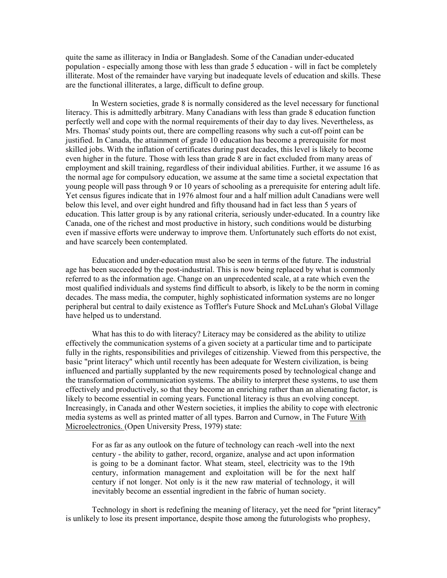quite the same as illiteracy in India or Bangladesh. Some of the Canadian under-educated population - especially among those with less than grade 5 education - will in fact be completely illiterate. Most of the remainder have varying but inadequate levels of education and skills. These are the functional illiterates, a large, difficult to define group.

 In Western societies, grade 8 is normally considered as the level necessary for functional literacy. This is admittedly arbitrary. Many Canadians with less than grade 8 education function perfectly well and cope with the normal requirements of their day to day lives. Nevertheless, as Mrs. Thomas' study points out, there are compelling reasons why such a cut-off point can be justified. In Canada, the attainment of grade 10 education has become a prerequisite for most skilled jobs. With the inflation of certificates during past decades, this level is likely to become even higher in the future. Those with less than grade 8 are in fact excluded from many areas of employment and skill training, regardless of their individual abilities. Further, it we assume 16 as the normal age for compulsory education, we assume at the same time a societal expectation that young people will pass through 9 or 10 years of schooling as a prerequisite for entering adult life. Yet census figures indicate that in 1976 almost four and a half million adult Canadians were well below this level, and over eight hundred and fifty thousand had in fact less than 5 years of education. This latter group is by any rational criteria, seriously under-educated. In a country like Canada, one of the richest and most productive in history, such conditions would be disturbing even if massive efforts were underway to improve them. Unfortunately such efforts do not exist, and have scarcely been contemplated.

 Education and under-education must also be seen in terms of the future. The industrial age has been succeeded by the post-industrial. This is now being replaced by what is commonly referred to as the information age. Change on an unprecedented scale, at a rate which even the most qualified individuals and systems find difficult to absorb, is likely to be the norm in coming decades. The mass media, the computer, highly sophisticated information systems are no longer peripheral but central to daily existence as Toffler's Future Shock and McLuhan's Global Village have helped us to understand.

What has this to do with literacy? Literacy may be considered as the ability to utilize effectively the communication systems of a given society at a particular time and to participate fully in the rights, responsibilities and privileges of citizenship. Viewed from this perspective, the basic "print literacy" which until recently has been adequate for Western civilization, is being influenced and partially supplanted by the new requirements posed by technological change and the transformation of communication systems. The ability to interpret these systems, to use them effectively and productively, so that they become an enriching rather than an alienating factor, is likely to become essential in coming years. Functional literacy is thus an evolving concept. Increasingly, in Canada and other Western societies, it implies the ability to cope with electronic media systems as well as printed matter of all types. Barron and Curnow, in The Future With Microelectronics. (Open University Press, 1979) state:

For as far as any outlook on the future of technology can reach -well into the next century - the ability to gather, record, organize, analyse and act upon information is going to be a dominant factor. What steam, steel, electricity was to the 19th century, information management and exploitation will be for the next half century if not longer. Not only is it the new raw material of technology, it will inevitably become an essential ingredient in the fabric of human society.

 Technology in short is redefining the meaning of literacy, yet the need for "print literacy" is unlikely to lose its present importance, despite those among the futurologists who prophesy,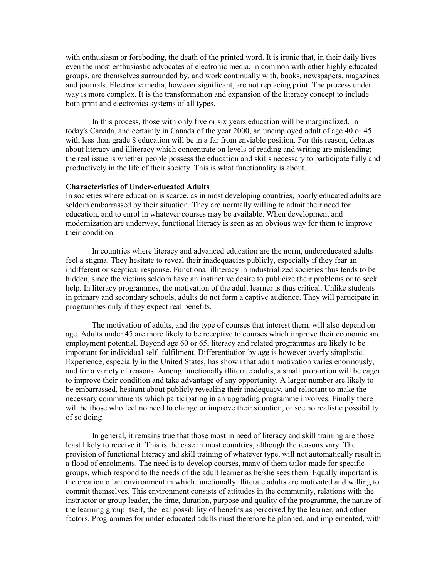with enthusiasm or foreboding, the death of the printed word. It is ironic that, in their daily lives even the most enthusiastic advocates of electronic media, in common with other highly educated groups, are themselves surrounded by, and work continually with, books, newspapers, magazines and journals. Electronic media, however significant, are not replacing print. The process under way is more complex. It is the transformation and expansion of the literacy concept to include both print and electronics systems of all types.

 In this process, those with only five or six years education will be marginalized. In today's Canada, and certainly in Canada of the year 2000, an unemployed adult of age 40 or 45 with less than grade 8 education will be in a far from enviable position. For this reason, debates about literacy and illiteracy which concentrate on levels of reading and writing are misleading; the real issue is whether people possess the education and skills necessary to participate fully and productively in the life of their society. This is what functionality is about.

#### **Characteristics of Under-educated Adults**

In societies where education is scarce, as in most developing countries, poorly educated adults are seldom embarrassed by their situation. They are normally willing to admit their need for education, and to enrol in whatever courses may be available. When development and modernization are underway, functional literacy is seen as an obvious way for them to improve their condition.

 In countries where literacy and advanced education are the norm, undereducated adults feel a stigma. They hesitate to reveal their inadequacies publicly, especially if they fear an indifferent or sceptical response. Functional illiteracy in industrialized societies thus tends to be hidden, since the victims seldom have an instinctive desire to publicize their problems or to seek help. In literacy programmes, the motivation of the adult learner is thus critical. Unlike students in primary and secondary schools, adults do not form a captive audience. They will participate in programmes only if they expect real benefits.

 The motivation of adults, and the type of courses that interest them, will also depend on age. Adults under 45 are more likely to be receptive to courses which improve their economic and employment potential. Beyond age 60 or 65, literacy and related programmes are likely to be important for individual self -fulfilment. Differentiation by age is however overly simplistic. Experience, especially in the United States, has shown that adult motivation varies enormously, and for a variety of reasons. Among functionally illiterate adults, a small proportion will be eager to improve their condition and take advantage of any opportunity. A larger number are likely to be embarrassed, hesitant about publicly revealing their inadequacy, and reluctant to make the necessary commitments which participating in an upgrading programme involves. Finally there will be those who feel no need to change or improve their situation, or see no realistic possibility of so doing.

 In general, it remains true that those most in need of literacy and skill training are those least likely to receive it. This is the case in most countries, although the reasons vary. The provision of functional literacy and skill training of whatever type, will not automatically result in a flood of enrolments. The need is to develop courses, many of them tailor-made for specific groups, which respond to the needs of the adult learner as he/she sees them. Equally important is the creation of an environment in which functionally illiterate adults are motivated and willing to commit themselves. This environment consists of attitudes in the community, relations with the instructor or group leader, the time, duration, purpose and quality of the programme, the nature of the learning group itself, the real possibility of benefits as perceived by the learner, and other factors. Programmes for under-educated adults must therefore be planned, and implemented, with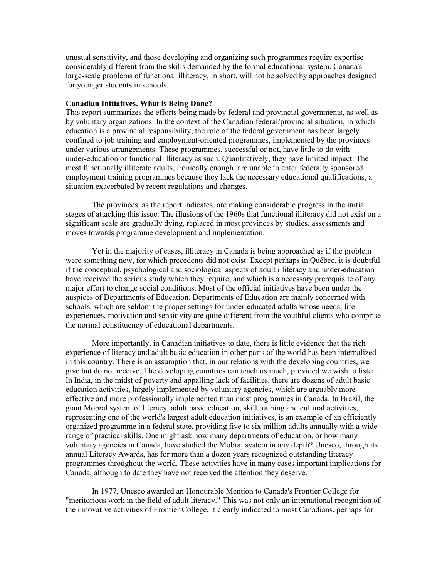unusual sensitivity, and those developing and organizing such programmes require expertise considerably different from the skills demanded by the formal educational system. Canada's large-scale problems of functional illiteracy, in short, will not be solved by approaches designed for younger students in schools.

#### **Canadian Initiatives. What is Being Done?**

This report summarizes the efforts being made by federal and provincial governments, as well as by voluntary organizations. In the context of the Canadian federal/provincial situation, in which education is a provincial responsibility, the role of the federal government has been largely confined to job training and employment-oriented programmes, implemented by the provinces under various arrangements. These programmes, successful or not, have little to do with under-education or functional illiteracy as such. Quantitatively, they have limited impact. The most functionally illiterate adults, ironically enough, are unable to enter federally sponsored employment training programmes because they lack the necessary educational qualifications, a situation exacerbated by recent regulations and changes.

 The provinces, as the report indicates, are making considerable progress in the initial stages of attacking this issue. The illusions of the 1960s that functional illiteracy did not exist on a significant scale are gradually dying, replaced in most provinces by studies, assessments and moves towards programme development and implementation.

 Yet in the majority of cases, illiteracy in Canada is being approached as if the problem were something new, for which precedents did not exist. Except perhaps in Québec, it is doubtful if the conceptual, psychological and sociological aspects of adult illiteracy and under-education have received the serious study which they require, and which is a necessary prerequisite of any major effort to change social conditions. Most of the official initiatives have been under the auspices of Departments of Education. Departments of Education are mainly concerned with schools, which are seldom the proper settings for under-educated adults whose needs, life experiences, motivation and sensitivity are quite different from the youthful clients who comprise the normal constituency of educational departments.

 More importantly, in Canadian initiatives to date, there is little evidence that the rich experience of literacy and adult basic education in other parts of the world has been internalized in this country. There is an assumption that, in our relations with the developing countries, we give but do not receive. The developing countries can teach us much, provided we wish to listen. In India, in the midst of poverty and appalling lack of facilities, there are dozens of adult basic education activities, largely implemented by voluntary agencies, which are arguably more effective and more professionally implemented than most programmes in Canada. In Brazil, the giant Mobral system of literacy, adult basic education, skill training and cultural activities, representing one of the world's largest adult education initiatives, is an example of an efficiently organized programme in a federal state, providing five to six million adults annually with a wide range of practical skills. One might ask how many departments of education, or how many voluntary agencies in Canada, have studied the Mobral system in any depth? Unesco, through its annual Literacy Awards, has for more than a dozen years recognized outstanding literacy programmes throughout the world. These activities have in many cases important implications for Canada, although to date they have not received the attention they deserve.

 In 1977, Unesco awarded an Honourable Mention to Canada's Frontier College for "meritorious work in the field of adult literacy." This was not only an international recognition of the innovative activities of Frontier College, it clearly indicated to most Canadians, perhaps for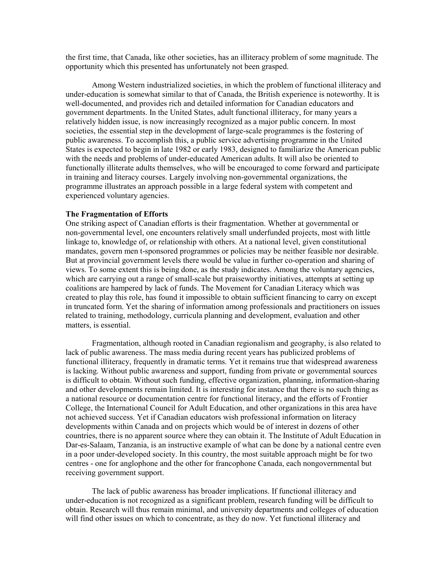the first time, that Canada, like other societies, has an illiteracy problem of some magnitude. The opportunity which this presented has unfortunately not been grasped.

 Among Western industrialized societies, in which the problem of functional illiteracy and under-education is somewhat similar to that of Canada, the British experience is noteworthy. It is well-documented, and provides rich and detailed information for Canadian educators and government departments. In the United States, adult functional illiteracy, for many years a relatively hidden issue, is now increasingly recognized as a major public concern. In most societies, the essential step in the development of large-scale programmes is the fostering of public awareness. To accomplish this, a public service advertising programme in the United States is expected to begin in late 1982 or early 1983, designed to familiarize the American public with the needs and problems of under-educated American adults. It will also be oriented to functionally illiterate adults themselves, who will be encouraged to come forward and participate in training and literacy courses. Largely involving non-governmental organizations, the programme illustrates an approach possible in a large federal system with competent and experienced voluntary agencies.

#### **The Fragmentation of Efforts**

One striking aspect of Canadian efforts is their fragmentation. Whether at governmental or non-governmental level, one encounters relatively small underfunded projects, most with little linkage to, knowledge of, or relationship with others. At a national level, given constitutional mandates, govern men t-sponsored programmes or policies may be neither feasible nor desirable. But at provincial government levels there would be value in further co-operation and sharing of views. To some extent this is being done, as the study indicates. Among the voluntary agencies, which are carrying out a range of small-scale but praiseworthy initiatives, attempts at setting up coalitions are hampered by lack of funds. The Movement for Canadian Literacy which was created to play this role, has found it impossible to obtain sufficient financing to carry on except in truncated form. Yet the sharing of information among professionals and practitioners on issues related to training, methodology, curricula planning and development, evaluation and other matters, is essential.

 Fragmentation, although rooted in Canadian regionalism and geography, is also related to lack of public awareness. The mass media during recent years has publicized problems of functional illiteracy, frequently in dramatic terms. Yet it remains true that widespread awareness is lacking. Without public awareness and support, funding from private or governmental sources is difficult to obtain. Without such funding, effective organization, planning, information-sharing and other developments remain limited. It is interesting for instance that there is no such thing as a national resource or documentation centre for functional literacy, and the efforts of Frontier College, the International Council for Adult Education, and other organizations in this area have not achieved success. Yet if Canadian educators wish professional information on literacy developments within Canada and on projects which would be of interest in dozens of other countries, there is no apparent source where they can obtain it. The Institute of Adult Education in Dar-es-Salaam, Tanzania, is an instructive example of what can be done by a national centre even in a poor under-developed society. In this country, the most suitable approach might be for two centres - one for anglophone and the other for francophone Canada, each nongovernmental but receiving government support.

 The lack of public awareness has broader implications. If functional illiteracy and under-education is not recognized as a significant problem, research funding will be difficult to obtain. Research will thus remain minimal, and university departments and colleges of education will find other issues on which to concentrate, as they do now. Yet functional illiteracy and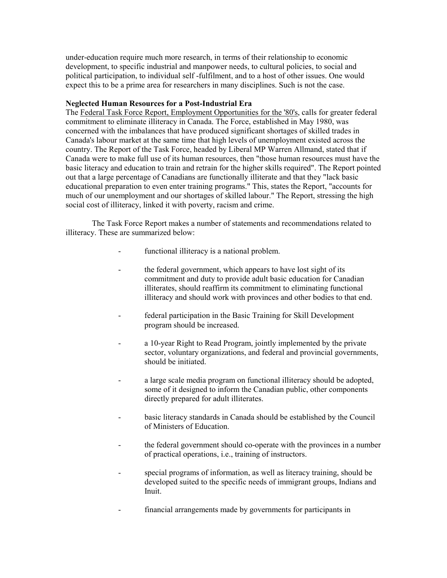under-education require much more research, in terms of their relationship to economic development, to specific industrial and manpower needs, to cultural policies, to social and political participation, to individual self -fulfilment, and to a host of other issues. One would expect this to be a prime area for researchers in many disciplines. Such is not the case.

## **Neglected Human Resources for a Post-Industrial Era**

The Federal Task Force Report, Employment Opportunities for the '80's, calls for greater federal commitment to eliminate illiteracy in Canada. The Force, established in May 1980, was concerned with the imbalances that have produced significant shortages of skilled trades in Canada's labour market at the same time that high levels of unemployment existed across the country. The Report of the Task Force, headed by Liberal MP Warren Allmand, stated that if Canada were to make full use of its human resources, then "those human resources must have the basic literacy and education to train and retrain for the higher skills required". The Report pointed out that a large percentage of Canadians are functionally illiterate and that they "lack basic educational preparation to even enter training programs." This, states the Report, "accounts for much of our unemployment and our shortages of skilled labour." The Report, stressing the high social cost of illiteracy, linked it with poverty, racism and crime.

 The Task Force Report makes a number of statements and recommendations related to illiteracy. These are summarized below:

- functional illiteracy is a national problem.
- the federal government, which appears to have lost sight of its commitment and duty to provide adult basic education for Canadian illiterates, should reaffirm its commitment to eliminating functional illiteracy and should work with provinces and other bodies to that end.
- federal participation in the Basic Training for Skill Development program should be increased.
- a 10-year Right to Read Program, jointly implemented by the private sector, voluntary organizations, and federal and provincial governments, should be initiated.
- a large scale media program on functional illiteracy should be adopted, some of it designed to inform the Canadian public, other components directly prepared for adult illiterates.
- basic literacy standards in Canada should be established by the Council of Ministers of Education.
- the federal government should co-operate with the provinces in a number of practical operations, i.e., training of instructors.
- special programs of information, as well as literacy training, should be developed suited to the specific needs of immigrant groups, Indians and Inuit.
- financial arrangements made by governments for participants in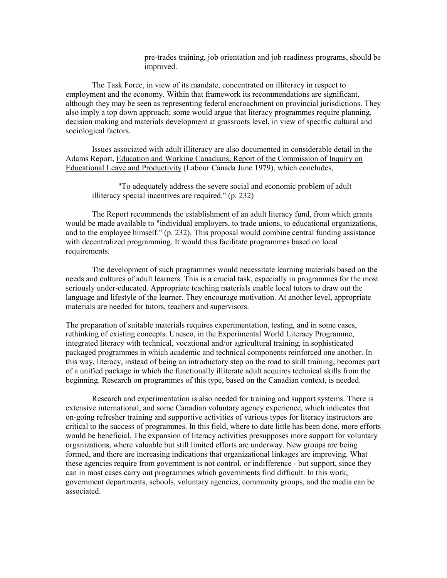pre-trades training, job orientation and job readiness programs, should be improved.

 The Task Force, in view of its mandate, concentrated on illiteracy in respect to employment and the economy. Within that framework its recommendations are significant, although they may be seen as representing federal encroachment on provincial jurisdictions. They also imply a top down approach; some would argue that literacy programmes require planning, decision making and materials development at grassroots level, in view of specific cultural and sociological factors.

 Issues associated with adult illiteracy are also documented in considerable detail in the Adams Report, Education and Working Canadians, Report of the Commission of Inquiry on Educational Leave and Productivity (Labour Canada June 1979), which concludes,

 "To adequately address the severe social and economic problem of adult illiteracy special incentives are required." (p. 232)

 The Report recommends the establishment of an adult literacy fund, from which grants would be made available to "individual employers, to trade unions, to educational organizations, and to the employee himself." (p. 232). This proposal would combine central funding assistance with decentralized programming. It would thus facilitate programmes based on local requirements.

 The development of such programmes would necessitate learning materials based on the needs and cultures of adult learners. This is a crucial task, especially in programmes for the most seriously under-educated. Appropriate teaching materials enable local tutors to draw out the language and lifestyle of the learner. They encourage motivation. At another level, appropriate materials are needed for tutors, teachers and supervisors.

The preparation of suitable materials requires experimentation, testing, and in some cases, rethinking of existing concepts. Unesco, in the Experimental World Literacy Programme, integrated literacy with technical, vocational and/or agricultural training, in sophisticated packaged programmes in which academic and technical components reinforced one another. In this way, literacy, instead of being an introductory step on the road to skill training, becomes part of a unified package in which the functionally illiterate adult acquires technical skills from the beginning. Research on programmes of this type, based on the Canadian context, is needed.

 Research and experimentation is also needed for training and support systems. There is extensive international, and some Canadian voluntary agency experience, which indicates that on-going refresher training and supportive activities of various types for literacy instructors are critical to the success of programmes. In this field, where to date little has been done, more efforts would be beneficial. The expansion of literacy activities presupposes more support for voluntary organizations, where valuable but still limited efforts are underway. New groups are being formed, and there are increasing indications that organizational linkages are improving. What these agencies require from government is not control, or indifference - but support, since they can in most cases carry out programmes which governments find difficult. In this work, government departments, schools, voluntary agencies, community groups, and the media can be associated.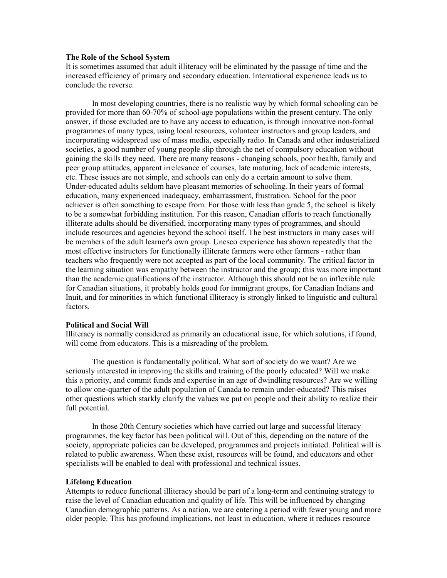#### **The Role of the School System**

It is sometimes assumed that adult illiteracy will be eliminated by the passage of time and the increased efficiency of primary and secondary education. International experience leads us to conclude the reverse.

 In most developing countries, there is no realistic way by which formal schooling can be provided for more than 60-70% of school-age populations within the present century. The only answer, if those excluded are to have any access to education, is through innovative non-formal programmes of many types, using local resources, volunteer instructors and group leaders, and incorporating widespread use of mass media, especially radio. In Canada and other industrialized societies, a good number of young people slip through the net of compulsory education without gaining the skills they need. There are many reasons - changing schools, poor health, family and peer group attitudes, apparent irrelevance of courses, late maturing, lack of academic interests, etc. These issues are not simple, and schools can only do a certain amount to solve them. Under-educated adults seldom have pleasant memories of schooling. In their years of formal education, many experienced inadequacy, embarrassment, frustration. School for the poor achiever is often something to escape from. For those with less than grade 5, the school is likely to be a somewhat forbidding institution. For this reason, Canadian efforts to reach functionally illiterate adults should be diversified, incorporating many types of programmes, and should include resources and agencies beyond the school itself. The best instructors in many cases will be members of the adult learner's own group. Unesco experience has shown repeatedly that the most effective instructors for functionally illiterate farmers were other farmers - rather than teachers who frequently were not accepted as part of the local community. The critical factor in the learning situation was empathy between the instructor and the group; this was more important than the academic qualifications of the instructor. Although this should not be an inflexible rule for Canadian situations, it probably holds good for immigrant groups, for Canadian Indians and Inuit, and for minorities in which functional illiteracy is strongly linked to linguistic and cultural factors.

#### **Political and Social Will**

Illiteracy is normally considered as primarily an educational issue, for which solutions, if found, will come from educators. This is a misreading of the problem.

 The question is fundamentally political. What sort of society do we want? Are we seriously interested in improving the skills and training of the poorly educated? Will we make this a priority, and commit funds and expertise in an age of dwindling resources? Are we willing to allow one-quarter of the adult population of Canada to remain under-educated? This raises other questions which starkly clarify the values we put on people and their ability to realize their full potential.

 In those 20th Century societies which have carried out large and successful literacy programmes, the key factor has been political will. Out of this, depending on the nature of the society, appropriate policies can be developed, programmes and projects initiated. Political will is related to public awareness. When these exist, resources will be found, and educators and other specialists will be enabled to deal with professional and technical issues.

#### **Lifelong Education**

Attempts to reduce functional illiteracy should be part of a long-term and continuing strategy to raise the level of Canadian education and quality of life. This will be influenced by changing Canadian demographic patterns. As a nation, we are entering a period with fewer young and more older people. This has profound implications, not least in education, where it reduces resource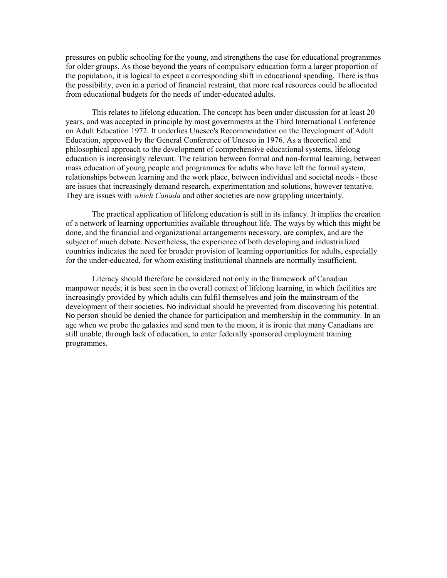pressures on public schooling for the young, and strengthens the case for educational programmes for older groups. As those beyond the years of compulsory education form a larger proportion of the population, it is logical to expect a corresponding shift in educational spending. There is thus the possibility, even in a period of financial restraint, that more real resources could be allocated from educational budgets for the needs of under-educated adults.

 This relates to lifelong education. The concept has been under discussion for at least 20 years, and was accepted in principle by most governments at the Third International Conference on Adult Education 1972. It underlies Unesco's Recommendation on the Development of Adult Education, approved by the General Conference of Unesco in 1976. As a theoretical and philosophical approach to the development of comprehensive educational systems, lifelong education is increasingly relevant. The relation between formal and non-formal learning, between mass education of young people and programmes for adults who have left the formal system, relationships between learning and the work place, between individual and societal needs - these are issues that increasingly demand research, experimentation and solutions, however tentative. They are issues with *which Canada* and other societies are now grappling uncertainly.

 The practical application of lifelong education is still in its infancy. It implies the creation of a network of learning opportunities available throughout life. The ways by which this might be done, and the financial and organizational arrangements necessary, are complex, and are the subject of much debate. Nevertheless, the experience of both developing and industrialized countries indicates the need for broader provision of learning opportunities for adults, especially for the under-educated, for whom existing institutional channels are normally insufficient.

 Literacy should therefore be considered not only in the framework of Canadian manpower needs; it is best seen in the overall context of lifelong learning, in which facilities are increasingly provided by which adults can fulfil themselves and join the mainstream of the development of their societies. No individual should be prevented from discovering his potential. No person should be denied the chance for participation and membership in the community. In an age when we probe the galaxies and send men to the moon, it is ironic that many Canadians are still unable, through lack of education, to enter federally sponsored employment training programmes.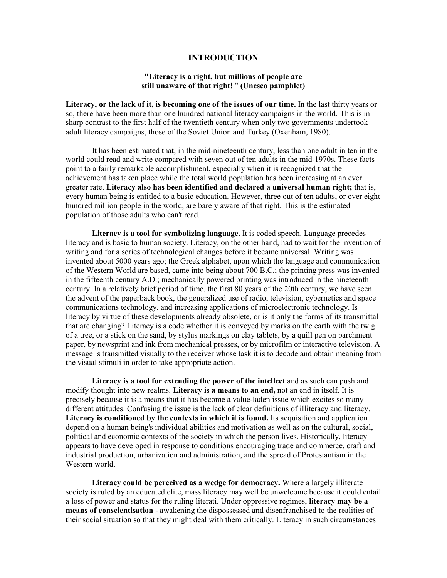## **INTRODUCTION**

## **"Literacy is a right, but millions of people are still unaware of that right!** " **(Unesco pamphlet)**

<span id="page-18-0"></span>**Literacy, or the lack of it, is becoming one of the issues of our time.** In the last thirty years or so, there have been more than one hundred national literacy campaigns in the world. This is in sharp contrast to the first half of the twentieth century when only two governments undertook adult literacy campaigns, those of the Soviet Union and Turkey (Oxenham, 1980).

 It has been estimated that, in the mid-nineteenth century, less than one adult in ten in the world could read and write compared with seven out of ten adults in the mid-1970s. These facts point to a fairly remarkable accomplishment, especially when it is recognized that the achievement has taken place while the total world population has been increasing at an ever greater rate. **Literacy also has been identified and declared a universal human right;** that is, every human being is entitled to a basic education. However, three out of ten adults, or over eight hundred million people in the world, are barely aware of that right. This is the estimated population of those adults who can't read.

 **Literacy is a tool for symbolizing language.** It is coded speech. Language precedes literacy and is basic to human society. Literacy, on the other hand, had to wait for the invention of writing and for a series of technological changes before it became universal. Writing was invented about 5000 years ago; the Greek alphabet, upon which the language and communication of the Western World are based, came into being about 700 B.C.; the printing press was invented in the fifteenth century A.D.; mechanically powered printing was introduced in the nineteenth century. In a relatively brief period of time, the first 80 years of the 20th century, we have seen the advent of the paperback book, the generalized use of radio, television, cybernetics and space communications technology, and increasing applications of microelectronic technology. Is literacy by virtue of these developments already obsolete, or is it only the forms of its transmittal that are changing? Literacy is a code whether it is conveyed by marks on the earth with the twig of a tree, or a stick on the sand, by stylus markings on clay tablets, by a quill pen on parchment paper, by newsprint and ink from mechanical presses, or by microfilm or interactive television. A message is transmitted visually to the receiver whose task it is to decode and obtain meaning from the visual stimuli in order to take appropriate action.

 **Literacy is a tool for extending the power of the intellect** and as such can push and modify thought into new realms. **Literacy is a means to an end,** not an end in itself. It is precisely because it is a means that it has become a value-laden issue which excites so many different attitudes. Confusing the issue is the lack of clear definitions of illiteracy and literacy. **Literacy is conditioned by the contexts in which it is found.** Its acquisition and application depend on a human being's individual abilities and motivation as well as on the cultural, social, political and economic contexts of the society in which the person lives. Historically, literacy appears to have developed in response to conditions encouraging trade and commerce, craft and industrial production, urbanization and administration, and the spread of Protestantism in the Western world.

 **Literacy could be perceived as a wedge for democracy.** Where a largely illiterate society is ruled by an educated elite, mass literacy may well be unwelcome because it could entail a loss of power and status for the ruling literati. Under oppressive regimes, **literacy may be a means of conscientisation** - awakening the dispossessed and disenfranchised to the realities of their social situation so that they might deal with them critically. Literacy in such circumstances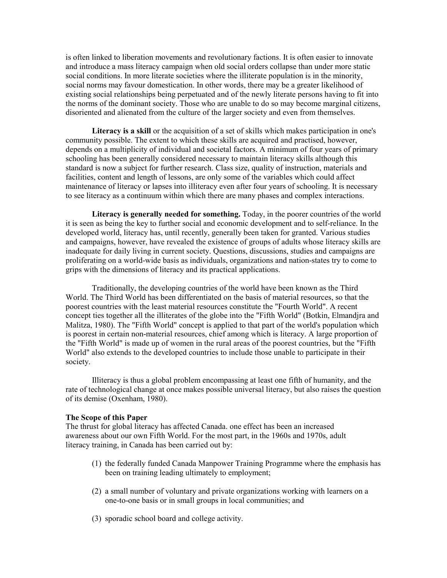is often linked to liberation movements and revolutionary factions. It is often easier to innovate and introduce a mass literacy campaign when old social orders collapse than under more static social conditions. In more literate societies where the illiterate population is in the minority, social norms may favour domestication. In other words, there may be a greater likelihood of existing social relationships being perpetuated and of the newly literate persons having to fit into the norms of the dominant society. Those who are unable to do so may become marginal citizens, disoriented and alienated from the culture of the larger society and even from themselves.

Literacy is a skill or the acquisition of a set of skills which makes participation in one's community possible. The extent to which these skills are acquired and practised, however, depends on a multiplicity of individual and societal factors. A minimum of four years of primary schooling has been generally considered necessary to maintain literacy skills although this standard is now a subject for further research. Class size, quality of instruction, materials and facilities, content and length of lessons, are only some of the variables which could affect maintenance of literacy or lapses into illiteracy even after four years of schooling. It is necessary to see literacy as a continuum within which there are many phases and complex interactions.

**Literacy is generally needed for something.** Today, in the poorer countries of the world it is seen as being the key to further social and economic development and to self-reliance. In the developed world, literacy has, until recently, generally been taken for granted. Various studies and campaigns, however, have revealed the existence of groups of adults whose literacy skills are inadequate for daily living in current society. Questions, discussions, studies and campaigns are proliferating on a world-wide basis as individuals, organizations and nation-states try to come to grips with the dimensions of literacy and its practical applications.

 Traditionally, the developing countries of the world have been known as the Third World. The Third World has been differentiated on the basis of material resources, so that the poorest countries with the least material resources constitute the "Fourth World". A recent concept ties together all the illiterates of the globe into the "Fifth World" (Botkin, Elmandjra and Malitza, 1980). The "Fifth World" concept is applied to that part of the world's population which is poorest in certain non-material resources, chief among which is literacy. A large proportion of the "Fifth World" is made up of women in the rural areas of the poorest countries, but the "Fifth World" also extends to the developed countries to include those unable to participate in their society.

 Illiteracy is thus a global problem encompassing at least one fifth of humanity, and the rate of technological change at once makes possible universal literacy, but also raises the question of its demise (Oxenham, 1980).

## **The Scope of this Paper**

The thrust for global literacy has affected Canada. one effect has been an increased awareness about our own Fifth World. For the most part, in the 1960s and 1970s, adult literacy training, in Canada has been carried out by:

- (1) the federally funded Canada Manpower Training Programme where the emphasis has been on training leading ultimately to employment;
- (2) a small number of voluntary and private organizations working with learners on a one-to-one basis or in small groups in local communities; and
- (3) sporadic school board and college activity.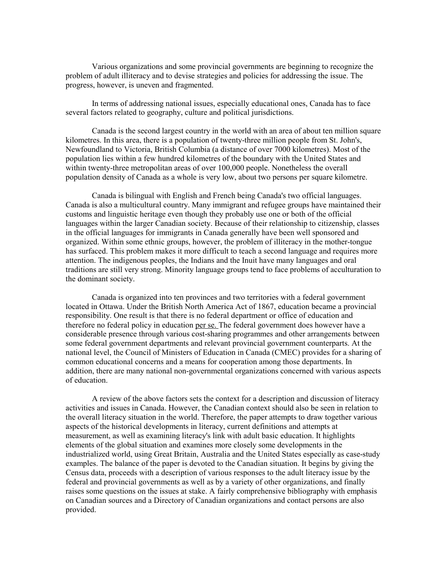Various organizations and some provincial governments are beginning to recognize the problem of adult illiteracy and to devise strategies and policies for addressing the issue. The progress, however, is uneven and fragmented.

 In terms of addressing national issues, especially educational ones, Canada has to face several factors related to geography, culture and political jurisdictions.

 Canada is the second largest country in the world with an area of about ten million square kilometres. In this area, there is a population of twenty-three million people from St. John's, Newfoundland to Victoria, British Columbia (a distance of over 7000 kilometres). Most of the population lies within a few hundred kilometres of the boundary with the United States and within twenty-three metropolitan areas of over 100,000 people. Nonetheless the overall population density of Canada as a whole is very low, about two persons per square kilometre.

 Canada is bilingual with English and French being Canada's two official languages. Canada is also a multicultural country. Many immigrant and refugee groups have maintained their customs and linguistic heritage even though they probably use one or both of the official languages within the larger Canadian society. Because of their relationship to citizenship, classes in the official languages for immigrants in Canada generally have been well sponsored and organized. Within some ethnic groups, however, the problem of illiteracy in the mother-tongue has surfaced. This problem makes it more difficult to teach a second language and requires more attention. The indigenous peoples, the Indians and the Inuit have many languages and oral traditions are still very strong. Minority language groups tend to face problems of acculturation to the dominant society.

 Canada is organized into ten provinces and two territories with a federal government located in Ottawa. Under the British North America Act of 1867, education became a provincial responsibility. One result is that there is no federal department or office of education and therefore no federal policy in education per se. The federal government does however have a considerable presence through various cost-sharing programmes and other arrangements between some federal government departments and relevant provincial government counterparts. At the national level, the Council of Ministers of Education in Canada (CMEC) provides for a sharing of common educational concerns and a means for cooperation among those departments. In addition, there are many national non-governmental organizations concerned with various aspects of education.

 A review of the above factors sets the context for a description and discussion of literacy activities and issues in Canada. However, the Canadian context should also be seen in relation to the overall literacy situation in the world. Therefore, the paper attempts to draw together various aspects of the historical developments in literacy, current definitions and attempts at measurement, as well as examining literacy's link with adult basic education. It highlights elements of the global situation and examines more closely some developments in the industrialized world, using Great Britain, Australia and the United States especially as case-study examples. The balance of the paper is devoted to the Canadian situation. It begins by giving the Census data, proceeds with a description of various responses to the adult literacy issue by the federal and provincial governments as well as by a variety of other organizations, and finally raises some questions on the issues at stake. A fairly comprehensive bibliography with emphasis on Canadian sources and a Directory of Canadian organizations and contact persons are also provided.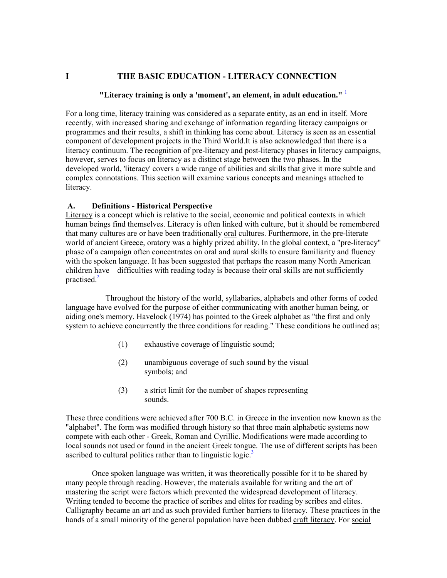# <span id="page-21-0"></span>**I THE BASIC EDUCATION - LITERACY CONNECTION**

# **"Literacy training is only a 'moment', an element, in adult education."** [1](#page-111-0)

For a long time, literacy training was considered as a separate entity, as an end in itself. More recently, with increased sharing and exchange of information regarding literacy campaigns or programmes and their results, a shift in thinking has come about. Literacy is seen as an essential component of development projects in the Third World.It is also acknowledged that there is a literacy continuum. The recognition of pre-literacy and post-literacy phases in literacy campaigns, however, serves to focus on literacy as a distinct stage between the two phases. In the developed world, 'literacy' covers a wide range of abilities and skills that give it more subtle and complex connotations. This section will examine various concepts and meanings attached to literacy.

# **A. Definitions - Historical Perspective**

Literacy is a concept which is relative to the social, economic and political contexts in which human beings find themselves. Literacy is often linked with culture, but it should be remembered that many cultures are or have been traditionally oral cultures. Furthermore, in the pre-literate world of ancient Greece, oratory was a highly prized ability. In the global context, a "pre-literacy" phase of a campaign often concentrates on oral and aural skills to ensure familiarity and fluency with the spoken language. It has been suggested that perhaps the reason many North American children [hav](#page-111-0)e difficulties with reading today is because their oral skills are not sufficiently practised.<sup>2</sup>

Throughout the history of the world, syllabaries, alphabets and other forms of coded language have evolved for the purpose of either communicating with another human being, or aiding one's memory. Havelock (1974) has pointed to the Greek alphabet as "the first and only system to achieve concurrently the three conditions for reading." These conditions he outlined as;

- (1) exhaustive coverage of linguistic sound;
- (2) unambiguous coverage of such sound by the visual symbols; and
- (3) a strict limit for the number of shapes representing sounds.

These three conditions were achieved after 700 B.C. in Greece in the invention now known as the "alphabet". The form was modified through history so that three main alphabetic systems now compete with each other - Greek, Roman and Cyrillic. Modifications were made according to local sounds not used or found in the ancient Greek tong[ue.](#page-111-0) The use of different scripts has been ascribed to cultural politics rather than to linguistic logic.<sup>3</sup>

 Once spoken language was written, it was theoretically possible for it to be shared by many people through reading. However, the materials available for writing and the art of mastering the script were factors which prevented the widespread development of literacy. Writing tended to become the practice of scribes and elites for reading by scribes and elites. Calligraphy became an art and as such provided further barriers to literacy. These practices in the hands of a small minority of the general population have been dubbed craft literacy. For social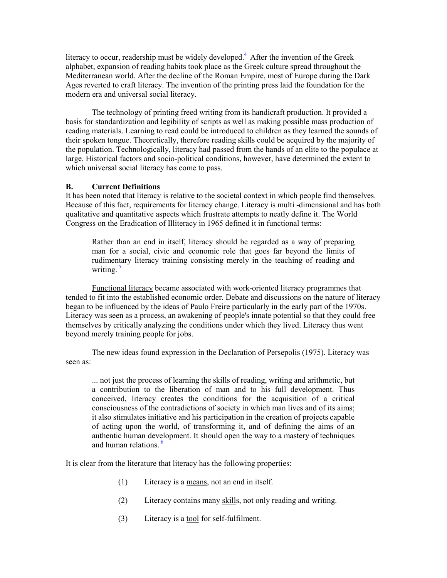<span id="page-22-0"></span>literacy to occur, readership must be widely developed.<sup>[4](#page-111-0)</sup> After the invention of the Greek alphabet, expansion of reading habits took place as the Greek culture spread throughout the Mediterranean world. After the decline of the Roman Empire, most of Europe during the Dark Ages reverted to craft literacy. The invention of the printing press laid the foundation for the modern era and universal social literacy.

The technology of printing freed writing from its handicraft production. It provided a basis for standardization and legibility of scripts as well as making possible mass production of reading materials. Learning to read could be introduced to children as they learned the sounds of their spoken tongue. Theoretically, therefore reading skills could be acquired by the majority of the population. Technologically, literacy had passed from the hands of an elite to the populace at large. Historical factors and socio-political conditions, however, have determined the extent to which universal social literacy has come to pass.

## **B. Current Definitions**

It has been noted that literacy is relative to the societal context in which people find themselves. Because of this fact, requirements for literacy change. Literacy is multi -dimensional and has both qualitative and quantitative aspects which frustrate attempts to neatly define it. The World Congress on the Eradication of Illiteracy in 1965 defined it in functional terms:

Rather than an end in itself, literacy should be regarded as a way of preparing man for a social, civic and economic role that goes far beyond the limits of rudime[nta](#page-111-0)ry literacy training consisting merely in the teaching of reading and writing.<sup>5</sup>

Functional literacy became associated with work-oriented literacy programmes that tended to fit into the established economic order. Debate and discussions on the nature of literacy began to be influenced by the ideas of Paulo Freire particularly in the early part of the 1970s. Literacy was seen as a process, an awakening of people's innate potential so that they could free themselves by critically analyzing the conditions under which they lived. Literacy thus went beyond merely training people for jobs.

The new ideas found expression in the Declaration of Persepolis (1975). Literacy was seen as:

... not just the process of learning the skills of reading, writing and arithmetic, but a contribution to the liberation of man and to his full development. Thus conceived, literacy creates the conditions for the acquisition of a critical consciousness of the contradictions of society in which man lives and of its aims; it also stimulates initiative and his participation in the creation of projects capable of acting upon the world, of transforming it, and of defining the aims of an authentic human development. It should open the way to a mastery of techniques and human relations.<sup>[6](#page-111-0)</sup>

It is clear from the literature that literacy has the following properties:

- (1) Literacy is a means, not an end in itself.
- (2) Literacy contains many skills, not only reading and writing.
- (3) Literacy is a tool for self-fulfilment.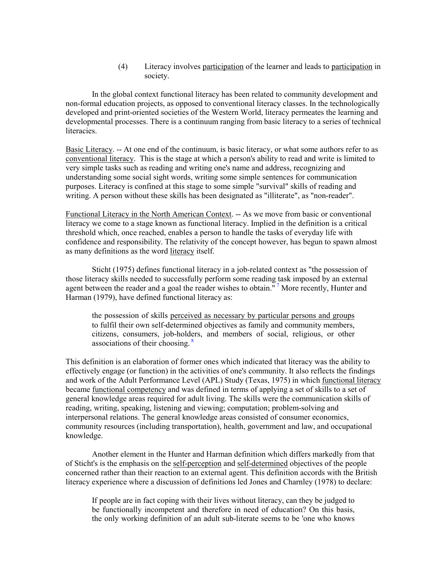(4) Literacy involves participation of the learner and leads to participation in society.

In the global context functional literacy has been related to community development and non-formal education projects, as opposed to conventional literacy classes. In the technologically developed and print-oriented societies of the Western World, literacy permeates the learning and developmental processes. There is a continuum ranging from basic literacy to a series of technical literacies.

Basic Literacy. -- At one end of the continuum, is basic literacy, or what some authors refer to as conventional literacy. This is the stage at which a person's ability to read and write is limited to very simple tasks such as reading and writing one's name and address, recognizing and understanding some social sight words, writing some simple sentences for communication purposes. Literacy is confined at this stage to some simple "survival" skills of reading and writing. A person without these skills has been designated as "illiterate", as "non-reader".

Functional Literacy in the North American Context. -- As we move from basic or conventional literacy we come to a stage known as functional literacy. Implied in the definition is a critical threshold which, once reached, enables a person to handle the tasks of everyday life with confidence and responsibility. The relativity of the concept however, has begun to spawn almost as many definitions as the word literacy itself.

Sticht (1975) defines functional literacy in a job-related context as "the possession of those literacy skills needed to successfully perform some reading [ta](#page-111-0)sk imposed by an external agent between the reader and a goal the reader wishes to obtain."<sup>7</sup> More recently, Hunter and Harman (1979), have defined functional literacy as:

the possession of skills perceived as necessary by particular persons and groups to fulfil their own self-determined objectives as family and community members, citizens, consumers, job-hol[ders](#page-111-0), and members of social, religious, or other associations of their choosing.<sup>8</sup>

This definition is an elaboration of former ones which indicated that literacy was the ability to effectively engage (or function) in the activities of one's community. It also reflects the findings and work of the Adult Performance Level (APL) Study (Texas, 1975) in which functional literacy became functional competency and was defined in terms of applying a set of skills to a set of general knowledge areas required for adult living. The skills were the communication skills of reading, writing, speaking, listening and viewing; computation; problem-solving and interpersonal relations. The general knowledge areas consisted of consumer economics, community resources (including transportation), health, government and law, and occupational knowledge.

 Another element in the Hunter and Harman definition which differs markedly from that of Sticht's is the emphasis on the self-perception and self-determined objectives of the people concerned rather than their reaction to an external agent. This definition accords with the British literacy experience where a discussion of definitions led Jones and Charnley (1978) to declare:

If people are in fact coping with their lives without literacy, can they be judged to be functionally incompetent and therefore in need of education? On this basis, the only working definition of an adult sub-literate seems to be 'one who knows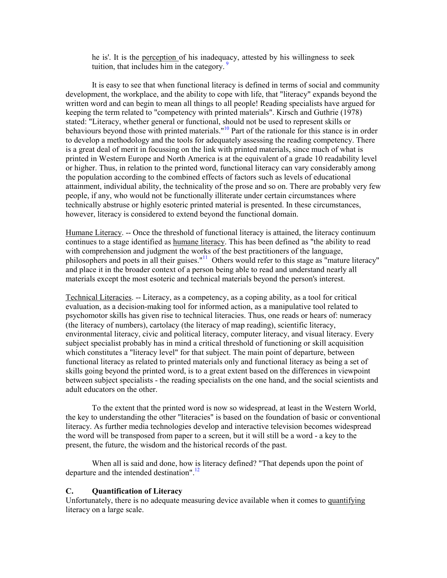he is'. It is the perception of his inadeq[uacy](#page-111-0), attested by his willingness to seek tuition, that includes him in the category.<sup>9</sup>

<span id="page-24-0"></span>It is easy to see that when functional literacy is defined in terms of social and community development, the workplace, and the ability to cope with life, that "literacy" expands beyond the written word and can begin to mean all things to all people! Reading specialists have argued for keeping the term related to "competency with printed materials". Kirsch and Guthrie (1978) stated: "Literacy, whether general or functional, should not be used to represent skills or behaviours beyond those with printed materials.<sup>"10</sup> Part of the rationale for this stance is in order to develop a methodology and the tools for adequately assessing the reading competency. There is a great deal of merit in focussing on the link with printed materials, since much of what is printed in Western Europe and North America is at the equivalent of a grade 10 readability level or higher. Thus, in relation to the printed word, functional literacy can vary considerably among the population according to the combined effects of factors such as levels of educational attainment, individual ability, the technicality of the prose and so on. There are probably very few people, if any, who would not be functionally illiterate under certain circumstances where technically abstruse or highly esoteric printed material is presented. In these circumstances, however, literacy is considered to extend beyond the functional domain.

Humane Literacy. -- Once the threshold of functional literacy is attained, the literacy continuum continues to a stage identified as humane literacy. This has been defined as "the ability to read with comprehension and judgment the works of the best practitioners of the language, philosophers and poets in all their guises."<sup>11</sup> Others would refer to this stage as "mature literacy" and place it in the broader context of a person being able to read and understand nearly all materials except the most esoteric and technical materials beyond the person's interest.

Technical Literacies. -- Literacy, as a competency, as a coping ability, as a tool for critical evaluation, as a decision-making tool for informed action, as a manipulative tool related to psychomotor skills has given rise to technical literacies. Thus, one reads or hears of: numeracy (the literacy of numbers), cartolacy (the literacy of map reading), scientific literacy, environmental literacy, civic and political literacy, computer literacy, and visual literacy. Every subject specialist probably has in mind a critical threshold of functioning or skill acquisition which constitutes a "literacy level" for that subject. The main point of departure, between functional literacy as related to printed materials only and functional literacy as being a set of skills going beyond the printed word, is to a great extent based on the differences in viewpoint between subject specialists - the reading specialists on the one hand, and the social scientists and adult educators on the other.

To the extent that the printed word is now so widespread, at least in the Western World, the key to understanding the other "literacies" is based on the foundation of basic or conventional literacy. As further media technologies develop and interactive television becomes widespread the word will be transposed from paper to a screen, but it will still be a word - a key to the present, the future, the wisdom and the historical records of the past.

When all is said and done, how [is l](#page-111-0)iteracy defined? "That depends upon the point of departure and the intended destination".<sup>12</sup>

### **C. Quantification of Literacy**

Unfortunately, there is no adequate measuring device available when it comes to quantifying literacy on a large scale.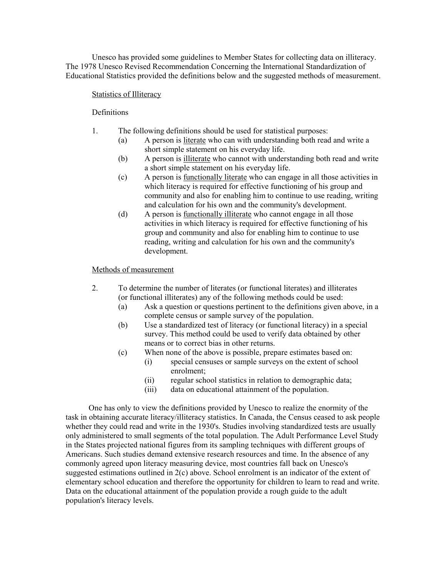Unesco has provided some guidelines to Member States for collecting data on illiteracy. The 1978 Unesco Revised Recommendation Concerning the International Standardization of Educational Statistics provided the definitions below and the suggested methods of measurement.

# Statistics of Illiteracy

**Definitions** 

- 1. The following definitions should be used for statistical purposes:
	- (a) A person is literate who can with understanding both read and write a short simple statement on his everyday life.
	- (b) A person is illiterate who cannot with understanding both read and write a short simple statement on his everyday life.
	- (c) A person is functionally literate who can engage in all those activities in which literacy is required for effective functioning of his group and community and also for enabling him to continue to use reading, writing and calculation for his own and the community's development.
	- (d) A person is functionally illiterate who cannot engage in all those activities in which literacy is required for effective functioning of his group and community and also for enabling him to continue to use reading, writing and calculation for his own and the community's development.

# Methods of measurement

- 2. To determine the number of literates (or functional literates) and illiterates (or functional illiterates) any of the following methods could be used:
	- (a) Ask a question or questions pertinent to the definitions given above, in a complete census or sample survey of the population.
	- (b) Use a standardized test of literacy (or functional literacy) in a special survey. This method could be used to verify data obtained by other means or to correct bias in other returns.
	- (c) When none of the above is possible, prepare estimates based on:
		- (i) special censuses or sample surveys on the extent of school enrolment;
		- (ii) regular school statistics in relation to demographic data;
		- (iii) data on educational attainment of the population.

 One has only to view the definitions provided by Unesco to realize the enormity of the task in obtaining accurate literacy/illiteracy statistics. In Canada, the Census ceased to ask people whether they could read and write in the 1930's. Studies involving standardized tests are usually only administered to small segments of the total population. The Adult Performance Level Study in the States projected national figures from its sampling techniques with different groups of Americans. Such studies demand extensive research resources and time. In the absence of any commonly agreed upon literacy measuring device, most countries fall back on Unesco's suggested estimations outlined in 2(c) above. School enrolment is an indicator of the extent of elementary school education and therefore the opportunity for children to learn to read and write. Data on the educational attainment of the population provide a rough guide to the adult population's literacy levels.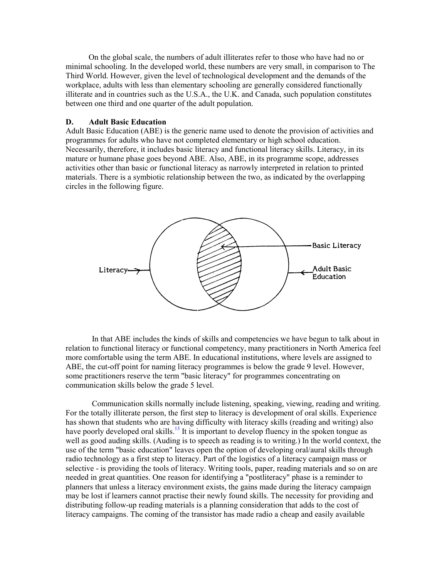<span id="page-26-0"></span>On the global scale, the numbers of adult illiterates refer to those who have had no or minimal schooling. In the developed world, these numbers are very small, in comparison to The Third World. However, given the level of technological development and the demands of the workplace, adults with less than elementary schooling are generally considered functionally illiterate and in countries such as the U.S.A., the U.K. and Canada, such population constitutes between one third and one quarter of the adult population.

## **D. Adult Basic Education**

Adult Basic Education (ABE) is the generic name used to denote the provision of activities and programmes for adults who have not completed elementary or high school education. Necessarily, therefore, it includes basic literacy and functional literacy skills. Literacy, in its mature or humane phase goes beyond ABE. Also, ABE, in its programme scope, addresses activities other than basic or functional literacy as narrowly interpreted in relation to printed materials. There is a symbiotic relationship between the two, as indicated by the overlapping circles in the following figure.



In that ABE includes the kinds of skills and competencies we have begun to talk about in relation to functional literacy or functional competency, many practitioners in North America feel more comfortable using the term ABE. In educational institutions, where levels are assigned to ABE, the cut-off point for naming literacy programmes is below the grade 9 level. However, some practitioners reserve the term "basic literacy" for programmes concentrating on communication skills below the grade 5 level.

Communication skills normally include listening, speaking, viewing, reading and writing. For the totally illiterate person, the first step to literacy is development of oral skills. Experience has shown that students who are [havi](#page-111-0)ng difficulty with literacy skills (reading and writing) also have poorly developed oral skills.<sup>13</sup> It is important to develop fluency in the spoken tongue as well as good auding skills. (Auding is to speech as reading is to writing.) In the world context, the use of the term "basic education" leaves open the option of developing oral/aural skills through radio technology as a first step to literacy. Part of the logistics of a literacy campaign mass or selective - is providing the tools of literacy. Writing tools, paper, reading materials and so on are needed in great quantities. One reason for identifying a "postliteracy" phase is a reminder to planners that unless a literacy environment exists, the gains made during the literacy campaign may be lost if learners cannot practise their newly found skills. The necessity for providing and distributing follow-up reading materials is a planning consideration that adds to the cost of literacy campaigns. The coming of the transistor has made radio a cheap and easily available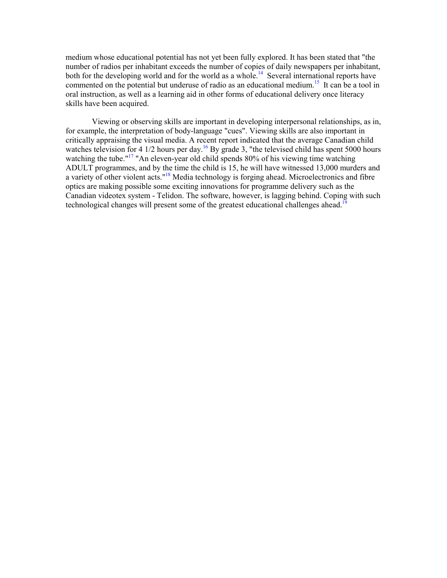medium whose educational potential has not yet been fully explored. It has been stated that "the number of radios per inhabitant exceeds the number of copies of daily newspapers per inhabitant, both for the developing world and for the world as a whole.<sup>14</sup> Several international reports have commented on the potential but underuse of radio as an educational medium.<sup>15</sup> It can be a tool in oral instruction, as well as a learning aid in other forms of educational delivery once literacy skills have been acquired.

Viewing or observing skills are important in developing interpersonal relationships, as in, for example, the interpretation of body-language "cues". Viewing skills are also important in critically appraising the visual media. A recent report indicated that the average Canadian child watches television for 4  $1/2$  hours per day.<sup>16</sup> By grade 3, "the televised child has spent 5000 hours watching the tube."<sup>17</sup> "An eleven-year old child spends 80% of his viewing time watching ADULT programmes, and by the time the child is 15, he will have witnessed 13,000 murders and a variety of other violent acts."<sup>18</sup> Media technology is forging ahead. Microelectronics and fibre optics are making possible some exciting innovations for programme delivery such as the Canadian videotex system - Telidon. The software, however, is lagging behind. Coping with such technological changes will present some of the greatest educational challenges ahead.<sup>[19](#page-112-0)</sup>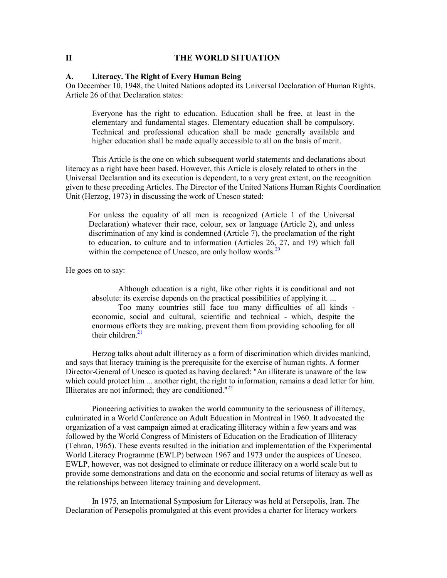## <span id="page-28-0"></span>**II THE WORLD SITUATION**

## **A. Literacy. The Right of Every Human Being**

On December 10, 1948, the United Nations adopted its Universal Declaration of Human Rights. Article 26 of that Declaration states:

Everyone has the right to education. Education shall be free, at least in the elementary and fundamental stages. Elementary education shall be compulsory. Technical and professional education shall be made generally available and higher education shall be made equally accessible to all on the basis of merit.

This Article is the one on which subsequent world statements and declarations about literacy as a right have been based. However, this Article is closely related to others in the Universal Declaration and its execution is dependent, to a very great extent, on the recognition given to these preceding Articles. The Director of the United Nations Human Rights Coordination Unit (Herzog, 1973) in discussing the work of Unesco stated:

For unless the equality of all men is recognized (Article 1 of the Universal Declaration) whatever their race, colour, sex or language (Article 2), and unless discrimination of any kind is condemned (Article 7), the proclamation of the right to education, to culture and to information (Articles 26, 27, and 19) which fall within the competence of Unesco, are only hollow words. $20$ 

He goes on to say:

Although education is a right, like other rights it is conditional and not absolute: its exercise depends on the practical possibilities of applying it. ...

Too many countries still face too many difficulties of all kinds economic, social and cultural, scientific and technical - which, despite the enormous ef[forts](#page-112-0) they are making, prevent them from providing schooling for all their children. 21

Herzog talks about adult illiteracy as a form of discrimination which divides mankind, and says that literacy training is the prerequisite for the exercise of human rights. A former Director-General of Unesco is quoted as having declared: "An illiterate is unaware of the law which could protect him ... another right, the righ[t to i](#page-112-0)nformation, remains a dead letter for him. Illiterates are not informed; they are conditioned."<sup>22</sup>

 Pioneering activities to awaken the world community to the seriousness of illiteracy, culminated in a World Conference on Adult Education in Montreal in 1960. It advocated the organization of a vast campaign aimed at eradicating illiteracy within a few years and was followed by the World Congress of Ministers of Education on the Eradication of Illiteracy (Tehran, 1965). These events resulted in the initiation and implementation of the Experimental World Literacy Programme (EWLP) between 1967 and 1973 under the auspices of Unesco. EWLP, however, was not designed to eliminate or reduce illiteracy on a world scale but to provide some demonstrations and data on the economic and social returns of literacy as well as the relationships between literacy training and development.

 In 1975, an International Symposium for Literacy was held at Persepolis, Iran. The Declaration of Persepolis promulgated at this event provides a charter for literacy workers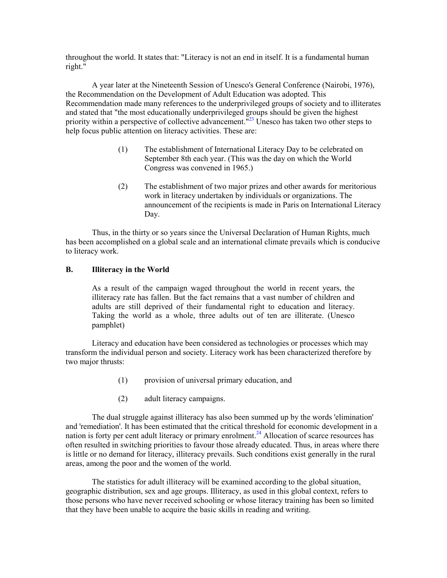<span id="page-29-0"></span>throughout the world. It states that: "Literacy is not an end in itself. It is a fundamental human right."

A year later at the Nineteenth Session of Unesco's General Conference (Nairobi, 1976), the Recommendation on the Development of Adult Education was adopted. This Recommendation made many references to the underprivileged groups of society and to illiterates and stated that "the most educationally underprivileged groups should be given the highest priority within a perspective of collective advancement."<sup>23</sup> Unesco has taken two other steps to help focus public attention on literacy activities. These are:

- (1) The establishment of International Literacy Day to be celebrated on September 8th each year. (This was the day on which the World Congress was convened in 1965.)
- (2) The establishment of two major prizes and other awards for meritorious work in literacy undertaken by individuals or organizations. The announcement of the recipients is made in Paris on International Literacy Day.

Thus, in the thirty or so years since the Universal Declaration of Human Rights, much has been accomplished on a global scale and an international climate prevails which is conducive to literacy work.

# **B. Illiteracy in the World**

As a result of the campaign waged throughout the world in recent years, the illiteracy rate has fallen. But the fact remains that a vast number of children and adults are still deprived of their fundamental right to education and literacy. Taking the world as a whole, three adults out of ten are illiterate. (Unesco pamphlet)

Literacy and education have been considered as technologies or processes which may transform the individual person and society. Literacy work has been characterized therefore by two major thrusts:

- (1) provision of universal primary education, and
- (2) adult literacy campaigns.

The dual struggle against illiteracy has also been summed up by the words 'elimination' and 'remediation'. It has been estimated that the critical threshold for economic development in a nation is forty per cent adult literacy or primary enrolment.<sup>24</sup> Allocation of scarce resources has often resulted in switching priorities to favour those already educated. Thus, in areas where there is little or no demand for literacy, illiteracy prevails. Such conditions exist generally in the rural areas, among the poor and the women of the world.

 The statistics for adult illiteracy will be examined according to the global situation, geographic distribution, sex and age groups. Illiteracy, as used in this global context, refers to those persons who have never received schooling or whose literacy training has been so limited that they have been unable to acquire the basic skills in reading and writing.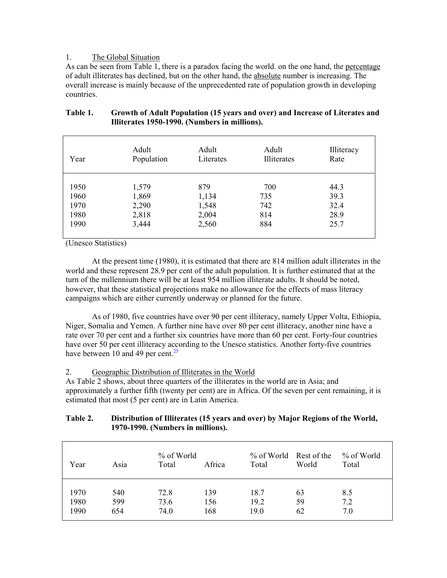# <span id="page-30-0"></span>1. The Global Situation

As can be seen from Table 1, there is a paradox facing the world. on the one hand, the percentage of adult illiterates has declined, but on the other hand, the absolute number is increasing. The overall increase is mainly because of the unprecedented rate of population growth in developing countries.

| Year | Adult      | Adult     | Adult       | Illiteracy |
|------|------------|-----------|-------------|------------|
|      | Population | Literates | Illiterates | Rate       |
| 1950 | 1,579      | 879       | 700         | 44.3       |
| 1960 | 1,869      | 1,134     | 735         | 39.3       |
| 1970 | 2,290      | 1,548     | 742         | 32.4       |
| 1980 | 2,818      | 2,004     | 814         | 28.9       |
| 1990 | 3,444      | 2,560     | 884         | 25.7       |

# **Table 1. Growth of Adult Population (15 years and over) and Increase of Literates and Illiterates 1950-1990. (Numbers in millions).**

(Unesco Statistics)

At the present time (1980), it is estimated that there are 814 million adult illiterates in the world and these represent 28.9 per cent of the adult population. It is further estimated that at the turn of the millennium there will be at least 954 million illiterate adults. It should be noted, however, that these statistical projections make no allowance for the effects of mass literacy campaigns which are either currently underway or planned for the future.

As of 1980, five countries have over 90 per cent illiteracy, namely Upper Volta, Ethiopia, Niger, Somalia and Yemen. A further nine have over 80 per cent illiteracy, another nine have a rate over 70 per cent and a further six countries have more than 60 per cent. Forty-four countries have over 50 per cent illiteracy a[cco](#page-112-0)rding to the Unesco statistics. Another forty-five countries have between 10 and 49 per cent.<sup>25</sup>

# 2. Geographic Distribution of Illiterates in the World

As Table 2 shows, about three quarters of the illiterates in the world are in Asia; and approximately a further fifth (twenty per cent) are in Africa. Of the seven per cent remaining, it is estimated that most (5 per cent) are in Latin America.

# **Table 2. Distribution of Illiterates (15 years and over) by Major Regions of the World, 1970-1990. (Numbers in millions).**

| Year | Asia | % of World<br>Total | Africa | % of World Rest of the<br>Total | World | % of World<br>Total |
|------|------|---------------------|--------|---------------------------------|-------|---------------------|
| 1970 | 540  | 72.8                | 139    | 18.7                            | 63    | 8.5                 |
| 1980 | 599  | 73.6                | 156    | 19.2                            | 59    | 7.2                 |
| 1990 | 654  | 74.0                | 168    | 19.0                            | 62    | 7.0                 |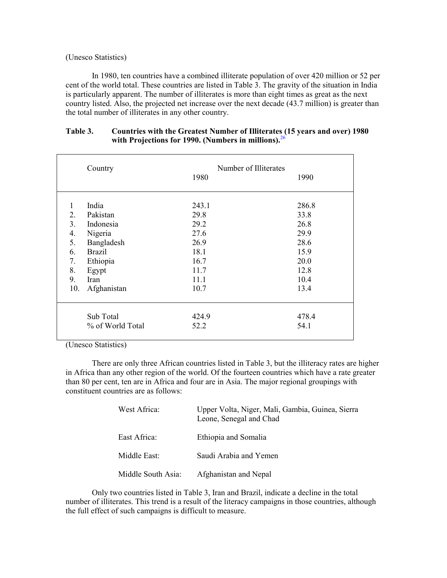## <span id="page-31-0"></span>(Unesco Statistics)

In 1980, ten countries have a combined illiterate population of over 420 million or 52 per cent of the world total. These countries are listed in Table 3. The gravity of the situation in India is particularly apparent. The number of illiterates is more than eight times as great as the next country listed. Also, the projected net increase over the next decade (43.7 million) is greater than the total number of illiterates in any other country.

|                | Country          | Number of Illiterates<br>1980 | 1990  |
|----------------|------------------|-------------------------------|-------|
| 1              | India            | 243.1                         | 286.8 |
| 2.             | Pakistan         | 29.8                          | 33.8  |
| 3 <sub>1</sub> | Indonesia        | 29.2                          | 26.8  |
| 4.             | Nigeria          | 27.6                          | 29.9  |
| 5.             | Bangladesh       | 26.9                          | 28.6  |
| 6.             | <b>Brazil</b>    | 18.1                          | 15.9  |
| 7.             | Ethiopia         | 16.7                          | 20.0  |
| 8.             | Egypt            | 11.7                          | 12.8  |
| 9.             | Iran             | 11.1                          | 10.4  |
| 10.            | Afghanistan      | 10.7                          | 13.4  |
|                | Sub Total        | 424.9                         | 478.4 |
|                | % of World Total | 52.2                          | 54.1  |

# **Table 3. Countries with the Greatest Number of Illiterat[es \(1](#page-112-0)5 years and over) 1980 with Projections for 1990. (Numbers in millions).** 26

(Unesco Statistics)

 There are only three African countries listed in Table 3, but the illiteracy rates are higher in Africa than any other region of the world. Of the fourteen countries which have a rate greater than 80 per cent, ten are in Africa and four are in Asia. The major regional groupings with constituent countries are as follows:

| West Africa:       | Upper Volta, Niger, Mali, Gambia, Guinea, Sierra<br>Leone, Senegal and Chad |
|--------------------|-----------------------------------------------------------------------------|
| East Africa:       | Ethiopia and Somalia                                                        |
| Middle East:       | Saudi Arabia and Yemen                                                      |
| Middle South Asia: | Afghanistan and Nepal                                                       |

 Only two countries listed in Table 3, Iran and Brazil, indicate a decline in the total number of illiterates. This trend is a result of the literacy campaigns in those countries, although the full effect of such campaigns is difficult to measure.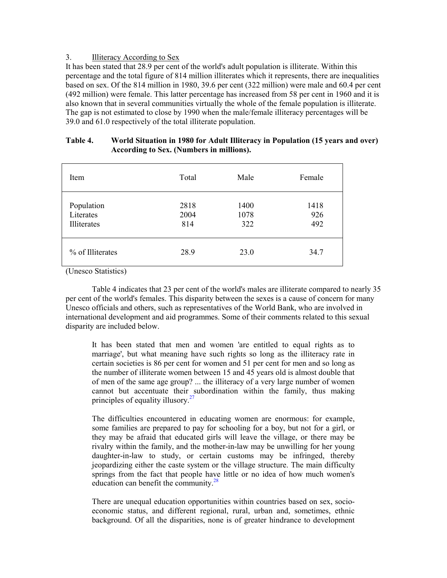# <span id="page-32-0"></span>3. Illiteracy According to Sex

It has been stated that 28.9 per cent of the world's adult population is illiterate. Within this percentage and the total figure of 814 million illiterates which it represents, there are inequalities based on sex. Of the 814 million in 1980, 39.6 per cent (322 million) were male and 60.4 per cent (492 million) were female. This latter percentage has increased from 58 per cent in 1960 and it is also known that in several communities virtually the whole of the female population is illiterate. The gap is not estimated to close by 1990 when the male/female illiteracy percentages will be 39.0 and 61.0 respectively of the total illiterate population.

| Item                                   | Total               | Male                | Female             |
|----------------------------------------|---------------------|---------------------|--------------------|
| Population<br>Literates<br>Illiterates | 2818<br>2004<br>814 | 1400<br>1078<br>322 | 1418<br>926<br>492 |
| % of Illiterates                       | 28.9                | 23.0                | 34.7               |

# **Table 4. World Situation in 1980 for Adult Illiteracy in Population (15 years and over) According to Sex. (Numbers in millions).**

(Unesco Statistics)

Table 4 indicates that 23 per cent of the world's males are illiterate compared to nearly 35 per cent of the world's females. This disparity between the sexes is a cause of concern for many Unesco officials and others, such as representatives of the World Bank, who are involved in international development and aid programmes. Some of their comments related to this sexual disparity are included below.

It has been stated that men and women 'are entitled to equal rights as to marriage', but what meaning have such rights so long as the illiteracy rate in certain societies is 86 per cent for women and 51 per cent for men and so long as the number of illiterate women between 15 and 45 years old is almost double that of men of the same age group? ... the illiteracy of a very large number of women cannot but accentuate their [su](#page-112-0)bordination within the family, thus making principles of equality illusory.<sup>27</sup>

The difficulties encountered in educating women are enormous: for example, some families are prepared to pay for schooling for a boy, but not for a girl, or they may be afraid that educated girls will leave the village, or there may be rivalry within the family, and the mother-in-law may be unwilling for her young daughter-in-law to study, or certain customs may be infringed, thereby jeopardizing either the caste system or the village structure. The main difficulty springs from the fact that people have little or no idea of how much women's education can benefit the communit[y.](#page-112-0)<sup>28</sup>

There are unequal education opportunities within countries based on sex, socioeconomic status, and different regional, rural, urban and, sometimes, ethnic background. Of all the disparities, none is of greater hindrance to development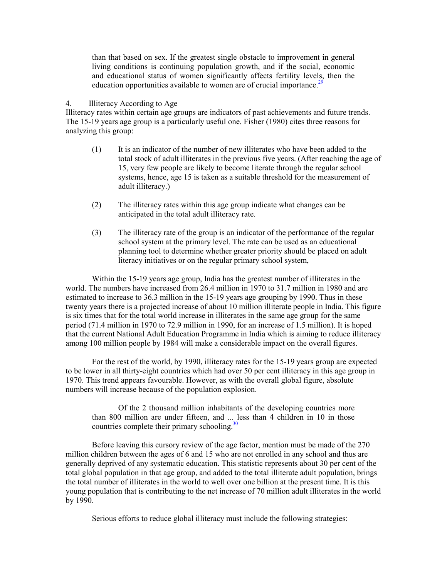<span id="page-33-0"></span>than that based on sex. If the greatest single obstacle to improvement in general living conditions is continuing population growth, and if the social, economic and educational status of women significantly affects fertility leve[ls, t](#page-112-0)hen the education opportunities available to women are of crucial importance.<sup>29</sup>

## 4. Illiteracy According to Age

Illiteracy rates within certain age groups are indicators of past achievements and future trends. The 15-19 years age group is a particularly useful one. Fisher (1980) cites three reasons for analyzing this group:

- (1) It is an indicator of the number of new illiterates who have been added to the total stock of adult illiterates in the previous five years. (After reaching the age of 15, very few people are likely to become literate through the regular school systems, hence, age 15 is taken as a suitable threshold for the measurement of adult illiteracy.)
- (2) The illiteracy rates within this age group indicate what changes can be anticipated in the total adult illiteracy rate.
- (3) The illiteracy rate of the group is an indicator of the performance of the regular school system at the primary level. The rate can be used as an educational planning tool to determine whether greater priority should be placed on adult literacy initiatives or on the regular primary school system,

Within the 15-19 years age group, India has the greatest number of illiterates in the world. The numbers have increased from 26.4 million in 1970 to 31.7 million in 1980 and are estimated to increase to 36.3 million in the 15-19 years age grouping by 1990. Thus in these twenty years there is a projected increase of about 10 million illiterate people in India. This figure is six times that for the total world increase in illiterates in the same age group for the same period (71.4 million in 1970 to 72.9 million in 1990, for an increase of 1.5 million). It is hoped that the current National Adult Education Programme in India which is aiming to reduce illiteracy among 100 million people by 1984 will make a considerable impact on the overall figures.

For the rest of the world, by 1990, illiteracy rates for the 15-19 years group are expected to be lower in all thirty-eight countries which had over 50 per cent illiteracy in this age group in 1970. This trend appears favourable. However, as with the overall global figure, absolute numbers will increase because of the population explosion.

Of the 2 thousand million inhabitants of the developing countries more than 800 million are under fifteen, and ..[. le](#page-112-0)ss than 4 children in 10 in those countries complete their primary schooling.<sup>30</sup>

 Before leaving this cursory review of the age factor, mention must be made of the 270 million children between the ages of 6 and 15 who are not enrolled in any school and thus are generally deprived of any systematic education. This statistic represents about 30 per cent of the total global population in that age group, and added to the total illiterate adult population, brings the total number of illiterates in the world to well over one billion at the present time. It is this young population that is contributing to the net increase of 70 million adult illiterates in the world by 1990.

Serious efforts to reduce global illiteracy must include the following strategies: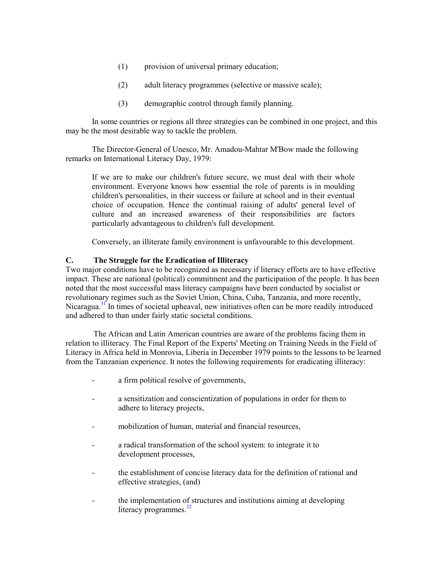- <span id="page-34-0"></span>(1) provision of universal primary education;
- (2) adult literacy programmes (selective or massive scale);
- (3) demographic control through family planning.

In some countries or regions all three strategies can be combined in one project, and this may be the most desirable way to tackle the problem.

The Director-General of Unesco, Mr. Amadou-Mahtar M'Bow made the following remarks on International Literacy Day, 1979:

If we are to make our children's future secure, we must deal with their whole environment. Everyone knows how essential the role of parents is in moulding children's personalities, in their success or failure at school and in their eventual choice of occupation. Hence the continual raising of adults' general level of culture and an increased awareness of their responsibilities are factors particularly advantageous to children's full development.

Conversely, an illiterate family environment is unfavourable to this development.

# **C. The Struggle for the Eradication of Illiteracy**

Two major conditions have to be recognized as necessary if literacy efforts are to have effective impact. These are national (political) commitment and the participation of the people. It has been noted that the most successful mass literacy campaigns have been conducted by socialist or revolutio[nary](#page-113-0) regimes such as the Soviet Union, China, Cuba, Tanzania, and more recently, Nicaragua.<sup>31</sup> In times of societal upheaval, new initiatives often can be more readily introduced and adhered to than under fairly static societal conditions.

The African and Latin American countries are aware of the problems facing them in relation to illiteracy. The Final Report of the Experts' Meeting on Training Needs in the Field of Literacy in Africa held in Monrovia, Liberia in December 1979 points to the lessons to be learned from the Tanzanian experience. It notes the following requirements for eradicating illiteracy:

- a firm political resolve of governments,
- a sensitization and conscientization of populations in order for them to adhere to literacy projects,
- mobilization of human, material and financial resources,
- a radical transformation of the school system: to integrate it to development processes,
- the establishment of concise literacy data for the definition of rational and effective strategies, (and)
- the implementation [of st](#page-113-0)ructures and institutions aiming at developing literacy programmes.<sup>32</sup>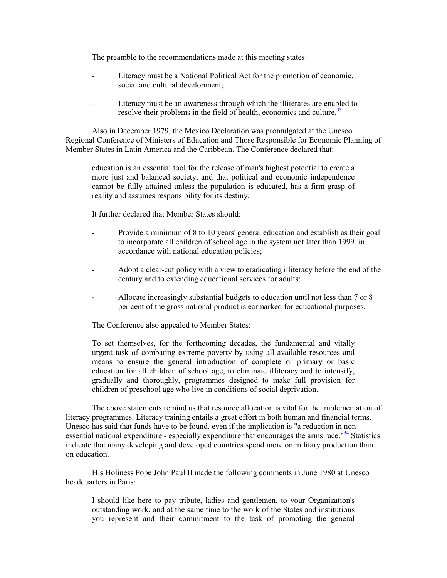The preamble to the recommendations made at this meeting states:

- Literacy must be a National Political Act for the promotion of economic, social and cultural development;
- Literacy must be an awareness through which the illiterates are en[abled](#page-113-0) to resolve their problems in the field of health, economics and culture.<sup>33</sup>

Also in December 1979, the Mexico Declaration was promulgated at the Unesco Regional Conference of Ministers of Education and Those Responsible for Economic Planning of Member States in Latin America and the Caribbean. The Conference declared that:

education is an essential tool for the release of man's highest potential to create a more just and balanced society, and that political and economic independence cannot be fully attained unless the population is educated, has a firm grasp of reality and assumes responsibility for its destiny.

It further declared that Member States should:

- Provide a minimum of 8 to 10 years' general education and establish as their goal to incorporate all children of school age in the system not later than 1999, in accordance with national education policies;
- Adopt a clear-cut policy with a view to eradicating illiteracy before the end of the century and to extending educational services for adults;
- Allocate increasingly substantial budgets to education until not less than 7 or 8 per cent of the gross national product is earmarked for educational purposes.

The Conference also appealed to Member States:

To set themselves, for the forthcoming decades, the fundamental and vitally urgent task of combating extreme poverty by using all available resources and means to ensure the general introduction of complete or primary or basic education for all children of school age, to eliminate illiteracy and to intensify, gradually and thoroughly, programmes designed to make full provision for children of preschool age who live in conditions of social deprivation.

The above statements remind us that resource allocation is vital for the implementation of literacy programmes. Literacy training entails a great effort in both human and financial terms. Unesco has said that funds have to be found, even if the implication is "a reduction in [non](#page-113-0)essential national expenditure - especially expenditure that encourages the arms race.<sup>"34</sup> Statistics indicate that many developing and developed countries spend more on military production than on education.

 His Holiness Pope John Paul II made the following comments in June 1980 at Unesco headquarters in Paris:

I should like here to pay tribute, ladies and gentlemen, to your Organization's outstanding work, and at the same time to the work of the States and institutions you represent and their commitment to the task of promoting the general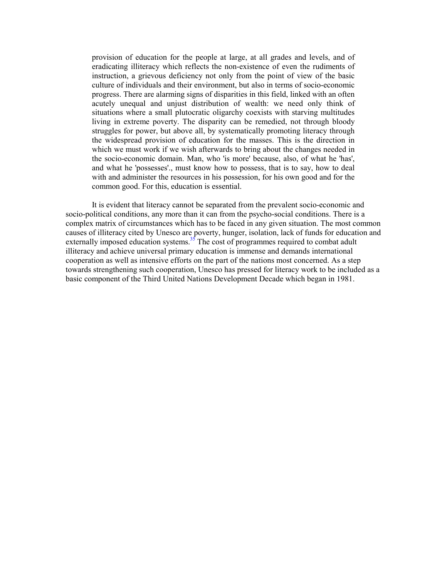provision of education for the people at large, at all grades and levels, and of eradicating illiteracy which reflects the non-existence of even the rudiments of instruction, a grievous deficiency not only from the point of view of the basic culture of individuals and their environment, but also in terms of socio-economic progress. There are alarming signs of disparities in this field, linked with an often acutely unequal and unjust distribution of wealth: we need only think of situations where a small plutocratic oligarchy coexists with starving multitudes living in extreme poverty. The disparity can be remedied, not through bloody struggles for power, but above all, by systematically promoting literacy through the widespread provision of education for the masses. This is the direction in which we must work if we wish afterwards to bring about the changes needed in the socio-economic domain. Man, who 'is more' because, also, of what he 'has', and what he 'possesses'., must know how to possess, that is to say, how to deal with and administer the resources in his possession, for his own good and for the common good. For this, education is essential.

It is evident that literacy cannot be separated from the prevalent socio-economic and socio-political conditions, any more than it can from the psycho-social conditions. There is a complex matrix of circumstances which has to be faced in any given situation. The most common causes of illiteracy cited by Unesco ar[e po](#page-113-0)verty, hunger, isolation, lack of funds for education and externally imposed education systems.<sup>35</sup> The cost of programmes required to combat adult illiteracy and achieve universal primary education is immense and demands international cooperation as well as intensive efforts on the part of the nations most concerned. As a step towards strengthening such cooperation, Unesco has pressed for literacy work to be included as a basic component of the Third United Nations Development Decade which began in 1981.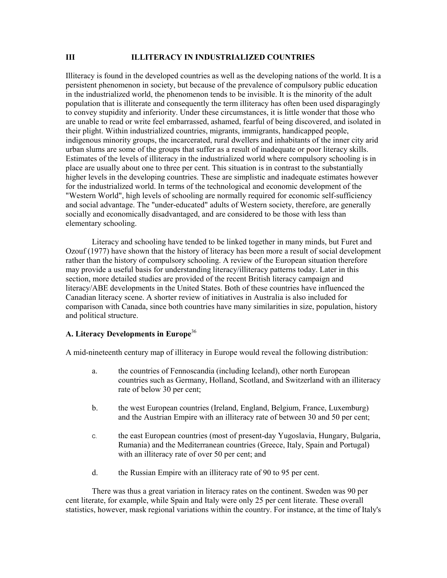#### **III ILLITERACY IN INDUSTRIALIZED COUNTRIES**

Illiteracy is found in the developed countries as well as the developing nations of the world. It is a persistent phenomenon in society, but because of the prevalence of compulsory public education in the industrialized world, the phenomenon tends to be invisible. It is the minority of the adult population that is illiterate and consequently the term illiteracy has often been used disparagingly to convey stupidity and inferiority. Under these circumstances, it is little wonder that those who are unable to read or write feel embarrassed, ashamed, fearful of being discovered, and isolated in their plight. Within industrialized countries, migrants, immigrants, handicapped people, indigenous minority groups, the incarcerated, rural dwellers and inhabitants of the inner city arid urban slums are some of the groups that suffer as a result of inadequate or poor literacy skills. Estimates of the levels of illiteracy in the industrialized world where compulsory schooling is in place are usually about one to three per cent. This situation is in contrast to the substantially higher levels in the developing countries. These are simplistic and inadequate estimates however for the industrialized world. In terms of the technological and economic development of the "Western World", high levels of schooling are normally required for economic self-sufficiency and social advantage. The "under-educated" adults of Western society, therefore, are generally socially and economically disadvantaged, and are considered to be those with less than elementary schooling.

 Literacy and schooling have tended to be linked together in many minds, but Furet and Ozouf (1977) have shown that the history of literacy has been more a result of social development rather than the history of compulsory schooling. A review of the European situation therefore may provide a useful basis for understanding literacy/illiteracy patterns today. Later in this section, more detailed studies are provided of the recent British literacy campaign and literacy/ABE developments in the United States. Both of these countries have influenced the Canadian literacy scene. A shorter review of initiatives in Australia is also included for comparison with Canada, since both countries have many similarities in size, population, history and political structure.

## **A. Literacy Developments in Europe**[36](#page-113-0)

A mid-nineteenth century map of illiteracy in Europe would reveal the following distribution:

- a. the countries of Fennoscandia (including Iceland), other north European countries such as Germany, Holland, Scotland, and Switzerland with an illiteracy rate of below 30 per cent;
- b. the west European countries (Ireland, England, Belgium, France, Luxemburg) and the Austrian Empire with an illiteracy rate of between 30 and 50 per cent;
- C. the east European countries (most of present-day Yugoslavia, Hungary, Bulgaria, Rumania) and the Mediterranean countries (Greece, Italy, Spain and Portugal) with an illiteracy rate of over 50 per cent; and
- d. the Russian Empire with an illiteracy rate of 90 to 95 per cent.

 There was thus a great variation in literacy rates on the continent. Sweden was 90 per cent literate, for example, while Spain and Italy were only 25 per cent literate. These overall statistics, however, mask regional variations within the country. For instance, at the time of Italy's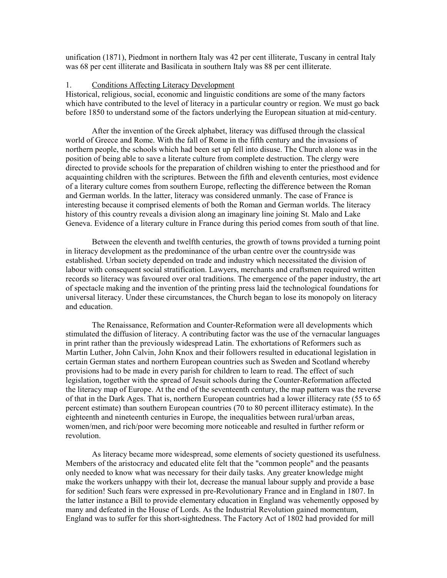unification (1871), Piedmont in northern Italy was 42 per cent illiterate, Tuscany in central Italy was 68 per cent illiterate and Basilicata in southern Italy was 88 per cent illiterate.

#### 1. Conditions Affecting Literacy Development

Historical, religious, social, economic and linguistic conditions are some of the many factors which have contributed to the level of literacy in a particular country or region. We must go back before 1850 to understand some of the factors underlying the European situation at mid-century.

 After the invention of the Greek alphabet, literacy was diffused through the classical world of Greece and Rome. With the fall of Rome in the fifth century and the invasions of northern people, the schools which had been set up fell into disuse. The Church alone was in the position of being able to save a literate culture from complete destruction. The clergy were directed to provide schools for the preparation of children wishing to enter the priesthood and for acquainting children with the scriptures. Between the fifth and eleventh centuries, most evidence of a literary culture comes from southern Europe, reflecting the difference between the Roman and German worlds. In the latter, literacy was considered unmanly. The case of France is interesting because it comprised elements of both the Roman and German worlds. The literacy history of this country reveals a division along an imaginary line joining St. Malo and Lake Geneva. Evidence of a literary culture in France during this period comes from south of that line.

 Between the eleventh and twelfth centuries, the growth of towns provided a turning point in literacy development as the predominance of the urban centre over the countryside was established. Urban society depended on trade and industry which necessitated the division of labour with consequent social stratification. Lawyers, merchants and craftsmen required written records so literacy was favoured over oral traditions. The emergence of the paper industry, the art of spectacle making and the invention of the printing press laid the technological foundations for universal literacy. Under these circumstances, the Church began to lose its monopoly on literacy and education.

 The Renaissance, Reformation and Counter-Reformation were all developments which stimulated the diffusion of literacy. A contributing factor was the use of the vernacular languages in print rather than the previously widespread Latin. The exhortations of Reformers such as Martin Luther, John Calvin, John Knox and their followers resulted in educational legislation in certain German states and northern European countries such as Sweden and Scotland whereby provisions had to be made in every parish for children to learn to read. The effect of such legislation, together with the spread of Jesuit schools during the Counter-Reformation affected the literacy map of Europe. At the end of the seventeenth century, the map pattern was the reverse of that in the Dark Ages. That is, northern European countries had a lower illiteracy rate (55 to 65 percent estimate) than southern European countries (70 to 80 percent illiteracy estimate). In the eighteenth and nineteenth centuries in Europe, the inequalities between rural/urban areas, women/men, and rich/poor were becoming more noticeable and resulted in further reform or revolution.

 As literacy became more widespread, some elements of society questioned its usefulness. Members of the aristocracy and educated elite felt that the "common people" and the peasants only needed to know what was necessary for their daily tasks. Any greater knowledge might make the workers unhappy with their lot, decrease the manual labour supply and provide a base for sedition! Such fears were expressed in pre-Revolutionary France and in England in 1807. In the latter instance a Bill to provide elementary education in England was vehemently opposed by many and defeated in the House of Lords. As the Industrial Revolution gained momentum, England was to suffer for this short-sightedness. The Factory Act of 1802 had provided for mill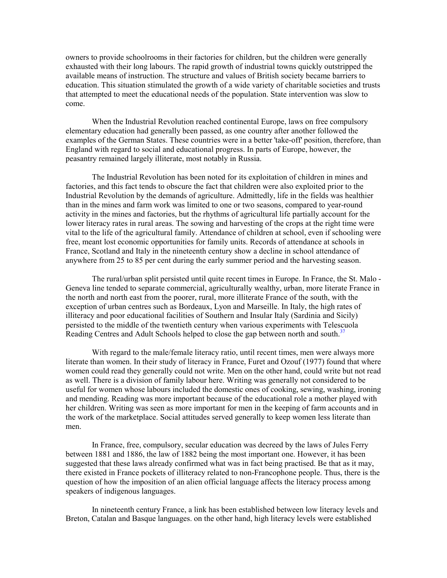owners to provide schoolrooms in their factories for children, but the children were generally exhausted with their long labours. The rapid growth of industrial towns quickly outstripped the available means of instruction. The structure and values of British society became barriers to education. This situation stimulated the growth of a wide variety of charitable societies and trusts that attempted to meet the educational needs of the population. State intervention was slow to come.

When the Industrial Revolution reached continental Europe, laws on free compulsory elementary education had generally been passed, as one country after another followed the examples of the German States. These countries were in a better 'take-off' position, therefore, than England with regard to social and educational progress. In parts of Europe, however, the peasantry remained largely illiterate, most notably in Russia.

The Industrial Revolution has been noted for its exploitation of children in mines and factories, and this fact tends to obscure the fact that children were also exploited prior to the Industrial Revolution by the demands of agriculture. Admittedly, life in the fields was healthier than in the mines and farm work was limited to one or two seasons, compared to year-round activity in the mines and factories, but the rhythms of agricultural life partially account for the lower literacy rates in rural areas. The sowing and harvesting of the crops at the right time were vital to the life of the agricultural family. Attendance of children at school, even if schooling were free, meant lost economic opportunities for family units. Records of attendance at schools in France, Scotland and Italy in the nineteenth century show a decline in school attendance of anywhere from 25 to 85 per cent during the early summer period and the harvesting season.

The rural/urban split persisted until quite recent times in Europe. In France, the St. Malo - Geneva line tended to separate commercial, agriculturally wealthy, urban, more literate France in the north and north east from the poorer, rural, more illiterate France of the south, with the exception of urban centres such as Bordeaux, Lyon and Marseille. In Italy, the high rates of illiteracy and poor educational facilities of Southern and Insular Italy (Sardinia and Sicily) persisted to the middle of the twentieth century when various experiments with Tele[scuo](#page-113-0)la Reading Centres and Adult Schools helped to close the gap between north and south.<sup>37</sup>

 With regard to the male/female literacy ratio, until recent times, men were always more literate than women. In their study of literacy in France, Furet and Ozouf (1977) found that where women could read they generally could not write. Men on the other hand, could write but not read as well. There is a division of family labour here. Writing was generally not considered to be useful for women whose labours included the domestic ones of cooking, sewing, washing, ironing and mending. Reading was more important because of the educational role a mother played with her children. Writing was seen as more important for men in the keeping of farm accounts and in the work of the marketplace. Social attitudes served generally to keep women less literate than men.

 In France, free, compulsory, secular education was decreed by the laws of Jules Ferry between 1881 and 1886, the law of 1882 being the most important one. However, it has been suggested that these laws already confirmed what was in fact being practised. Be that as it may, there existed in France pockets of illiteracy related to non-Francophone people. Thus, there is the question of how the imposition of an alien official language affects the literacy process among speakers of indigenous languages.

 In nineteenth century France, a link has been established between low literacy levels and Breton, Catalan and Basque languages. on the other hand, high literacy levels were established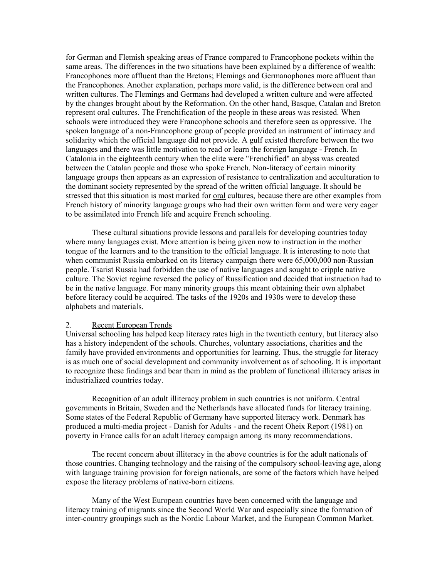for German and Flemish speaking areas of France compared to Francophone pockets within the same areas. The differences in the two situations have been explained by a difference of wealth: Francophones more affluent than the Bretons; Flemings and Germanophones more affluent than the Francophones. Another explanation, perhaps more valid, is the difference between oral and written cultures. The Flemings and Germans had developed a written culture and were affected by the changes brought about by the Reformation. On the other hand, Basque, Catalan and Breton represent oral cultures. The Frenchification of the people in these areas was resisted. When schools were introduced they were Francophone schools and therefore seen as oppressive. The spoken language of a non-Francophone group of people provided an instrument of intimacy and solidarity which the official language did not provide. A gulf existed therefore between the two languages and there was little motivation to read or learn the foreign language - French. In Catalonia in the eighteenth century when the elite were "Frenchified" an abyss was created between the Catalan people and those who spoke French. Non-literacy of certain minority language groups then appears as an expression of resistance to centralization and acculturation to the dominant society represented by the spread of the written official language. It should be stressed that this situation is most marked for <u>oral</u> cultures, because there are other examples from French history of minority language groups who had their own written form and were very eager to be assimilated into French life and acquire French schooling.

 These cultural situations provide lessons and parallels for developing countries today where many languages exist. More attention is being given now to instruction in the mother tongue of the learners and to the transition to the official language. It is interesting to note that when communist Russia embarked on its literacy campaign there were 65,000,000 non-Russian people. Tsarist Russia had forbidden the use of native languages and sought to cripple native culture. The Soviet regime reversed the policy of Russification and decided that instruction had to be in the native language. For many minority groups this meant obtaining their own alphabet before literacy could be acquired. The tasks of the 1920s and 1930s were to develop these alphabets and materials.

## 2. Recent European Trends

Universal schooling has helped keep literacy rates high in the twentieth century, but literacy also has a history independent of the schools. Churches, voluntary associations, charities and the family have provided environments and opportunities for learning. Thus, the struggle for literacy is as much one of social development and community involvement as of schooling. It is important to recognize these findings and bear them in mind as the problem of functional illiteracy arises in industrialized countries today.

 Recognition of an adult illiteracy problem in such countries is not uniform. Central governments in Britain, Sweden and the Netherlands have allocated funds for literacy training. Some states of the Federal Republic of Germany have supported literacy work. Denmark has produced a multi-media project - Danish for Adults - and the recent Oheix Report (1981) on poverty in France calls for an adult literacy campaign among its many recommendations.

 The recent concern about illiteracy in the above countries is for the adult nationals of those countries. Changing technology and the raising of the compulsory school-leaving age, along with language training provision for foreign nationals, are some of the factors which have helped expose the literacy problems of native-born citizens.

 Many of the West European countries have been concerned with the language and literacy training of migrants since the Second World War and especially since the formation of inter-country groupings such as the Nordic Labour Market, and the European Common Market.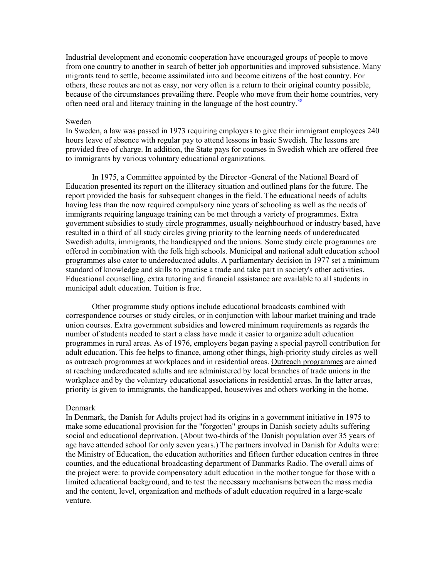Industrial development and economic cooperation have encouraged groups of people to move from one country to another in search of better job opportunities and improved subsistence. Many migrants tend to settle, become assimilated into and become citizens of the host country. For others, these routes are not as easy, nor very often is a return to their original country possible, because of the circumstances prevailing there. People who move from [their](#page-113-0) home countries, very often need oral and literacy training in the language of the host country.<sup>38</sup>

#### Sweden

In Sweden, a law was passed in 1973 requiring employers to give their immigrant employees 240 hours leave of absence with regular pay to attend lessons in basic Swedish. The lessons are provided free of charge. In addition, the State pays for courses in Swedish which are offered free to immigrants by various voluntary educational organizations.

 In 1975, a Committee appointed by the Director -General of the National Board of Education presented its report on the illiteracy situation and outlined plans for the future. The report provided the basis for subsequent changes in the field. The educational needs of adults having less than the now required compulsory nine years of schooling as well as the needs of immigrants requiring language training can be met through a variety of programmes. Extra government subsidies to study circle programmes, usually neighbourhood or industry based, have resulted in a third of all study circles giving priority to the learning needs of undereducated Swedish adults, immigrants, the handicapped and the unions. Some study circle programmes are offered in combination with the folk high schools. Municipal and national adult education school programmes also cater to undereducated adults. A parliamentary decision in 1977 set a minimum standard of knowledge and skills to practise a trade and take part in society's other activities. Educational counselling, extra tutoring and financial assistance are available to all students in municipal adult education. Tuition is free.

 Other programme study options include educational broadcasts combined with correspondence courses or study circles, or in conjunction with labour market training and trade union courses. Extra government subsidies and lowered minimum requirements as regards the number of students needed to start a class have made it easier to organize adult education programmes in rural areas. As of 1976, employers began paying a special payroll contribution for adult education. This fee helps to finance, among other things, high-priority study circles as well as outreach programmes at workplaces and in residential areas. Outreach programmes are aimed at reaching undereducated adults and are administered by local branches of trade unions in the workplace and by the voluntary educational associations in residential areas. In the latter areas, priority is given to immigrants, the handicapped, housewives and others working in the home.

#### Denmark

In Denmark, the Danish for Adults project had its origins in a government initiative in 1975 to make some educational provision for the "forgotten" groups in Danish society adults suffering social and educational deprivation. (About two-thirds of the Danish population over 35 years of age have attended school for only seven years.) The partners involved in Danish for Adults were: the Ministry of Education, the education authorities and fifteen further education centres in three counties, and the educational broadcasting department of Danmarks Radio. The overall aims of the project were: to provide compensatory adult education in the mother tongue for those with a limited educational background, and to test the necessary mechanisms between the mass media and the content, level, organization and methods of adult education required in a large-scale venture.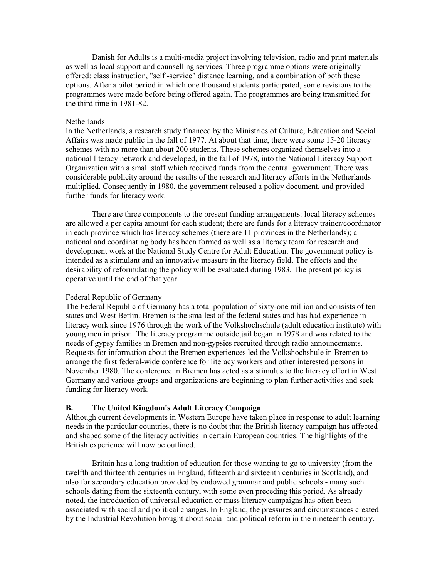Danish for Adults is a multi-media project involving television, radio and print materials as well as local support and counselling services. Three programme options were originally offered: class instruction, "self -service" distance learning, and a combination of both these options. After a pilot period in which one thousand students participated, some revisions to the programmes were made before being offered again. The programmes are being transmitted for the third time in 1981-82.

#### **Netherlands**

In the Netherlands, a research study financed by the Ministries of Culture, Education and Social Affairs was made public in the fall of 1977. At about that time, there were some 15-20 literacy schemes with no more than about 200 students. These schemes organized themselves into a national literacy network and developed, in the fall of 1978, into the National Literacy Support Organization with a small staff which received funds from the central government. There was considerable publicity around the results of the research and literacy efforts in the Netherlands multiplied. Consequently in 1980, the government released a policy document, and provided further funds for literacy work.

 There are three components to the present funding arrangements: local literacy schemes are allowed a per capita amount for each student; there are funds for a literacy trainer/coordinator in each province which has literacy schemes (there are 11 provinces in the Netherlands); a national and coordinating body has been formed as well as a literacy team for research and development work at the National Study Centre for Adult Education. The government policy is intended as a stimulant and an innovative measure in the literacy field. The effects and the desirability of reformulating the policy will be evaluated during 1983. The present policy is operative until the end of that year.

### Federal Republic of Germany

The Federal Republic of Germany has a total population of sixty-one million and consists of ten states and West Berlin. Bremen is the smallest of the federal states and has had experience in literacy work since 1976 through the work of the Volkshochschule (adult education institute) with young men in prison. The literacy programme outside jail began in 1978 and was related to the needs of gypsy families in Bremen and non-gypsies recruited through radio announcements. Requests for information about the Bremen experiences led the Volkshochshule in Bremen to arrange the first federal-wide conference for literacy workers and other interested persons in November 1980. The conference in Bremen has acted as a stimulus to the literacy effort in West Germany and various groups and organizations are beginning to plan further activities and seek funding for literacy work.

#### **B. The United Kingdom's Adult Literacy Campaign**

Although current developments in Western Europe have taken place in response to adult learning needs in the particular countries, there is no doubt that the British literacy campaign has affected and shaped some of the literacy activities in certain European countries. The highlights of the British experience will now be outlined.

 Britain has a long tradition of education for those wanting to go to university (from the twelfth and thirteenth centuries in England, fifteenth and sixteenth centuries in Scotland), and also for secondary education provided by endowed grammar and public schools - many such schools dating from the sixteenth century, with some even preceding this period. As already noted, the introduction of universal education or mass literacy campaigns has often been associated with social and political changes. In England, the pressures and circumstances created by the Industrial Revolution brought about social and political reform in the nineteenth century.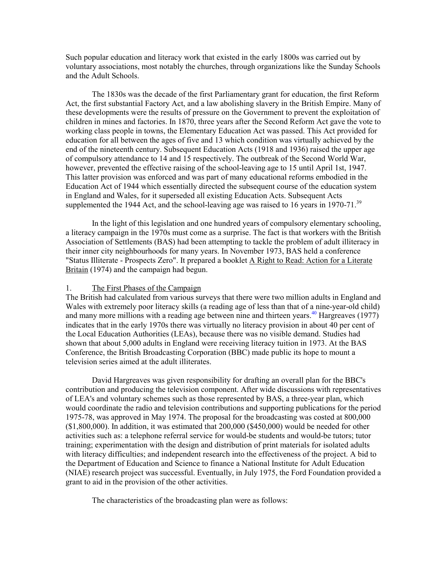Such popular education and literacy work that existed in the early 1800s was carried out by voluntary associations, most notably the churches, through organizations like the Sunday Schools and the Adult Schools.

The 1830s was the decade of the first Parliamentary grant for education, the first Reform Act, the first substantial Factory Act, and a law abolishing slavery in the British Empire. Many of these developments were the results of pressure on the Government to prevent the exploitation of children in mines and factories. In 1870, three years after the Second Reform Act gave the vote to working class people in towns, the Elementary Education Act was passed. This Act provided for education for all between the ages of five and 13 which condition was virtually achieved by the end of the nineteenth century. Subsequent Education Acts (1918 and 1936) raised the upper age of compulsory attendance to 14 and 15 respectively. The outbreak of the Second World War, however, prevented the effective raising of the school-leaving age to 15 until April 1st, 1947. This latter provision was enforced and was part of many educational reforms embodied in the Education Act of 1944 which essentially directed the subsequent course of the education system in England and Wales, for it superseded all existing Education Acts. Subsequent Acts supplemented the 1944 Act, and the school-leaving age was raised to 16 years in 1970-71.<sup>[39](#page-113-0)</sup>

In the light of this legislation and one hundred years of compulsory elementary schooling, a literacy campaign in the 1970s must come as a surprise. The fact is that workers with the British Association of Settlements (BAS) had been attempting to tackle the problem of adult illiteracy in their inner city neighbourhoods for many years. In November 1973, BAS held a conference "Status Illiterate - Prospects Zero". It prepared a booklet A Right to Read: Action for a Literate Britain (1974) and the campaign had begun.

### 1. The First Phases of the Campaign

The British had calculated from various surveys that there were two million adults in England and Wales with extremely poor literacy skills (a reading age of less than that of a nine-year-old child) and many more millions with a reading age between nine and thirteen years.<sup>40</sup> Hargreaves (1977) indicates that in the early 1970s there was virtually no literacy provision in about 40 per cent of the Local Education Authorities (LEAs), because there was no visible demand. Studies had shown that about 5,000 adults in England were receiving literacy tuition in 1973. At the BAS Conference, the British Broadcasting Corporation (BBC) made public its hope to mount a television series aimed at the adult illiterates.

 David Hargreaves was given responsibility for drafting an overall plan for the BBC's contribution and producing the television component. After wide discussions with representatives of LEA's and voluntary schemes such as those represented by BAS, a three-year plan, which would coordinate the radio and television contributions and supporting publications for the period 1975-78, was approved in May 1974. The proposal for the broadcasting was costed at 800,000  $(1,800,000)$ . In addition, it was estimated that 200,000  $(1,800,000)$  would be needed for other activities such as: a telephone referral service for would-be students and would-be tutors; tutor training; experimentation with the design and distribution of print materials for isolated adults with literacy difficulties; and independent research into the effectiveness of the project. A bid to the Department of Education and Science to finance a National Institute for Adult Education (NIAE) research project was successful. Eventually, in July 1975, the Ford Foundation provided a grant to aid in the provision of the other activities.

The characteristics of the broadcasting plan were as follows: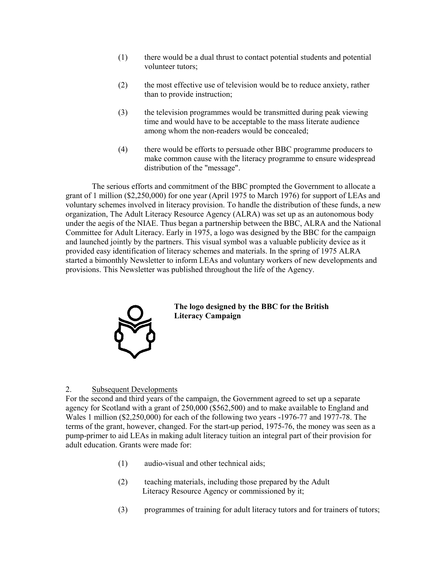- (1) there would be a dual thrust to contact potential students and potential volunteer tutors;
- (2) the most effective use of television would be to reduce anxiety, rather than to provide instruction;
- (3) the television programmes would be transmitted during peak viewing time and would have to be acceptable to the mass literate audience among whom the non-readers would be concealed;
- (4) there would be efforts to persuade other BBC programme producers to make common cause with the literacy programme to ensure widespread distribution of the "message".

 The serious efforts and commitment of the BBC prompted the Government to allocate a grant of 1 million (\$2,250,000) for one year (April 1975 to March 1976) for support of LEAs and voluntary schemes involved in literacy provision. To handle the distribution of these funds, a new organization, The Adult Literacy Resource Agency (ALRA) was set up as an autonomous body under the aegis of the NIAE. Thus began a partnership between the BBC, ALRA and the National Committee for Adult Literacy. Early in 1975, a logo was designed by the BBC for the campaign and launched jointly by the partners. This visual symbol was a valuable publicity device as it provided easy identification of literacy schemes and materials. In the spring of 1975 ALRA started a bimonthly Newsletter to inform LEAs and voluntary workers of new developments and provisions. This Newsletter was published throughout the life of the Agency.



## **The logo designed by the BBC for the British Literacy Campaign**

## 2. Subsequent Developments

For the second and third years of the campaign, the Government agreed to set up a separate agency for Scotland with a grant of 250,000 (\$562,500) and to make available to England and Wales 1 million (\$2,250,000) for each of the following two years -1976-77 and 1977-78. The terms of the grant, however, changed. For the start-up period, 1975-76, the money was seen as a pump-primer to aid LEAs in making adult literacy tuition an integral part of their provision for adult education. Grants were made for:

- (1) audio-visual and other technical aids;
- (2) teaching materials, including those prepared by the Adult Literacy Resource Agency or commissioned by it;
- (3) programmes of training for adult literacy tutors and for trainers of tutors;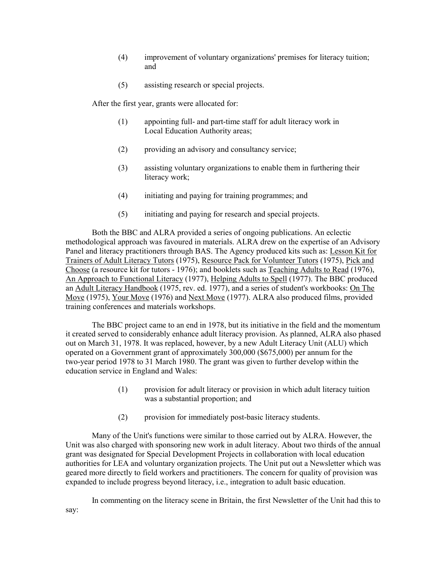- (4) improvement of voluntary organizations' premises for literacy tuition; and
- (5) assisting research or special projects.

After the first year, grants were allocated for:

- (1) appointing full- and part-time staff for adult literacy work in Local Education Authority areas;
- (2) providing an advisory and consultancy service;
- (3) assisting voluntary organizations to enable them in furthering their literacy work;
- (4) initiating and paying for training programmes; and
- (5) initiating and paying for research and special projects.

 Both the BBC and ALRA provided a series of ongoing publications. An eclectic methodological approach was favoured in materials. ALRA drew on the expertise of an Advisory Panel and literacy practitioners through BAS. The Agency produced kits such as: Lesson Kit for Trainers of Adult Literacy Tutors (1975), Resource Pack for Volunteer Tutors (1975), Pick and Choose (a resource kit for tutors - 1976); and booklets such as Teaching Adults to Read (1976), An Approach to Functional Literacy (1977), Helping Adults to Spell (1977). The BBC produced an Adult Literacy Handbook (1975, rev. ed. 1977), and a series of student's workbooks: On The Move (1975), Your Move (1976) and Next Move (1977). ALRA also produced films, provided training conferences and materials workshops.

 The BBC project came to an end in 1978, but its initiative in the field and the momentum it created served to considerably enhance adult literacy provision. As planned, ALRA also phased out on March 31, 1978. It was replaced, however, by a new Adult Literacy Unit (ALU) which operated on a Government grant of approximately 300,000 (\$675,000) per annum for the two-year period 1978 to 31 March 1980. The grant was given to further develop within the education service in England and Wales:

- (1) provision for adult literacy or provision in which adult literacy tuition was a substantial proportion; and
- (2) provision for immediately post-basic literacy students.

 Many of the Unit's functions were similar to those carried out by ALRA. However, the Unit was also charged with sponsoring new work in adult literacy. About two thirds of the annual grant was designated for Special Development Projects in collaboration with local education authorities for LEA and voluntary organization projects. The Unit put out a Newsletter which was geared more directly to field workers and practitioners. The concern for quality of provision was expanded to include progress beyond literacy, i.e., integration to adult basic education.

 In commenting on the literacy scene in Britain, the first Newsletter of the Unit had this to say: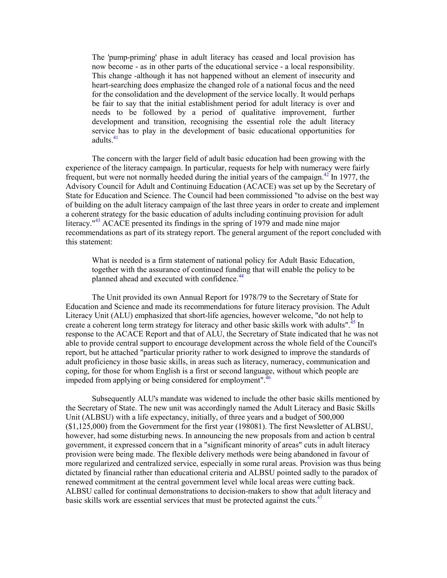The 'pump-priming' phase in adult literacy has ceased and local provision has now become - as in other parts of the educational service - a local responsibility. This change -although it has not happened without an element of insecurity and heart-searching does emphasize the changed role of a national focus and the need for the consolidation and the development of the service locally. It would perhaps be fair to say that the initial establishment period for adult literacy is over and needs to be followed by a period of qualitative improvement, further development and transition, recognising the essential role the adult literacy servic[e h](#page-114-0)as to play in the development of basic educational opportunities for adults. 41

The concern with the larger field of adult basic education had been growing with the experience of the literacy campaign. In particular, requests for help with numer[acy](#page-114-0) were fairly frequent, but were not normally heeded during the initial years of the campaign.<sup>42</sup> In 1977, the Advisory Council for Adult and Continuing Education (ACACE) was set up by the Secretary of State for Education and Science. The Council had been commissioned "to advise on the best way of building on the adult literacy campaign of the last three years in order to create and implement a coherent strategy for the basic education of adults including continuing provision for adult literacy.<sup>"43</sup> ACACE presented its findings in the spring of 1979 and made nine major recommendations as part of its strategy report. The general argument of the report concluded with this statement:

What is needed is a firm statement of national policy for Adult Basic Education, together with the assurance of continued fun[ding](#page-114-1) that will enable the policy to be planned ahead and executed with confidence.<sup>44</sup>

The Unit provided its own Annual Report for 1978/79 to the Secretary of State for Education and Science and made its recommendations for future literacy provision. The Adult Literacy Unit (ALU) emphasized that short-life agencies, however welcome, "do not help to create a coherent long term strategy for literacy and other basic skills work with adults".<sup>45</sup> In response to the ACACE Report and that of ALU, the Secretary of State indicated that he was not able to provide central support to encourage development across the whole field of the Council's report, but he attached "particular priority rather to work designed to improve the standards of adult proficiency in those basic skills, in areas such as literacy, numeracy, communication and coping, for those for whom English is a first or second lang[uage, w](#page-114-3)ithout which people are impeded from applying or being considered for employment".<sup>46</sup>

Subsequently ALU's mandate was widened to include the other basic skills mentioned by the Secretary of State. The new unit was accordingly named the Adult Literacy and Basic Skills Unit (ALBSU) with a life expectancy, initially, of three years and a budget of 500,000 (\$1,125,000) from the Government for the first year (198081). The first Newsletter of ALBSU, however, had some disturbing news. In announcing the new proposals from and action b central government, it expressed concern that in a "significant minority of areas" cuts in adult literacy provision were being made. The flexible delivery methods were being abandoned in favour of more regularized and centralized service, especially in some rural areas. Provision was thus being dictated by financial rather than educational criteria and ALBSU pointed sadly to the paradox of renewed commitment at the central government level while local areas were cutting back. ALBSU called for continual demonstrations to decision-makers to show that [adul](#page-114-4)t literacy and basic skills work are essential services that must be protected against the cuts.<sup>47</sup>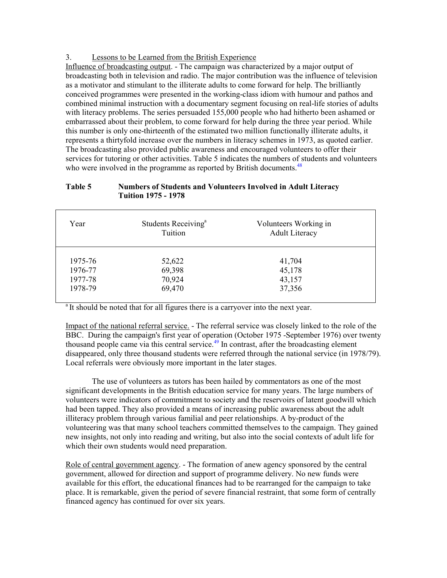3. Lessons to be Learned from the British Experience

Influence of broadcasting output. - The campaign was characterized by a major output of broadcasting both in television and radio. The major contribution was the influence of television as a motivator and stimulant to the illiterate adults to come forward for help. The brilliantly conceived programmes were presented in the working-class idiom with humour and pathos and combined minimal instruction with a documentary segment focusing on real-life stories of adults with literacy problems. The series persuaded 155,000 people who had hitherto been ashamed or embarrassed about their problem, to come forward for help during the three year period. While this number is only one-thirteenth of the estimated two million functionally illiterate adults, it represents a thirtyfold increase over the numbers in literacy schemes in 1973, as quoted earlier. The broadcasting also provided public awareness and encouraged volunteers to offer their services for tutoring or other activities. Table 5 indicates the numbers of students and volunteers who were involved in the programme as reported by British documents.<sup>[48](#page-114-5)</sup>

## **Table 5 Numbers of Students and Volunteers Involved in Adult Literacy Tuition 1975 - 1978**

| Year    | Students Receiving <sup>a</sup><br>Tuition | Volunteers Working in<br><b>Adult Literacy</b> |
|---------|--------------------------------------------|------------------------------------------------|
|         |                                            |                                                |
| 1975-76 | 52,622                                     | 41,704                                         |
| 1976-77 | 69,398                                     | 45,178                                         |
| 1977-78 | 70,924                                     | 43,157                                         |
| 1978-79 | 69,470                                     | 37,356                                         |

<sup>a</sup> It should be noted that for all figures there is a carryover into the next year.

Impact of the national referral service. - The referral service was closely linked to the role of the BBC. During the campaign's first year of op[eratio](#page-114-6)n (October 1975 -September 1976) over twenty thousand people came via this central service.<sup>49</sup> In contrast, after the broadcasting element disappeared, only three thousand students were referred through the national service (in 1978/79). Local referrals were obviously more important in the later stages.

 The use of volunteers as tutors has been hailed by commentators as one of the most significant developments in the British education service for many years. The large numbers of volunteers were indicators of commitment to society and the reservoirs of latent goodwill which had been tapped. They also provided a means of increasing public awareness about the adult illiteracy problem through various familial and peer relationships. A by-product of the volunteering was that many school teachers committed themselves to the campaign. They gained new insights, not only into reading and writing, but also into the social contexts of adult life for which their own students would need preparation.

Role of central government agency. - The formation of anew agency sponsored by the central government, allowed for direction and support of programme delivery. No new funds were available for this effort, the educational finances had to be rearranged for the campaign to take place. It is remarkable, given the period of severe financial restraint, that some form of centrally financed agency has continued for over six years.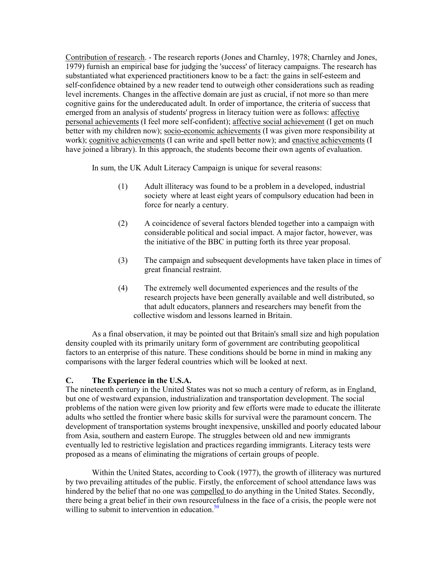Contribution of research. - The research reports (Jones and Charnley, 1978; Charnley and Jones, 1979) furnish an empirical base for judging the 'success' of literacy campaigns. The research has substantiated what experienced practitioners know to be a fact: the gains in self-esteem and self-confidence obtained by a new reader tend to outweigh other considerations such as reading level increments. Changes in the affective domain are just as crucial, if not more so than mere cognitive gains for the undereducated adult. In order of importance, the criteria of success that emerged from an analysis of students' progress in literacy tuition were as follows: affective personal achievements (I feel more self-confident); affective social achievement (I get on much better with my children now); socio-economic achievements (I was given more responsibility at work); cognitive achievements (I can write and spell better now); and enactive achievements (I have joined a library). In this approach, the students become their own agents of evaluation.

In sum, the UK Adult Literacy Campaign is unique for several reasons:

- (1) Adult illiteracy was found to be a problem in a developed, industrial society where at least eight years of compulsory education had been in force for nearly a century.
- (2) A coincidence of several factors blended together into a campaign with considerable political and social impact. A major factor, however, was the initiative of the BBC in putting forth its three year proposal.
- (3) The campaign and subsequent developments have taken place in times of great financial restraint.
- (4) The extremely well documented experiences and the results of the research projects have been generally available and well distributed, so that adult educators, planners and researchers may benefit from the collective wisdom and lessons learned in Britain.

As a final observation, it may be pointed out that Britain's small size and high population density coupled with its primarily unitary form of government are contributing geopolitical factors to an enterprise of this nature. These conditions should be borne in mind in making any comparisons with the larger federal countries which will be looked at next.

## **C. The Experience in the U.S.A.**

The nineteenth century in the United States was not so much a century of reform, as in England, but one of westward expansion, industrialization and transportation development. The social problems of the nation were given low priority and few efforts were made to educate the illiterate adults who settled the frontier where basic skills for survival were the paramount concern. The development of transportation systems brought inexpensive, unskilled and poorly educated labour from Asia, southern and eastern Europe. The struggles between old and new immigrants eventually led to restrictive legislation and practices regarding immigrants. Literacy tests were proposed as a means of eliminating the migrations of certain groups of people.

Within the United States, according to Cook (1977), the growth of illiteracy was nurtured by two prevailing attitudes of the public. Firstly, the enforcement of school attendance laws was hindered by the belief that no one was compelled to do anything in the United States. Secondly, there being a great belief in their own resour[cefuln](#page-114-7)ess in the face of a crisis, the people were not willing to submit to intervention in education.<sup>50</sup>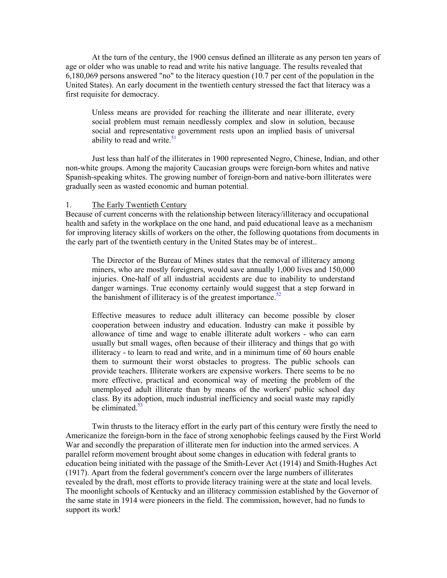At the turn of the century, the 1900 census defined an illiterate as any person ten years of age or older who was unable to read and write his native language. The results revealed that 6,180,069 persons answered "no" to the literacy question (10.7 per cent of the population in the United States). An early document in the twentieth century stressed the fact that literacy was a first requisite for democracy.

Unless means are provided for reaching the illiterate and near illiterate, every social problem must remain needlessly complex and slow in solution, because social and representati[ve g](#page-114-8)overnment rests upon an implied basis of universal ability to read and write.<sup>51</sup>

Just less than half of the illiterates in 1900 represented Negro, Chinese, Indian, and other non-white groups. Among the majority Caucasian groups were foreign-born whites and native Spanish-speaking whites. The growing number of foreign-born and native-born illiterates were gradually seen as wasted economic and human potential.

## 1. The Early Twentieth Century

Because of current concerns with the relationship between literacy/illiteracy and occupational health and safety in the workplace on the one hand, and paid educational leave as a mechanism for improving literacy skills of workers on the other, the following quotations from documents in the early part of the twentieth century in the United States may be of interest..

The Director of the Bureau of Mines states that the removal of illiteracy among miners, who are mostly foreigners, would save annually 1,000 lives and 150,000 injuries. One-half of all industrial accidents are due to inability to understand danger warnings. True economy certainly would sugge[st t](#page-114-9)hat a step forward in the banishment of illiteracy is of the greatest importance.<sup>52</sup>

Effective measures to reduce adult illiteracy can become possible by closer cooperation between industry and education. Industry can make it possible by allowance of time and wage to enable illiterate adult workers - who can earn usually but small wages, often because of their illiteracy and things that go with illiteracy - to learn to read and write, and in a minimum time of 60 hours enable them to surmount their worst obstacles to progress. The public schools can provide teachers. Illiterate workers are expensive workers. There seems to be no more effective, practical and economical way of meeting the problem of the unemployed adult illiterate than by means of the workers' public school day class. By its [adopt](#page-114-10)ion, much industrial inefficiency and social waste may rapidly be eliminated.<sup>53</sup>

 Twin thrusts to the literacy effort in the early part of this century were firstly the need to Americanize the foreign-born in the face of strong xenophobic feelings caused by the First World War and secondly the preparation of illiterate men for induction into the armed services. A parallel reform movement brought about some changes in education with federal grants to education being initiated with the passage of the Smith-Lever Act (1914) and Smith-Hughes Act (1917). Apart from the federal government's concern over the large numbers of illiterates revealed by the draft, most efforts to provide literacy training were at the state and local levels. The moonlight schools of Kentucky and an illiteracy commission established by the Governor of the same state in 1914 were pioneers in the field. The commission, however, had no funds to support its work!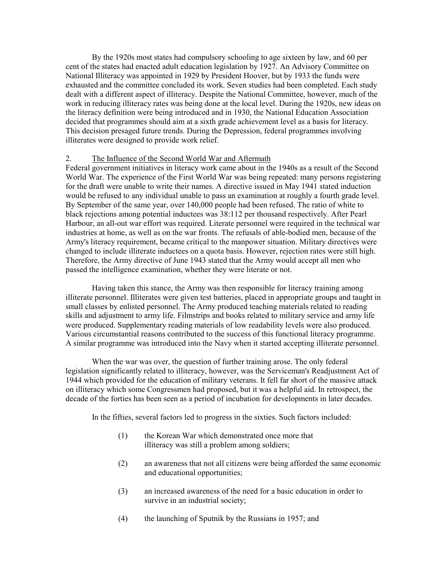By the 1920s most states had compulsory schooling to age sixteen by law, and 60 per cent of the states had enacted adult education legislation by 1927. An Advisory Committee on National Illiteracy was appointed in 1929 by President Hoover, but by 1933 the funds were exhausted and the committee concluded its work. Seven studies had been completed. Each study dealt with a different aspect of illiteracy. Despite the National Committee, however, much of the work in reducing illiteracy rates was being done at the local level. During the 1920s, new ideas on the literacy definition were being introduced and in 1930, the National Education Association decided that programmes should aim at a sixth grade achievement level as a basis for literacy. This decision presaged future trends. During the Depression, federal programmes involving illiterates were designed to provide work relief.

## 2. The Influence of the Second World War and Aftermath

Federal government initiatives in literacy work came about in the 1940s as a result of the Second World War. The experience of the First World War was being repeated: many persons registering for the draft were unable to write their names. A directive issued in May 1941 stated induction would be refused to any individual unable to pass an examination at roughly a fourth grade level. By September of the same year, over 140,000 people had been refused. The ratio of white to black rejections among potential inductees was 38:112 per thousand respectively. After Pearl Harbour, an all-out war effort was required. Literate personnel were required in the technical war industries at home, as well as on the war fronts. The refusals of able-bodied men, because of the Army's literacy requirement, became critical to the manpower situation. Military directives were changed to include illiterate inductees on a quota basis. However, rejection rates were still high. Therefore, the Army directive of June 1943 stated that the Army would accept all men who passed the intelligence examination, whether they were literate or not.

 Having taken this stance, the Army was then responsible for literacy training among illiterate personnel. Illiterates were given test batteries, placed in appropriate groups and taught in small classes by enlisted personnel. The Army produced teaching materials related to reading skills and adjustment to army life. Filmstrips and books related to military service and army life were produced. Supplementary reading materials of low readability levels were also produced. Various circumstantial reasons contributed to the success of this functional literacy programme. A similar programme was introduced into the Navy when it started accepting illiterate personnel.

 When the war was over, the question of further training arose. The only federal legislation significantly related to illiteracy, however, was the Serviceman's Readjustment Act of 1944 which provided for the education of military veterans. It fell far short of the massive attack on illiteracy which some Congressmen had proposed, but it was a helpful aid. In retrospect, the decade of the forties has been seen as a period of incubation for developments in later decades.

In the fifties, several factors led to progress in the sixties. Such factors included:

- (1) the Korean War which demonstrated once more that illiteracy was still a problem among soldiers;
- (2) an awareness that not all citizens were being afforded the same economic and educational opportunities;
- (3) an increased awareness of the need for a basic education in order to survive in an industrial society;
- (4) the launching of Sputnik by the Russians in 1957; and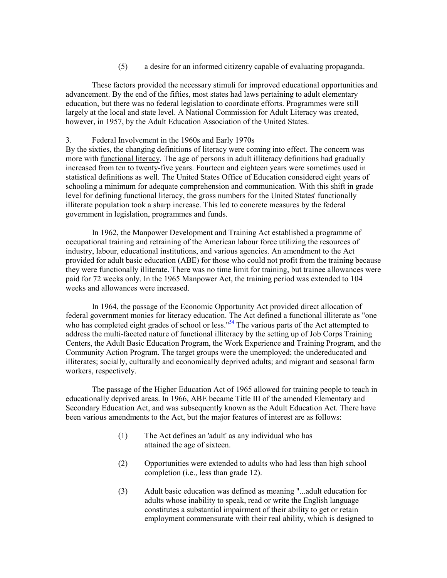(5) a desire for an informed citizenry capable of evaluating propaganda.

These factors provided the necessary stimuli for improved educational opportunities and advancement. By the end of the fifties, most states had laws pertaining to adult elementary education, but there was no federal legislation to coordinate efforts. Programmes were still largely at the local and state level. A National Commission for Adult Literacy was created, however, in 1957, by the Adult Education Association of the United States.

#### 3. Federal Involvement in the 1960s and Early 1970s

By the sixties, the changing definitions of literacy were coming into effect. The concern was more with functional literacy. The age of persons in adult illiteracy definitions had gradually increased from ten to twenty-five years. Fourteen and eighteen years were sometimes used in statistical definitions as well. The United States Office of Education considered eight years of schooling a minimum for adequate comprehension and communication. With this shift in grade level for defining functional literacy, the gross numbers for the United States' functionally illiterate population took a sharp increase. This led to concrete measures by the federal government in legislation, programmes and funds.

In 1962, the Manpower Development and Training Act established a programme of occupational training and retraining of the American labour force utilizing the resources of industry, labour, educational institutions, and various agencies. An amendment to the Act provided for adult basic education (ABE) for those who could not profit from the training because they were functionally illiterate. There was no time limit for training, but trainee allowances were paid for 72 weeks only. In the 1965 Manpower Act, the training period was extended to 104 weeks and allowances were increased.

In 1964, the passage of the Economic Opportunity Act provided direct allocation of federal government monies for literacy education. [Th](#page-114-11)e Act defined a functional illiterate as "one who has completed eight grades of school or less."<sup>54</sup> The various parts of the Act attempted to address the multi-faceted nature of functional illiteracy by the setting up of Job Corps Training Centers, the Adult Basic Education Program, the Work Experience and Training Program, and the Community Action Program. The target groups were the unemployed; the undereducated and illiterates; socially, culturally and economically deprived adults; and migrant and seasonal farm workers, respectively.

 The passage of the Higher Education Act of 1965 allowed for training people to teach in educationally deprived areas. In 1966, ABE became Title III of the amended Elementary and Secondary Education Act, and was subsequently known as the Adult Education Act. There have been various amendments to the Act, but the major features of interest are as follows:

- (1) The Act defines an 'adult' as any individual who has attained the age of sixteen.
- (2) Opportunities were extended to adults who had less than high school completion (i.e., less than grade 12).
- (3) Adult basic education was defined as meaning "...adult education for adults whose inability to speak, read or write the English language constitutes a substantial impairment of their ability to get or retain employment commensurate with their real ability, which is designed to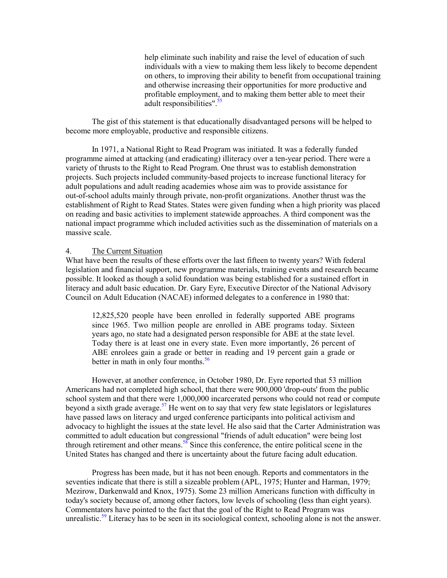help eliminate such inability and raise the level of education of such individuals with a view to making them less likely to become dependent on others, to improving their ability to benefit from occupational training and otherwise increasing their opportunities for more productive and profitable employmen[t, an](#page-114-12)d to making them better able to meet their adult responsibilities".<sup>55</sup>

The gist of this statement is that educationally disadvantaged persons will be helped to become more employable, productive and responsible citizens.

In 1971, a National Right to Read Program was initiated. It was a federally funded programme aimed at attacking (and eradicating) illiteracy over a ten-year period. There were a variety of thrusts to the Right to Read Program. One thrust was to establish demonstration projects. Such projects included community-based projects to increase functional literacy for adult populations and adult reading academies whose aim was to provide assistance for out-of-school adults mainly through private, non-profit organizations. Another thrust was the establishment of Right to Read States. States were given funding when a high priority was placed on reading and basic activities to implement statewide approaches. A third component was the national impact programme which included activities such as the dissemination of materials on a massive scale.

#### 4. The Current Situation

What have been the results of these efforts over the last fifteen to twenty years? With federal legislation and financial support, new programme materials, training events and research became possible. It looked as though a solid foundation was being established for a sustained effort in literacy and adult basic education. Dr. Gary Eyre, Executive Director of the National Advisory Council on Adult Education (NACAE) informed delegates to a conference in 1980 that:

12,825,520 people have been enrolled in federally supported ABE programs since 1965. Two million people are enrolled in ABE programs today. Sixteen years ago, no state had a designated person responsible for ABE at the state level. Today there is at least one in every state. Even more importantly, 26 percent of ABE enrolees gain a grade or better in reading and 19 percent gain a grade or better in math in only four months.<sup>[56](#page-114-12)</sup>

However, at another conference, in October 1980, Dr. Eyre reported that 53 million Americans had not completed high school, that there were 900,000 'drop-outs' from the public school system and that there were 1,000,000 incarcerated persons who could not read or compute beyond a sixth grade average.<sup>57</sup> He went on to say that very few state legislators or legislatures have passed laws on literacy and urged conference participants into political activism and advocacy to highlight the issues at the state level. He also said that the Carter Administration was committed to adult education but c[ongr](#page-114-12)essional "friends of adult education" were being lost through retirement and other means.<sup>58</sup> Since this conference, the entire political scene in the United States has changed and there is uncertainty about the future facing adult education.

Progress has been made, but it has not been enough. Reports and commentators in the seventies indicate that there is still a sizeable problem (APL, 1975; Hunter and Harman, 1979; Mezirow, Darkenwald and Knox, 1975). Some 23 million Americans function with difficulty in today's society because of, among other factors, low levels of schooling (less than eight years). Commentators have pointed to the fact that the goal of the Right to Read Program was unrealistic.<sup>59</sup> Literacy has to be seen in its sociological context, schooling alone is not the answer.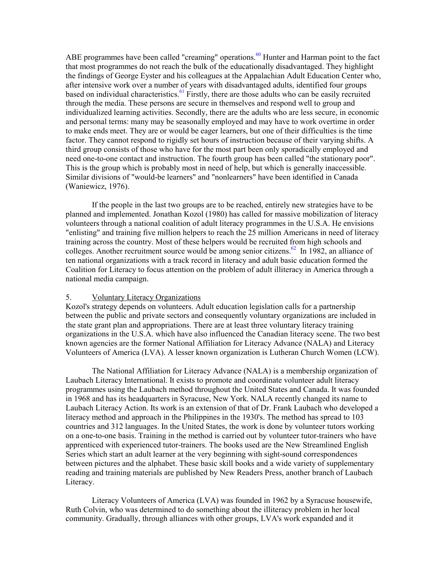ABE programmes have been called "creaming" operations.<sup>60</sup> Hunter and Harman point to the fact that most programmes do not reach the bulk of the educationally disadvantaged. They highlight the findings of George Eyster and his colleagues at the Appalachian Adult Education Center who, after intensive work over a numb[er of](#page-115-1) years with disadvantaged adults, identified four groups based on individual characteristics.<sup>61</sup> Firstly, there are those adults who can be easily recruited through the media. These persons are secure in themselves and respond well to group and individualized learning activities. Secondly, there are the adults who are less secure, in economic and personal terms: many may be seasonally employed and may have to work overtime in order to make ends meet. They are or would be eager learners, but one of their difficulties is the time factor. They cannot respond to rigidly set hours of instruction because of their varying shifts. A third group consists of those who have for the most part been only sporadically employed and need one-to-one contact and instruction. The fourth group has been called "the stationary poor". This is the group which is probably most in need of help, but which is generally inaccessible. Similar divisions of "would-be learners" and "nonlearners" have been identified in Canada (Waniewicz, 1976).

If the people in the last two groups are to be reached, entirely new strategies have to be planned and implemented. Jonathan Kozol (1980) has called for massive mobilization of literacy volunteers through a national coalition of adult literacy programmes in the U.S.A. He envisions "enlisting" and training five million helpers to reach the 25 million Americans in need of literacy training across the country. Most of these helpers would be recruited from high schools and colleges. Another recruitment source would be among senior citizens. [62 I](#page-115-2)n 1982, an alliance of ten national organizations with a track record in literacy and adult basic education formed the Coalition for Literacy to focus attention on the problem of adult illiteracy in America through a national media campaign.

### 5. Voluntary Literacy Organizations

Kozol's strategy depends on volunteers. Adult education legislation calls for a partnership between the public and private sectors and consequently voluntary organizations are included in the state grant plan and appropriations. There are at least three voluntary literacy training organizations in the U.S.A. which have also influenced the Canadian literacy scene. The two best known agencies are the former National Affiliation for Literacy Advance (NALA) and Literacy Volunteers of America (LVA). A lesser known organization is Lutheran Church Women (LCW).

 The National Affiliation for Literacy Advance (NALA) is a membership organization of Laubach Literacy International. It exists to promote and coordinate volunteer adult literacy programmes using the Laubach method throughout the United States and Canada. It was founded in 1968 and has its headquarters in Syracuse, New York. NALA recently changed its name to Laubach Literacy Action. Its work is an extension of that of Dr. Frank Laubach who developed a literacy method and approach in the Philippines in the 1930's. The method has spread to 103 countries and 312 languages. In the United States, the work is done by volunteer tutors working on a one-to-one basis. Training in the method is carried out by volunteer tutor-trainers who have apprenticed with experienced tutor-trainers. The books used are the New Streamlined English Series which start an adult learner at the very beginning with sight-sound correspondences between pictures and the alphabet. These basic skill books and a wide variety of supplementary reading and training materials are published by New Readers Press, another branch of Laubach Literacy.

 Literacy Volunteers of America (LVA) was founded in 1962 by a Syracuse housewife, Ruth Colvin, who was determined to do something about the illiteracy problem in her local community. Gradually, through alliances with other groups, LVA's work expanded and it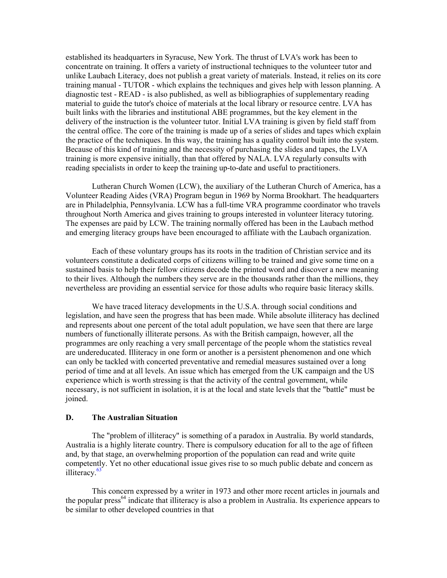established its headquarters in Syracuse, New York. The thrust of LVA's work has been to concentrate on training. It offers a variety of instructional techniques to the volunteer tutor and unlike Laubach Literacy, does not publish a great variety of materials. Instead, it relies on its core training manual - TUTOR - which explains the techniques and gives help with lesson planning. A diagnostic test - READ - is also published, as well as bibliographies of supplementary reading material to guide the tutor's choice of materials at the local library or resource centre. LVA has built links with the libraries and institutional ABE programmes, but the key element in the delivery of the instruction is the volunteer tutor. Initial LVA training is given by field staff from the central office. The core of the training is made up of a series of slides and tapes which explain the practice of the techniques. In this way, the training has a quality control built into the system. Because of this kind of training and the necessity of purchasing the slides and tapes, the LVA training is more expensive initially, than that offered by NALA. LVA regularly consults with reading specialists in order to keep the training up-to-date and useful to practitioners.

Lutheran Church Women (LCW), the auxiliary of the Lutheran Church of America, has a Volunteer Reading Aides (VRA) Program begun in 1969 by Norma Brookhart. The headquarters are in Philadelphia, Pennsylvania. LCW has a full-time VRA programme coordinator who travels throughout North America and gives training to groups interested in volunteer literacy tutoring. The expenses are paid by LCW. The training normally offered has been in the Laubach method and emerging literacy groups have been encouraged to affiliate with the Laubach organization.

Each of these voluntary groups has its roots in the tradition of Christian service and its volunteers constitute a dedicated corps of citizens willing to be trained and give some time on a sustained basis to help their fellow citizens decode the printed word and discover a new meaning to their lives. Although the numbers they serve are in the thousands rather than the millions, they nevertheless are providing an essential service for those adults who require basic literacy skills.

We have traced literacy developments in the U.S.A. through social conditions and legislation, and have seen the progress that has been made. While absolute illiteracy has declined and represents about one percent of the total adult population, we have seen that there are large numbers of functionally illiterate persons. As with the British campaign, however, all the programmes are only reaching a very small percentage of the people whom the statistics reveal are undereducated. Illiteracy in one form or another is a persistent phenomenon and one which can only be tackled with concerted preventative and remedial measures sustained over a long period of time and at all levels. An issue which has emerged from the UK campaign and the US experience which is worth stressing is that the activity of the central government, while necessary, is not sufficient in isolation, it is at the local and state levels that the "battle" must be joined.

### **D. The Australian Situation**

The "problem of illiteracy" is something of a paradox in Australia. By world standards, Australia is a highly literate country. There is compulsory education for all to the age of fifteen and, by that stage, an overwhelming proportion of the population can read and write quite compet[ently.](#page-115-3) Yet no other educational issue gives rise to so much public debate and concern as illiteracy.<sup>63</sup>

 This concern expressed by a writer in 1973 and other more recent articles in journals and the popular press<sup>64</sup> indicate that illiteracy is also a problem in Australia. Its experience appears to be similar to other developed countries in that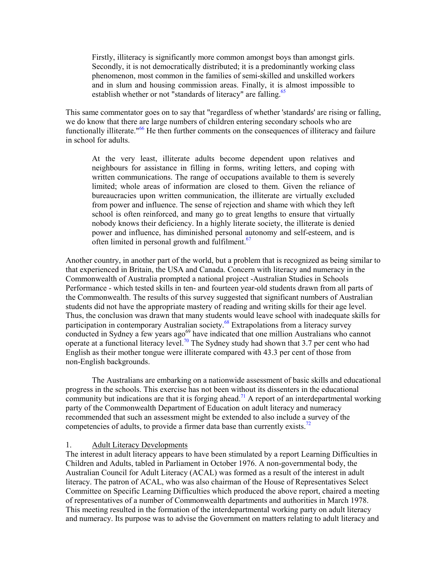Firstly, illiteracy is significantly more common amongst boys than amongst girls. Secondly, it is not democratically distributed; it is a predominantly working class phenomenon, most common in the families of semi-skilled and unskilled workers and in slum and housing commission areas. Finally, it is almost impossible to establish whether or not "standards of literacy" are falling.<sup>[65](#page-115-5)</sup>

This same commentator goes on to say that "regardless of whether 'standards' are rising or falling, we do know that there [are](#page-115-6) large numbers of children entering secondary schools who are functionally illiterate."<sup>66</sup> He then further comments on the consequences of illiteracy and failure in school for adults.

At the very least, illiterate adults become dependent upon relatives and neighbours for assistance in filling in forms, writing letters, and coping with written communications. The range of occupations available to them is severely limited; whole areas of information are closed to them. Given the reliance of bureaucracies upon written communication, the illiterate are virtually excluded from power and influence. The sense of rejection and shame with which they left school is often reinforced, and many go to great lengths to ensure that virtually nobody knows their deficiency. In a highly literate society, the illiterate is denied power and influence, has diminished personal [auto](#page-115-7)nomy and self-esteem, and is often limited in personal growth and fulfilment.<sup>67</sup>

Another country, in another part of the world, but a problem that is recognized as being similar to that experienced in Britain, the USA and Canada. Concern with literacy and numeracy in the Commonwealth of Australia prompted a national project -Australian Studies in Schools Performance - which tested skills in ten- and fourteen year-old students drawn from all parts of the Commonwealth. The results of this survey suggested that significant numbers of Australian students did not have the appropriate mastery of reading and writing skills for their age level. Thus, the conclusion was drawn that many stude[nts](#page-115-8) would leave school with inadequate skills for participation in contemporary Australian society.<sup>68</sup> Extrapolations from a literacy survey conducted in Sydney a few years ago<sup>69</sup> have indicated that one million Australians who cannot operate at a functional literacy level.<sup>[70](#page-115-10)</sup> The Sydney study had shown that 3.7 per cent who had English as their mother tongue were illiterate compared with 43.3 per cent of those from non-English backgrounds.

The Australians are embarking on a nationwide assessment of basic skills and educational progress in the schools. This exercise has not been without its dissenters in the educational community but indications are that it is forging ahead.<sup>71</sup> A report of an interdepartmental working party of the Commonwealth Department of Education on adult literacy and numeracy recommended that such an assessment might be extended to also include a survey of the competencies of adults, to provide a firmer data base than currently exists.<sup>[72](#page-115-11)</sup>

## 1. Adult Literacy Developments

The interest in adult literacy appears to have been stimulated by a report Learning Difficulties in Children and Adults, tabled in Parliament in October 1976. A non-governmental body, the Australian Council for Adult Literacy (ACAL) was formed as a result of the interest in adult literacy. The patron of ACAL, who was also chairman of the House of Representatives Select Committee on Specific Learning Difficulties which produced the above report, chaired a meeting of representatives of a number of Commonwealth departments and authorities in March 1978. This meeting resulted in the formation of the interdepartmental working party on adult literacy and numeracy. Its purpose was to advise the Government on matters relating to adult literacy and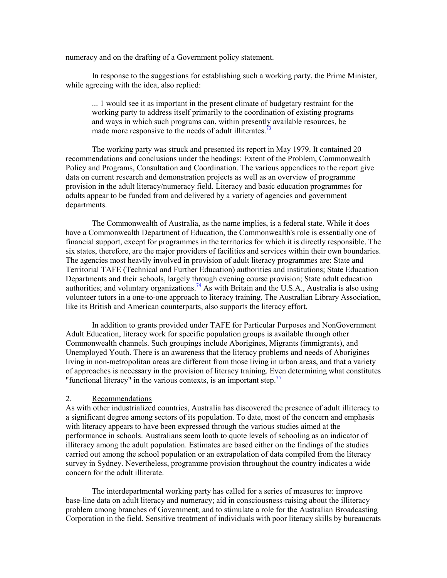numeracy and on the drafting of a Government policy statement.

In response to the suggestions for establishing such a working party, the Prime Minister, while agreeing with the idea, also replied:

... 1 would see it as important in the present climate of budgetary restraint for the working party to address itself primarily to the coordination of existing programs and ways in which such programs can, within presently available resources, be made more responsive to the needs of adult illiterates.<sup>[73](#page-115-11)</sup>

The working party was struck and presented its report in May 1979. It contained 20 recommendations and conclusions under the headings: Extent of the Problem, Commonwealth Policy and Programs, Consultation and Coordination. The various appendices to the report give data on current research and demonstration projects as well as an overview of programme provision in the adult literacy/numeracy field. Literacy and basic education programmes for adults appear to be funded from and delivered by a variety of agencies and government departments.

The Commonwealth of Australia, as the name implies, is a federal state. While it does have a Commonwealth Department of Education, the Commonwealth's role is essentially one of financial support, except for programmes in the territories for which it is directly responsible. The six states, therefore, are the major providers of facilities and services within their own boundaries. The agencies most heavily involved in provision of adult literacy programmes are: State and Territorial TAFE (Technical and Further Education) authorities and institutions; State Education Departments and their schools, largely through evening course provision; State adult education authorities; and voluntary organizations.<sup>[74](#page-115-11)</sup> As with Britain and the U.S.A., Australia is also using volunteer tutors in a one-to-one approach to literacy training. The Australian Library Association, like its British and American counterparts, also supports the literacy effort.

In addition to grants provided under TAFE for Particular Purposes and NonGovernment Adult Education, literacy work for specific population groups is available through other Commonwealth channels. Such groupings include Aborigines, Migrants (immigrants), and Unemployed Youth. There is an awareness that the literacy problems and needs of Aborigines living in non-metropolitan areas are different from those living in urban areas, and that a variety of approaches is necessary in the provision of literacy training. E[ven](#page-115-11) determining what constitutes "functional literacy" in the various contexts, is an important step.<sup>75</sup>

#### 2. Recommendations

As with other industrialized countries, Australia has discovered the presence of adult illiteracy to a significant degree among sectors of its population. To date, most of the concern and emphasis with literacy appears to have been expressed through the various studies aimed at the performance in schools. Australians seem loath to quote levels of schooling as an indicator of illiteracy among the adult population. Estimates are based either on the findings of the studies carried out among the school population or an extrapolation of data compiled from the literacy survey in Sydney. Nevertheless, programme provision throughout the country indicates a wide concern for the adult illiterate.

 The interdepartmental working party has called for a series of measures to: improve base-line data on adult literacy and numeracy; aid in consciousness-raising about the illiteracy problem among branches of Government; and to stimulate a role for the Australian Broadcasting Corporation in the field. Sensitive treatment of individuals with poor literacy skills by bureaucrats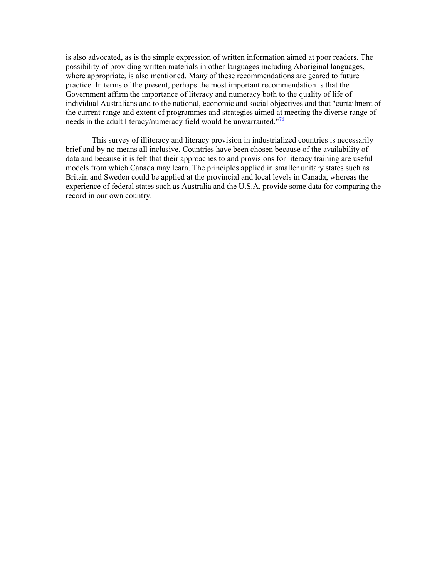is also advocated, as is the simple expression of written information aimed at poor readers. The possibility of providing written materials in other languages including Aboriginal languages, where appropriate, is also mentioned. Many of these recommendations are geared to future practice. In terms of the present, perhaps the most important recommendation is that the Government affirm the importance of literacy and numeracy both to the quality of life of individual Australians and to the national, economic and social objectives and that "curtailment of the current range and extent of programmes and strategies aimed at meeting the diverse range of needs in the adult literacy/numeracy field would be unwarranted."<sup>[76](#page-115-11)</sup>

 This survey of illiteracy and literacy provision in industrialized countries is necessarily brief and by no means all inclusive. Countries have been chosen because of the availability of data and because it is felt that their approaches to and provisions for literacy training are useful models from which Canada may learn. The principles applied in smaller unitary states such as Britain and Sweden could be applied at the provincial and local levels in Canada, whereas the experience of federal states such as Australia and the U.S.A. provide some data for comparing the record in our own country.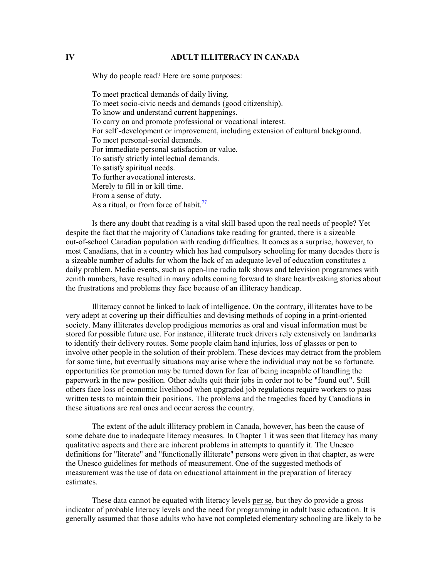## **IV ADULT ILLITERACY IN CANADA**

Why do people read? Here are some purposes:

To meet practical demands of daily living. To meet socio-civic needs and demands (good citizenship). To know and understand current happenings. To carry on and promote professional or vocational interest. For self -development or improvement, including extension of cultural background. To meet personal-social demands. For immediate personal satisfaction or value. To satisfy strictly intellectual demands. To satisfy spiritual needs. To further avocational interests. Merely to fill in or kill time. From a sense of duty. As a ritual, or from force of habit.<sup>[77](#page-116-0)</sup>

 Is there any doubt that reading is a vital skill based upon the real needs of people? Yet despite the fact that the majority of Canadians take reading for granted, there is a sizeable out-of-school Canadian population with reading difficulties. It comes as a surprise, however, to most Canadians, that in a country which has had compulsory schooling for many decades there is a sizeable number of adults for whom the lack of an adequate level of education constitutes a daily problem. Media events, such as open-line radio talk shows and television programmes with zenith numbers, have resulted in many adults coming forward to share heartbreaking stories about the frustrations and problems they face because of an illiteracy handicap.

 Illiteracy cannot be linked to lack of intelligence. On the contrary, illiterates have to be very adept at covering up their difficulties and devising methods of coping in a print-oriented society. Many illiterates develop prodigious memories as oral and visual information must be stored for possible future use. For instance, illiterate truck drivers rely extensively on landmarks to identify their delivery routes. Some people claim hand injuries, loss of glasses or pen to involve other people in the solution of their problem. These devices may detract from the problem for some time, but eventually situations may arise where the individual may not be so fortunate. opportunities for promotion may be turned down for fear of being incapable of handling the paperwork in the new position. Other adults quit their jobs in order not to be "found out". Still others face loss of economic livelihood when upgraded job regulations require workers to pass written tests to maintain their positions. The problems and the tragedies faced by Canadians in these situations are real ones and occur across the country.

 The extent of the adult illiteracy problem in Canada, however, has been the cause of some debate due to inadequate literacy measures. In Chapter 1 it was seen that literacy has many qualitative aspects and there are inherent problems in attempts to quantify it. The Unesco definitions for "literate" and "functionally illiterate" persons were given in that chapter, as were the Unesco guidelines for methods of measurement. One of the suggested methods of measurement was the use of data on educational attainment in the preparation of literacy estimates.

 These data cannot be equated with literacy levels per se, but they do provide a gross indicator of probable literacy levels and the need for programming in adult basic education. It is generally assumed that those adults who have not completed elementary schooling are likely to be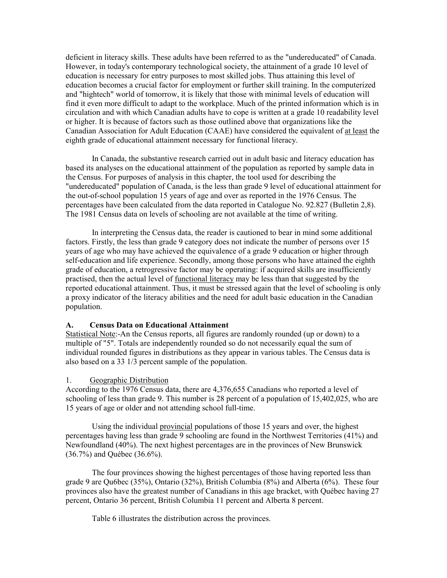deficient in literacy skills. These adults have been referred to as the "undereducated" of Canada. However, in today's contemporary technological society, the attainment of a grade 10 level of education is necessary for entry purposes to most skilled jobs. Thus attaining this level of education becomes a crucial factor for employment or further skill training. In the computerized and "hightech" world of tomorrow, it is likely that those with minimal levels of education will find it even more difficult to adapt to the workplace. Much of the printed information which is in circulation and with which Canadian adults have to cope is written at a grade 10 readability level or higher. It is because of factors such as those outlined above that organizations like the Canadian Association for Adult Education (CAAE) have considered the equivalent of at least the eighth grade of educational attainment necessary for functional literacy.

 In Canada, the substantive research carried out in adult basic and literacy education has based its analyses on the educational attainment of the population as reported by sample data in the Census. For purposes of analysis in this chapter, the tool used for describing the "undereducated" population of Canada, is the less than grade 9 level of educational attainment for the out-of-school population 15 years of age and over as reported in the 1976 Census. The percentages have been calculated from the data reported in Catalogue No. 92.827 (Bulletin 2,8). The 1981 Census data on levels of schooling are not available at the time of writing.

 In interpreting the Census data, the reader is cautioned to bear in mind some additional factors. Firstly, the less than grade 9 category does not indicate the number of persons over 15 years of age who may have achieved the equivalence of a grade 9 education or higher through self-education and life experience. Secondly, among those persons who have attained the eighth grade of education, a retrogressive factor may be operating: if acquired skills are insufficiently practised, then the actual level of functional literacy may be less than that suggested by the reported educational attainment. Thus, it must be stressed again that the level of schooling is only a proxy indicator of the literacy abilities and the need for adult basic education in the Canadian population.

### **A. Census Data on Educational Attainment**

Statistical Note:-An the Census reports, all figures are randomly rounded (up or down) to a multiple of "5". Totals are independently rounded so do not necessarily equal the sum of individual rounded figures in distributions as they appear in various tables. The Census data is also based on a 33 1/3 percent sample of the population.

#### 1. Geographic Distribution

According to the 1976 Census data, there are 4,376,655 Canadians who reported a level of schooling of less than grade 9. This number is 28 percent of a population of 15,402,025, who are 15 years of age or older and not attending school full-time.

 Using the individual provincial populations of those 15 years and over, the highest percentages having less than grade 9 schooling are found in the Northwest Territories (41%) and Newfoundland (40%). The next highest percentages are in the provinces of New Brunswick (36.7%) and Québec (36.6%).

 The four provinces showing the highest percentages of those having reported less than grade 9 are Qu6bec (35%), Ontario (32%), British Columbia (8%) and Alberta (6%). These four provinces also have the greatest number of Canadians in this age bracket, with Québec having 27 percent, Ontario 36 percent, British Columbia 11 percent and Alberta 8 percent.

Table 6 illustrates the distribution across the provinces.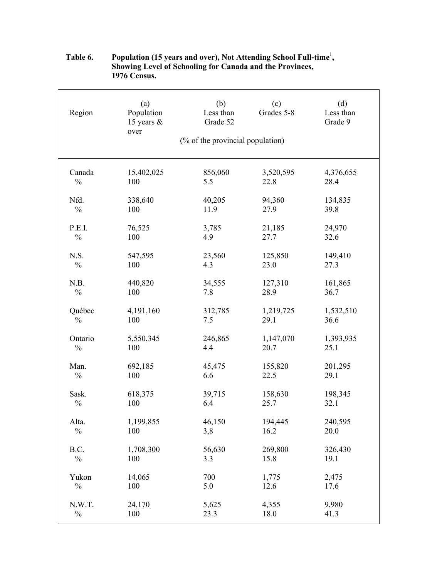| Region        | (a)<br>Population<br>15 years $\&$ | (b)<br>Less than<br>Grade 52     | (c)<br>Grades 5-8 | (d)<br>Less than<br>Grade 9 |
|---------------|------------------------------------|----------------------------------|-------------------|-----------------------------|
|               | over                               | (% of the provincial population) |                   |                             |
| Canada        | 15,402,025                         | 856,060                          | 3,520,595         | 4,376,655                   |
| $\frac{0}{0}$ | 100                                | 5.5                              | 22.8              | 28.4                        |
| Nfd.          | 338,640                            | 40,205                           | 94,360            | 134,835                     |
| $\frac{0}{0}$ | 100                                | 11.9                             | 27.9              | 39.8                        |
| P.E.I.        | 76,525                             | 3,785                            | 21,185            | 24,970                      |
| $\frac{0}{0}$ | 100                                | 4.9                              | 27.7              | 32.6                        |
| N.S.          | 547,595                            | 23,560                           | 125,850           | 149,410                     |
| $\frac{0}{0}$ | 100                                | 4.3                              | 23.0              | 27.3                        |
| N.B.          | 440,820                            | 34,555                           | 127,310           | 161,865                     |
| $\frac{0}{0}$ | 100                                | 7.8                              | 28.9              | 36.7                        |
| Québec        | 4,191,160                          | 312,785                          | 1,219,725         | 1,532,510                   |
| $\frac{0}{0}$ | 100                                | 7.5                              | 29.1              | 36.6                        |
| Ontario       | 5,550,345                          | 246,865                          | 1,147,070         | 1,393,935                   |
| $\frac{0}{0}$ | 100                                | 4.4                              | 20.7              | 25.1                        |
| Man.          | 692,185                            | 45,475                           | 155,820           | 201,295                     |
| $\frac{0}{0}$ | 100                                | 6.6                              | 22.5              | 29.1                        |
| Sask.         | 618,375                            | 39,715                           | 158,630           | 198,345                     |
| $\frac{0}{0}$ | 100                                | 6.4                              | 25.7              | 32.1                        |
| Alta.         | 1,199,855                          | 46,150                           | 194,445           | 240,595                     |
| $\frac{0}{0}$ | 100                                | 3,8                              | 16.2              | 20.0                        |
| B.C.          | 1,708,300                          | 56,630                           | 269,800           | 326,430                     |
| $\frac{0}{0}$ | 100                                | 3.3                              | 15.8              | 19.1                        |
| Yukon         | 14,065                             | 700                              | 1,775             | 2,475                       |
| $\frac{0}{0}$ | 100                                | 5.0                              | 12.6              | 17.6                        |
| N.W.T.        | 24,170                             | 5,625                            | 4,355             | 9,980                       |
| $\frac{0}{0}$ | 100                                | 23.3                             | 18.0              | 41.3                        |

## Table 6. Population (15 years and over), Not Attending School Full-time<sup>1</sup>,  **Showing Level of Schooling for Canada and the Provinces, 1976 Census.**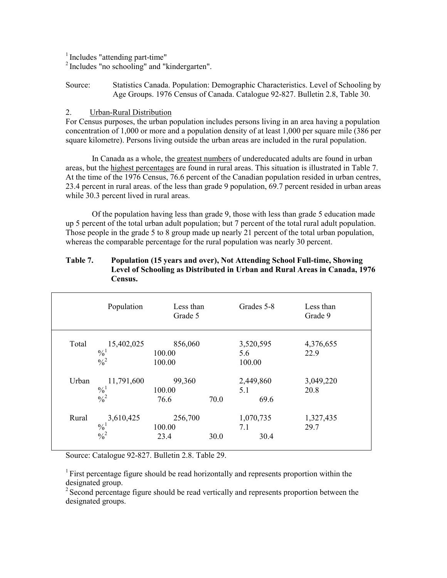$<sup>1</sup>$  Includes "attending part-time"</sup>

<sup>2</sup> Includes "no schooling" and "kindergarten".

Source: Statistics Canada. Population: Demographic Characteristics. Level of Schooling by Age Groups. 1976 Census of Canada. Catalogue 92-827. Bulletin 2.8, Table 30.

## 2. Urban-Rural Distribution

For Census purposes, the urban population includes persons living in an area having a population concentration of 1,000 or more and a population density of at least 1,000 per square mile (386 per square kilometre). Persons living outside the urban areas are included in the rural population.

 In Canada as a whole, the greatest numbers of undereducated adults are found in urban areas, but the highest percentages are found in rural areas. This situation is illustrated in Table 7. At the time of the 1976 Census, 76.6 percent of the Canadian population resided in urban centres, 23.4 percent in rural areas. of the less than grade 9 population, 69.7 percent resided in urban areas while 30.3 percent lived in rural areas.

 Of the population having less than grade 9, those with less than grade 5 education made up 5 percent of the total urban adult population; but 7 percent of the total rural adult population. Those people in the grade 5 to 8 group made up nearly 21 percent of the total urban population, whereas the comparable percentage for the rural population was nearly 30 percent.

|       | Population                                   | Less than<br>Grade 5        |      | Grades 5-8                 | Less than<br>Grade 9 |
|-------|----------------------------------------------|-----------------------------|------|----------------------------|----------------------|
| Total | 15,402,025<br>$\frac{0}{1}$<br>$\frac{0}{2}$ | 856,060<br>100.00<br>100.00 |      | 3,520,595<br>5.6<br>100.00 | 4,376,655<br>22.9    |
| Urban | 11,791,600<br>$\frac{0}{1}$<br>$\frac{0}{2}$ | 99,360<br>100.00<br>76.6    | 70.0 | 2,449,860<br>5.1<br>69.6   | 3,049,220<br>20.8    |
| Rural | 3,610,425<br>$\frac{0}{10}$<br>$\frac{0}{2}$ | 256,700<br>100.00<br>23.4   | 30.0 | 1,070,735<br>7.1<br>30.4   | 1,327,435<br>29.7    |

## **Table 7. Population (15 years and over), Not Attending School Full-time, Showing Level of Schooling as Distributed in Urban and Rural Areas in Canada, 1976 Census.**

Source: Catalogue 92-827. Bulletin 2.8. Table 29.

<sup>1</sup> First percentage figure should be read horizontally and represents proportion within the designated group.

<sup>2</sup> Second percentage figure should be read vertically and represents proportion between the designated groups.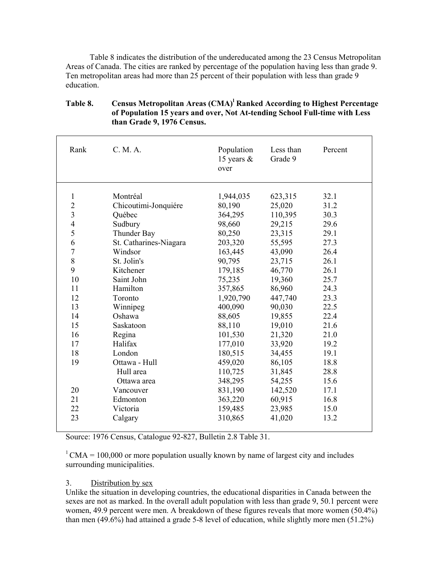Table 8 indicates the distribution of the undereducated among the 23 Census Metropolitan Areas of Canada. The cities are ranked by percentage of the population having less than grade 9. Ten metropolitan areas had more than 25 percent of their population with less than grade 9 education.

| Rank                    | C. M. A.               | Population<br>15 years $\&$<br>over | Less than<br>Grade 9 | Percent |
|-------------------------|------------------------|-------------------------------------|----------------------|---------|
| 1                       | Montréal               | 1,944,035                           | 623,315              | 32.1    |
| $\overline{2}$          | Chicoutimi-Jonquiére   | 80,190                              | 25,020               | 31.2    |
| $\overline{\mathbf{3}}$ | Québec                 | 364,295                             | 110,395              | 30.3    |
| $\overline{4}$          | Sudbury                | 98,660                              | 29,215               | 29.6    |
| 5                       | Thunder Bay            | 80,250                              | 23,315               | 29.1    |
| 6                       | St. Catharines-Niagara | 203,320                             | 55,595               | 27.3    |
| $\overline{7}$          | Windsor                | 163,445                             | 43,090               | 26.4    |
| 8                       | St. Jolin's            | 90,795                              | 23,715               | 26.1    |
| 9                       | Kitchener              | 179,185                             | 46,770               | 26.1    |
| 10                      | Saint John             | 75,235                              | 19,360               | 25.7    |
| 11                      | Hamilton               | 357,865                             | 86,960               | 24.3    |
| 12                      | Toronto                | 1,920,790                           | 447,740              | 23.3    |
| 13                      | Winnipeg               | 400,090                             | 90,030               | 22.5    |
| 14                      | Oshawa                 | 88,605                              | 19,855               | 22.4    |
| 15                      | Saskatoon              | 88,110                              | 19,010               | 21.6    |
| 16                      | Regina                 | 101,530                             | 21,320               | 21.0    |
| 17                      | Halifax                | 177,010                             | 33,920               | 19.2    |
| 18                      | London                 | 180,515                             | 34,455               | 19.1    |
| 19                      | Ottawa - Hull          | 459,020                             | 86,105               | 18.8    |
|                         | Hull area              | 110,725                             | 31,845               | 28.8    |
|                         | Ottawa area            | 348,295                             | 54,255               | 15.6    |
| 20                      | Vancouver              | 831,190                             | 142,520              | 17.1    |
| 21                      | Edmonton               | 363,220                             | 60,915               | 16.8    |
| 22                      | Victoria               | 159,485                             | 23,985               | 15.0    |
| 23                      | Calgary                | 310,865                             | 41,020               | 13.2    |

# Table 8. Census Metropolitan Areas (CMA)<sup>1</sup> Ranked According to Highest Percentage  **of Population 15 years and over, Not At-tending School Full-time with Less than Grade 9, 1976 Census.**

Source: 1976 Census, Catalogue 92-827, Bulletin 2.8 Table 31.

 $1 \text{CMA} = 100,000$  or more population usually known by name of largest city and includes surrounding municipalities.

## 3. Distribution by sex

Unlike the situation in developing countries, the educational disparities in Canada between the sexes are not as marked. In the overall adult population with less than grade 9, 50.1 percent were women, 49.9 percent were men. A breakdown of these figures reveals that more women (50.4%) than men (49.6%) had attained a grade 5-8 level of education, while slightly more men (51.2%)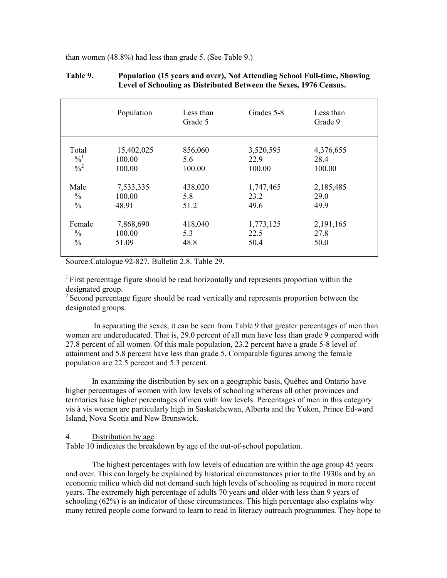than women (48.8%) had less than grade 5. (See Table 9.)

|               | Population | Less than<br>Grade 5 | Grades 5-8 | Less than<br>Grade 9 |
|---------------|------------|----------------------|------------|----------------------|
| Total         | 15,402,025 | 856,060              | 3,520,595  | 4,376,655            |
| $\frac{0}{1}$ | 100.00     | 5.6                  | 22.9       | 28.4                 |
| $\frac{0}{2}$ | 100.00     | 100.00               | 100.00     | 100.00               |
| Male          | 7,533,335  | 438,020              | 1,747,465  | 2,185,485            |
| $\frac{0}{0}$ | 100.00     | 5.8                  | 23.2       | 29.0                 |
| $\frac{0}{0}$ | 48.91      | 51.2                 | 49.6       | 49.9                 |
| Female        | 7,868,690  | 418,040              | 1,773,125  | 2,191,165            |
| $\frac{0}{0}$ | 100.00     | 5.3                  | 22.5       | 27.8                 |
| $\frac{0}{0}$ | 51.09      | 48.8                 | 50.4       | 50.0                 |

## **Table 9. Population (15 years and over), Not Attending School Full-time, Showing Level of Schooling as Distributed Between the Sexes, 1976 Census.**

Source:Catalogue 92-827. Bulletin 2.8. Table 29.

<sup>1</sup> First percentage figure should be read horizontally and represents proportion within the designated group.

<sup>2</sup> Second percentage figure should be read vertically and represents proportion between the designated groups.

 In separating the sexes, it can be seen from Table 9 that greater percentages of men than women are undereducated. That is, 29.0 percent of all men have less than grade 9 compared with 27.8 percent of all women. Of this male population, 23.2 percent have a grade 5-8 level of attainment and 5.8 percent have less than grade 5. Comparable figures among the female population are 22.5 percent and 5.3 percent.

 In examining the distribution by sex on a geographic basis, Québec and Ontario have higher percentages of women with low levels of schooling whereas all other provinces and territories have higher percentages of men with low levels. Percentages of men in this category vis à vis women are particularly high in Saskatchewan, Alberta and the Yukon, Prince Ed-ward Island, Nova Scotia and New Brunswick.

#### 4. Distribution by age

Table 10 indicates the breakdown by age of the out-of-school population.

 The highest percentages with low levels of education are within the age group 45 years and over. This can largely be explained by historical circumstances prior to the 1930s and by an economic milieu which did not demand such high levels of schooling as required in more recent years. The extremely high percentage of adults 70 years and older with less than 9 years of schooling (62%) is an indicator of these circumstances. This high percentage also explains why many retired people come forward to learn to read in literacy outreach programmes. They hope to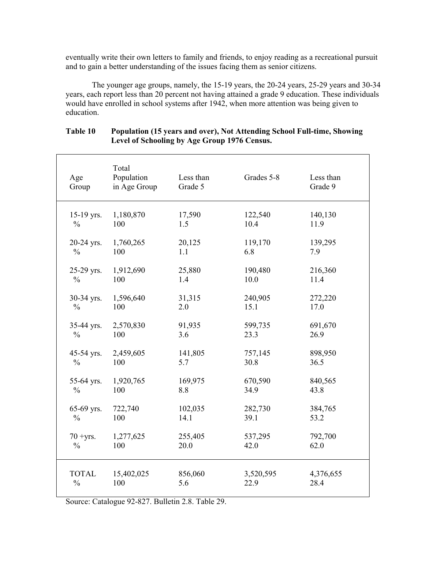eventually write their own letters to family and friends, to enjoy reading as a recreational pursuit and to gain a better understanding of the issues facing them as senior citizens.

 The younger age groups, namely, the 15-19 years, the 20-24 years, 25-29 years and 30-34 years, each report less than 20 percent not having attained a grade 9 education. These individuals would have enrolled in school systems after 1942, when more attention was being given to education.

| Age<br>Group  | Total<br>Population<br>in Age Group | Less than<br>Grade 5 | Grades 5-8 | Less than<br>Grade 9 |
|---------------|-------------------------------------|----------------------|------------|----------------------|
| 15-19 yrs.    | 1,180,870                           | 17,590               | 122,540    | 140,130              |
| $\frac{0}{0}$ | 100                                 | 1.5                  | 10.4       | 11.9                 |
| 20-24 yrs.    | 1,760,265                           | 20,125               | 119,170    | 139,295              |
| $\frac{0}{0}$ | 100                                 | 1.1                  | 6.8        | 7.9                  |
| 25-29 yrs.    | 1,912,690                           | 25,880               | 190,480    | 216,360              |
| $\frac{0}{0}$ | 100                                 | 1.4                  | 10.0       | 11.4                 |
| 30-34 yrs.    | 1,596,640                           | 31,315               | 240,905    | 272,220              |
| $\frac{0}{0}$ | 100                                 | 2.0                  | 15.1       | 17.0                 |
| 35-44 yrs.    | 2,570,830                           | 91,935               | 599,735    | 691,670              |
| $\frac{0}{0}$ | 100                                 | 3.6                  | 23.3       | 26.9                 |
| 45-54 yrs.    | 2,459,605                           | 141,805              | 757,145    | 898,950              |
| $\frac{0}{0}$ | 100                                 | 5.7                  | 30.8       | 36.5                 |
| 55-64 yrs.    | 1,920,765                           | 169,975              | 670,590    | 840,565              |
| $\frac{0}{0}$ | 100                                 | 8.8                  | 34.9       | 43.8                 |
| 65-69 yrs.    | 722,740                             | 102,035              | 282,730    | 384,765              |
| $\frac{0}{0}$ | 100                                 | 14.1                 | 39.1       | 53.2                 |
| $70 + yrs$ .  | 1,277,625                           | 255,405              | 537,295    | 792,700              |
| $\frac{0}{0}$ | 100                                 | 20.0                 | 42.0       | 62.0                 |
| <b>TOTAL</b>  | 15,402,025                          | 856,060              | 3,520,595  | 4,376,655            |
| $\frac{0}{0}$ | 100                                 | 5.6                  | 22.9       | 28.4                 |

## **Table 10 Population (15 years and over), Not Attending School Full-time, Showing Level of Schooling by Age Group 1976 Census.**

Source: Catalogue 92-827. Bulletin 2.8. Table 29.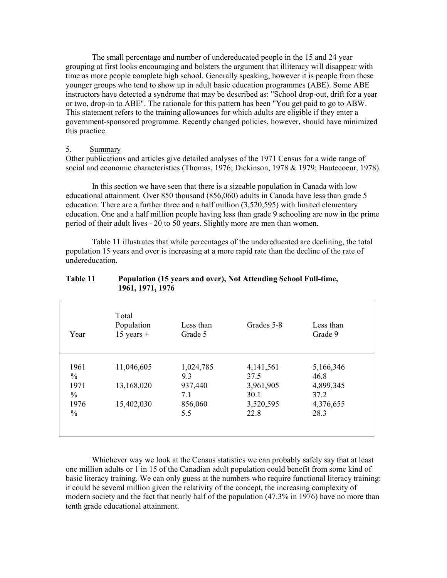The small percentage and number of undereducated people in the 15 and 24 year grouping at first looks encouraging and bolsters the argument that illiteracy will disappear with time as more people complete high school. Generally speaking, however it is people from these younger groups who tend to show up in adult basic education programmes (ABE). Some ABE instructors have detected a syndrome that may be described as: "School drop-out, drift for a year or two, drop-in to ABE". The rationale for this pattern has been "You get paid to go to ABW. This statement refers to the training allowances for which adults are eligible if they enter a government-sponsored programme. Recently changed policies, however, should have minimized this practice.

## 5. Summary

Other publications and articles give detailed analyses of the 1971 Census for a wide range of social and economic characteristics (Thomas, 1976; Dickinson, 1978 & 1979; Hautecoeur, 1978).

 In this section we have seen that there is a sizeable population in Canada with low educational attainment. Over 850 thousand (856,060) adults in Canada have less than grade 5 education. There are a further three and a half million (3,520,595) with limited elementary education. One and a half million people having less than grade 9 schooling are now in the prime period of their adult lives - 20 to 50 years. Slightly more are men than women.

 Table 11 illustrates that while percentages of the undereducated are declining, the total population 15 years and over is increasing at a more rapid rate than the decline of the rate of undereducation.

| Year          | Total<br>Population<br>$15$ years + | Less than<br>Grade 5 | Grades 5-8  | Less than<br>Grade 9 |
|---------------|-------------------------------------|----------------------|-------------|----------------------|
| 1961          | 11,046,605                          | 1,024,785            | 4, 141, 561 | 5,166,346            |
| $\frac{0}{0}$ |                                     | 9.3                  | 37.5        | 46.8                 |
| 1971          | 13,168,020                          | 937,440              | 3,961,905   | 4,899,345            |
| $\%$          |                                     | 7.1                  | 30.1        | 37.2                 |
| 1976          | 15,402,030                          | 856,060              | 3,520,595   | 4,376,655            |
| $\%$          |                                     | 5.5                  | 22.8        | 28.3                 |
|               |                                     |                      |             |                      |

### **Table 11 Population (15 years and over), Not Attending School Full-time, 1961, 1971, 1976**

 Whichever way we look at the Census statistics we can probably safely say that at least one million adults or 1 in 15 of the Canadian adult population could benefit from some kind of basic literacy training. We can only guess at the numbers who require functional literacy training: it could be several million given the relativity of the concept, the increasing complexity of modern society and the fact that nearly half of the population (47.3% in 1976) have no more than tenth grade educational attainment.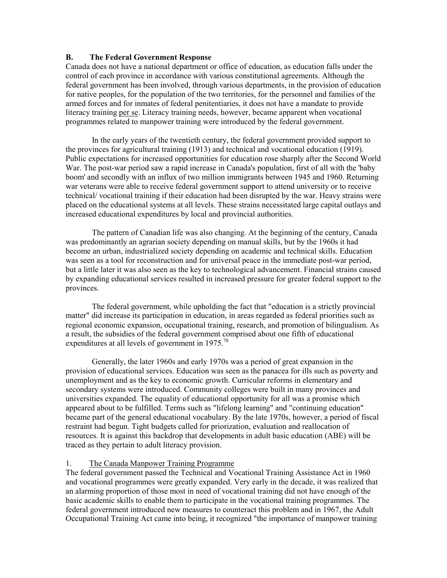## **B. The Federal Government Response**

Canada does not have a national department or office of education, as education falls under the control of each province in accordance with various constitutional agreements. Although the federal government has been involved, through various departments, in the provision of education for native peoples, for the population of the two territories, for the personnel and families of the armed forces and for inmates of federal penitentiaries, it does not have a mandate to provide literacy training per se. Literacy training needs, however, became apparent when vocational programmes related to manpower training were introduced by the federal government.

 In the early years of the twentieth century, the federal government provided support to the provinces for agricultural training (1913) and technical and vocational education (1919). Public expectations for increased opportunities for education rose sharply after the Second World War. The post-war period saw a rapid increase in Canada's population, first of all with the 'baby boom' and secondly with an influx of two million immigrants between 1945 and 1960. Returning war veterans were able to receive federal government support to attend university or to receive technical/ vocational training if their education had been disrupted by the war. Heavy strains were placed on the educational systems at all levels. These strains necessitated large capital outlays and increased educational expenditures by local and provincial authorities.

 The pattern of Canadian life was also changing. At the beginning of the century, Canada was predominantly an agrarian society depending on manual skills, but by the 1960s it had become an urban, industrialized society depending on academic and technical skills. Education was seen as a tool for reconstruction and for universal peace in the immediate post-war period, but a little later it was also seen as the key to technological advancement. Financial strains caused by expanding educational services resulted in increased pressure for greater federal support to the provinces.

 The federal government, while upholding the fact that "education is a strictly provincial matter" did increase its participation in education, in areas regarded as federal priorities such as regional economic expansion, occupational training, research, and promotion of bilingualism. As a result, the subsidies of the federal government comprised about one fifth of educational expenditures at all levels of government in 1975.<sup>[78](#page-116-1)</sup>

 Generally, the later 1960s and early 1970s was a period of great expansion in the provision of educational services. Education was seen as the panacea for ills such as poverty and unemployment and as the key to economic growth. Curricular reforms in elementary and secondary systems were introduced. Community colleges were built in many provinces and universities expanded. The equality of educational opportunity for all was a promise which appeared about to be fulfilled. Terms such as "lifelong learning" and "continuing education" became part of the general educational vocabulary. By the late 1970s, however, a period of fiscal restraint had begun. Tight budgets called for priorization, evaluation and reallocation of resources. It is against this backdrop that developments in adult basic education (ABE) will be traced as they pertain to adult literacy provision.

## 1. The Canada Manpower Training Programme

The federal government passed the Technical and Vocational Training Assistance Act in 1960 and vocational programmes were greatly expanded. Very early in the decade, it was realized that an alarming proportion of those most in need of vocational training did not have enough of the basic academic skills to enable them to participate in the vocational training programmes. The federal government introduced new measures to counteract this problem and in 1967, the Adult Occupational Training Act came into being, it recognized "the importance of manpower training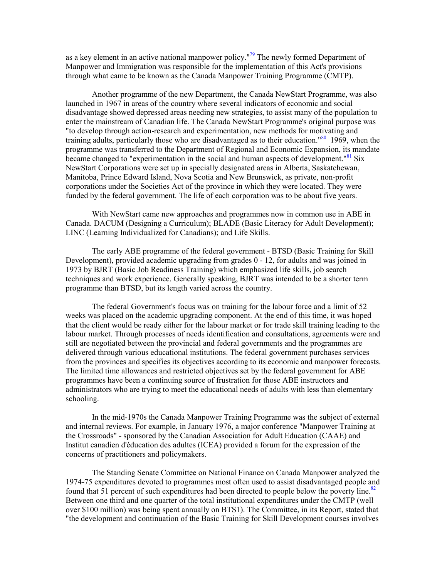as a key element in an active national manpower policy."<sup>[79](#page-116-2)</sup> The newly formed Department of Manpower and Immigration was responsible for the implementation of this Act's provisions through what came to be known as the Canada Manpower Training Programme (CMTP).

Another programme of the new Department, the Canada NewStart Programme, was also launched in 1967 in areas of the country where several indicators of economic and social disadvantage showed depressed areas needing new strategies, to assist many of the population to enter the mainstream of Canadian life. The Canada NewStart Programme's original purpose was "to develop through action-research and experimentation, new methods for motivating and training adults, particularly those who are disadvantaged as to their education."<sup>80</sup> 1969, when the programme was transferred to the Department of Regional and Economic Expansion, its mandate became changed to "experimentation in the social and human aspects of development."<sup>81</sup> Six NewStart Corporations were set up in specially designated areas in Alberta, Saskatchewan, Manitoba, Prince Edward Island, Nova Scotia and New Brunswick, as private, non-profit corporations under the Societies Act of the province in which they were located. They were funded by the federal government. The life of each corporation was to be about five years.

With NewStart came new approaches and programmes now in common use in ABE in Canada. DACUM (Designing a Curriculum); BLADE (Basic Literacy for Adult Development); LINC (Learning Individualized for Canadians); and Life Skills.

The early ABE programme of the federal government - BTSD (Basic Training for Skill Development), provided academic upgrading from grades 0 - 12, for adults and was joined in 1973 by BJRT (Basic Job Readiness Training) which emphasized life skills, job search techniques and work experience. Generally speaking, BJRT was intended to be a shorter term programme than BTSD, but its length varied across the country.

The federal Government's focus was on training for the labour force and a limit of 52 weeks was placed on the academic upgrading component. At the end of this time, it was hoped that the client would be ready either for the labour market or for trade skill training leading to the labour market. Through processes of needs identification and consultations, agreements were and still are negotiated between the provincial and federal governments and the programmes are delivered through various educational institutions. The federal government purchases services from the provinces and specifies its objectives according to its economic and manpower forecasts. The limited time allowances and restricted objectives set by the federal government for ABE programmes have been a continuing source of frustration for those ABE instructors and administrators who are trying to meet the educational needs of adults with less than elementary schooling.

In the mid-1970s the Canada Manpower Training Programme was the subject of external and internal reviews. For example, in January 1976, a major conference "Manpower Training at the Crossroads" - sponsored by the Canadian Association for Adult Education (CAAE) and Institut canadien d'éducation des adultes (ICEA) provided a forum for the expression of the concerns of practitioners and policymakers.

The Standing Senate Committee on National Finance on Canada Manpower analyzed the 1974-75 expenditures devoted to programmes most often used to assist disadvantaged people and found that 51 percent of such expenditures had been directed to people below the poverty line.<sup>[82](#page-116-5)</sup> Between one third and one quarter of the total institutional expenditures under the CMTP (well over \$100 million) was being spent annually on BTS1). The Committee, in its Report, stated that "the development and continuation of the Basic Training for Skill Development courses involves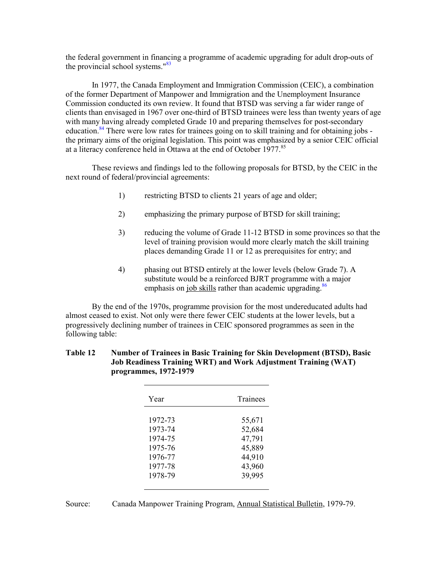the federal government in fina[ncin](#page-116-6)g a programme of academic upgrading for adult drop-outs of the provincial school systems." 83

In 1977, the Canada Employment and Immigration Commission (CEIC), a combination of the former Department of Manpower and Immigration and the Unemployment Insurance Commission conducted its own review. It found that BTSD was serving a far wider range of clients than envisaged in 1967 over one-third of BTSD trainees were less than twenty years of age with many having already completed Grade 10 and preparing themselves for post-secondary education.<sup>84</sup> There were low rates for trainees going on to skill training and for obtaining jobs the primary aims of the original legislation. This point was emphasized by a senior CEIC official at a literacy conference held in Ottawa at the end of October 1977.<sup>[85](#page-116-8)</sup>

These reviews and findings led to the following proposals for BTSD, by the CEIC in the next round of federal/provincial agreements:

- 1) restricting BTSD to clients 21 years of age and older;
- 2) emphasizing the primary purpose of BTSD for skill training;
- 3) reducing the volume of Grade 11-12 BTSD in some provinces so that the level of training provision would more clearly match the skill training places demanding Grade 11 or 12 as prerequisites for entry; and
- 4) phasing out BTSD entirely at the lower levels (below Grade 7). A substitute would be a reinforced BJRT programme wit[h a](#page-116-9) major emphasis on job skills rather than academic upgrading.<sup>86</sup>

 By the end of the 1970s, programme provision for the most undereducated adults had almost ceased to exist. Not only were there fewer CEIC students at the lower levels, but a progressively declining number of trainees in CEIC sponsored programmes as seen in the following table:

## **Table 12 Number of Trainees in Basic Training for Skin Development (BTSD), Basic Job Readiness Training WRT) and Work Adjustment Training (WAT) programmes, 1972-1979**

| Year    | Trainees |
|---------|----------|
| 1972-73 | 55,671   |
| 1973-74 | 52,684   |
| 1974-75 | 47,791   |
| 1975-76 | 45,889   |
| 1976-77 | 44,910   |
| 1977-78 | 43,960   |
| 1978-79 | 39,995   |
|         |          |

Source: Canada Manpower Training Program, Annual Statistical Bulletin, 1979-79.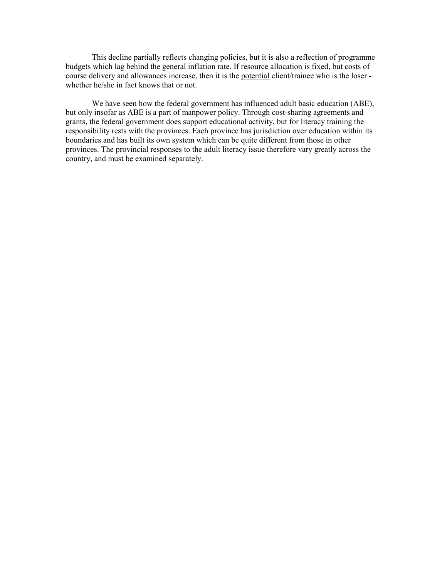This decline partially reflects changing policies, but it is also a reflection of programme budgets which lag behind the general inflation rate. If resource allocation is fixed, but costs of course delivery and allowances increase, then it is the potential client/trainee who is the loser whether he/she in fact knows that or not.

We have seen how the federal government has influenced adult basic education (ABE), but only insofar as ABE is a part of manpower policy. Through cost-sharing agreements and grants, the federal government does support educational activity, but for literacy training the responsibility rests with the provinces. Each province has jurisdiction over education within its boundaries and has built its own system which can be quite different from those in other provinces. The provincial responses to the adult literacy issue therefore vary greatly across the country, and must be examined separately.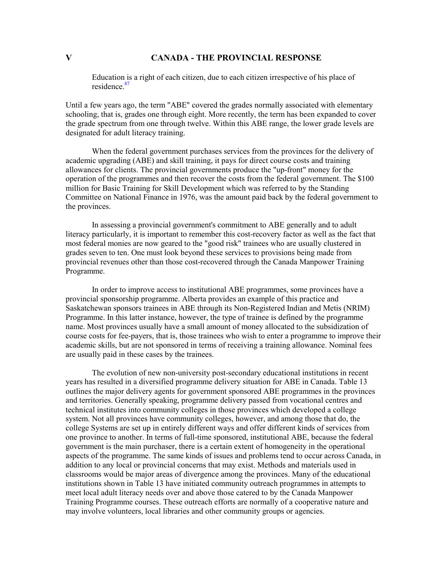# **V CANADA - THE PROVINCIAL RESPONSE**

Educatio[n is a](#page-116-10) right of each citizen, due to each citizen irrespective of his place of residence.<sup>87</sup>

Until a few years ago, the term "ABE" covered the grades normally associated with elementary schooling, that is, grades one through eight. More recently, the term has been expanded to cover the grade spectrum from one through twelve. Within this ABE range, the lower grade levels are designated for adult literacy training.

 When the federal government purchases services from the provinces for the delivery of academic upgrading (ABE) and skill training, it pays for direct course costs and training allowances for clients. The provincial governments produce the "up-front" money for the operation of the programmes and then recover the costs from the federal government. The \$100 million for Basic Training for Skill Development which was referred to by the Standing Committee on National Finance in 1976, was the amount paid back by the federal government to the provinces.

 In assessing a provincial government's commitment to ABE generally and to adult literacy particularly, it is important to remember this cost-recovery factor as well as the fact that most federal monies are now geared to the "good risk" trainees who are usually clustered in grades seven to ten. One must look beyond these services to provisions being made from provincial revenues other than those cost-recovered through the Canada Manpower Training Programme.

 In order to improve access to institutional ABE programmes, some provinces have a provincial sponsorship programme. Alberta provides an example of this practice and Saskatchewan sponsors trainees in ABE through its Non-Registered Indian and Metis (NRIM) Programme. In this latter instance, however, the type of trainee is defined by the programme name. Most provinces usually have a small amount of money allocated to the subsidization of course costs for fee-payers, that is, those trainees who wish to enter a programme to improve their academic skills, but are not sponsored in terms of receiving a training allowance. Nominal fees are usually paid in these cases by the trainees.

 The evolution of new non-university post-secondary educational institutions in recent years has resulted in a diversified programme delivery situation for ABE in Canada. Table 13 outlines the major delivery agents for government sponsored ABE programmes in the provinces and territories. Generally speaking, programme delivery passed from vocational centres and technical institutes into community colleges in those provinces which developed a college system. Not all provinces have community colleges, however, and among those that do, the college Systems are set up in entirely different ways and offer different kinds of services from one province to another. In terms of full-time sponsored, institutional ABE, because the federal government is the main purchaser, there is a certain extent of homogeneity in the operational aspects of the programme. The same kinds of issues and problems tend to occur across Canada, in addition to any local or provincial concerns that may exist. Methods and materials used in classrooms would be major areas of divergence among the provinces. Many of the educational institutions shown in Table 13 have initiated community outreach programmes in attempts to meet local adult literacy needs over and above those catered to by the Canada Manpower Training Programme courses. These outreach efforts are normally of a cooperative nature and may involve volunteers, local libraries and other community groups or agencies.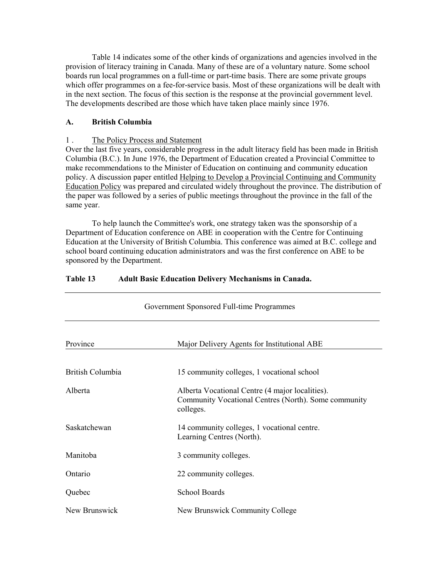Table 14 indicates some of the other kinds of organizations and agencies involved in the provision of literacy training in Canada. Many of these are of a voluntary nature. Some school boards run local programmes on a full-time or part-time basis. There are some private groups which offer programmes on a fee-for-service basis. Most of these organizations will be dealt with in the next section. The focus of this section is the response at the provincial government level. The developments described are those which have taken place mainly since 1976.

## **A. British Columbia**

## 1 . The Policy Process and Statement

Over the last five years, considerable progress in the adult literacy field has been made in British Columbia (B.C.). In June 1976, the Department of Education created a Provincial Committee to make recommendations to the Minister of Education on continuing and community education policy. A discussion paper entitled Helping to Develop a Provincial Continuing and Community Education Policy was prepared and circulated widely throughout the province. The distribution of the paper was followed by a series of public meetings throughout the province in the fall of the same year.

 To help launch the Committee's work, one strategy taken was the sponsorship of a Department of Education conference on ABE in cooperation with the Centre for Continuing Education at the University of British Columbia. This conference was aimed at B.C. college and school board continuing education administrators and was the first conference on ABE to be sponsored by the Department.

| Government Sponsored Full-time Programmes |                                                                                                                      |  |
|-------------------------------------------|----------------------------------------------------------------------------------------------------------------------|--|
| Province                                  | Major Delivery Agents for Institutional ABE                                                                          |  |
| British Columbia                          | 15 community colleges, 1 vocational school                                                                           |  |
| Alberta                                   | Alberta Vocational Centre (4 major localities).<br>Community Vocational Centres (North). Some community<br>colleges. |  |
| Saskatchewan                              | 14 community colleges, 1 vocational centre.<br>Learning Centres (North).                                             |  |
| Manitoba                                  | 3 community colleges.                                                                                                |  |
| Ontario                                   | 22 community colleges.                                                                                               |  |
| Quebec                                    | <b>School Boards</b>                                                                                                 |  |
| New Brunswick                             | New Brunswick Community College                                                                                      |  |

## **Table 13 Adult Basic Education Delivery Mechanisms in Canada.**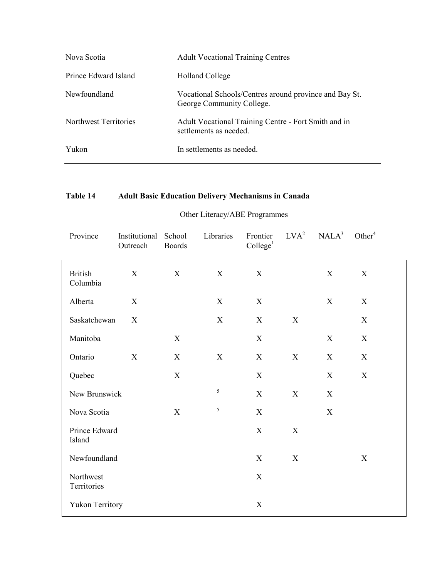| Nova Scotia           | <b>Adult Vocational Training Centres</b>                                            |
|-----------------------|-------------------------------------------------------------------------------------|
| Prince Edward Island  | <b>Holland College</b>                                                              |
| Newfoundland          | Vocational Schools/Centres around province and Bay St.<br>George Community College. |
| Northwest Territories | Adult Vocational Training Centre - Fort Smith and in<br>settlements as needed.      |
| Yukon                 | In settlements as needed.                                                           |

# **Table 14 Adult Basic Education Delivery Mechanisms in Canada**

# Other Literacy/ABE Programmes

| Province                   | Institutional<br>Outreach | School<br><b>Boards</b>   | Libraries                 | Frontier<br>Collect <sup>1</sup> | LVA <sup>2</sup> | NALA <sup>3</sup> | Other <sup>4</sup> |
|----------------------------|---------------------------|---------------------------|---------------------------|----------------------------------|------------------|-------------------|--------------------|
| <b>British</b><br>Columbia | X                         | $\mathbf X$               | X                         | $\mathbf X$                      |                  | X                 | $\mathbf X$        |
| Alberta                    | $\boldsymbol{X}$          |                           | $\boldsymbol{\mathrm{X}}$ | $\mathbf X$                      |                  | X                 | $\mathbf X$        |
| Saskatchewan               | X                         |                           | $\boldsymbol{\mathrm{X}}$ | $\mathbf X$                      | $\mathbf X$      |                   | $\mathbf X$        |
| Manitoba                   |                           | $\mathbf X$               |                           | $\mathbf X$                      |                  | $\mathbf X$       | $\mathbf X$        |
| Ontario                    | $\mathbf X$               | X                         | $\mathbf X$               | X                                | $\mathbf X$      | X                 | $\mathbf X$        |
| Quebec                     |                           | $\mathbf X$               |                           | X                                |                  | $\mathbf X$       | $\mathbf X$        |
| New Brunswick              |                           |                           | 5                         | $\boldsymbol{\mathrm{X}}$        | $\mathbf X$      | $\mathbf X$       |                    |
| Nova Scotia                |                           | $\boldsymbol{\mathrm{X}}$ | 5                         | $\mathbf X$                      |                  | X                 |                    |
| Prince Edward<br>Island    |                           |                           |                           | $\mathbf X$                      | $\mathbf X$      |                   |                    |
| Newfoundland               |                           |                           |                           | X                                | $\mathbf X$      |                   | $\mathbf X$        |
| Northwest<br>Territories   |                           |                           |                           | $\mathbf X$                      |                  |                   |                    |
| <b>Yukon Territory</b>     |                           |                           |                           | $\mathbf X$                      |                  |                   |                    |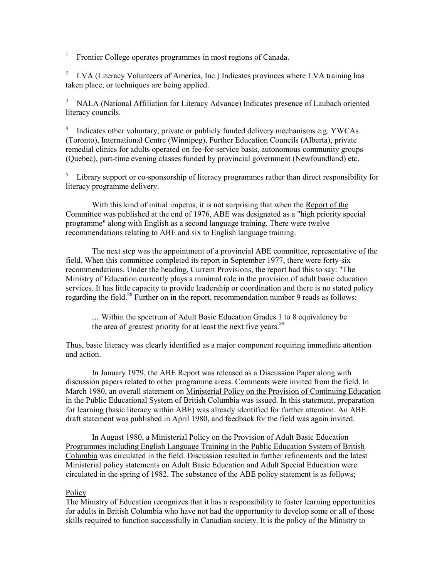<sup>1</sup> Frontier College operates programmes in most regions of Canada.

<sup>2</sup> LVA (Literacy Volunteers of America, Inc.) Indicates provinces where LVA training has taken place, or techniques are being applied.

<sup>3</sup> NALA (National Affiliation for Literacy Advance) Indicates presence of Laubach oriented literacy councils.

<sup>4</sup> Indicates other voluntary, private or publicly funded delivery mechanisms e.g. YWCAs (Toronto), International Centre (Winnipeg), Further Education Councils (Alberta), private remedial clinics for adults operated on fee-for-service basis, autonomous community groups (Quebec), part-time evening classes funded by provincial government (Newfoundland) etc.

 $5$  Library support or co-sponsorship of literacy programmes rather than direct responsibility for literacy programme delivery.

With this kind of initial impetus, it is not surprising that when the Report of the Committee was published at the end of 1976, ABE was designated as a "high priority special programme" along with English as a second language training. There were twelve recommendations relating to ABE and six to English language training.

The next step was the appointment of a provincial ABE committee, representative of the field. When this committee completed its report in September 1977, there were forty-six recommendations. Under the heading, Current Provisions, the report had this to say: "The Ministry of Education currently plays a minimal role in the provision of adult basic education services. It has little capacity to provide leadership or coordination and there is no stated policy regarding the field.<sup>88</sup> Further on in the report, recommendation number 9 reads as follows:

... Within the spectrum of Adult Basic Education Grades [1 to](#page-116-1) 8 equivalency be the area of greatest priority for at least the next five years.<sup>89</sup>

Thus, basic literacy was clearly identified as a major component requiring immediate attention and action.

 In January 1979, the ABE Report was released as a Discussion Paper along with discussion papers related to other programme areas. Comments were invited from the field. In March 1980, an overall statement on Ministerial Policy on the Provision of Continuing Education in the Public Educational System of British Columbia was issued. In this statement, preparation for learning (basic literacy within ABE) was already identified for further attention. An ABE draft statement was published in April 1980, and feedback for the field was again invited.

 In August 1980, a Ministerial Policy on the Provision of Adult Basic Education Programmes including English Language Training in the Public Education System of British Columbia was circulated in the field. Discussion resulted in further refinements and the latest Ministerial policy statements on Adult Basic Education and Adult Special Education were circulated in the spring of 1982. The substance of the ABE policy statement is as follows;

### Policy

The Ministry of Education recognizes that it has a responsibility to foster learning opportunities for adults in British Columbia who have not had the opportunity to develop some or all of those skills required to function successfully in Canadian society. It is the policy of the Ministry to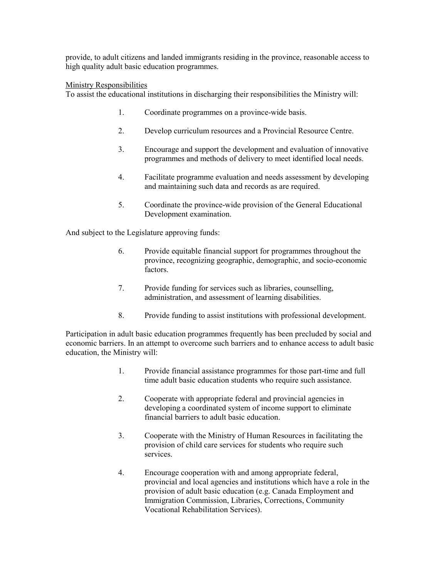provide, to adult citizens and landed immigrants residing in the province, reasonable access to high quality adult basic education programmes.

# Ministry Responsibilities

To assist the educational institutions in discharging their responsibilities the Ministry will:

- 1. Coordinate programmes on a province-wide basis.
- 2. Develop curriculum resources and a Provincial Resource Centre.
- 3. Encourage and support the development and evaluation of innovative programmes and methods of delivery to meet identified local needs.
- 4. Facilitate programme evaluation and needs assessment by developing and maintaining such data and records as are required.
- 5. Coordinate the province-wide provision of the General Educational Development examination.

And subject to the Legislature approving funds:

- 6. Provide equitable financial support for programmes throughout the province, recognizing geographic, demographic, and socio-economic factors.
- 7. Provide funding for services such as libraries, counselling, administration, and assessment of learning disabilities.
- 8. Provide funding to assist institutions with professional development.

Participation in adult basic education programmes frequently has been precluded by social and economic barriers. In an attempt to overcome such barriers and to enhance access to adult basic education, the Ministry will:

- 1. Provide financial assistance programmes for those part-time and full time adult basic education students who require such assistance.
- 2. Cooperate with appropriate federal and provincial agencies in developing a coordinated system of income support to eliminate financial barriers to adult basic education.
- 3. Cooperate with the Ministry of Human Resources in facilitating the provision of child care services for students who require such services.
- 4. Encourage cooperation with and among appropriate federal, provincial and local agencies and institutions which have a role in the provision of adult basic education (e.g. Canada Employment and Immigration Commission, Libraries, Corrections, Community Vocational Rehabilitation Services).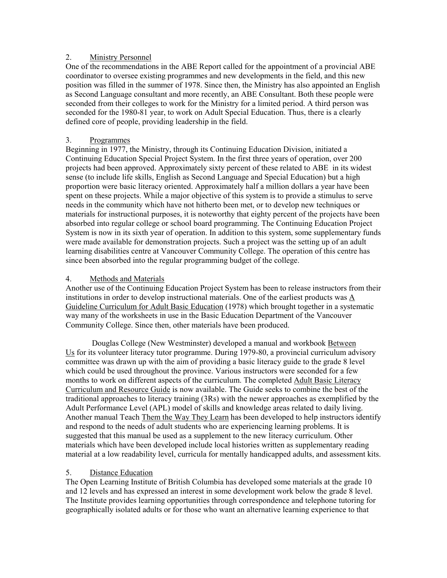# 2. Ministry Personnel

One of the recommendations in the ABE Report called for the appointment of a provincial ABE coordinator to oversee existing programmes and new developments in the field, and this new position was filled in the summer of 1978. Since then, the Ministry has also appointed an English as Second Language consultant and more recently, an ABE Consultant. Both these people were seconded from their colleges to work for the Ministry for a limited period. A third person was seconded for the 1980-81 year, to work on Adult Special Education. Thus, there is a clearly defined core of people, providing leadership in the field.

# 3. Programmes

Beginning in 1977, the Ministry, through its Continuing Education Division, initiated a Continuing Education Special Project System. In the first three years of operation, over 200 projects had been approved. Approximately sixty percent of these related to ABE in its widest sense (to include life skills, English as Second Language and Special Education) but a high proportion were basic literacy oriented. Approximately half a million dollars a year have been spent on these projects. While a major objective of this system is to provide a stimulus to serve needs in the community which have not hitherto been met, or to develop new techniques or materials for instructional purposes, it is noteworthy that eighty percent of the projects have been absorbed into regular college or school board programming. The Continuing Education Project System is now in its sixth year of operation. In addition to this system, some supplementary funds were made available for demonstration projects. Such a project was the setting up of an adult learning disabilities centre at Vancouver Community College. The operation of this centre has since been absorbed into the regular programming budget of the college.

# 4. Methods and Materials

Another use of the Continuing Education Project System has been to release instructors from their institutions in order to develop instructional materials. One of the earliest products was A Guideline Curriculum for Adult Basic Education (1978) which brought together in a systematic way many of the worksheets in use in the Basic Education Department of the Vancouver Community College. Since then, other materials have been produced.

 Douglas College (New Westminster) developed a manual and workbook Between Us for its volunteer literacy tutor programme. During 1979-80, a provincial curriculum advisory committee was drawn up with the aim of providing a basic literacy guide to the grade 8 level which could be used throughout the province. Various instructors were seconded for a few months to work on different aspects of the curriculum. The completed Adult Basic Literacy Curriculum and Resource Guide is now available. The Guide seeks to combine the best of the traditional approaches to literacy training (3Rs) with the newer approaches as exemplified by the Adult Performance Level (APL) model of skills and knowledge areas related to daily living. Another manual Teach Them the Way They Learn has been developed to help instructors identify and respond to the needs of adult students who are experiencing learning problems. It is suggested that this manual be used as a supplement to the new literacy curriculum. Other materials which have been developed include local histories written as supplementary reading material at a low readability level, curricula for mentally handicapped adults, and assessment kits.

# 5. Distance Education

The Open Learning Institute of British Columbia has developed some materials at the grade 10 and 12 levels and has expressed an interest in some development work below the grade 8 level. The Institute provides learning opportunities through correspondence and telephone tutoring for geographically isolated adults or for those who want an alternative learning experience to that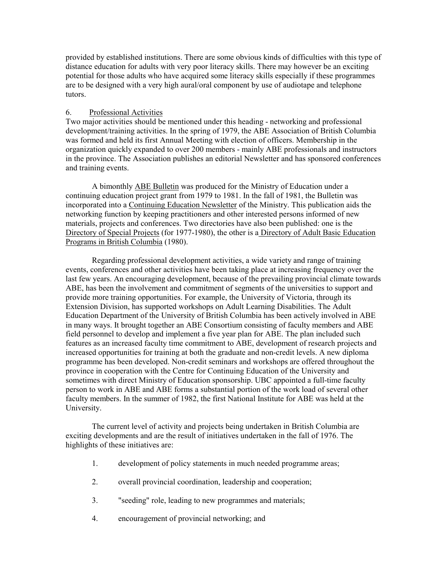provided by established institutions. There are some obvious kinds of difficulties with this type of distance education for adults with very poor literacy skills. There may however be an exciting potential for those adults who have acquired some literacy skills especially if these programmes are to be designed with a very high aural/oral component by use of audiotape and telephone tutors.

# 6. Professional Activities

Two major activities should be mentioned under this heading - networking and professional development/training activities. In the spring of 1979, the ABE Association of British Columbia was formed and held its first Annual Meeting with election of officers. Membership in the organization quickly expanded to over 200 members - mainly ABE professionals and instructors in the province. The Association publishes an editorial Newsletter and has sponsored conferences and training events.

 A bimonthly ABE Bulletin was produced for the Ministry of Education under a continuing education project grant from 1979 to 1981. In the fall of 1981, the Bulletin was incorporated into a Continuing Education Newsletter of the Ministry. This publication aids the networking function by keeping practitioners and other interested persons informed of new materials, projects and conferences. Two directories have also been published: one is the Directory of Special Projects (for 1977-1980), the other is a Directory of Adult Basic Education Programs in British Columbia (1980).

 Regarding professional development activities, a wide variety and range of training events, conferences and other activities have been taking place at increasing frequency over the last few years. An encouraging development, because of the prevailing provincial climate towards ABE, has been the involvement and commitment of segments of the universities to support and provide more training opportunities. For example, the University of Victoria, through its Extension Division, has supported workshops on Adult Learning Disabilities. The Adult Education Department of the University of British Columbia has been actively involved in ABE in many ways. It brought together an ABE Consortium consisting of faculty members and ABE field personnel to develop and implement a five year plan for ABE. The plan included such features as an increased faculty time commitment to ABE, development of research projects and increased opportunities for training at both the graduate and non-credit levels. A new diploma programme has been developed. Non-credit seminars and workshops are offered throughout the province in cooperation with the Centre for Continuing Education of the University and sometimes with direct Ministry of Education sponsorship. UBC appointed a full-time faculty person to work in ABE and ABE forms a substantial portion of the work load of several other faculty members. In the summer of 1982, the first National Institute for ABE was held at the University.

 The current level of activity and projects being undertaken in British Columbia are exciting developments and are the result of initiatives undertaken in the fall of 1976. The highlights of these initiatives are:

- 1. development of policy statements in much needed programme areas;
- 2. overall provincial coordination, leadership and cooperation;
- 3. "seeding" role, leading to new programmes and materials;
- 4. encouragement of provincial networking; and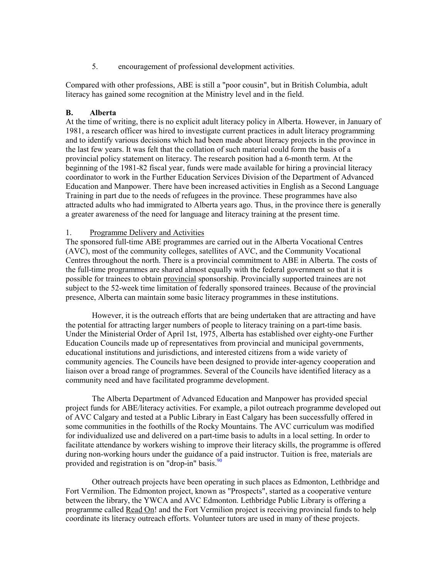5. encouragement of professional development activities.

Compared with other professions, ABE is still a "poor cousin", but in British Columbia, adult literacy has gained some recognition at the Ministry level and in the field.

# **B. Alberta**

At the time of writing, there is no explicit adult literacy policy in Alberta. However, in January of 1981, a research officer was hired to investigate current practices in adult literacy programming and to identify various decisions which had been made about literacy projects in the province in the last few years. It was felt that the collation of such material could form the basis of a provincial policy statement on literacy. The research position had a 6-month term. At the beginning of the 1981-82 fiscal year, funds were made available for hiring a provincial literacy coordinator to work in the Further Education Services Division of the Department of Advanced Education and Manpower. There have been increased activities in English as a Second Language Training in part due to the needs of refugees in the province. These programmes have also attracted adults who had immigrated to Alberta years ago. Thus, in the province there is generally a greater awareness of the need for language and literacy training at the present time.

# 1. Programme Delivery and Activities

The sponsored full-time ABE programmes are carried out in the Alberta Vocational Centres (AVC), most of the community colleges, satellites of AVC, and the Community Vocational Centres throughout the north. There is a provincial commitment to ABE in Alberta. The costs of the full-time programmes are shared almost equally with the federal government so that it is possible for trainees to obtain provincial sponsorship. Provincially supported trainees are not subject to the 52-week time limitation of federally sponsored trainees. Because of the provincial presence, Alberta can maintain some basic literacy programmes in these institutions.

However, it is the outreach efforts that are being undertaken that are attracting and have the potential for attracting larger numbers of people to literacy training on a part-time basis. Under the Ministerial Order of April 1st, 1975, Alberta has established over eighty-one Further Education Councils made up of representatives from provincial and municipal governments, educational institutions and jurisdictions, and interested citizens from a wide variety of community agencies. The Councils have been designed to provide inter-agency cooperation and liaison over a broad range of programmes. Several of the Councils have identified literacy as a community need and have facilitated programme development.

The Alberta Department of Advanced Education and Manpower has provided special project funds for ABE/literacy activities. For example, a pilot outreach programme developed out of AVC Calgary and tested at a Public Library in East Calgary has been successfully offered in some communities in the foothills of the Rocky Mountains. The AVC curriculum was modified for individualized use and delivered on a part-time basis to adults in a local setting. In order to facilitate attendance by workers wishing to improve their literacy skills, the programme is offered during non-working hours under the guidance [of a](#page-116-1) paid instructor. Tuition is free, materials are provided and registration is on "drop-in" basis.<sup>90</sup>

 Other outreach projects have been operating in such places as Edmonton, Lethbridge and Fort Vermilion. The Edmonton project, known as "Prospects", started as a cooperative venture between the library, the YWCA and AVC Edmonton. Lethbridge Public Library is offering a programme called Read On! and the Fort Vermilion project is receiving provincial funds to help coordinate its literacy outreach efforts. Volunteer tutors are used in many of these projects.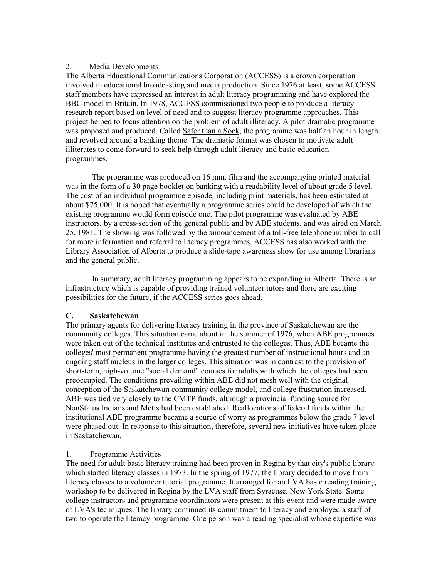# 2. Media Developments

The Alberta Educational Communications Corporation (ACCESS) is a crown corporation involved in educational broadcasting and media production. Since 1976 at least, some ACCESS staff members have expressed an interest in adult literacy programming and have explored the BBC model in Britain. In 1978, ACCESS commissioned two people to produce a literacy research report based on level of need and to suggest literacy programme approaches. This project helped to focus attention on the problem of adult illiteracy. A pilot dramatic programme was proposed and produced. Called Safer than a Sock, the programme was half an hour in length and revolved around a banking theme. The dramatic format was chosen to motivate adult illiterates to come forward to seek help through adult literacy and basic education programmes.

 The programme was produced on 16 mm. film and the accompanying printed material was in the form of a 30 page booklet on banking with a readability level of about grade 5 level. The cost of an individual programme episode, including print materials, has been estimated at about \$75,000. It is hoped that eventually a programme series could be developed of which the existing programme would form episode one. The pilot programme was evaluated by ABE instructors, by a cross-section of the general public and by ABE students, and was aired on March 25, 1981. The showing was followed by the announcement of a toll-free telephone number to call for more information and referral to literacy programmes. ACCESS has also worked with the Library Association of Alberta to produce a slide-tape awareness show for use among librarians and the general public.

 In summary, adult literacy programming appears to be expanding in Alberta. There is an infrastructure which is capable of providing trained volunteer tutors and there are exciting possibilities for the future, if the ACCESS series goes ahead.

# **C. Saskatchewan**

The primary agents for delivering literacy training in the province of Saskatchewan are the community colleges. This situation came about in the summer of 1976, when ABE programmes were taken out of the technical institutes and entrusted to the colleges. Thus, ABE became the colleges' most permanent programme having the greatest number of instructional hours and an ongoing staff nucleus in the larger colleges. This situation was in contrast to the provision of short-term, high-volume "social demand" courses for adults with which the colleges had been preoccupied. The conditions prevailing within ABE did not mesh well with the original conception of the Saskatchewan community college model, and college frustration increased. ABE was tied very closely to the CMTP funds, although a provincial funding source for NonStatus Indians and Métis had been established. Reallocations of federal funds within the institutional ABE programme became a source of worry as programmes below the grade 7 level were phased out. In response to this situation, therefore, several new initiatives have taken place in Saskatchewan.

# 1. Programme Activities

The need for adult basic literacy training had been proven in Regina by that city's public library which started literacy classes in 1973. In the spring of 1977, the library decided to move from literacy classes to a volunteer tutorial programme. It arranged for an LVA basic reading training workshop to be delivered in Regina by the LVA staff from Syracuse, New York State. Some college instructors and programme coordinators were present at this event and were made aware of LVA's techniques. The library continued its commitment to literacy and employed a staff of two to operate the literacy programme. One person was a reading specialist whose expertise was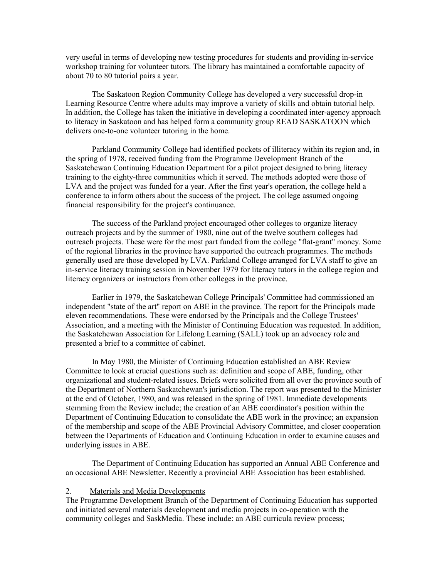very useful in terms of developing new testing procedures for students and providing in-service workshop training for volunteer tutors. The library has maintained a comfortable capacity of about 70 to 80 tutorial pairs a year.

 The Saskatoon Region Community College has developed a very successful drop-in Learning Resource Centre where adults may improve a variety of skills and obtain tutorial help. In addition, the College has taken the initiative in developing a coordinated inter-agency approach to literacy in Saskatoon and has helped form a community group READ SASKATOON which delivers one-to-one volunteer tutoring in the home.

 Parkland Community College had identified pockets of illiteracy within its region and, in the spring of 1978, received funding from the Programme Development Branch of the Saskatchewan Continuing Education Department for a pilot project designed to bring literacy training to the eighty-three communities which it served. The methods adopted were those of LVA and the project was funded for a year. After the first year's operation, the college held a conference to inform others about the success of the project. The college assumed ongoing financial responsibility for the project's continuance.

 The success of the Parkland project encouraged other colleges to organize literacy outreach projects and by the summer of 1980, nine out of the twelve southern colleges had outreach projects. These were for the most part funded from the college "flat-grant" money. Some of the regional libraries in the province have supported the outreach programmes. The methods generally used are those developed by LVA. Parkland College arranged for LVA staff to give an in-service literacy training session in November 1979 for literacy tutors in the college region and literacy organizers or instructors from other colleges in the province.

 Earlier in 1979, the Saskatchewan College Principals' Committee had commissioned an independent "state of the art" report on ABE in the province. The report for the Principals made eleven recommendations. These were endorsed by the Principals and the College Trustees' Association, and a meeting with the Minister of Continuing Education was requested. In addition, the Saskatchewan Association for Lifelong Learning (SALL) took up an advocacy role and presented a brief to a committee of cabinet.

 In May 1980, the Minister of Continuing Education established an ABE Review Committee to look at crucial questions such as: definition and scope of ABE, funding, other organizational and student-related issues. Briefs were solicited from all over the province south of the Department of Northern Saskatchewan's jurisdiction. The report was presented to the Minister at the end of October, 1980, and was released in the spring of 1981. Immediate developments stemming from the Review include; the creation of an ABE coordinator's position within the Department of Continuing Education to consolidate the ABE work in the province; an expansion of the membership and scope of the ABE Provincial Advisory Committee, and closer cooperation between the Departments of Education and Continuing Education in order to examine causes and underlying issues in ABE.

 The Department of Continuing Education has supported an Annual ABE Conference and an occasional ABE Newsletter. Recently a provincial ABE Association has been established.

#### 2. Materials and Media Developments

The Programme Development Branch of the Department of Continuing Education has supported and initiated several materials development and media projects in co-operation with the community colleges and SaskMedia. These include: an ABE curricula review process;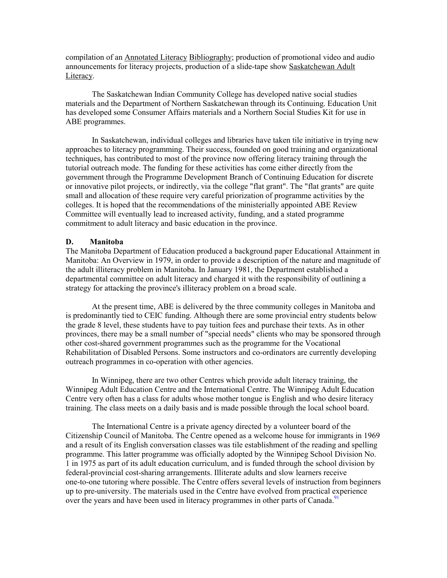compilation of an Annotated Literacy Bibliography; production of promotional video and audio announcements for literacy projects, production of a slide-tape show Saskatchewan Adult Literacy.

The Saskatchewan Indian Community College has developed native social studies materials and the Department of Northern Saskatchewan through its Continuing. Education Unit has developed some Consumer Affairs materials and a Northern Social Studies Kit for use in ABE programmes.

In Saskatchewan, individual colleges and libraries have taken tile initiative in trying new approaches to literacy programming. Their success, founded on good training and organizational techniques, has contributed to most of the province now offering literacy training through the tutorial outreach mode. The funding for these activities has come either directly from the government through the Programme Development Branch of Continuing Education for discrete or innovative pilot projects, or indirectly, via the college "flat grant". The "flat grants" are quite small and allocation of these require very careful priorization of programme activities by the colleges. It is hoped that the recommendations of the ministerially appointed ABE Review Committee will eventually lead to increased activity, funding, and a stated programme commitment to adult literacy and basic education in the province.

### **D. Manitoba**

The Manitoba Department of Education produced a background paper Educational Attainment in Manitoba: An Overview in 1979, in order to provide a description of the nature and magnitude of the adult illiteracy problem in Manitoba. In January 1981, the Department established a departmental committee on adult literacy and charged it with the responsibility of outlining a strategy for attacking the province's illiteracy problem on a broad scale.

At the present time, ABE is delivered by the three community colleges in Manitoba and is predominantly tied to CEIC funding. Although there are some provincial entry students below the grade 8 level, these students have to pay tuition fees and purchase their texts. As in other provinces, there may be a small number of "special needs" clients who may be sponsored through other cost-shared government programmes such as the programme for the Vocational Rehabilitation of Disabled Persons. Some instructors and co-ordinators are currently developing outreach programmes in co-operation with other agencies.

In Winnipeg, there are two other Centres which provide adult literacy training, the Winnipeg Adult Education Centre and the International Centre. The Winnipeg Adult Education Centre very often has a class for adults whose mother tongue is English and who desire literacy training. The class meets on a daily basis and is made possible through the local school board.

The International Centre is a private agency directed by a volunteer board of the Citizenship Council of Manitoba. The Centre opened as a welcome house for immigrants in 1969 and a result of its English conversation classes was tile establishment of the reading and spelling programme. This latter programme was officially adopted by the Winnipeg School Division No. 1 in 1975 as part of its adult education curriculum, and is funded through the school division by federal-provincial cost-sharing arrangements. Illiterate adults and slow learners receive one-to-one tutoring where possible. The Centre offers several levels of instruction from beginners up to pre-university. The materials used in the Centre have evolved from practical [exp](#page-116-1)erience over the years and have been used in literacy programmes in other parts of Canada.<sup>91</sup>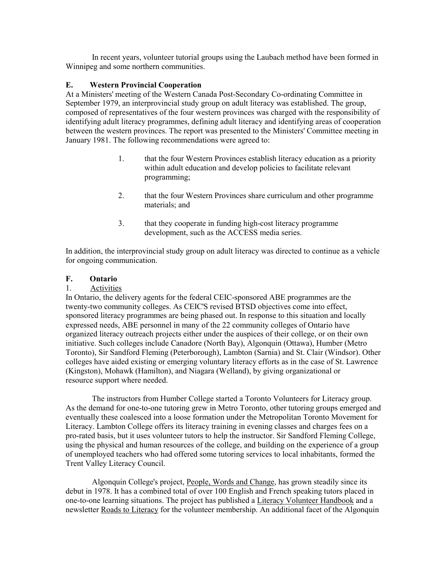In recent years, volunteer tutorial groups using the Laubach method have been formed in Winnipeg and some northern communities.

# **E. Western Provincial Cooperation**

At a Ministers' meeting of the Western Canada Post-Secondary Co-ordinating Committee in September 1979, an interprovincial study group on adult literacy was established. The group, composed of representatives of the four western provinces was charged with the responsibility of identifying adult literacy programmes, defining adult literacy and identifying areas of cooperation between the western provinces. The report was presented to the Ministers' Committee meeting in January 1981. The following recommendations were agreed to:

- 1. that the four Western Provinces establish literacy education as a priority within adult education and develop policies to facilitate relevant programming;
- 2. that the four Western Provinces share curriculum and other programme materials; and
- 3. that they cooperate in funding high-cost literacy programme development, such as the ACCESS media series.

In addition, the interprovincial study group on adult literacy was directed to continue as a vehicle for ongoing communication.

# **F. Ontario**

# 1. Activities

In Ontario, the delivery agents for the federal CEIC-sponsored ABE programmes are the twenty-two community colleges. As CEIC'S revised BTSD objectives come into effect, sponsored literacy programmes are being phased out. In response to this situation and locally expressed needs, ABE personnel in many of the 22 community colleges of Ontario have organized literacy outreach projects either under the auspices of their college, or on their own initiative. Such colleges include Canadore (North Bay), Algonquin (Ottawa), Humber (Metro Toronto), Sir Sandford Fleming (Peterborough), Lambton (Sarnia) and St. Clair (Windsor). Other colleges have aided existing or emerging voluntary literacy efforts as in the case of St. Lawrence (Kingston), Mohawk (Hamilton), and Niagara (Welland), by giving organizational or resource support where needed.

 The instructors from Humber College started a Toronto Volunteers for Literacy group. As the demand for one-to-one tutoring grew in Metro Toronto, other tutoring groups emerged and eventually these coalesced into a loose formation under the Metropolitan Toronto Movement for Literacy. Lambton College offers its literacy training in evening classes and charges fees on a pro-rated basis, but it uses volunteer tutors to help the instructor. Sir Sandford Fleming College, using the physical and human resources of the college, and building on the experience of a group of unemployed teachers who had offered some tutoring services to local inhabitants, formed the Trent Valley Literacy Council.

Algonquin College's project, People, Words and Change, has grown steadily since its debut in 1978. It has a combined total of over 100 English and French speaking tutors placed in one-to-one learning situations. The project has published a Literacy Volunteer Handbook and a newsletter Roads to Literacy for the volunteer membership. An additional facet of the Algonquin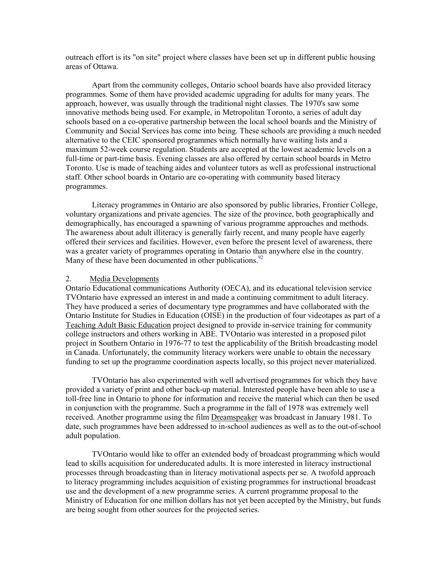outreach effort is its "on site" project where classes have been set up in different public housing areas of Ottawa.

Apart from the community colleges, Ontario school boards have also provided literacy programmes. Some of them have provided academic upgrading for adults for many years. The approach, however, was usually through the traditional night classes. The 1970's saw some innovative methods being used. For example, in Metropolitan Toronto, a series of adult day schools based on a co-operative partnership between the local school boards and the Ministry of Community and Social Services has come into being. These schools are providing a much needed alternative to the CEIC sponsored programmes which normally have waiting lists and a maximum 52-week course regulation. Students are accepted at the lowest academic levels on a full-time or part-time basis. Evening classes are also offered by certain school boards in Metro Toronto. Use is made of teaching aides and volunteer tutors as well as professional instructional staff. Other school boards in Ontario are co-operating with community based literacy programmes.

Literacy programmes in Ontario are also sponsored by public libraries, Frontier College, voluntary organizations and private agencies. The size of the province, both geographically and demographically, has encouraged a spawning of various programme approaches and methods. The awareness about adult illiteracy is generally fairly recent, and many people have eagerly offered their services and facilities. However, even before the present level of awareness, there was a greater variety of programmes operating in Ontario t[han](#page-116-1) anywhere else in the country. Many of these have been documented in other publications.<sup>92</sup>

### 2. Media Developments

Ontario Educational communications Authority (OECA), and its educational television service TVOntario have expressed an interest in and made a continuing commitment to adult literacy. They have produced a series of documentary type programmes and have collaborated with the Ontario Institute for Studies in Education (OISE) in the production of four videotapes as part of a Teaching Adult Basic Education project designed to provide in-service training for community college instructors and others working in ABE. TVOntario was interested in a proposed pilot project in Southern Ontario in 1976-77 to test the applicability of the British broadcasting model in Canada. Unfortunately, the community literacy workers were unable to obtain the necessary funding to set up the programme coordination aspects locally, so this project never materialized.

 TVOntario has also experimented with well advertised programmes for which they have provided a variety of print and other back-up material. Interested people have been able to use a toll-free line in Ontario to phone for information and receive the material which can then be used in conjunction with the programme. Such a programme in the fall of 1978 was extremely well received. Another programme using the film Dreamspeaker was broadcast in January 1981. To date, such programmes have been addressed to in-school audiences as well as to the out-of-school adult population.

 TVOntario would like to offer an extended body of broadcast programming which would lead to skills acquisition for undereducated adults. It is more interested in literacy instructional processes through broadcasting than in literacy motivational aspects per se. A twofold approach to literacy programming includes acquisition of existing programmes for instructional broadcast use and the development of a new programme series. A current programme proposal to the Ministry of Education for one million dollars has not yet been accepted by the Ministry, but funds are being sought from other sources for the projected series.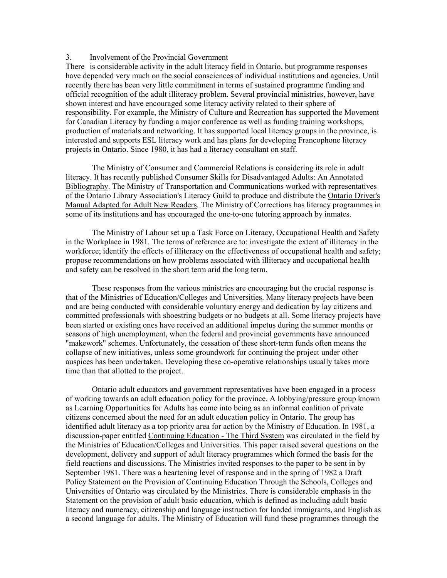# 3. Involvement of the Provincial Government

There is considerable activity in the adult literacy field in Ontario, but programme responses have depended very much on the social consciences of individual institutions and agencies. Until recently there has been very little commitment in terms of sustained programme funding and official recognition of the adult illiteracy problem. Several provincial ministries, however, have shown interest and have encouraged some literacy activity related to their sphere of responsibility. For example, the Ministry of Culture and Recreation has supported the Movement for Canadian Literacy by funding a major conference as well as funding training workshops, production of materials and networking. It has supported local literacy groups in the province, is interested and supports ESL literacy work and has plans for developing Francophone literacy projects in Ontario. Since 1980, it has had a literacy consultant on staff.

 The Ministry of Consumer and Commercial Relations is considering its role in adult literacy. It has recently published Consumer Skills for Disadvantaged Adults: An Annotated Bibliography. The Ministry of Transportation and Communications worked with representatives of the Ontario Library Association's Literacy Guild to produce and distribute the Ontario Driver's Manual Adapted for Adult New Readers. The Ministry of Corrections has literacy programmes in some of its institutions and has encouraged the one-to-one tutoring approach by inmates.

 The Ministry of Labour set up a Task Force on Literacy, Occupational Health and Safety in the Workplace in 1981. The terms of reference are to: investigate the extent of illiteracy in the workforce; identify the effects of illiteracy on the effectiveness of occupational health and safety; propose recommendations on how problems associated with illiteracy and occupational health and safety can be resolved in the short term arid the long term.

 These responses from the various ministries are encouraging but the crucial response is that of the Ministries of Education/Colleges and Universities. Many literacy projects have been and are being conducted with considerable voluntary energy and dedication by lay citizens and committed professionals with shoestring budgets or no budgets at all. Some literacy projects have been started or existing ones have received an additional impetus during the summer months or seasons of high unemployment, when the federal and provincial governments have announced "makework" schemes. Unfortunately, the cessation of these short-term funds often means the collapse of new initiatives, unless some groundwork for continuing the project under other auspices has been undertaken. Developing these co-operative relationships usually takes more time than that allotted to the project.

 Ontario adult educators and government representatives have been engaged in a process of working towards an adult education policy for the province. A lobbying/pressure group known as Learning Opportunities for Adults has come into being as an informal coalition of private citizens concerned about the need for an adult education policy in Ontario. The group has identified adult literacy as a top priority area for action by the Ministry of Education. In 1981, a discussion-paper entitled Continuing Education - The Third System was circulated in the field by the Ministries of Education/Colleges and Universities. This paper raised several questions on the development, delivery and support of adult literacy programmes which formed the basis for the field reactions and discussions. The Ministries invited responses to the paper to be sent in by September 1981. There was a heartening level of response and in the spring of 1982 a Draft Policy Statement on the Provision of Continuing Education Through the Schools, Colleges and Universities of Ontario was circulated by the Ministries. There is considerable emphasis in the Statement on the provision of adult basic education, which is defined as including adult basic literacy and numeracy, citizenship and language instruction for landed immigrants, and English as a second language for adults. The Ministry of Education will fund these programmes through the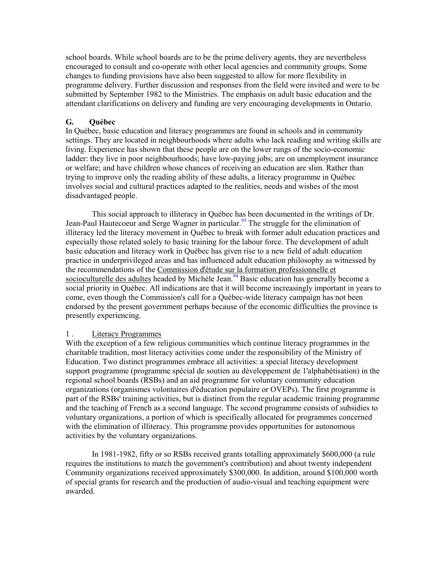school boards. While school boards are to be the prime delivery agents, they are nevertheless encouraged to consult and co-operate with other local agencies and community groups. Some changes to funding provisions have also been suggested to allow for more flexibility in programme delivery. Further discussion and responses from the field were invited and were to be submitted by September 1982 to the Ministries. The emphasis on adult basic education and the attendant clarifications on delivery and funding are very encouraging developments in Ontario.

# **G. Québec**

In Québec, basic education and literacy programmes are found in schools and in community settings. They are located in neighbourhoods where adults who lack reading and writing skills are living. Experience has shown that these people are on the lower rungs of the socio-economic ladder: they live in poor neighbourhoods; have low-paying jobs; are on unemployment insurance or welfare; and have children whose chances of receiving an education are slim. Rather than trying to improve only the reading ability of these adults, a literacy programme in Québec involves social and cultural practices adapted to the realities, needs and wishes of the most disadvantaged people.

This social approach to illiteracy in Québec has been documented in the writings of Dr. Jean-Paul Hautecoeur and Serge Wagner in particular.<sup>93</sup> The struggle for the elimination of illiteracy led the literacy movement in Québec to break with former adult education practices and especially those related solely to basic training for the labour force. The development of adult basic education and literacy work in Québec has given rise to a new field of adult education practice in underprivileged areas and has influenced adult education philosophy as witnessed by the recommendations of the Commission d'étude sur la formation professionnelle et socioculturelle des adultes headed by Michèle Jean.<sup>94</sup> Basic education has generally become a social priority in Québec. All indications are that it will become increasingly important in years to come, even though the Commission's call for a Québec-wide literacy campaign has not been endorsed by the present government perhaps because of the economic difficulties the province is presently experiencing.

### 1 . Literacy Programmes

With the exception of a few religious communities which continue literacy programmes in the charitable tradition, most literacy activities come under the responsibility of the Ministry of Education. Two distinct programmes embrace all activities: a special literacy development support programme (programme spécial de soutien au développement de 1'alphabétisation) in the regional school boards (RSBs) and an aid programme for voluntary community education organizations (organismes volontaires d'éducation populaire or OVEPs). The first programme is part of the RSBs' training activities, but is distinct from the regular academic training programme and the teaching of French as a second language. The second programme consists of subsidies to voluntary organizations, a portion of which is specifically allocated for programmes concerned with the elimination of illiteracy. This programme provides opportunities for autonomous activities by the voluntary organizations.

 In 1981-1982, fifty or so RSBs received grants totalling approximately \$600,000 (a rule requires the institutions to match the government's contribution) and about twenty independent Community organizations received approximately \$300,000. In addition, around \$100,000 worth of special grants for research and the production of audio-visual and teaching equipment were awarded.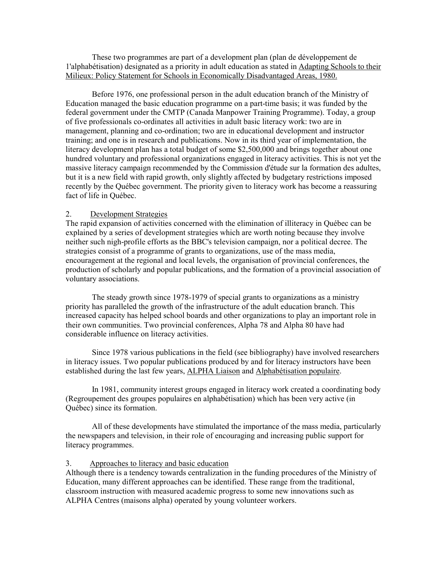These two programmes are part of a development plan (plan de développement de 1'alphabétisation) designated as a priority in adult education as stated in Adapting Schools to their Milieux: Policy Statement for Schools in Economically Disadvantaged Areas, 1980.

 Before 1976, one professional person in the adult education branch of the Ministry of Education managed the basic education programme on a part-time basis; it was funded by the federal government under the CMTP (Canada Manpower Training Programme). Today, a group of five professionals co-ordinates all activities in adult basic literacy work: two are in management, planning and co-ordination; two are in educational development and instructor training; and one is in research and publications. Now in its third year of implementation, the literacy development plan has a total budget of some \$2,500,000 and brings together about one hundred voluntary and professional organizations engaged in literacy activities. This is not yet the massive literacy campaign recommended by the Commission d'étude sur la formation des adultes, but it is a new field with rapid growth, only slightly affected by budgetary restrictions imposed recently by the Québec government. The priority given to literacy work has become a reassuring fact of life in Québec.

### 2. Development Strategies

The rapid expansion of activities concerned with the elimination of illiteracy in Québec can be explained by a series of development strategies which are worth noting because they involve neither such nigh-profile efforts as the BBC's television campaign, nor a political decree. The strategies consist of a programme of grants to organizations, use of the mass media, encouragement at the regional and local levels, the organisation of provincial conferences, the production of scholarly and popular publications, and the formation of a provincial association of voluntary associations.

 The steady growth since 1978-1979 of special grants to organizations as a ministry priority has paralleled the growth of the infrastructure of the adult education branch. This increased capacity has helped school boards and other organizations to play an important role in their own communities. Two provincial conferences, Alpha 78 and Alpha 80 have had considerable influence on literacy activities.

 Since 1978 various publications in the field (see bibliography) have involved researchers in literacy issues. Two popular publications produced by and for literacy instructors have been established during the last few years, ALPHA Liaison and Alphabétisation populaire.

 In 1981, community interest groups engaged in literacy work created a coordinating body (Regroupement des groupes populaires en alphabétisation) which has been very active (in Québec) since its formation.

 All of these developments have stimulated the importance of the mass media, particularly the newspapers and television, in their role of encouraging and increasing public support for literacy programmes.

# 3. Approaches to literacy and basic education

Although there is a tendency towards centralization in the funding procedures of the Ministry of Education, many different approaches can be identified. These range from the traditional, classroom instruction with measured academic progress to some new innovations such as ALPHA Centres (maisons alpha) operated by young volunteer workers.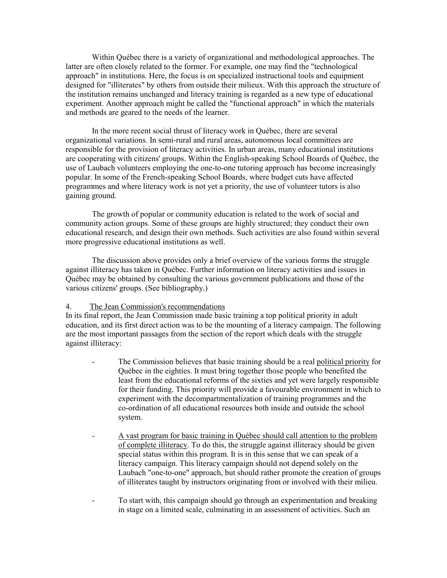Within Québec there is a variety of organizational and methodological approaches. The latter are often closely related to the former. For example, one may find the "technological approach" in institutions. Here, the focus is on specialized instructional tools and equipment designed for "illiterates" by others from outside their milieux. With this approach the structure of the institution remains unchanged and literacy training is regarded as a new type of educational experiment. Another approach might be called the "functional approach" in which the materials and methods are geared to the needs of the learner.

 In the more recent social thrust of literacy work in Québec, there are several organizational variations. In semi-rural and rural areas, autonomous local committees are responsible for the provision of literacy activities. In urban areas, many educational institutions are cooperating with citizens' groups. Within the English-speaking School Boards of Québec, the use of Laubach volunteers employing the one-to-one tutoring approach has become increasingly popular. In some of the French-speaking School Boards, where budget cuts have affected programmes and where literacy work is not yet a priority, the use of volunteer tutors is also gaining ground.

 The growth of popular or community education is related to the work of social and community action groups. Some of these groups are highly structured; they conduct their own educational research, and design their own methods. Such activities are also found within several more progressive educational institutions as well.

 The discussion above provides only a brief overview of the various forms the struggle against illiteracy has taken in Québec. Further information on literacy activities and issues in Québec may be obtained by consulting the various government publications and those of the various citizens' groups. (See bibliography.)

### 4. The Jean Commission's recommendations

In its final report, the Jean Commission made basic training a top political priority in adult education, and its first direct action was to be the mounting of a literacy campaign. The following are the most important passages from the section of the report which deals with the struggle against illiteracy:

- The Commission believes that basic training should be a real political priority for Québec in the eighties. It must bring together those people who benefited the least from the educational reforms of the sixties and yet were largely responsible for their funding. This priority will provide a favourable environment in which to experiment with the decompartmentalization of training programmes and the co-ordination of all educational resources both inside and outside the school system.
- A vast program for basic training in Québec should call attention to the problem of complete illiteracy. To do this, the struggle against illiteracy should be given special status within this program. It is in this sense that we can speak of a literacy campaign. This literacy campaign should not depend solely on the Laubach "one-to-one" approach, but should rather promote the creation of groups of illiterates taught by instructors originating from or involved with their milieu.
- To start with, this campaign should go through an experimentation and breaking in stage on a limited scale, culminating in an assessment of activities. Such an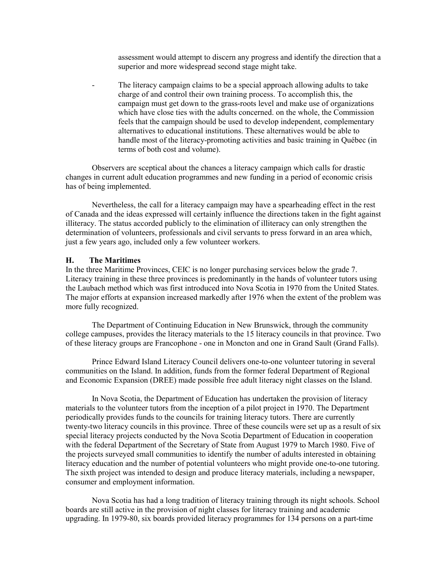assessment would attempt to discern any progress and identify the direction that a superior and more widespread second stage might take.

The literacy campaign claims to be a special approach allowing adults to take charge of and control their own training process. To accomplish this, the campaign must get down to the grass-roots level and make use of organizations which have close ties with the adults concerned. on the whole, the Commission feels that the campaign should be used to develop independent, complementary alternatives to educational institutions. These alternatives would be able to handle most of the literacy-promoting activities and basic training in Québec (in terms of both cost and volume).

Observers are sceptical about the chances a literacy campaign which calls for drastic changes in current adult education programmes and new funding in a period of economic crisis has of being implemented.

 Nevertheless, the call for a literacy campaign may have a spearheading effect in the rest of Canada and the ideas expressed will certainly influence the directions taken in the fight against illiteracy. The status accorded publicly to the elimination of illiteracy can only strengthen the determination of volunteers, professionals and civil servants to press forward in an area which, just a few years ago, included only a few volunteer workers.

### **H. The Maritimes**

In the three Maritime Provinces, CEIC is no longer purchasing services below the grade 7. Literacy training in these three provinces is predominantly in the hands of volunteer tutors using the Laubach method which was first introduced into Nova Scotia in 1970 from the United States. The major efforts at expansion increased markedly after 1976 when the extent of the problem was more fully recognized.

 The Department of Continuing Education in New Brunswick, through the community college campuses, provides the literacy materials to the 15 literacy councils in that province. Two of these literacy groups are Francophone - one in Moncton and one in Grand Sault (Grand Falls).

 Prince Edward Island Literacy Council delivers one-to-one volunteer tutoring in several communities on the Island. In addition, funds from the former federal Department of Regional and Economic Expansion (DREE) made possible free adult literacy night classes on the Island.

 In Nova Scotia, the Department of Education has undertaken the provision of literacy materials to the volunteer tutors from the inception of a pilot project in 1970. The Department periodically provides funds to the councils for training literacy tutors. There are currently twenty-two literacy councils in this province. Three of these councils were set up as a result of six special literacy projects conducted by the Nova Scotia Department of Education in cooperation with the federal Department of the Secretary of State from August 1979 to March 1980. Five of the projects surveyed small communities to identify the number of adults interested in obtaining literacy education and the number of potential volunteers who might provide one-to-one tutoring. The sixth project was intended to design and produce literacy materials, including a newspaper, consumer and employment information.

 Nova Scotia has had a long tradition of literacy training through its night schools. School boards are still active in the provision of night classes for literacy training and academic upgrading. In 1979-80, six boards provided literacy programmes for 134 persons on a part-time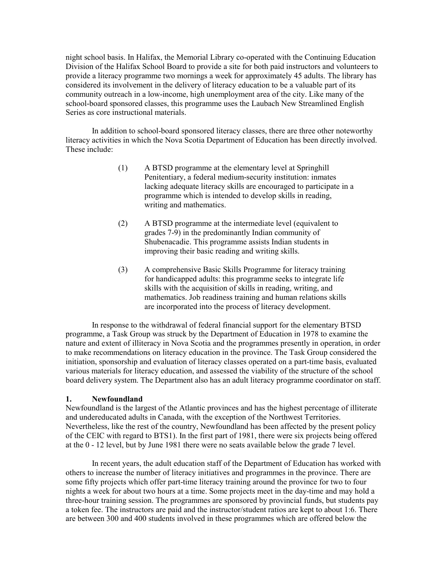night school basis. In Halifax, the Memorial Library co-operated with the Continuing Education Division of the Halifax School Board to provide a site for both paid instructors and volunteers to provide a literacy programme two mornings a week for approximately 45 adults. The library has considered its involvement in the delivery of literacy education to be a valuable part of its community outreach in a low-income, high unemployment area of the city. Like many of the school-board sponsored classes, this programme uses the Laubach New Streamlined English Series as core instructional materials.

 In addition to school-board sponsored literacy classes, there are three other noteworthy literacy activities in which the Nova Scotia Department of Education has been directly involved. These include:

- (1) A BTSD programme at the elementary level at Springhill Penitentiary, a federal medium-security institution: inmates lacking adequate literacy skills are encouraged to participate in a programme which is intended to develop skills in reading, writing and mathematics.
- (2) A BTSD programme at the intermediate level (equivalent to grades 7-9) in the predominantly Indian community of Shubenacadie. This programme assists Indian students in improving their basic reading and writing skills.
- (3) A comprehensive Basic Skills Programme for literacy training for handicapped adults: this programme seeks to integrate life skills with the acquisition of skills in reading, writing, and mathematics. Job readiness training and human relations skills are incorporated into the process of literacy development.

 In response to the withdrawal of federal financial support for the elementary BTSD programme, a Task Group was struck by the Department of Education in 1978 to examine the nature and extent of illiteracy in Nova Scotia and the programmes presently in operation, in order to make recommendations on literacy education in the province. The Task Group considered the initiation, sponsorship and evaluation of literacy classes operated on a part-time basis, evaluated various materials for literacy education, and assessed the viability of the structure of the school board delivery system. The Department also has an adult literacy programme coordinator on staff.

### **1. Newfoundland**

Newfoundland is the largest of the Atlantic provinces and has the highest percentage of illiterate and undereducated adults in Canada, with the exception of the Northwest Territories. Nevertheless, like the rest of the country, Newfoundland has been affected by the present policy of the CEIC with regard to BTS1). In the first part of 1981, there were six projects being offered at the 0 - 12 level, but by June 1981 there were no seats available below the grade 7 level.

 In recent years, the adult education staff of the Department of Education has worked with others to increase the number of literacy initiatives and programmes in the province. There are some fifty projects which offer part-time literacy training around the province for two to four nights a week for about two hours at a time. Some projects meet in the day-time and may hold a three-hour training session. The programmes are sponsored by provincial funds, but students pay a token fee. The instructors are paid and the instructor/student ratios are kept to about 1:6. There are between 300 and 400 students involved in these programmes which are offered below the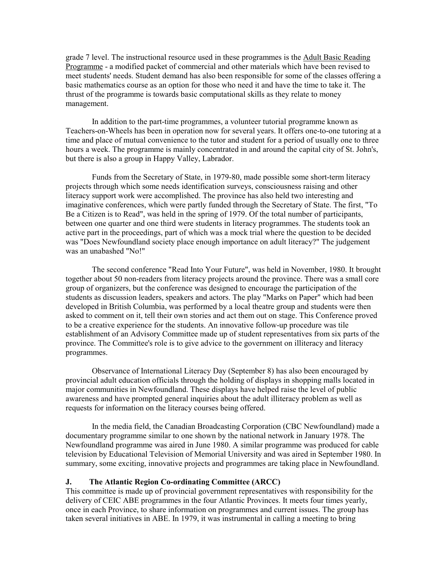grade 7 level. The instructional resource used in these programmes is the Adult Basic Reading Programme - a modified packet of commercial and other materials which have been revised to meet students' needs. Student demand has also been responsible for some of the classes offering a basic mathematics course as an option for those who need it and have the time to take it. The thrust of the programme is towards basic computational skills as they relate to money management.

 In addition to the part-time programmes, a volunteer tutorial programme known as Teachers-on-Wheels has been in operation now for several years. It offers one-to-one tutoring at a time and place of mutual convenience to the tutor and student for a period of usually one to three hours a week. The programme is mainly concentrated in and around the capital city of St. John's, but there is also a group in Happy Valley, Labrador.

 Funds from the Secretary of State, in 1979-80, made possible some short-term literacy projects through which some needs identification surveys, consciousness raising and other literacy support work were accomplished. The province has also held two interesting and imaginative conferences, which were partly funded through the Secretary of State. The first, "To Be a Citizen is to Read", was held in the spring of 1979. Of the total number of participants, between one quarter and one third were students in literacy programmes. The students took an active part in the proceedings, part of which was a mock trial where the question to be decided was "Does Newfoundland society place enough importance on adult literacy?" The judgement was an unabashed "No!"

 The second conference "Read Into Your Future", was held in November, 1980. It brought together about 50 non-readers from literacy projects around the province. There was a small core group of organizers, but the conference was designed to encourage the participation of the students as discussion leaders, speakers and actors. The play "Marks on Paper" which had been developed in British Columbia, was performed by a local theatre group and students were then asked to comment on it, tell their own stories and act them out on stage. This Conference proved to be a creative experience for the students. An innovative follow-up procedure was tile establishment of an Advisory Committee made up of student representatives from six parts of the province. The Committee's role is to give advice to the government on illiteracy and literacy programmes.

 Observance of International Literacy Day (September 8) has also been encouraged by provincial adult education officials through the holding of displays in shopping malls located in major communities in Newfoundland. These displays have helped raise the level of public awareness and have prompted general inquiries about the adult illiteracy problem as well as requests for information on the literacy courses being offered.

 In the media field, the Canadian Broadcasting Corporation (CBC Newfoundland) made a documentary programme similar to one shown by the national network in January 1978. The Newfoundland programme was aired in June 1980. A similar programme was produced for cable television by Educational Television of Memorial University and was aired in September 1980. In summary, some exciting, innovative projects and programmes are taking place in Newfoundland.

### **J. The Atlantic Region Co-ordinating Committee (ARCC)**

This committee is made up of provincial government representatives with responsibility for the delivery of CEIC ABE programmes in the four Atlantic Provinces. It meets four times yearly, once in each Province, to share information on programmes and current issues. The group has taken several initiatives in ABE. In 1979, it was instrumental in calling a meeting to bring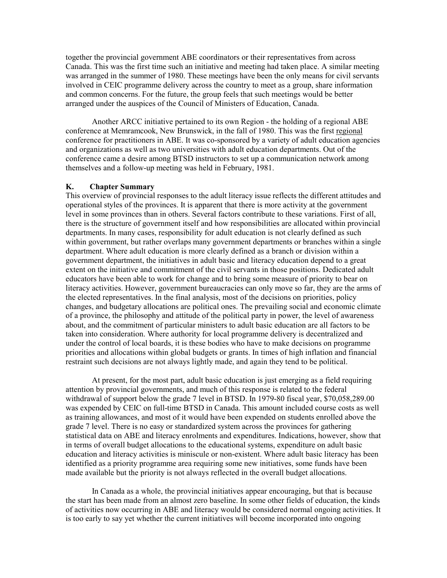together the provincial government ABE coordinators or their representatives from across Canada. This was the first time such an initiative and meeting had taken place. A similar meeting was arranged in the summer of 1980. These meetings have been the only means for civil servants involved in CEIC programme delivery across the country to meet as a group, share information and common concerns. For the future, the group feels that such meetings would be better arranged under the auspices of the Council of Ministers of Education, Canada.

 Another ARCC initiative pertained to its own Region - the holding of a regional ABE conference at Memramcook, New Brunswick, in the fall of 1980. This was the first regional conference for practitioners in ABE. It was co-sponsored by a variety of adult education agencies and organizations as well as two universities with adult education departments. Out of the conference came a desire among BTSD instructors to set up a communication network among themselves and a follow-up meeting was held in February, 1981.

#### **K. Chapter Summary**

This overview of provincial responses to the adult literacy issue reflects the different attitudes and operational styles of the provinces. It is apparent that there is more activity at the government level in some provinces than in others. Several factors contribute to these variations. First of all, there is the structure of government itself and how responsibilities are allocated within provincial departments. In many cases, responsibility for adult education is not clearly defined as such within government, but rather overlaps many government departments or branches within a single department. Where adult education is more clearly defined as a branch or division within a government department, the initiatives in adult basic and literacy education depend to a great extent on the initiative and commitment of the civil servants in those positions. Dedicated adult educators have been able to work for change and to bring some measure of priority to bear on literacy activities. However, government bureaucracies can only move so far, they are the arms of the elected representatives. In the final analysis, most of the decisions on priorities, policy changes, and budgetary allocations are political ones. The prevailing social and economic climate of a province, the philosophy and attitude of the political party in power, the level of awareness about, and the commitment of particular ministers to adult basic education are all factors to be taken into consideration. Where authority for local programme delivery is decentralized and under the control of local boards, it is these bodies who have to make decisions on programme priorities and allocations within global budgets or grants. In times of high inflation and financial restraint such decisions are not always lightly made, and again they tend to be political.

 At present, for the most part, adult basic education is just emerging as a field requiring attention by provincial governments, and much of this response is related to the federal withdrawal of support below the grade 7 level in BTSD. In 1979-80 fiscal year, \$70,058,289.00 was expended by CEIC on full-time BTSD in Canada. This amount included course costs as well as training allowances, and most of it would have been expended on students enrolled above the grade 7 level. There is no easy or standardized system across the provinces for gathering statistical data on ABE and literacy enrolments and expenditures. Indications, however, show that in terms of overall budget allocations to the educational systems, expenditure on adult basic education and literacy activities is miniscule or non-existent. Where adult basic literacy has been identified as a priority programme area requiring some new initiatives, some funds have been made available but the priority is not always reflected in the overall budget allocations.

 In Canada as a whole, the provincial initiatives appear encouraging, but that is because the start has been made from an almost zero baseline. In some other fields of education, the kinds of activities now occurring in ABE and literacy would be considered normal ongoing activities. It is too early to say yet whether the current initiatives will become incorporated into ongoing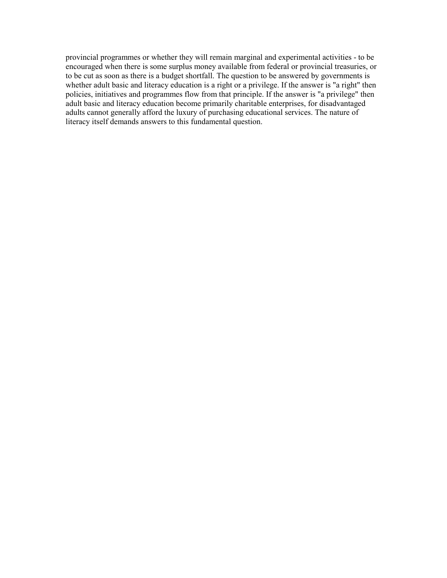provincial programmes or whether they will remain marginal and experimental activities - to be encouraged when there is some surplus money available from federal or provincial treasuries, or to be cut as soon as there is a budget shortfall. The question to be answered by governments is whether adult basic and literacy education is a right or a privilege. If the answer is "a right" then policies, initiatives and programmes flow from that principle. If the answer is "a privilege" then adult basic and literacy education become primarily charitable enterprises, for disadvantaged adults cannot generally afford the luxury of purchasing educational services. The nature of literacy itself demands answers to this fundamental question.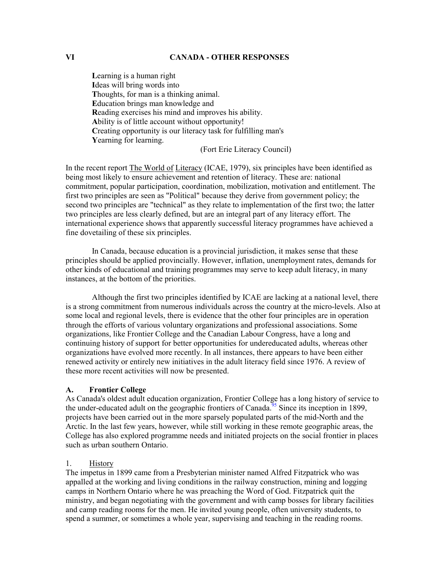# **VI CANADA - OTHER RESPONSES**

 **L**earning is a human right **I**deas will bring words into **T**houghts, for man is a thinking animal. **E**ducation brings man knowledge and **R**eading exercises his mind and improves his ability. **A**bility is of little account without opportunity! **C**reating opportunity is our literacy task for fulfilling man's **Y**earning for learning.

(Fort Erie Literacy Council)

In the recent report The World of Literacy (ICAE, 1979), six principles have been identified as being most likely to ensure achievement and retention of literacy. These are: national commitment, popular participation, coordination, mobilization, motivation and entitlement. The first two principles are seen as "Political" because they derive from government policy; the second two principles are "technical" as they relate to implementation of the first two; the latter two principles are less clearly defined, but are an integral part of any literacy effort. The international experience shows that apparently successful literacy programmes have achieved a fine dovetailing of these six principles.

In Canada, because education is a provincial jurisdiction, it makes sense that these principles should be applied provincially. However, inflation, unemployment rates, demands for other kinds of educational and training programmes may serve to keep adult literacy, in many instances, at the bottom of the priorities.

Although the first two principles identified by ICAE are lacking at a national level, there is a strong commitment from numerous individuals across the country at the micro-levels. Also at some local and regional levels, there is evidence that the other four principles are in operation through the efforts of various voluntary organizations and professional associations. Some organizations, like Frontier College and the Canadian Labour Congress, have a long and continuing history of support for better opportunities for undereducated adults, whereas other organizations have evolved more recently. In all instances, there appears to have been either renewed activity or entirely new initiatives in the adult literacy field since 1976. A review of these more recent activities will now be presented.

### **A. Frontier College**

As Canada's oldest adult education organization, Frontier College has a long history of service to the under-educated adult on the geographic frontiers of Canada.<sup>95</sup> Since its inception in 1899, projects have been carried out in the more sparsely populated parts of the mid-North and the Arctic. In the last few years, however, while still working in these remote geographic areas, the College has also explored programme needs and initiated projects on the social frontier in places such as urban southern Ontario.

### 1. History

The impetus in 1899 came from a Presbyterian minister named Alfred Fitzpatrick who was appalled at the working and living conditions in the railway construction, mining and logging camps in Northern Ontario where he was preaching the Word of God. Fitzpatrick quit the ministry, and began negotiating with the government and with camp bosses for library facilities and camp reading rooms for the men. He invited young people, often university students, to spend a summer, or sometimes a whole year, supervising and teaching in the reading rooms.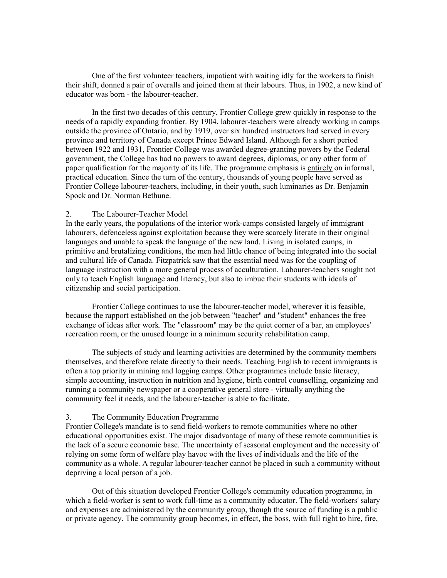One of the first volunteer teachers, impatient with waiting idly for the workers to finish their shift, donned a pair of overalls and joined them at their labours. Thus, in 1902, a new kind of educator was born - the labourer-teacher.

 In the first two decades of this century, Frontier College grew quickly in response to the needs of a rapidly expanding frontier. By 1904, labourer-teachers were already working in camps outside the province of Ontario, and by 1919, over six hundred instructors had served in every province and territory of Canada except Prince Edward Island. Although for a short period between 1922 and 1931, Frontier College was awarded degree-granting powers by the Federal government, the College has had no powers to award degrees, diplomas, or any other form of paper qualification for the majority of its life. The programme emphasis is entirely on informal, practical education. Since the turn of the century, thousands of young people have served as Frontier College labourer-teachers, including, in their youth, such luminaries as Dr. Benjamin Spock and Dr. Norman Bethune.

### 2. The Labourer-Teacher Model

In the early years, the populations of the interior work-camps consisted largely of immigrant labourers, defenceless against exploitation because they were scarcely literate in their original languages and unable to speak the language of the new land. Living in isolated camps, in primitive and brutalizing conditions, the men had little chance of being integrated into the social and cultural life of Canada. Fitzpatrick saw that the essential need was for the coupling of language instruction with a more general process of acculturation. Labourer-teachers sought not only to teach English language and literacy, but also to imbue their students with ideals of citizenship and social participation.

 Frontier College continues to use the labourer-teacher model, wherever it is feasible, because the rapport established on the job between "teacher" and "student" enhances the free exchange of ideas after work. The "classroom" may be the quiet corner of a bar, an employees' recreation room, or the unused lounge in a minimum security rehabilitation camp.

 The subjects of study and learning activities are determined by the community members themselves, and therefore relate directly to their needs. Teaching English to recent immigrants is often a top priority in mining and logging camps. Other programmes include basic literacy, simple accounting, instruction in nutrition and hygiene, birth control counselling, organizing and running a community newspaper or a cooperative general store - virtually anything the community feel it needs, and the labourer-teacher is able to facilitate.

### 3. The Community Education Programme

Frontier College's mandate is to send field-workers to remote communities where no other educational opportunities exist. The major disadvantage of many of these remote communities is the lack of a secure economic base. The uncertainty of seasonal employment and the necessity of relying on some form of welfare play havoc with the lives of individuals and the life of the community as a whole. A regular labourer-teacher cannot be placed in such a community without depriving a local person of a job.

 Out of this situation developed Frontier College's community education programme, in which a field-worker is sent to work full-time as a community educator. The field-workers' salary and expenses are administered by the community group, though the source of funding is a public or private agency. The community group becomes, in effect, the boss, with full right to hire, fire,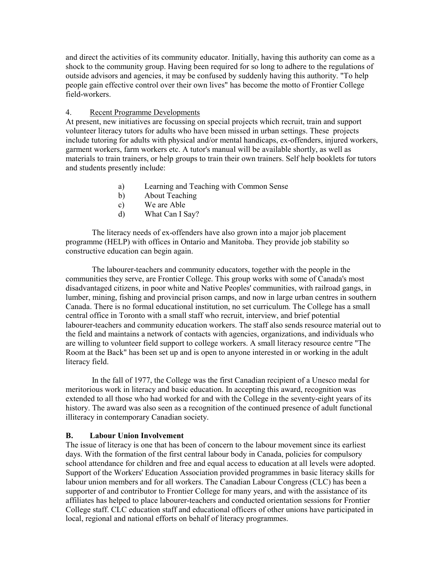and direct the activities of its community educator. Initially, having this authority can come as a shock to the community group. Having been required for so long to adhere to the regulations of outside advisors and agencies, it may be confused by suddenly having this authority. "To help people gain effective control over their own lives" has become the motto of Frontier College field-workers.

# 4. Recent Programme Developments

At present, new initiatives are focussing on special projects which recruit, train and support volunteer literacy tutors for adults who have been missed in urban settings. These projects include tutoring for adults with physical and/or mental handicaps, ex-offenders, injured workers, garment workers, farm workers etc. A tutor's manual will be available shortly, as well as materials to train trainers, or help groups to train their own trainers. Self help booklets for tutors and students presently include:

- a) Learning and Teaching with Common Sense
- b) About Teaching
- c) We are Able
- d) What Can I Say?

 The literacy needs of ex-offenders have also grown into a major job placement programme (HELP) with offices in Ontario and Manitoba. They provide job stability so constructive education can begin again.

 The labourer-teachers and community educators, together with the people in the communities they serve, are Frontier College. This group works with some of Canada's most disadvantaged citizens, in poor white and Native Peoples' communities, with railroad gangs, in lumber, mining, fishing and provincial prison camps, and now in large urban centres in southern Canada. There is no formal educational institution, no set curriculum. The College has a small central office in Toronto with a small staff who recruit, interview, and brief potential labourer-teachers and community education workers. The staff also sends resource material out to the field and maintains a network of contacts with agencies, organizations, and individuals who are willing to volunteer field support to college workers. A small literacy resource centre "The Room at the Back" has been set up and is open to anyone interested in or working in the adult literacy field.

 In the fall of 1977, the College was the first Canadian recipient of a Unesco medal for meritorious work in literacy and basic education. In accepting this award, recognition was extended to all those who had worked for and with the College in the seventy-eight years of its history. The award was also seen as a recognition of the continued presence of adult functional illiteracy in contemporary Canadian society.

# **B. Labour Union Involvement**

The issue of literacy is one that has been of concern to the labour movement since its earliest days. With the formation of the first central labour body in Canada, policies for compulsory school attendance for children and free and equal access to education at all levels were adopted. Support of the Workers' Education Association provided programmes in basic literacy skills for labour union members and for all workers. The Canadian Labour Congress (CLC) has been a supporter of and contributor to Frontier College for many years, and with the assistance of its affiliates has helped to place labourer-teachers and conducted orientation sessions for Frontier College staff. CLC education staff and educational officers of other unions have participated in local, regional and national efforts on behalf of literacy programmes.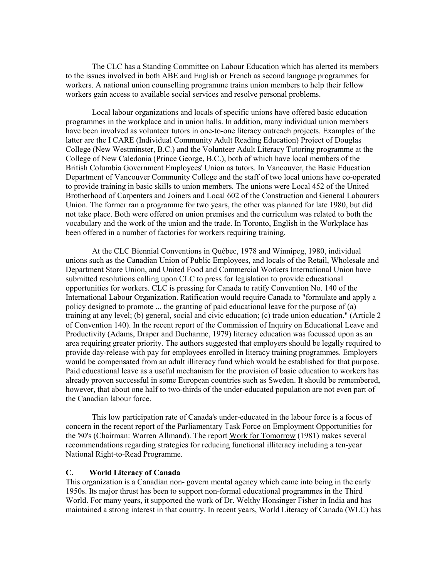The CLC has a Standing Committee on Labour Education which has alerted its members to the issues involved in both ABE and English or French as second language programmes for workers. A national union counselling programme trains union members to help their fellow workers gain access to available social services and resolve personal problems.

 Local labour organizations and locals of specific unions have offered basic education programmes in the workplace and in union halls. In addition, many individual union members have been involved as volunteer tutors in one-to-one literacy outreach projects. Examples of the latter are the I CARE (Individual Community Adult Reading Education) Project of Douglas College (New Westminster, B.C.) and the Volunteer Adult Literacy Tutoring programme at the College of New Caledonia (Prince George, B.C.), both of which have local members of the British Columbia Government Employees' Union as tutors. In Vancouver, the Basic Education Department of Vancouver Community College and the staff of two local unions have co-operated to provide training in basic skills to union members. The unions were Local 452 of the United Brotherhood of Carpenters and Joiners and Local 602 of the Construction and General Labourers Union. The former ran a programme for two years, the other was planned for late 1980, but did not take place. Both were offered on union premises and the curriculum was related to both the vocabulary and the work of the union and the trade. In Toronto, English in the Workplace has been offered in a number of factories for workers requiring training.

 At the CLC Biennial Conventions in Québec, 1978 and Winnipeg, 1980, individual unions such as the Canadian Union of Public Employees, and locals of the Retail, Wholesale and Department Store Union, and United Food and Commercial Workers International Union have submitted resolutions calling upon CLC to press for legislation to provide educational opportunities for workers. CLC is pressing for Canada to ratify Convention No. 140 of the International Labour Organization. Ratification would require Canada to "formulate and apply a policy designed to promote ... the granting of paid educational leave for the purpose of (a) training at any level; (b) general, social and civic education; (c) trade union education." (Article 2 of Convention 140). In the recent report of the Commission of Inquiry on Educational Leave and Productivity (Adams, Draper and Ducharme, 1979) literacy education was focussed upon as an area requiring greater priority. The authors suggested that employers should be legally required to provide day-release with pay for employees enrolled in literacy training programmes. Employers would be compensated from an adult illiteracy fund which would be established for that purpose. Paid educational leave as a useful mechanism for the provision of basic education to workers has already proven successful in some European countries such as Sweden. It should be remembered, however, that about one half to two-thirds of the under-educated population are not even part of the Canadian labour force.

 This low participation rate of Canada's under-educated in the labour force is a focus of concern in the recent report of the Parliamentary Task Force on Employment Opportunities for the '80's (Chairman: Warren Allmand). The report Work for Tomorrow (1981) makes several recommendations regarding strategies for reducing functional illiteracy including a ten-year National Right-to-Read Programme.

### **C. World Literacy of Canada**

This organization is a Canadian non- govern mental agency which came into being in the early 1950s. Its major thrust has been to support non-formal educational programmes in the Third World. For many years, it supported the work of Dr. Welthy Honsinger Fisher in India and has maintained a strong interest in that country. In recent years, World Literacy of Canada (WLC) has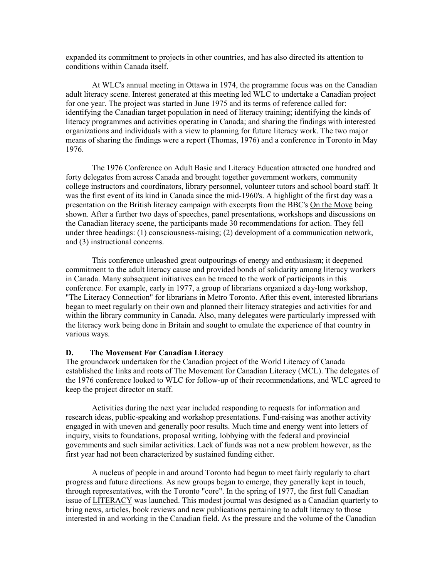expanded its commitment to projects in other countries, and has also directed its attention to conditions within Canada itself.

 At WLC's annual meeting in Ottawa in 1974, the programme focus was on the Canadian adult literacy scene. Interest generated at this meeting led WLC to undertake a Canadian project for one year. The project was started in June 1975 and its terms of reference called for: identifying the Canadian target population in need of literacy training; identifying the kinds of literacy programmes and activities operating in Canada; and sharing the findings with interested organizations and individuals with a view to planning for future literacy work. The two major means of sharing the findings were a report (Thomas, 1976) and a conference in Toronto in May 1976.

 The 1976 Conference on Adult Basic and Literacy Education attracted one hundred and forty delegates from across Canada and brought together government workers, community college instructors and coordinators, library personnel, volunteer tutors and school board staff. It was the first event of its kind in Canada since the mid-1960's. A highlight of the first day was a presentation on the British literacy campaign with excerpts from the BBC's On the Move being shown. After a further two days of speeches, panel presentations, workshops and discussions on the Canadian literacy scene, the participants made 30 recommendations for action. They fell under three headings: (1) consciousness-raising; (2) development of a communication network, and (3) instructional concerns.

 This conference unleashed great outpourings of energy and enthusiasm; it deepened commitment to the adult literacy cause and provided bonds of solidarity among literacy workers in Canada. Many subsequent initiatives can be traced to the work of participants in this conference. For example, early in 1977, a group of librarians organized a day-long workshop, "The Literacy Connection" for librarians in Metro Toronto. After this event, interested librarians began to meet regularly on their own and planned their literacy strategies and activities for and within the library community in Canada. Also, many delegates were particularly impressed with the literacy work being done in Britain and sought to emulate the experience of that country in various ways.

### **D. The Movement For Canadian Literacy**

The groundwork undertaken for the Canadian project of the World Literacy of Canada established the links and roots of The Movement for Canadian Literacy (MCL). The delegates of the 1976 conference looked to WLC for follow-up of their recommendations, and WLC agreed to keep the project director on staff.

 Activities during the next year included responding to requests for information and research ideas, public-speaking and workshop presentations. Fund-raising was another activity engaged in with uneven and generally poor results. Much time and energy went into letters of inquiry, visits to foundations, proposal writing, lobbying with the federal and provincial governments and such similar activities. Lack of funds was not a new problem however, as the first year had not been characterized by sustained funding either.

 A nucleus of people in and around Toronto had begun to meet fairly regularly to chart progress and future directions. As new groups began to emerge, they generally kept in touch, through representatives, with the Toronto "core". In the spring of 1977, the first full Canadian issue of LITERACY was launched. This modest journal was designed as a Canadian quarterly to bring news, articles, book reviews and new publications pertaining to adult literacy to those interested in and working in the Canadian field. As the pressure and the volume of the Canadian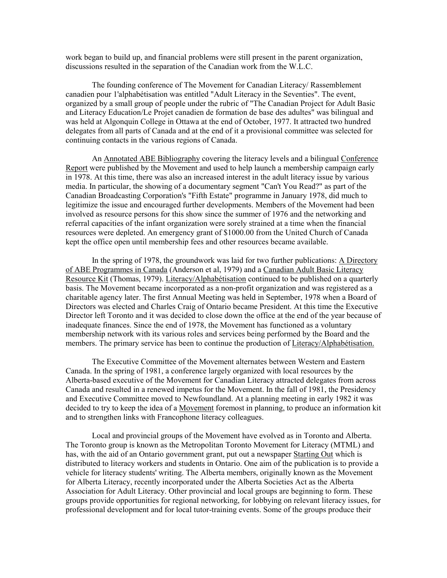work began to build up, and financial problems were still present in the parent organization, discussions resulted in the separation of the Canadian work from the W.L.C.

 The founding conference of The Movement for Canadian Literacy/ Rassemblement canadien pour 1'alphabétisation was entitled "Adult Literacy in the Seventies". The event, organized by a small group of people under the rubric of "The Canadian Project for Adult Basic and Literacy Education/Le Projet canadien de formation de base des adultes" was bilingual and was held at Algonquin College in Ottawa at the end of October, 1977. It attracted two hundred delegates from all parts of Canada and at the end of it a provisional committee was selected for continuing contacts in the various regions of Canada.

 An Annotated ABE Bibliography covering the literacy levels and a bilingual Conference Report were published by the Movement and used to help launch a membership campaign early in 1978. At this time, there was also an increased interest in the adult literacy issue by various media. In particular, the showing of a documentary segment "Can't You Read?" as part of the Canadian Broadcasting Corporation's "Fifth Estate" programme in January 1978, did much to legitimize the issue and encouraged further developments. Members of the Movement had been involved as resource persons for this show since the summer of 1976 and the networking and referral capacities of the infant organization were sorely strained at a time when the financial resources were depleted. An emergency grant of \$1000.00 from the United Church of Canada kept the office open until membership fees and other resources became available.

 In the spring of 1978, the groundwork was laid for two further publications: A Directory of ABE Programmes in Canada (Anderson et al, 1979) and a Canadian Adult Basic Literacy Resource Kit (Thomas, 1979). Literacy/Alphabétisation continued to be published on a quarterly basis. The Movement became incorporated as a non-profit organization and was registered as a charitable agency later. The first Annual Meeting was held in September, 1978 when a Board of Directors was elected and Charles Craig of Ontario became President. At this time the Executive Director left Toronto and it was decided to close down the office at the end of the year because of inadequate finances. Since the end of 1978, the Movement has functioned as a voluntary membership network with its various roles and services being performed by the Board and the members. The primary service has been to continue the production of Literacy/Alphabétisation.

 The Executive Committee of the Movement alternates between Western and Eastern Canada. In the spring of 1981, a conference largely organized with local resources by the Alberta-based executive of the Movement for Canadian Literacy attracted delegates from across Canada and resulted in a renewed impetus for the Movement. In the fall of 1981, the Presidency and Executive Committee moved to Newfoundland. At a planning meeting in early 1982 it was decided to try to keep the idea of a Movement foremost in planning, to produce an information kit and to strengthen links with Francophone literacy colleagues.

 Local and provincial groups of the Movement have evolved as in Toronto and Alberta. The Toronto group is known as the Metropolitan Toronto Movement for Literacy (MTML) and has, with the aid of an Ontario government grant, put out a newspaper Starting Out which is distributed to literacy workers and students in Ontario. One aim of the publication is to provide a vehicle for literacy students' writing. The Alberta members, originally known as the Movement for Alberta Literacy, recently incorporated under the Alberta Societies Act as the Alberta Association for Adult Literacy. Other provincial and local groups are beginning to form. These groups provide opportunities for regional networking, for lobbying on relevant literacy issues, for professional development and for local tutor-training events. Some of the groups produce their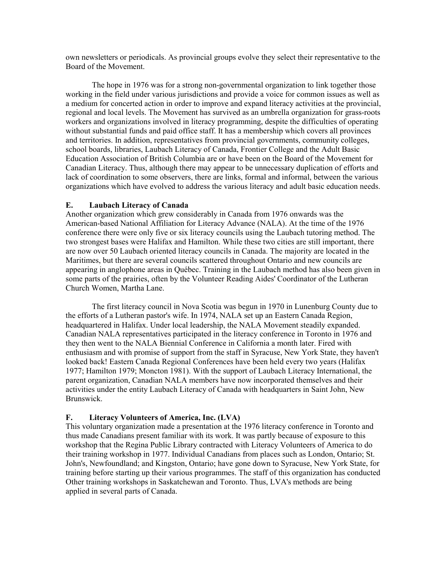own newsletters or periodicals. As provincial groups evolve they select their representative to the Board of the Movement.

 The hope in 1976 was for a strong non-governmental organization to link together those working in the field under various jurisdictions and provide a voice for common issues as well as a medium for concerted action in order to improve and expand literacy activities at the provincial, regional and local levels. The Movement has survived as an umbrella organization for grass-roots workers and organizations involved in literacy programming, despite the difficulties of operating without substantial funds and paid office staff. It has a membership which covers all provinces and territories. In addition, representatives from provincial governments, community colleges, school boards, libraries, Laubach Literacy of Canada, Frontier College and the Adult Basic Education Association of British Columbia are or have been on the Board of the Movement for Canadian Literacy. Thus, although there may appear to be unnecessary duplication of efforts and lack of coordination to some observers, there are links, formal and informal, between the various organizations which have evolved to address the various literacy and adult basic education needs.

### **E. Laubach Literacy of Canada**

Another organization which grew considerably in Canada from 1976 onwards was the American-based National Affiliation for Literacy Advance (NALA). At the time of the 1976 conference there were only five or six literacy councils using the Laubach tutoring method. The two strongest bases were Halifax and Hamilton. While these two cities are still important, there are now over 50 Laubach oriented literacy councils in Canada. The majority are located in the Maritimes, but there are several councils scattered throughout Ontario and new councils are appearing in anglophone areas in Québec. Training in the Laubach method has also been given in some parts of the prairies, often by the Volunteer Reading Aides' Coordinator of the Lutheran Church Women, Martha Lane.

 The first literacy council in Nova Scotia was begun in 1970 in Lunenburg County due to the efforts of a Lutheran pastor's wife. In 1974, NALA set up an Eastern Canada Region, headquartered in Halifax. Under local leadership, the NALA Movement steadily expanded. Canadian NALA representatives participated in the literacy conference in Toronto in 1976 and they then went to the NALA Biennial Conference in California a month later. Fired with enthusiasm and with promise of support from the staff in Syracuse, New York State, they haven't looked back! Eastern Canada Regional Conferences have been held every two years (Halifax 1977; Hamilton 1979; Moncton 1981). With the support of Laubach Literacy International, the parent organization, Canadian NALA members have now incorporated themselves and their activities under the entity Laubach Literacy of Canada with headquarters in Saint John, New Brunswick.

# **F. Literacy Volunteers of America, Inc. (LVA)**

This voluntary organization made a presentation at the 1976 literacy conference in Toronto and thus made Canadians present familiar with its work. It was partly because of exposure to this workshop that the Regina Public Library contracted with Literacy Volunteers of America to do their training workshop in 1977. Individual Canadians from places such as London, Ontario; St. John's, Newfoundland; and Kingston, Ontario; have gone down to Syracuse, New York State, for training before starting up their various programmes. The staff of this organization has conducted Other training workshops in Saskatchewan and Toronto. Thus, LVA's methods are being applied in several parts of Canada.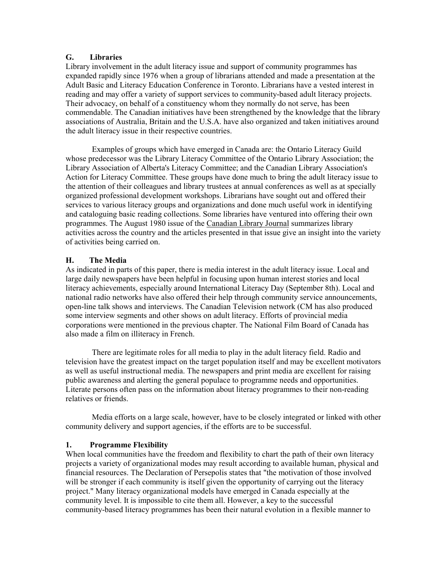# **G. Libraries**

Library involvement in the adult literacy issue and support of community programmes has expanded rapidly since 1976 when a group of librarians attended and made a presentation at the Adult Basic and Literacy Education Conference in Toronto. Librarians have a vested interest in reading and may offer a variety of support services to community-based adult literacy projects. Their advocacy, on behalf of a constituency whom they normally do not serve, has been commendable. The Canadian initiatives have been strengthened by the knowledge that the library associations of Australia, Britain and the U.S.A. have also organized and taken initiatives around the adult literacy issue in their respective countries.

 Examples of groups which have emerged in Canada are: the Ontario Literacy Guild whose predecessor was the Library Literacy Committee of the Ontario Library Association; the Library Association of Alberta's Literacy Committee; and the Canadian Library Association's Action for Literacy Committee. These groups have done much to bring the adult literacy issue to the attention of their colleagues and library trustees at annual conferences as well as at specially organized professional development workshops. Librarians have sought out and offered their services to various literacy groups and organizations and done much useful work in identifying and cataloguing basic reading collections. Some libraries have ventured into offering their own programmes. The August 1980 issue of the Canadian Library Journal summarizes library activities across the country and the articles presented in that issue give an insight into the variety of activities being carried on.

# **H. The Media**

As indicated in parts of this paper, there is media interest in the adult literacy issue. Local and large daily newspapers have been helpful in focusing upon human interest stories and local literacy achievements, especially around International Literacy Day (September 8th). Local and national radio networks have also offered their help through community service announcements, open-line talk shows and interviews. The Canadian Television network (CM has also produced some interview segments and other shows on adult literacy. Efforts of provincial media corporations were mentioned in the previous chapter. The National Film Board of Canada has also made a film on illiteracy in French.

 There are legitimate roles for all media to play in the adult literacy field. Radio and television have the greatest impact on the target population itself and may be excellent motivators as well as useful instructional media. The newspapers and print media are excellent for raising public awareness and alerting the general populace to programme needs and opportunities. Literate persons often pass on the information about literacy programmes to their non-reading relatives or friends.

 Media efforts on a large scale, however, have to be closely integrated or linked with other community delivery and support agencies, if the efforts are to be successful.

# **1. Programme Flexibility**

When local communities have the freedom and flexibility to chart the path of their own literacy projects a variety of organizational modes may result according to available human, physical and financial resources. The Declaration of Persepolis states that "the motivation of those involved will be stronger if each community is itself given the opportunity of carrying out the literacy project." Many literacy organizational models have emerged in Canada especially at the community level. It is impossible to cite them all. However, a key to the successful community-based literacy programmes has been their natural evolution in a flexible manner to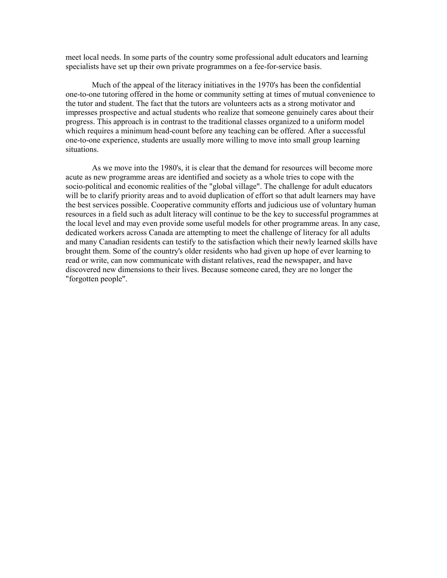meet local needs. In some parts of the country some professional adult educators and learning specialists have set up their own private programmes on a fee-for-service basis.

 Much of the appeal of the literacy initiatives in the 1970's has been the confidential one-to-one tutoring offered in the home or community setting at times of mutual convenience to the tutor and student. The fact that the tutors are volunteers acts as a strong motivator and impresses prospective and actual students who realize that someone genuinely cares about their progress. This approach is in contrast to the traditional classes organized to a uniform model which requires a minimum head-count before any teaching can be offered. After a successful one-to-one experience, students are usually more willing to move into small group learning situations.

 As we move into the 1980's, it is clear that the demand for resources will become more acute as new programme areas are identified and society as a whole tries to cope with the socio-political and economic realities of the "global village". The challenge for adult educators will be to clarify priority areas and to avoid duplication of effort so that adult learners may have the best services possible. Cooperative community efforts and judicious use of voluntary human resources in a field such as adult literacy will continue to be the key to successful programmes at the local level and may even provide some useful models for other programme areas. In any case, dedicated workers across Canada are attempting to meet the challenge of literacy for all adults and many Canadian residents can testify to the satisfaction which their newly learned skills have brought them. Some of the country's older residents who had given up hope of ever learning to read or write, can now communicate with distant relatives, read the newspaper, and have discovered new dimensions to their lives. Because someone cared, they are no longer the "forgotten people".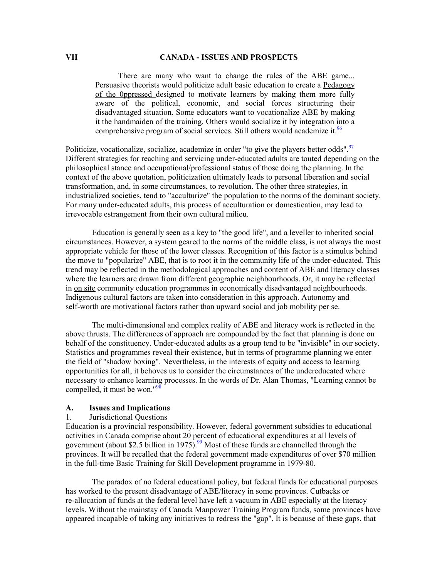### **VII CANADA - ISSUES AND PROSPECTS**

There are many who want to change the rules of the ABE game... Persuasive theorists would politicize adult basic education to create a Pedagogy of the 0ppressed designed to motivate learners by making them more fully aware of the political, economic, and social forces structuring their disadvantaged situation. Some educators want to vocationalize ABE by making it the handmaiden of the training. Others would socialize it by integration into a comprehensive program of social services. Still others would academize it.<sup>[96](#page-117-2)</sup>

Politicize, vocationalize, socialize, academize in order "to give the players better odds".<sup>[97](#page-117-3)</sup> Different strategies for reaching and servicing under-educated adults are touted depending on the philosophical stance and occupational/professional status of those doing the planning. In the context of the above quotation, politicization ultimately leads to personal liberation and social transformation, and, in some circumstances, to revolution. The other three strategies, in industrialized societies, tend to "acculturize" the population to the norms of the dominant society. For many under-educated adults, this process of acculturation or domestication, may lead to irrevocable estrangement from their own cultural milieu.

Education is generally seen as a key to "the good life", and a leveller to inherited social circumstances. However, a system geared to the norms of the middle class, is not always the most appropriate vehicle for those of the lower classes. Recognition of this factor is a stimulus behind the move to "popularize" ABE, that is to root it in the community life of the under-educated. This trend may be reflected in the methodological approaches and content of ABE and literacy classes where the learners are drawn from different geographic neighbourhoods. Or, it may be reflected in on site community education programmes in economically disadvantaged neighbourhoods. Indigenous cultural factors are taken into consideration in this approach. Autonomy and self-worth are motivational factors rather than upward social and job mobility per se.

The multi-dimensional and complex reality of ABE and literacy work is reflected in the above thrusts. The differences of approach are compounded by the fact that planning is done on behalf of the constituency. Under-educated adults as a group tend to be "invisible" in our society. Statistics and programmes reveal their existence, but in terms of programme planning we enter the field of "shadow boxing". Nevertheless, in the interests of equity and access to learning opportunities for all, it behoves us to consider the circumstances of the undereducated where necessary to enhance learni[ng](#page-117-4) processes. In the words of Dr. Alan Thomas, "Learning cannot be compelled, it must be won."<sup>98</sup>

#### **A. Issues and Implications**

### 1. Jurisdictional Questions

Education is a provincial responsibility. However, federal government subsidies to educational activities in Canada comprise about 20 percent of educational expenditures at all levels of government (about \$2.5 billion in 1975).<sup>99</sup> Most of these funds are channelled through the provinces. It will be recalled that the federal government made expenditures of over \$70 million in the full-time Basic Training for Skill Development programme in 1979-80.

 The paradox of no federal educational policy, but federal funds for educational purposes has worked to the present disadvantage of ABE/literacy in some provinces. Cutbacks or re-allocation of funds at the federal level have left a vacuum in ABE especially at the literacy levels. Without the mainstay of Canada Manpower Training Program funds, some provinces have appeared incapable of taking any initiatives to redress the "gap". It is because of these gaps, that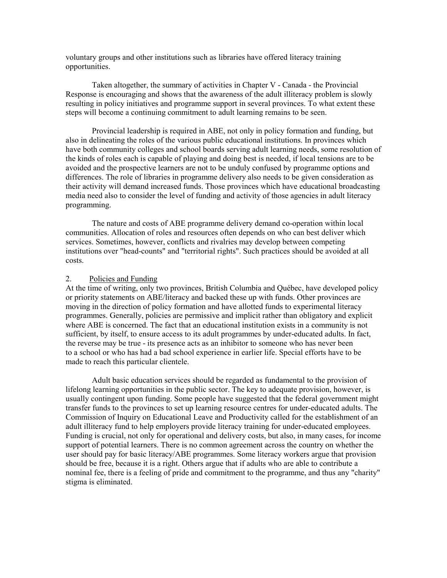voluntary groups and other institutions such as libraries have offered literacy training opportunities.

 Taken altogether, the summary of activities in Chapter V - Canada - the Provincial Response is encouraging and shows that the awareness of the adult illiteracy problem is slowly resulting in policy initiatives and programme support in several provinces. To what extent these steps will become a continuing commitment to adult learning remains to be seen.

 Provincial leadership is required in ABE, not only in policy formation and funding, but also in delineating the roles of the various public educational institutions. In provinces which have both community colleges and school boards serving adult learning needs, some resolution of the kinds of roles each is capable of playing and doing best is needed, if local tensions are to be avoided and the prospective learners are not to be unduly confused by programme options and differences. The role of libraries in programme delivery also needs to be given consideration as their activity will demand increased funds. Those provinces which have educational broadcasting media need also to consider the level of funding and activity of those agencies in adult literacy programming.

 The nature and costs of ABE programme delivery demand co-operation within local communities. Allocation of roles and resources often depends on who can best deliver which services. Sometimes, however, conflicts and rivalries may develop between competing institutions over "head-counts" and "territorial rights". Such practices should be avoided at all costs.

### 2. Policies and Funding

At the time of writing, only two provinces, British Columbia and Québec, have developed policy or priority statements on ABE/literacy and backed these up with funds. Other provinces are moving in the direction of policy formation and have allotted funds to experimental literacy programmes. Generally, policies are permissive and implicit rather than obligatory and explicit where ABE is concerned. The fact that an educational institution exists in a community is not sufficient, by itself, to ensure access to its adult programmes by under-educated adults. In fact, the reverse may be true - its presence acts as an inhibitor to someone who has never been to a school or who has had a bad school experience in earlier life. Special efforts have to be made to reach this particular clientele.

 Adult basic education services should be regarded as fundamental to the provision of lifelong learning opportunities in the public sector. The key to adequate provision, however, is usually contingent upon funding. Some people have suggested that the federal government might transfer funds to the provinces to set up learning resource centres for under-educated adults. The Commission of Inquiry on Educational Leave and Productivity called for the establishment of an adult illiteracy fund to help employers provide literacy training for under-educated employees. Funding is crucial, not only for operational and delivery costs, but also, in many cases, for income support of potential learners. There is no common agreement across the country on whether the user should pay for basic literacy/ABE programmes. Some literacy workers argue that provision should be free, because it is a right. Others argue that if adults who are able to contribute a nominal fee, there is a feeling of pride and commitment to the programme, and thus any "charity" stigma is eliminated.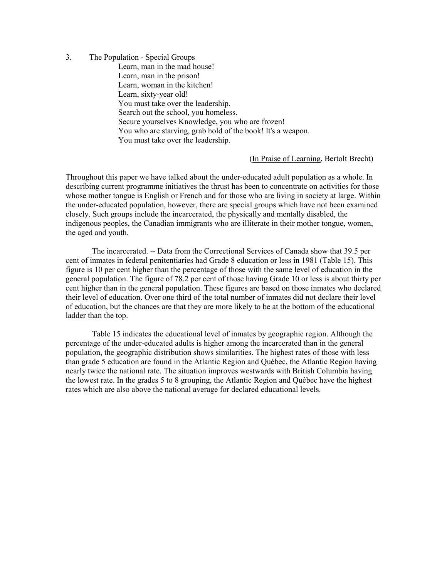# 3. The Population - Special Groups

Learn, man in the mad house! Learn, man in the prison! Learn, woman in the kitchen! Learn, sixty-year old! You must take over the leadership. Search out the school, you homeless. Secure yourselves Knowledge, you who are frozen! You who are starving, grab hold of the book! It's a weapon. You must take over the leadership.

(In Praise of Learning, Bertolt Brecht)

Throughout this paper we have talked about the under-educated adult population as a whole. In describing current programme initiatives the thrust has been to concentrate on activities for those whose mother tongue is English or French and for those who are living in society at large. Within the under-educated population, however, there are special groups which have not been examined closely. Such groups include the incarcerated, the physically and mentally disabled, the indigenous peoples, the Canadian immigrants who are illiterate in their mother tongue, women, the aged and youth.

 The incarcerated. -- Data from the Correctional Services of Canada show that 39.5 per cent of inmates in federal penitentiaries had Grade 8 education or less in 1981 (Table 15). This figure is 10 per cent higher than the percentage of those with the same level of education in the general population. The figure of 78.2 per cent of those having Grade 10 or less is about thirty per cent higher than in the general population. These figures are based on those inmates who declared their level of education. Over one third of the total number of inmates did not declare their level of education, but the chances are that they are more likely to be at the bottom of the educational ladder than the top.

 Table 15 indicates the educational level of inmates by geographic region. Although the percentage of the under-educated adults is higher among the incarcerated than in the general population, the geographic distribution shows similarities. The highest rates of those with less than grade 5 education are found in the Atlantic Region and Québec, the Atlantic Region having nearly twice the national rate. The situation improves westwards with British Columbia having the lowest rate. In the grades 5 to 8 grouping, the Atlantic Region and Québec have the highest rates which are also above the national average for declared educational levels.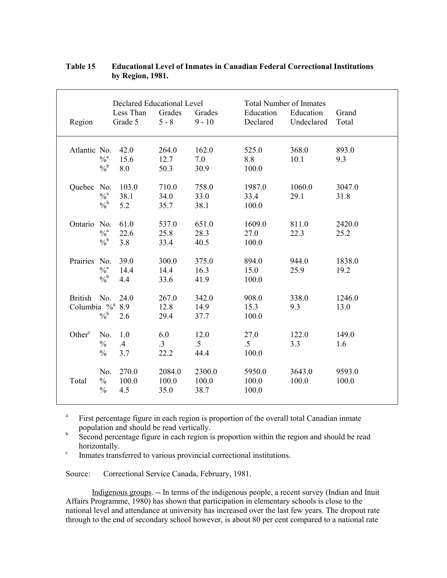|                             |               | Declared Educational Level |           |          | <b>Total Number of Inmates</b> |            |        |
|-----------------------------|---------------|----------------------------|-----------|----------|--------------------------------|------------|--------|
|                             |               | Less Than                  | Grades    | Grades   | Education                      | Education  | Grand  |
| Region                      |               | Grade 5                    | $5 - 8$   | $9 - 10$ | Declared                       | Undeclared | Total  |
| Atlantic No.                |               | 42.0                       | 264.0     | 162.0    | 525.0                          | 368.0      | 893.0  |
|                             | $\frac{0}{a}$ | 15.6                       | 12.7      | 7.0      | 8.8                            | 10.1       | 9.3    |
|                             | $\frac{0}{6}$ | 8.0                        | 50.3      | 30.9     | 100.0                          |            |        |
| Quebec                      | No.           | 103.0                      | 710.0     | 758.0    | 1987.0                         | 1060.0     | 3047.0 |
|                             | $\frac{0}{a}$ | 38.1                       | 34.0      | 33.0     | 33.4                           | 29.1       | 31.8   |
|                             | $\frac{0}{6}$ | 5.2                        | 35.7      | 38.1     | 100.0                          |            |        |
| Ontario                     | No.           | 61.0                       | 537.0     | 651.0    | 1609.0                         | 811.0      | 2420.0 |
|                             | $\frac{0}{a}$ | 22.6                       | 25.8      | 28.3     | 27.0                           | 22.3       | 25.2   |
|                             | $\frac{0}{6}$ | 3.8                        | 33.4      | 40.5     | 100.0                          |            |        |
| Prairies No.                |               | 39.0                       | 300.0     | 375.0    | 894.0                          | 944.0      | 1838.0 |
|                             | $\frac{0}{a}$ | 14.4                       | 14.4      | 16.3     | 15.0                           | 25.9       | 19.2   |
|                             | $\frac{0}{6}$ | 4.4                        | 33.6      | 41.9     | 100.0                          |            |        |
| British No.                 |               | 24.0                       | 267.0     | 342.0    | 908.0                          | 338.0      | 1246.0 |
| Columbia % <sup>a</sup> 8.9 |               |                            | 12.8      | 14.9     | 15.3                           | 9.3        | 13.0   |
|                             | $\frac{0}{6}$ | 2.6                        | 29.4      | 37.7     | 100.0                          |            |        |
| Other <sup>c</sup>          | No.           | 1.0                        | 6.0       | 12.0     | 27.0                           | 122.0      | 149.0  |
|                             | $\frac{0}{0}$ | $.4\phantom{0}$            | $\cdot$ 3 | $.5\,$   | $.5\,$                         | 3.3        | 1.6    |
|                             | $\frac{0}{0}$ | 3.7                        | 22.2      | 44.4     | 100.0                          |            |        |
|                             | No.           | 270.0                      | 2084.0    | 2300.0   | 5950.0                         | 3643.0     | 9593.0 |
| Total                       | $\frac{0}{0}$ | 100.0                      | 100.0     | 100.0    | 100.0                          | 100.0      | 100.0  |
|                             | $\frac{0}{0}$ | 4.5                        | 35.0      | 38.7     | 100.0                          |            |        |

# **Table 15 Educational Level of Inmates in Canadian Federal Correctional Institutions by Region, 1981.**

a First percentage figure in each region is proportion of the overall total Canadian inmate population and should be read vertically.

b Second percentage figure in each region is proportion within the region and should be read horizontally.

c Inmates transferred to various provincial correctional institutions.

Source: Correctional Service Canada, February, 1981.

 Indigenous groups. -- In terms of the indigenous people, a recent survey (Indian and Inuit Affairs Programme, 1980) has shown that participation in elementary schools is close to the national level and attendance at university has increased over the last few years. The dropout rate through to the end of secondary school however, is about 80 per cent compared to a national rate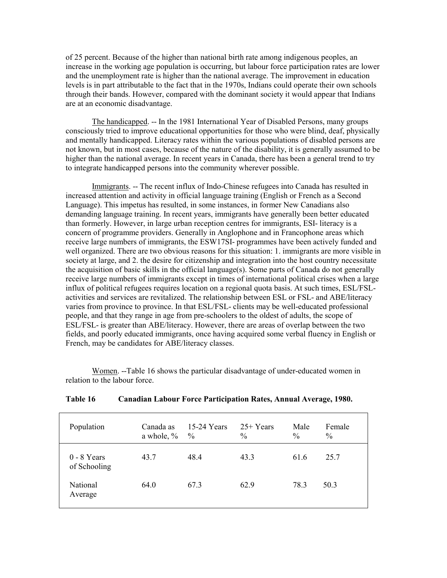of 25 percent. Because of the higher than national birth rate among indigenous peoples, an increase in the working age population is occurring, but labour force participation rates are lower and the unemployment rate is higher than the national average. The improvement in education levels is in part attributable to the fact that in the 1970s, Indians could operate their own schools through their bands. However, compared with the dominant society it would appear that Indians are at an economic disadvantage.

 The handicapped. -- In the 1981 International Year of Disabled Persons, many groups consciously tried to improve educational opportunities for those who were blind, deaf, physically and mentally handicapped. Literacy rates within the various populations of disabled persons are not known, but in most cases, because of the nature of the disability, it is generally assumed to be higher than the national average. In recent years in Canada, there has been a general trend to try to integrate handicapped persons into the community wherever possible.

 Immigrants. -- The recent influx of Indo-Chinese refugees into Canada has resulted in increased attention and activity in official language training (English or French as a Second Language). This impetus has resulted, in some instances, in former New Canadians also demanding language training. In recent years, immigrants have generally been better educated than formerly. However, in large urban reception centres for immigrants, ESI- literacy is a concern of programme providers. Generally in Anglophone and in Francophone areas which receive large numbers of immigrants, the ESW17SI- programmes have been actively funded and well organized. There are two obvious reasons for this situation: 1. immigrants are more visible in society at large, and 2. the desire for citizenship and integration into the host country necessitate the acquisition of basic skills in the official language(s). Some parts of Canada do not generally receive large numbers of immigrants except in times of international political crises when a large influx of political refugees requires location on a regional quota basis. At such times, ESL/FSLactivities and services are revitalized. The relationship between ESL or FSL- and ABE/literacy varies from province to province. In that ESL/FSL- clients may be well-educated professional people, and that they range in age from pre-schoolers to the oldest of adults, the scope of ESL/FSL- is greater than ABE/literacy. However, there are areas of overlap between the two fields, and poorly educated immigrants, once having acquired some verbal fluency in English or French, may be candidates for ABE/literacy classes.

 Women. --Table 16 shows the particular disadvantage of under-educated women in relation to the labour force.

| Population                    | Canada as<br>a whole, $\%$ | 15-24 Years<br>$\frac{0}{0}$ | $25+Years$<br>$\frac{0}{0}$ | Male<br>$\frac{0}{0}$ | Female<br>$\frac{0}{0}$ |
|-------------------------------|----------------------------|------------------------------|-----------------------------|-----------------------|-------------------------|
| $0 - 8$ Years<br>of Schooling | 43.7                       | 48.4                         | 43.3                        | 61.6                  | 25.7                    |
| National<br>Average           | 64.0                       | 67.3                         | 62.9                        | 78.3                  | 50.3                    |

### **Table 16 Canadian Labour Force Participation Rates, Annual Average, 1980.**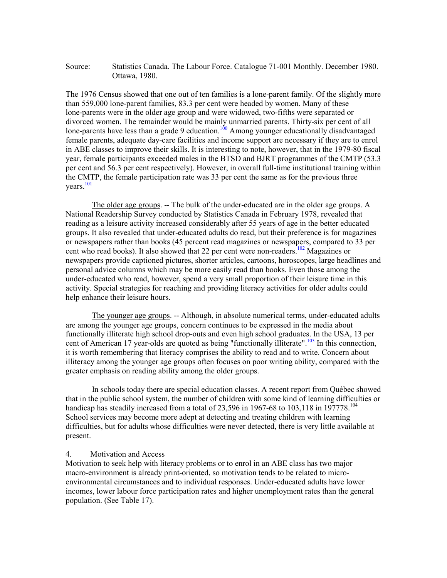### Source: Statistics Canada. The Labour Force. Catalogue 71-001 Monthly. December 1980. Ottawa, 1980.

The 1976 Census showed that one out of ten families is a lone-parent family. Of the slightly more than 559,000 lone-parent families, 83.3 per cent were headed by women. Many of these lone-parents were in the older age group and were widowed, two-fifths were separated or divorced women. The remainder would be mainly unmarried parents. Thirty-six per cent of all lone-parents have less than a grade 9 education.<sup>100</sup> Among younger educationally disadvantaged female parents, adequate day-care facilities and income support are necessary if they are to enrol in ABE classes to improve their skills. It is interesting to note, however, that in the 1979-80 fiscal year, female participants exceeded males in the BTSD and BJRT programmes of the CMTP (53.3 per cent and 56.3 per cent respectively). However, in overall full-time institutional training within the CMTP, the female participation rate was 33 per cent the same as for the previous three years. [101](#page-117-7)

The older age groups. -- The bulk of the under-educated are in the older age groups. A National Readership Survey conducted by Statistics Canada in February 1978, revealed that reading as a leisure activity increased considerably after 55 years of age in the better educated groups. It also revealed that under-educated adults do read, but their preference is for magazines or newspapers rather than books (45 percent read magazines or newspapers, compared to 33 per cent who read books). It also showed that 22 per cent were non-readers. [102 M](#page-117-8)agazines or newspapers provide captioned pictures, shorter articles, cartoons, horoscopes, large headlines and personal advice columns which may be more easily read than books. Even those among the under-educated who read, however, spend a very small proportion of their leisure time in this activity. Special strategies for reaching and providing literacy activities for older adults could help enhance their leisure hours.

The younger age groups. -- Although, in absolute numerical terms, under-educated adults are among the younger age groups, concern continues to be expressed in the media about functionally illiterate high school drop-outs and even high school graduates. In the USA, 13 per cent of American 17 year-olds are quoted as being "functionally illiterate".<sup>[103](#page-117-9)</sup> In this connection, it is worth remembering that literacy comprises the ability to read and to write. Concern about illiteracy among the younger age groups often focuses on poor writing ability, compared with the greater emphasis on reading ability among the older groups.

In schools today there are special education classes. A recent report from Québec showed that in the public school system, the number of children with some kind of learning difficulties or handicap has steadily increased from a total of 23,596 in 1967-68 to 103,118 in 197778.<sup>104</sup> School services may become more adept at detecting and treating children with learning difficulties, but for adults whose difficulties were never detected, there is very little available at present.

### 4. Motivation and Access

Motivation to seek help with literacy problems or to enrol in an ABE class has two major macro-environment is already print-oriented, so motivation tends to be related to microenvironmental circumstances and to individual responses. Under-educated adults have lower incomes, lower labour force participation rates and higher unemployment rates than the general population. (See Table 17).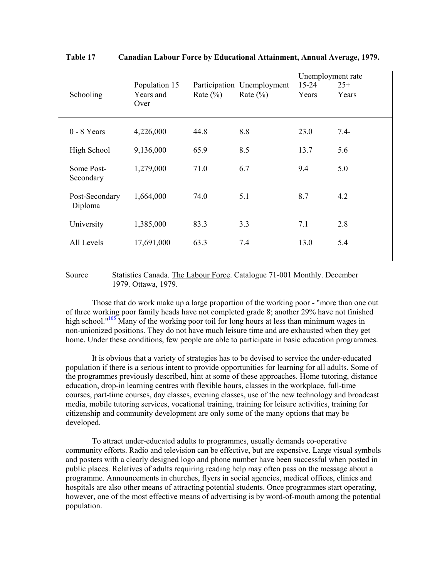| Schooling               |                | Population 15<br>Years and<br>Over | Rate $(\% )$ | Participation Unemployment<br>Rate $(\% )$ | Unemployment rate<br>$15 - 24$<br>Years | $25+$<br>Years |
|-------------------------|----------------|------------------------------------|--------------|--------------------------------------------|-----------------------------------------|----------------|
| $0 - 8$ Years           |                | 4,226,000                          | 44.8         | 8.8                                        | 23.0                                    | $7.4 -$        |
|                         | High School    | 9,136,000                          | 65.9         | 8.5                                        | 13.7                                    | 5.6            |
| Some Post-<br>Secondary |                | 1,279,000                          | 71.0         | 6.7                                        | 9.4                                     | 5.0            |
| Diploma                 | Post-Secondary | 1,664,000                          | 74.0         | 5.1                                        | 8.7                                     | 4.2            |
| University              |                | 1,385,000                          | 83.3         | 3.3                                        | 7.1                                     | 2.8            |
| All Levels              |                | 17,691,000                         | 63.3         | 7.4                                        | 13.0                                    | 5.4            |

**Table 17 Canadian Labour Force by Educational Attainment, Annual Average, 1979.** 

### Source Statistics Canada. The Labour Force. Catalogue 71-001 Monthly. December 1979. Ottawa, 1979.

Those that do work make up a large proportion of the working poor - "more than one out of three working poor family heads have not completed grade 8; another 29% have not finished high school."<sup>105</sup> Many of the working poor toil for long hours at less than minimum wages in non-unionized positions. They do not have much leisure time and are exhausted when they get home. Under these conditions, few people are able to participate in basic education programmes.

 It is obvious that a variety of strategies has to be devised to service the under-educated population if there is a serious intent to provide opportunities for learning for all adults. Some of the programmes previously described, hint at some of these approaches. Home tutoring, distance education, drop-in learning centres with flexible hours, classes in the workplace, full-time courses, part-time courses, day classes, evening classes, use of the new technology and broadcast media, mobile tutoring services, vocational training, training for leisure activities, training for citizenship and community development are only some of the many options that may be developed.

 To attract under-educated adults to programmes, usually demands co-operative community efforts. Radio and television can be effective, but are expensive. Large visual symbols and posters with a clearly designed logo and phone number have been successful when posted in public places. Relatives of adults requiring reading help may often pass on the message about a programme. Announcements in churches, flyers in social agencies, medical offices, clinics and hospitals are also other means of attracting potential students. Once programmes start operating, however, one of the most effective means of advertising is by word-of-mouth among the potential population.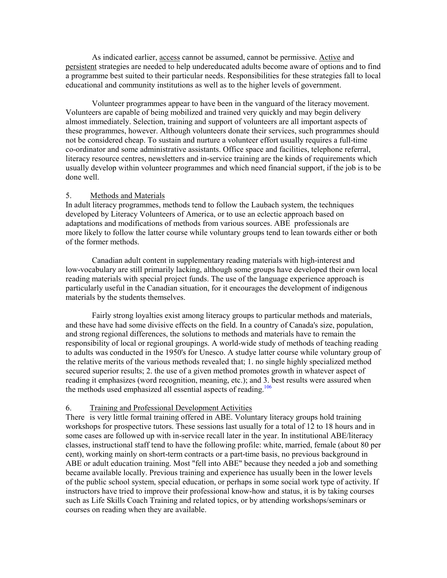As indicated earlier, access cannot be assumed, cannot be permissive. Active and persistent strategies are needed to help undereducated adults become aware of options and to find a programme best suited to their particular needs. Responsibilities for these strategies fall to local educational and community institutions as well as to the higher levels of government.

Volunteer programmes appear to have been in the vanguard of the literacy movement. Volunteers are capable of being mobilized and trained very quickly and may begin delivery almost immediately. Selection, training and support of volunteers are all important aspects of these programmes, however. Although volunteers donate their services, such programmes should not be considered cheap. To sustain and nurture a volunteer effort usually requires a full-time co-ordinator and some administrative assistants. Office space and facilities, telephone referral, literacy resource centres, newsletters and in-service training are the kinds of requirements which usually develop within volunteer programmes and which need financial support, if the job is to be done well.

#### 5. Methods and Materials

In adult literacy programmes, methods tend to follow the Laubach system, the techniques developed by Literacy Volunteers of America, or to use an eclectic approach based on adaptations and modifications of methods from various sources. ABE professionals are more likely to follow the latter course while voluntary groups tend to lean towards either or both of the former methods.

Canadian adult content in supplementary reading materials with high-interest and low-vocabulary are still primarily lacking, although some groups have developed their own local reading materials with special project funds. The use of the language experience approach is particularly useful in the Canadian situation, for it encourages the development of indigenous materials by the students themselves.

Fairly strong loyalties exist among literacy groups to particular methods and materials, and these have had some divisive effects on the field. In a country of Canada's size, population, and strong regional differences, the solutions to methods and materials have to remain the responsibility of local or regional groupings. A world-wide study of methods of teaching reading to adults was conducted in the 1950's for Unesco. A studye latter course while voluntary group of the relative merits of the various methods revealed that; 1. no single highly specialized method secured superior results; 2. the use of a given method promotes growth in whatever aspect of reading it emphasizes (word recognition, meaning, etc.); and [3. be](#page-117-0)st results were assured when the methods used emphasized all essential aspects of reading.<sup>106</sup>

#### 6. Training and Professional Development Activities

There is very little formal training offered in ABE. Voluntary literacy groups hold training workshops for prospective tutors. These sessions last usually for a total of 12 to 18 hours and in some cases are followed up with in-service recall later in the year. In institutional ABE/literacy classes, instructional staff tend to have the following profile: white, married, female (about 80 per cent), working mainly on short-term contracts or a part-time basis, no previous background in ABE or adult education training. Most "fell into ABE" because they needed a job and something became available locally. Previous training and experience has usually been in the lower levels of the public school system, special education, or perhaps in some social work type of activity. If instructors have tried to improve their professional know-how and status, it is by taking courses such as Life Skills Coach Training and related topics, or by attending workshops/seminars or courses on reading when they are available.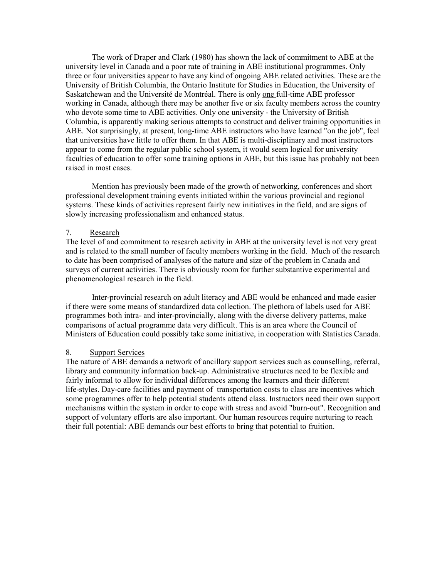The work of Draper and Clark (1980) has shown the lack of commitment to ABE at the university level in Canada and a poor rate of training in ABE institutional programmes. Only three or four universities appear to have any kind of ongoing ABE related activities. These are the University of British Columbia, the Ontario Institute for Studies in Education, the University of Saskatchewan and the Université de Montréal. There is only one full-time ABE professor working in Canada, although there may be another five or six faculty members across the country who devote some time to ABE activities. Only one university - the University of British Columbia, is apparently making serious attempts to construct and deliver training opportunities in ABE. Not surprisingly, at present, long-time ABE instructors who have learned "on the job", feel that universities have little to offer them. In that ABE is multi-disciplinary and most instructors appear to come from the regular public school system, it would seem logical for university faculties of education to offer some training options in ABE, but this issue has probably not been raised in most cases.

 Mention has previously been made of the growth of networking, conferences and short professional development training events initiated within the various provincial and regional systems. These kinds of activities represent fairly new initiatives in the field, and are signs of slowly increasing professionalism and enhanced status.

#### 7. Research

The level of and commitment to research activity in ABE at the university level is not very great and is related to the small number of faculty members working in the field. Much of the research to date has been comprised of analyses of the nature and size of the problem in Canada and surveys of current activities. There is obviously room for further substantive experimental and phenomenological research in the field.

 Inter-provincial research on adult literacy and ABE would be enhanced and made easier if there were some means of standardized data collection. The plethora of labels used for ABE programmes both intra- and inter-provincially, along with the diverse delivery patterns, make comparisons of actual programme data very difficult. This is an area where the Council of Ministers of Education could possibly take some initiative, in cooperation with Statistics Canada.

#### 8. Support Services

The nature of ABE demands a network of ancillary support services such as counselling, referral, library and community information back-up. Administrative structures need to be flexible and fairly informal to allow for individual differences among the learners and their different life-styles. Day-care facilities and payment of transportation costs to class are incentives which some programmes offer to help potential students attend class. Instructors need their own support mechanisms within the system in order to cope with stress and avoid "burn-out". Recognition and support of voluntary efforts are also important. Our human resources require nurturing to reach their full potential: ABE demands our best efforts to bring that potential to fruition.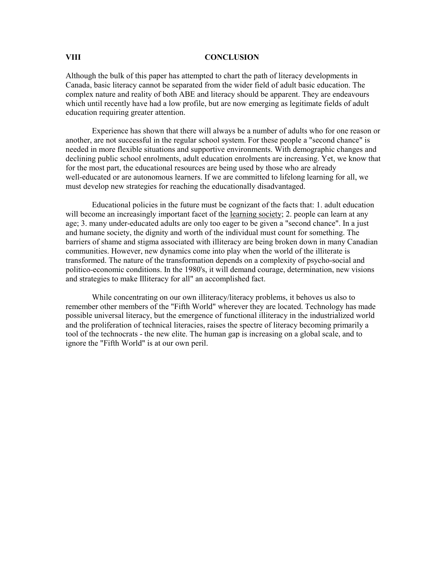#### **VIII CONCLUSION**

Although the bulk of this paper has attempted to chart the path of literacy developments in Canada, basic literacy cannot be separated from the wider field of adult basic education. The complex nature and reality of both ABE and literacy should be apparent. They are endeavours which until recently have had a low profile, but are now emerging as legitimate fields of adult education requiring greater attention.

 Experience has shown that there will always be a number of adults who for one reason or another, are not successful in the regular school system. For these people a "second chance" is needed in more flexible situations and supportive environments. With demographic changes and declining public school enrolments, adult education enrolments are increasing. Yet, we know that for the most part, the educational resources are being used by those who are already well-educated or are autonomous learners. If we are committed to lifelong learning for all, we must develop new strategies for reaching the educationally disadvantaged.

 Educational policies in the future must be cognizant of the facts that: 1. adult education will become an increasingly important facet of the learning society; 2. people can learn at any age; 3. many under-educated adults are only too eager to be given a "second chance". In a just and humane society, the dignity and worth of the individual must count for something. The barriers of shame and stigma associated with illiteracy are being broken down in many Canadian communities. However, new dynamics come into play when the world of the illiterate is transformed. The nature of the transformation depends on a complexity of psycho-social and politico-economic conditions. In the 1980's, it will demand courage, determination, new visions and strategies to make Illiteracy for all" an accomplished fact.

 While concentrating on our own illiteracy/literacy problems, it behoves us also to remember other members of the "Fifth World" wherever they are located. Technology has made possible universal literacy, but the emergence of functional illiteracy in the industrialized world and the proliferation of technical literacies, raises the spectre of literacy becoming primarily a tool of the technocrats - the new elite. The human gap is increasing on a global scale, and to ignore the "Fifth World" is at our own peril.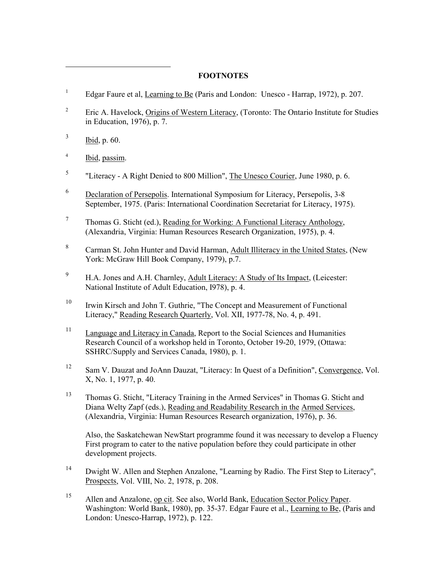## **FOOTNOTES**

- 1 Edgar Faure et al, Learning to Be (Paris and London: Unesco - Harrap, 1972), p. 207.
- 2 Eric A. Havelock, Origins of Western Literacy, (Toronto: The Ontario Institute for Studies in Education, 1976), p. 7.
- 3 Ibid, p. 60.

 $\overline{a}$ 

- 4 Ibid, passim.
- 5 "Literacy - A Right Denied to 800 Million", The Unesco Courier, June 1980, p. 6.
- 6 Declaration of Persepolis. International Symposium for Literacy, Persepolis, 3-8 September, 1975. (Paris: International Coordination Secretariat for Literacy, 1975).
- 7 Thomas G. Sticht (ed.), Reading for Working: A Functional Literacy Anthology, (Alexandria, Virginia: Human Resources Research Organization, 1975), p. 4.
- 8 Carman St. John Hunter and David Harman, Adult Illiteracy in the United States, (New York: McGraw Hill Book Company, 1979), p.7.
- 9 H.A. Jones and A.H. Charnley, Adult Literacy: A Study of Its Impact, (Leicester: National Institute of Adult Education, I978), p. 4.
- 10 Irwin Kirsch and John T. Guthrie, "The Concept and Measurement of Functional Literacy," Reading Research Quarterly, Vol. XII, 1977-78, No. 4, p. 491.
- <sup>11</sup> Language and Literacy in Canada, Report to the Social Sciences and Humanities Research Council of a workshop held in Toronto, October 19-20, 1979, (Ottawa: SSHRC/Supply and Services Canada, 1980), p. 1.
- <sup>12</sup> Sam V. Dauzat and JoAnn Dauzat, "Literacy: In Quest of a Definition", Convergence, Vol. X, No. 1, 1977, p. 40.
- 13 Thomas G. Sticht, "Literacy Training in the Armed Services" in Thomas G. Sticht and Diana Welty Zapf (eds.), Reading and Readability Research in the Armed Services, (Alexandria, Virginia: Human Resources Research organization, 1976), p. 36.

 Also, the Saskatchewan NewStart programme found it was necessary to develop a Fluency First program to cater to the native population before they could participate in other development projects.

- 14 Dwight W. Allen and Stephen Anzalone, "Learning by Radio. The First Step to Literacy", Prospects, Vol. VIII, No. 2, 1978, p. 208.
- 15 Allen and Anzalone, op cit. See also, World Bank, Education Sector Policy Paper. Washington: World Bank, 1980), pp. 35-37. Edgar Faure et al., Learning to Be, (Paris and London: Unesco-Harrap, 1972), p. 122.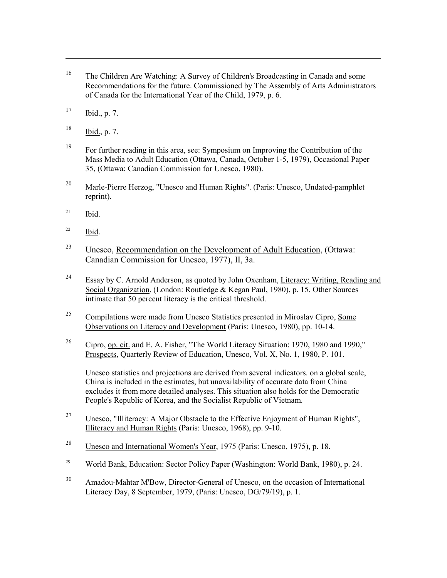- 16 The Children Are Watching: A Survey of Children's Broadcasting in Canada and some Recommendations for the future. Commissioned by The Assembly of Arts Administrators of Canada for the International Year of the Child, 1979, p. 6.
- $17$  Ibid., p. 7.

 $\overline{a}$ 

- $^{18}$  Ibid., p. 7.
- 19 For further reading in this area, see: Symposium on Improving the Contribution of the Mass Media to Adult Education (Ottawa, Canada, October 1-5, 1979), Occasional Paper 35, (Ottawa: Canadian Commission for Unesco, 1980).
- <sup>20</sup> Marle-Pierre Herzog, "Unesco and Human Rights". (Paris: Unesco, Undated-pamphlet reprint).
- $21$  Ibid.
- $22$  Ibid.
- <sup>23</sup> Unesco, Recommendation on the Development of Adult Education, (Ottawa: Canadian Commission for Unesco, 1977), II, 3a.
- <sup>24</sup> Essay by C. Arnold Anderson, as quoted by John Oxenham, Literacy: Writing, Reading and Social Organization. (London: Routledge & Kegan Paul, 1980), p. 15. Other Sources intimate that 50 percent literacy is the critical threshold.
- $^{25}$  Compilations were made from Unesco Statistics presented in Miroslav Cipro, Some Observations on Literacy and Development (Paris: Unesco, 1980), pp. 10-14.
- 26 Cipro, op. cit. and E. A. Fisher, "The World Literacy Situation: 1970, 1980 and 1990," Prospects, Quarterly Review of Education, Unesco, Vol. X, No. 1, 1980, P. 101.

 Unesco statistics and projections are derived from several indicators. on a global scale, China is included in the estimates, but unavailability of accurate data from China excludes it from more detailed analyses. This situation also holds for the Democratic People's Republic of Korea, and the Socialist Republic of Vietnam.

- <sup>27</sup> Unesco, "Illiteracy: A Major Obstacle to the Effective Enjoyment of Human Rights", Illiteracy and Human Rights (Paris: Unesco, 1968), pp. 9-10.
- <sup>28</sup> Unesco and International Women's Year, 1975 (Paris: Unesco, 1975), p. 18.
- <sup>29</sup> World Bank, Education: Sector Policy Paper (Washington: World Bank, 1980), p. 24.
- 30 Amadou-Mahtar M'Bow, Director-General of Unesco, on the occasion of International Literacy Day, 8 September, 1979, (Paris: Unesco, DG/79/19), p. 1.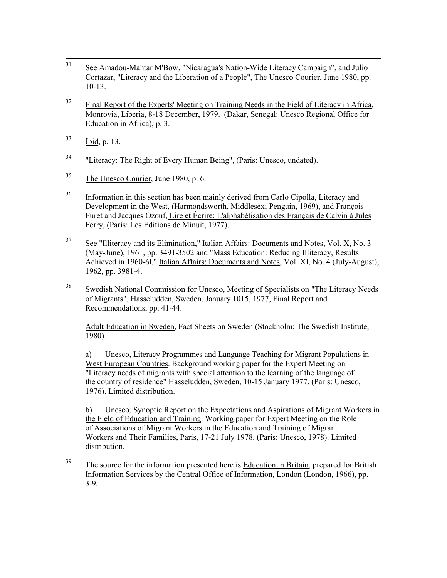- 31 See Amadou-Mahtar M'Bow, "Nicaragua's Nation-Wide Literacy Campaign", and Julio Cortazar, "Literacy and the Liberation of a People", The Unesco Courier, June 1980, pp. 10-13.
- $32$  Final Report of the Experts' Meeting on Training Needs in the Field of Literacy in Africa, Monrovia, Liberia, 8-18 December, 1979. (Dakar, Senegal: Unesco Regional Office for Education in Africa), p. 3.
- 33 Ibid, p. 13.
- <sup>34</sup> "Literacy: The Right of Every Human Being", (Paris: Unesco, undated).
- 35 The Unesco Courier, June 1980, p. 6.
- <sup>36</sup> Information in this section has been mainly derived from Carlo Cipolla, Literacy and Development in the West, (Harmondsworth, Middlesex; Penguin, 1969), and François Furet and Jacques Ozouf, Lire et Écrire: L'alphabétisation des Français de Calvin à Jules Ferry, (Paris: Les Editions de Minuit, 1977).
- <sup>37</sup> See "Illiteracy and its Elimination," Italian Affairs: Documents and Notes, Vol. X, No. 3 (May-June), 1961, pp. 3491-3502 and "Mass Education: Reducing Illiteracy, Results Achieved in 1960-6l," Italian Affairs: Documents and Notes, Vol. XI, No. 4 (July-August), 1962, pp. 3981-4.
- <sup>38</sup> Swedish National Commission for Unesco, Meeting of Specialists on "The Literacy Needs" of Migrants", Hasseludden, Sweden, January 1015, 1977, Final Report and Recommendations, pp. 41-44.

 Adult Education in Sweden, Fact Sheets on Sweden (Stockholm: The Swedish Institute, 1980).

 a) Unesco, Literacy Programmes and Language Teaching for Migrant Populations in West European Countries. Background working paper for the Expert Meeting on "Literacy needs of migrants with special attention to the learning of the language of the country of residence" Hasseludden, Sweden, 10-15 January 1977, (Paris: Unesco, 1976). Limited distribution.

 b) Unesco, Synoptic Report on the Expectations and Aspirations of Migrant Workers in the Field of Education and Training. Working paper for Expert Meeting on the Role of Associations of Migrant Workers in the Education and Training of Migrant Workers and Their Families, Paris, 17-21 July 1978. (Paris: Unesco, 1978). Limited distribution.

<sup>39</sup> The source for the information presented here is Education in Britain, prepared for British Information Services by the Central Office of Information, London (London, 1966), pp. 3-9.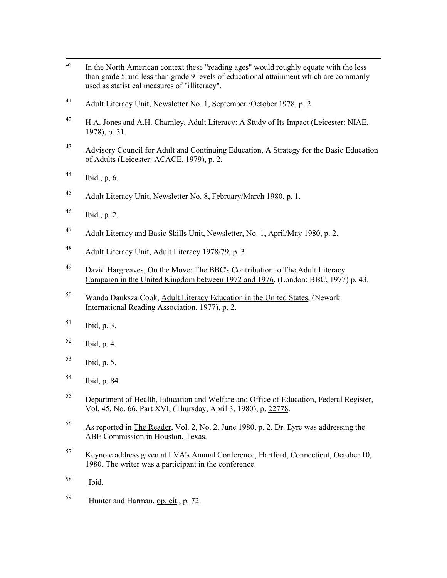- <sup>40</sup> In the North American context these "reading ages" would roughly equate with the less than grade 5 and less than grade 9 levels of educational attainment which are commonly used as statistical measures of "illiteracy".
- 41 Adult Literacy Unit, Newsletter No. 1, September / October 1978, p. 2.
- <sup>42</sup> H.A. Jones and A.H. Charnley, Adult Literacy: A Study of Its Impact (Leicester: NIAE, 1978), p. 31.
- <sup>43</sup> Advisory Council for Adult and Continuing Education, A Strategy for the Basic Education of Adults (Leicester: ACACE, 1979), p. 2.
- $^{44}$  Ibid., p, 6.
- 45 Adult Literacy Unit, Newsletter No. 8, February/March 1980, p. 1.
- $^{46}$  Ibid., p. 2.
- <sup>47</sup> Adult Literacy and Basic Skills Unit, Newsletter, No. 1, April/May 1980, p. 2.
- 48 Adult Literacy Unit, Adult Literacy 1978/79, p. 3.
- <sup>49</sup> David Hargreaves, On the Move: The BBC's Contribution to The Adult Literacy Campaign in the United Kingdom between 1972 and 1976, (London: BBC, 1977) p. 43.
- 50 Wanda Dauksza Cook, Adult Literacy Education in the United States, (Newark: International Reading Association, 1977), p. 2.
- $51$  Ibid, p. 3.
- $^{52}$  Ibid, p. 4.
- $^{53}$  Ibid, p. 5.
- 54 Ibid, p. 84.
- 55 Department of Health, Education and Welfare and Office of Education, Federal Register, Vol. 45, No. 66, Part XVI, (Thursday, April 3, 1980), p. 22778.
- 56 As reported in The Reader, Vol. 2, No. 2, June 1980, p. 2. Dr. Eyre was addressing the ABE Commission in Houston, Texas.
- 57 Keynote address given at LVA's Annual Conference, Hartford, Connecticut, October 10, 1980. The writer was a participant in the conference.
- 58 Ibid.
- 59 Hunter and Harman, op. cit., p. 72.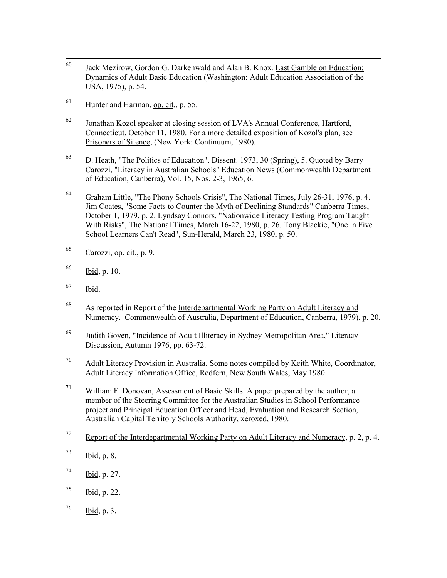- 60 Jack Mezirow, Gordon G. Darkenwald and Alan B. Knox. Last Gamble on Education: Dynamics of Adult Basic Education (Washington: Adult Education Association of the USA, 1975), p. 54.
- $^{61}$  Hunter and Harman, op. cit., p. 55.
- $62$  Jonathan Kozol speaker at closing session of LVA's Annual Conference, Hartford, Connecticut, October 11, 1980. For a more detailed exposition of Kozol's plan, see Prisoners of Silence, (New York: Continuum, 1980).
- 63 D. Heath, "The Politics of Education". Dissent. 1973, 30 (Spring), 5. Quoted by Barry Carozzi, "Literacy in Australian Schools" Education News (Commonwealth Department of Education, Canberra), Vol. 15, Nos. 2-3, 1965, 6.
- 64 Graham Little, "The Phony Schools Crisis", The National Times, July 26-31, 1976, p. 4. Jim Coates, "Some Facts to Counter the Myth of Declining Standards" Canberra Times, October 1, 1979, p. 2. Lyndsay Connors, "Nationwide Literacy Testing Program Taught With Risks", The National Times, March 16-22, 1980, p. 26. Tony Blackie, "One in Five School Learners Can't Read", Sun-Herald, March 23, 1980, p. 50.
- $^{65}$  Carozzi, op. cit., p. 9.
- 66 Ibid, p. 10.
- 67 Ibid.
- 68 As reported in Report of the Interdepartmental Working Party on Adult Literacy and Numeracy. Commonwealth of Australia, Department of Education, Canberra, 1979), p. 20.
- 69 Judith Goyen, "Incidence of Adult Illiteracy in Sydney Metropolitan Area," Literacy Discussion, Autumn 1976, pp. 63-72.
- $70$  Adult Literacy Provision in Australia. Some notes compiled by Keith White, Coordinator, Adult Literacy Information Office, Redfern, New South Wales, May 1980.
- $71$  William F. Donovan, Assessment of Basic Skills. A paper prepared by the author, a member of the Steering Committee for the Australian Studies in School Performance project and Principal Education Officer and Head, Evaluation and Research Section, Australian Capital Territory Schools Authority, xeroxed, 1980.
- $72$  Report of the Interdepartmental Working Party on Adult Literacy and Numeracy, p. 2, p. 4.
- $^{73}$  Ibid, p. 8.
- $^{74}$  Ibid, p. 27.
- $^{75}$  Ibid, p. 22.
- $^{76}$  Ibid, p. 3.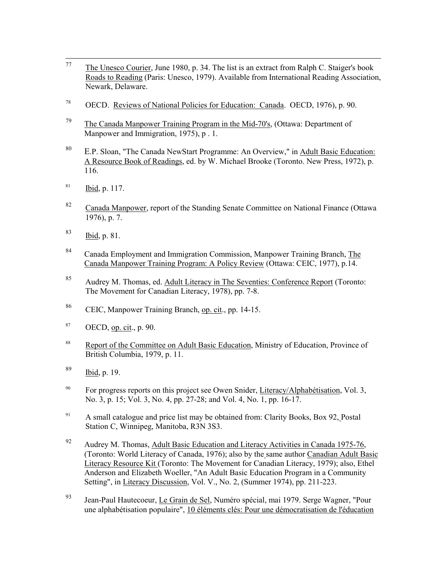- <sup>77</sup> The Unesco Courier, June 1980, p. 34. The list is an extract from Ralph C. Staiger's book Roads to Reading (Paris: Unesco, 1979). Available from International Reading Association, Newark, Delaware.
- 78 OECD. Reviews of National Policies for Education: Canada. OECD, 1976), p. 90.
- $79$  The Canada Manpower Training Program in the Mid-70's, (Ottawa: Department of Manpower and Immigration, 1975), p. 1.
- 80 E.P. Sloan, "The Canada NewStart Programme: An Overview," in Adult Basic Education: A Resource Book of Readings, ed. by W. Michael Brooke (Toronto. New Press, 1972), p. 116.
- $^{81}$  Ibid, p. 117.
- 82 Canada Manpower, report of the Standing Senate Committee on National Finance (Ottawa 1976), p. 7.
- 83 Ibid, p. 81.
- 84 Canada Employment and Immigration Commission, Manpower Training Branch, The Canada Manpower Training Program: A Policy Review (Ottawa: CEIC, 1977), p.14.
- 85 Audrey M. Thomas, ed. Adult Literacy in The Seventies: Conference Report (Toronto: The Movement for Canadian Literacy, 1978), pp. 7-8.
- 86 CEIC, Manpower Training Branch, op. cit., pp. 14-15.
- $87$  OECD, op. cit., p. 90.
- <sup>88</sup> Report of the Committee on Adult Basic Education, Ministry of Education, Province of British Columbia, 1979, p. 11.
- $\frac{89}{1}$  Ibid, p. 19.
- <sup>90</sup> For progress reports on this project see Owen Snider, Literacy/Alphabétisation, Vol. 3, No. 3, p. 15; Vol. 3, No. 4, pp. 27-28; and Vol. 4, No. 1, pp. 16-17.
- <sup>91</sup> A small catalogue and price list may be obtained from: Clarity Books, Box 92, Postal Station C, Winnipeg, Manitoba, R3N 3S3.
- <sup>92</sup> Audrey M. Thomas, Adult Basic Education and Literacy Activities in Canada 1975-76, (Toronto: World Literacy of Canada, 1976); also by the same author Canadian Adult Basic Literacy Resource Kit (Toronto: The Movement for Canadian Literacy, 1979); also, Ethel Anderson and Elizabeth Woeller, "An Adult Basic Education Program in a Community Setting", in Literacy Discussion, Vol. V., No. 2, (Summer 1974), pp. 211-223.
- 93 Jean-Paul Hautecoeur, Le Grain de Sel, Numéro spécial, mai 1979. Serge Wagner, "Pour une alphabétisation populaire", 10 éléments clés: Pour une démocratisation de l'éducation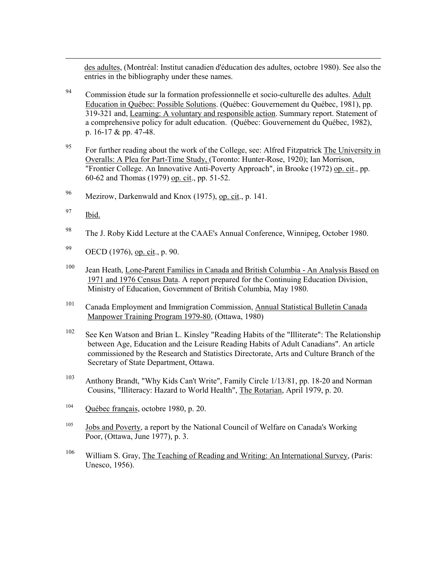des adultes, (Montréal: Institut canadien d'éducation des adultes, octobre 1980). See also the entries in the bibliography under these names.

- 94 Commission étude sur la formation professionnelle et socio-culturelle des adultes. Adult Education in Québec: Possible Solutions. (Québec: Gouvernement du Québec, 1981), pp. 319-321 and, Learning: A voluntary and responsible action. Summary report. Statement of a comprehensive policy for adult education. (Québec: Gouvernement du Québec, 1982), p. 16-17 & pp. 47-48.
- $^{95}$  For further reading about the work of the College, see: Alfred Fitzpatrick The University in Overalls: A Plea for Part-Time Study, (Toronto: Hunter-Rose, 1920); Ian Morrison, "Frontier College. An Innovative Anti-Poverty Approach", in Brooke (1972) op. cit., pp. 60-62 and Thomas (1979) op. cit., pp. 51-52.
- 96 Mezirow, Darkenwald and Knox (1975), op. cit., p. 141.
- $97$  Ibid.

- 98 The J. Roby Kidd Lecture at the CAAE's Annual Conference, Winnipeg, October 1980.
- 99 OECD (1976), op. cit., p. 90.
- 100 Jean Heath, Lone-Parent Families in Canada and British Columbia An Analysis Based on 1971 and 1976 Census Data. A report prepared for the Continuing Education Division, Ministry of Education, Government of British Columbia, May 1980.
- 101 Canada Employment and Immigration Commission, Annual Statistical Bulletin Canada Manpower Training Program 1979-80, (Ottawa, 1980)
- <sup>102</sup> See Ken Watson and Brian L. Kinsley "Reading Habits of the "Illiterate": The Relationship between Age, Education and the Leisure Reading Habits of Adult Canadians". An article commissioned by the Research and Statistics Directorate, Arts and Culture Branch of the Secretary of State Department, Ottawa.
- <span id="page-117-0"></span>103 Anthony Brandt, "Why Kids Can't Write", Family Circle 1/13/81, pp. 18-20 and Norman Cousins, "Illiteracy: Hazard to World Health", The Rotarian, April 1979, p. 20.
- 104 Québec français, octobre 1980, p. 20.
- <sup>105</sup> Jobs and Poverty, a report by the National Council of Welfare on Canada's Working Poor, (Ottawa, June 1977), p. 3.
- 106 William S. Gray, The Teaching of Reading and Writing: An International Survey, (Paris: Unesco, 1956).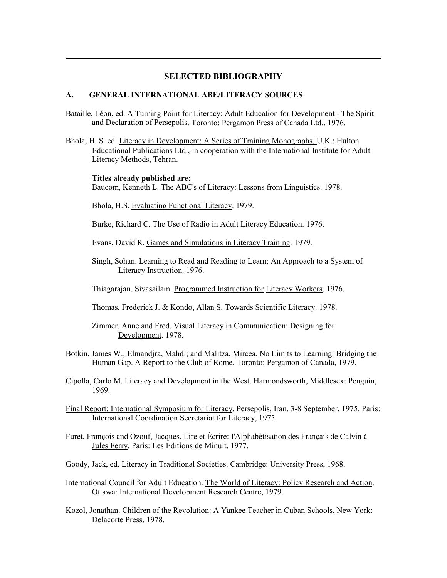## **SELECTED BIBLIOGRAPHY**

#### **A. GENERAL INTERNATIONAL ABE/LITERACY SOURCES**

 $\overline{a}$ 

- Bataille, Léon, ed. A Turning Point for Literacy: Adult Education for Development The Spirit and Declaration of Persepolis. Toronto: Pergamon Press of Canada Ltd., 1976.
- Bhola, H. S. ed. Literacy in Development: A Series of Training Monographs. U.K.: Hulton Educational Publications Ltd., in cooperation with the International Institute for Adult Literacy Methods, Tehran.

 **Titles already published are:**  Baucom, Kenneth L. The ABC's of Literacy: Lessons from Linguistics. 1978.

Bhola, H.S. Evaluating Functional Literacy. 1979.

Burke, Richard C. The Use of Radio in Adult Literacy Education. 1976.

Evans, David R. Games and Simulations in Literacy Training. 1979.

Singh, Sohan. Learning to Read and Reading to Learn: An Approach to a System of Literacy Instruction. 1976.

Thiagarajan, Sivasailam. Programmed Instruction for Literacy Workers. 1976.

Thomas, Frederick J. & Kondo, Allan S. Towards Scientific Literacy. 1978.

 Zimmer, Anne and Fred. Visual Literacy in Communication: Designing for Development. 1978.

- Botkin, James W.; Elmandjra, Mahdi; and Malitza, Mircea. No Limits to Learning: Bridging the Human Gap. A Report to the Club of Rome. Toronto: Pergamon of Canada, 1979.
- Cipolla, Carlo M. Literacy and Development in the West. Harmondsworth, Middlesex: Penguin, 1969.
- Final Report: International Symposium for Literacy. Persepolis, Iran, 3-8 September, 1975. Paris: International Coordination Secretariat for Literacy, 1975.
- Furet, François and Ozouf, Jacques. Lire et Écrire: I'Alphabétisation des Français de Calvin à Jules Ferry. Paris: Les Editions de Minuit, 1977.
- Goody, Jack, ed. Literacy in Traditional Societies. Cambridge: University Press, 1968.
- International Council for Adult Education. The World of Literacy: Policy Research and Action. Ottawa: International Development Research Centre, 1979.
- Kozol, Jonathan. Children of the Revolution: A Yankee Teacher in Cuban Schools. New York: Delacorte Press, 1978.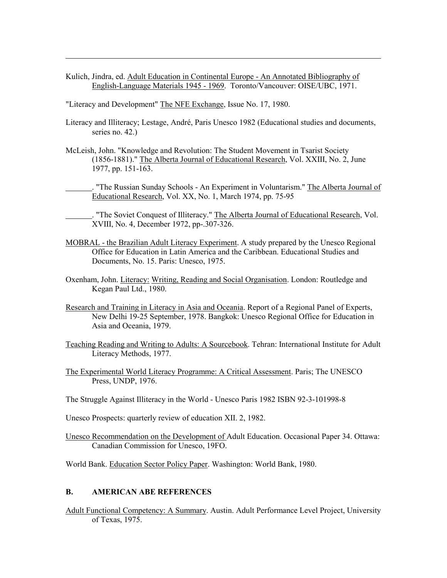Kulich, Jindra, ed. Adult Education in Continental Europe - An Annotated Bibliography of English-Language Materials 1945 - 1969. Toronto/Vancouver: OISE/UBC, 1971.

"Literacy and Development" The NFE Exchange, Issue No. 17, 1980.

 $\overline{a}$ 

- Literacy and Illiteracy; Lestage, André, Paris Unesco 1982 (Educational studies and documents, series no. 42.)
- McLeish, John. "Knowledge and Revolution: The Student Movement in Tsarist Society (1856-1881)." The Alberta Journal of Educational Research, Vol. XXIII, No. 2, June 1977, pp. 151-163.

. "The Russian Sunday Schools - An Experiment in Voluntarism." The Alberta Journal of Educational Research, Vol. XX, No. 1, March 1974, pp. 75-95

. "The Soviet Conquest of Illiteracy." The Alberta Journal of Educational Research, Vol. XVIII, No. 4, December 1972, pp-.307-326.

- MOBRAL the Brazilian Adult Literacy Experiment. A study prepared by the Unesco Regional Office for Education in Latin America and the Caribbean. Educational Studies and Documents, No. 15. Paris: Unesco, 1975.
- Oxenham, John. Literacy: Writing, Reading and Social Organisation. London: Routledge and Kegan Paul Ltd., 1980.
- Research and Training in Literacy in Asia and Oceania. Report of a Regional Panel of Experts, New Delhi 19-25 September, 1978. Bangkok: Unesco Regional Office for Education in Asia and Oceania, 1979.
- Teaching Reading and Writing to Adults: A Sourcebook. Tehran: International Institute for Adult Literacy Methods, 1977.
- The Experimental World Literacy Programme: A Critical Assessment. Paris; The UNESCO Press, UNDP, 1976.
- The Struggle Against Illiteracy in the World Unesco Paris 1982 ISBN 92-3-101998-8
- Unesco Prospects: quarterly review of education XII. 2, 1982.
- Unesco Recommendation on the Development of Adult Education. Occasional Paper 34. Ottawa: Canadian Commission for Unesco, 19FO.

World Bank. Education Sector Policy Paper. Washington: World Bank, 1980.

#### **B. AMERICAN ABE REFERENCES**

Adult Functional Competency: A Summary. Austin. Adult Performance Level Project, University of Texas, 1975.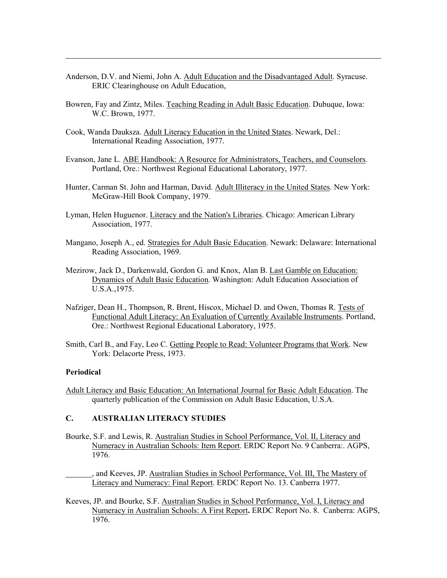- Anderson, D.V. and Niemi, John A. Adult Education and the Disadvantaged Adult. Syracuse. ERIC Clearinghouse on Adult Education,
- Bowren, Fay and Zintz, Miles. Teaching Reading in Adult Basic Education. Dubuque, Iowa: W.C. Brown, 1977.
- Cook, Wanda Dauksza. Adult Literacy Education in the United States. Newark, Del.: International Reading Association, 1977.
- Evanson, Jane L. ABE Handbook: A Resource for Administrators, Teachers, and Counselors. Portland, Ore.: Northwest Regional Educational Laboratory, 1977.
- Hunter, Carman St. John and Harman, David. Adult Illiteracy in the United States. New York: McGraw-Hill Book Company, 1979.
- Lyman, Helen Huguenor. Literacy and the Nation's Libraries. Chicago: American Library Association, 1977.
- Mangano, Joseph A., ed. Strategies for Adult Basic Education. Newark: Delaware: International Reading Association, 1969.
- Mezirow, Jack D., Darkenwald, Gordon G. and Knox, Alan B. Last Gamble on Education: Dynamics of Adult Basic Education. Washington: Adult Education Association of U.S.A.,1975.
- Nafziger, Dean H., Thompson, R. Brent, Hiscox, Michael D. and Owen, Thomas R. Tests of Functional Adult Literacy: An Evaluation of Currently Available Instruments. Portland, Ore.: Northwest Regional Educational Laboratory, 1975.
- Smith, Carl B., and Fay, Leo C. Getting People to Read: Volunteer Programs that Work. New York: Delacorte Press, 1973.

#### **Periodical**

 $\overline{a}$ 

Adult Literacy and Basic Education: An International Journal for Basic Adult Education. The quarterly publication of the Commission on Adult Basic Education, U.S.A.

#### **C. AUSTRALIAN LITERACY STUDIES**

- Bourke, S.F. and Lewis, R. Australian Studies in School Performance, Vol. II, Literacy and Numeracy in Australian Schools: Item Report. ERDC Report No. 9 Canberra:. AGPS, 1976.
- , and Keeves, JP. Australian Studies in School Performance, Vol. III, The Mastery of Literacy and Numeracy: Final Report. ERDC Report No. 13. Canberra 1977.
- Keeves, JP. and Bourke, S.F. Australian Studies in School Performance, Vol. I, Literacy and Numeracy in Australian Schools: A First Report**.** ERDC Report No. 8. Canberra: AGPS, 1976.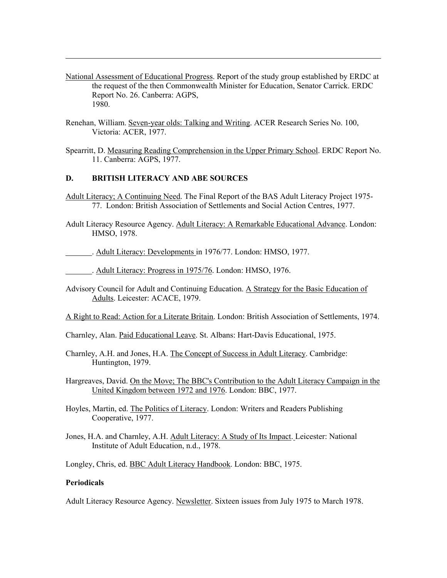- National Assessment of Educational Progress. Report of the study group established by ERDC at the request of the then Commonwealth Minister for Education, Senator Carrick. ERDC Report No. 26. Canberra: AGPS, 1980.
- Renehan, William. Seven-year olds: Talking and Writing. ACER Research Series No. 100, Victoria: ACER, 1977.
- Spearritt, D. Measuring Reading Comprehension in the Upper Primary School. ERDC Report No. 11. Canberra: AGPS, 1977.

#### **D. BRITISH LITERACY AND ABE SOURCES**

- Adult Literacy; A Continuing Need. The Final Report of the BAS Adult Literacy Project 1975- 77. London: British Association of Settlements and Social Action Centres, 1977.
- Adult Literacy Resource Agency. Adult Literacy: A Remarkable Educational Advance. London: HMSO, 1978.
- . Adult Literacy: Developments in 1976/77. London: HMSO, 1977.
- . Adult Literacy: Progress in 1975/76. London: HMSO, 1976.
- Advisory Council for Adult and Continuing Education. A Strategy for the Basic Education of Adults. Leicester: ACACE, 1979.

A Right to Read: Action for a Literate Britain. London: British Association of Settlements, 1974.

- Charnley, Alan. Paid Educational Leave. St. Albans: Hart-Davis Educational, 1975.
- Charnley, A.H. and Jones, H.A. The Concept of Success in Adult Literacy. Cambridge: Huntington, 1979.
- Hargreaves, David. On the Move; The BBC's Contribution to the Adult Literacy Campaign in the United Kingdom between 1972 and 1976. London: BBC, 1977.
- Hoyles, Martin, ed. The Politics of Literacy. London: Writers and Readers Publishing Cooperative, 1977.
- Jones, H.A. and Charnley, A.H. Adult Literacy: A Study of Its Impact. Leicester: National Institute of Adult Education, n.d., 1978.
- Longley, Chris, ed. BBC Adult Literacy Handbook. London: BBC, 1975.

#### **Periodicals**

 $\overline{a}$ 

Adult Literacy Resource Agency. Newsletter. Sixteen issues from July 1975 to March 1978.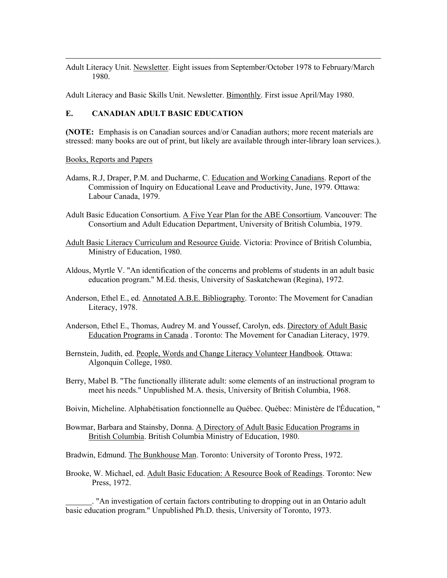Adult Literacy Unit. Newsletter. Eight issues from September/October 1978 to February/March 1980.

Adult Literacy and Basic Skills Unit. Newsletter. Bimonthly. First issue April/May 1980.

## **E. CANADIAN ADULT BASIC EDUCATION**

**(NOTE:** Emphasis is on Canadian sources and/or Canadian authors; more recent materials are stressed: many books are out of print, but likely are available through inter-library loan services.).

Books, Reports and Papers

 $\overline{a}$ 

- Adams, R.J, Draper, P.M. and Ducharme, C. Education and Working Canadians. Report of the Commission of Inquiry on Educational Leave and Productivity, June, 1979. Ottawa: Labour Canada, 1979.
- Adult Basic Education Consortium. A Five Year Plan for the ABE Consortium. Vancouver: The Consortium and Adult Education Department, University of British Columbia, 1979.
- Adult Basic Literacy Curriculum and Resource Guide. Victoria: Province of British Columbia, Ministry of Education, 1980.
- Aldous, Myrtle V. "An identification of the concerns and problems of students in an adult basic education program." M.Ed. thesis, University of Saskatchewan (Regina), 1972.
- Anderson, Ethel E., ed. Annotated A.B.E. Bibliography. Toronto: The Movement for Canadian Literacy, 1978.
- Anderson, Ethel E., Thomas, Audrey M. and Youssef, Carolyn, eds. Directory of Adult Basic Education Programs in Canada . Toronto: The Movement for Canadian Literacy, 1979.
- Bernstein, Judith, ed. People, Words and Change Literacy Volunteer Handbook. Ottawa: Algonquin College, 1980.
- Berry, Mabel B. "The functionally illiterate adult: some elements of an instructional program to meet his needs." Unpublished M.A. thesis, University of British Columbia, 1968.
- Boivin, Micheline. Alphabétisation fonctionnelle au Québec. Québec: Ministère de l'Éducation, "
- Bowmar, Barbara and Stainsby, Donna. A Directory of Adult Basic Education Programs in British Columbia. British Columbia Ministry of Education, 1980.

Bradwin, Edmund. The Bunkhouse Man. Toronto: University of Toronto Press, 1972.

Brooke, W. Michael, ed. Adult Basic Education: A Resource Book of Readings. Toronto: New Press, 1972.

. "An investigation of certain factors contributing to dropping out in an Ontario adult basic education program." Unpublished Ph.D. thesis, University of Toronto, 1973.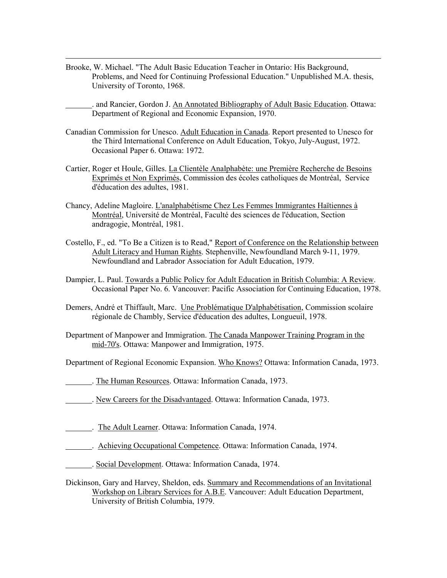Brooke, W. Michael. "The Adult Basic Education Teacher in Ontario: His Background, Problems, and Need for Continuing Professional Education." Unpublished M.A. thesis, University of Toronto, 1968.

 $\overline{a}$ 

. and Rancier, Gordon J. An Annotated Bibliography of Adult Basic Education. Ottawa: Department of Regional and Economic Expansion, 1970.

- Canadian Commission for Unesco. Adult Education in Canada. Report presented to Unesco for the Third International Conference on Adult Education, Tokyo, July-August, 1972. Occasional Paper 6. Ottawa: 1972.
- Cartier, Roger et Houle, Gilles. La Clientèle Analphabète: une Première Recherche de Besoins Exprimés et Non Exprimés, Commission des écoles catholiques de Montréal, Service d'éducation des adultes, 1981.
- Chancy, Adeline Magloire. L'analphabétisme Chez Les Femmes Immigrantes Haïtiennes à Montréal, Université de Montréal, Faculté des sciences de l'éducation, Section andragogie, Montréal, 1981.
- Costello, F., ed. "To Be a Citizen is to Read," Report of Conference on the Relationship between Adult Literacy and Human Rights. Stephenville, Newfoundland March 9-11, 1979. Newfoundland and Labrador Association for Adult Education, 1979.
- Dampier, L. Paul. Towards a Public Policy for Adult Education in British Columbia: A Review. Occasional Paper No. 6. Vancouver: Pacific Association for Continuing Education, 1978.
- Demers, André et Thiffault, Marc. Une Problématique D'alphabétisation, Commission scolaire régionale de Chambly, Service d'éducation des adultes, Longueuil, 1978.
- Department of Manpower and Immigration. The Canada Manpower Training Program in the mid-70's. Ottawa: Manpower and Immigration, 1975.
- Department of Regional Economic Expansion. Who Knows? Ottawa: Information Canada, 1973.
- . The Human Resources. Ottawa: Information Canada, 1973.
- . New Careers for the Disadvantaged. Ottawa: Information Canada, 1973.
- . The Adult Learner. Ottawa: Information Canada, 1974.
- . Achieving Occupational Competence. Ottawa: Information Canada, 1974.
- . Social Development. Ottawa: Information Canada, 1974.
- Dickinson, Gary and Harvey, Sheldon, eds. Summary and Recommendations of an Invitational Workshop on Library Services for A.B.E. Vancouver: Adult Education Department, University of British Columbia, 1979.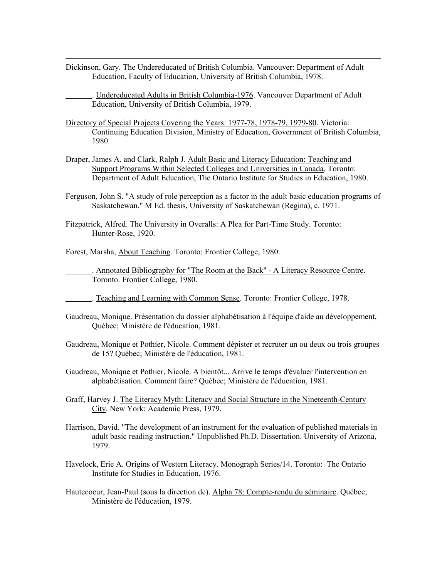Dickinson, Gary. The Undereducated of British Columbia. Vancouver: Department of Adult Education, Faculty of Education, University of British Columbia, 1978.

. Undereducated Adults in British Columbia-1976. Vancouver Department of Adult Education, University of British Columbia, 1979.

- Directory of Special Projects Covering the Years: 1977-78, 1978-79, 1979-80. Victoria: Continuing Education Division, Ministry of Education, Government of British Columbia, 1980.
- Draper, James A. and Clark, Ralph J. Adult Basic and Literacy Education: Teaching and Support Programs Within Selected Colleges and Universities in Canada. Toronto: Department of Adult Education, The Ontario Institute for Studies in Education, 1980.
- Ferguson, John S. "A study of role perception as a factor in the adult basic education programs of Saskatchewan." M Ed. thesis, University of Saskatchewan (Regina), c. 1971.
- Fitzpatrick, Alfred. The University in Overalls: A Plea for Part-Time Study. Toronto: Hunter-Rose, 1920.

Forest, Marsha, About Teaching. Toronto: Frontier College, 1980.

 $\overline{a}$ 

. Annotated Bibliography for "The Room at the Back" - A Literacy Resource Centre. Toronto. Frontier College, 1980.

- . Teaching and Learning with Common Sense. Toronto: Frontier College, 1978.
- Gaudreau, Monique. Présentation du dossier alphabétisation à l'équipe d'aide au développement, Québec; Ministère de l'éducation, 1981.
- Gaudreau, Monique et Pothier, Nicole. Comment dépister et recruter un ou deux ou trois groupes de 15? Québec; Ministère de l'éducation, 1981.
- Gaudreau, Monique et Pothier, Nicole. A bientôt... Arrive le temps d'évaluer l'intervention en alphabétisation. Comment faire? Québec; Ministère de l'éducation, 1981.
- Graff, Harvey J. The Literacy Myth: Literacy and Social Structure in the Nineteenth-Century City. New York: Academic Press, 1979.
- Harrison, David. "The development of an instrument for the evaluation of published materials in adult basic reading instruction." Unpublished Ph.D. Dissertation. University of Arizona, 1979.
- Havelock, Erie A. Origins of Western Literacy. Monograph Series/14. Toronto: The Ontario Institute for Studies in Education, 1976.
- Hautecoeur, Jean-Paul (sous la direction de). Alpha 78: Compte-rendu du séminaire. Québec; Ministère de l'éducation, 1979.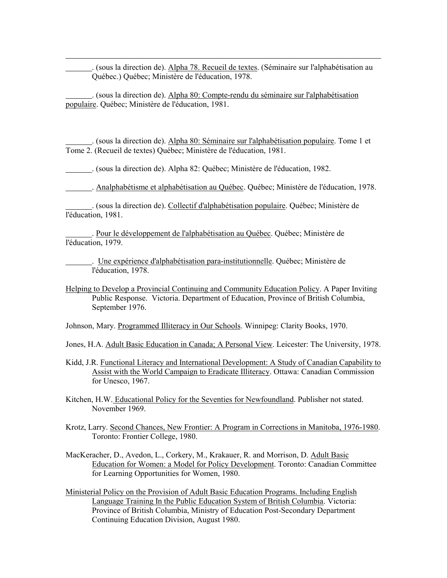. (sous la direction de). Alpha 78. Recueil de textes. (Séminaire sur l'alphabétisation au Québec.) Québec; Ministère de l'éducation, 1978.

. (sous la direction de). Alpha 80: Compte-rendu du séminaire sur l'alphabétisation populaire. Québec; Ministère de l'éducation, 1981.

 $\overline{a}$ 

. (sous la direction de). Alpha 80: Séminaire sur l'alphabétisation populaire. Tome 1 et Tome 2. (Recueil de textes) Québec; Ministère de l'éducation, 1981.

. (sous la direction de). Alpha 82: Québec; Ministère de l'éducation, 1982.

. Analphabétisme et alphabétisation au Québec. Québec; Ministère de l'éducation, 1978.

. (sous la direction de). Collectif d'alphabétisation populaire. Québec; Ministère de l'éducation, 1981.

. Pour le développement de l'alphabétisation au Québec. Québec; Ministère de l'éducation, 1979.

. Une expérience d'alphabétisation para-institutionnelle. Québec; Ministère de l'éducation, 1978.

Helping to Develop a Provincial Continuing and Community Education Policy. A Paper Inviting Public Response. Victoria. Department of Education, Province of British Columbia, September 1976.

Johnson, Mary. Programmed Illiteracy in Our Schools. Winnipeg: Clarity Books, 1970.

Jones, H.A. Adult Basic Education in Canada; A Personal View. Leicester: The University, 1978.

- Kidd, J.R. Functional Literacy and International Development: A Study of Canadian Capability to Assist with the World Campaign to Eradicate Illiteracy. Ottawa: Canadian Commission for Unesco, 1967.
- Kitchen, H.W. Educational Policy for the Seventies for Newfoundland. Publisher not stated. November 1969.
- Krotz, Larry. Second Chances, New Frontier: A Program in Corrections in Manitoba, 1976-1980. Toronto: Frontier College, 1980.
- MacKeracher, D., Avedon, L., Corkery, M., Krakauer, R. and Morrison, D. Adult Basic Education for Women: a Model for Policy Development. Toronto: Canadian Committee for Learning Opportunities for Women, 1980.
- Ministerial Policy on the Provision of Adult Basic Education Programs. Including English Language Training In the Public Education System of British Columbia. Victoria: Province of British Columbia, Ministry of Education Post-Secondary Department Continuing Education Division, August 1980.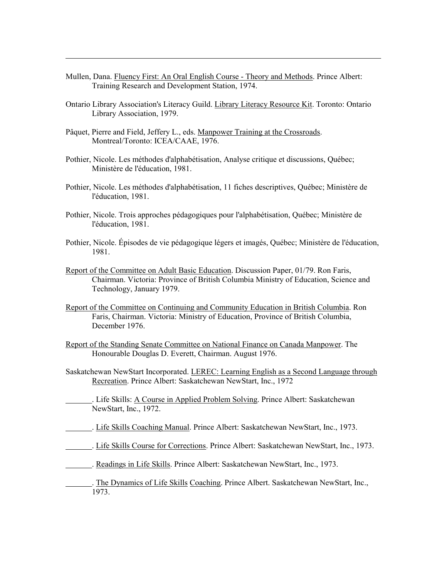- Mullen, Dana. Fluency First: An Oral English Course Theory and Methods. Prince Albert: Training Research and Development Station, 1974.
- Ontario Library Association's Literacy Guild. Library Literacy Resource Kit. Toronto: Ontario Library Association, 1979.
- Pâquet, Pierre and Field, Jeffery L., eds. Manpower Training at the Crossroads. Montreal/Toronto: ICEA/CAAE, 1976.

- Pothier, Nicole. Les méthodes d'alphabétisation, Analyse critique et discussions, Québec; Ministère de l'éducation, 1981.
- Pothier, Nicole. Les méthodes d'alphabétisation, 11 fiches descriptives, Québec; Ministère de l'éducation, 1981.
- Pothier, Nicole. Trois approches pédagogiques pour l'alphabétisation, Québec; Ministère de l'éducation, 1981.
- Pothier, Nicole. Épisodes de vie pédagogique légers et imagés, Québec; Ministère de l'éducation, 1981.
- Report of the Committee on Adult Basic Education. Discussion Paper, 01/79. Ron Faris, Chairman. Victoria: Province of British Columbia Ministry of Education, Science and Technology, January 1979.
- Report of the Committee on Continuing and Community Education in British Columbia. Ron Faris, Chairman. Victoria: Ministry of Education, Province of British Columbia, December 1976.
- Report of the Standing Senate Committee on National Finance on Canada Manpower. The Honourable Douglas D. Everett, Chairman. August 1976.
- Saskatchewan NewStart Incorporated. LEREC: Learning English as a Second Language through Recreation. Prince Albert: Saskatchewan NewStart, Inc., 1972
- . Life Skills: A Course in Applied Problem Solving. Prince Albert: Saskatchewan NewStart, Inc., 1972.
- . Life Skills Coaching Manual. Prince Albert: Saskatchewan NewStart, Inc., 1973.
- . Life Skills Course for Corrections. Prince Albert: Saskatchewan NewStart, Inc., 1973.
- . Readings in Life Skills. Prince Albert: Saskatchewan NewStart, Inc., 1973.
- . The Dynamics of Life Skills Coaching. Prince Albert. Saskatchewan NewStart, Inc., 1973.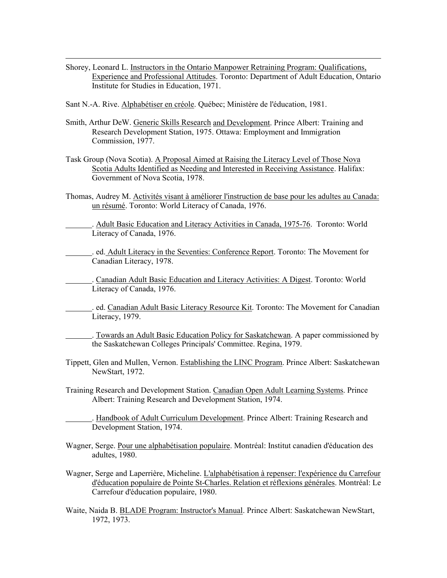- Shorey, Leonard L. Instructors in the Ontario Manpower Retraining Program: Qualifications, Experience and Professional Attitudes. Toronto: Department of Adult Education, Ontario Institute for Studies in Education, 1971.
- Sant N.-A. Rive. Alphabétiser en créole. Québec; Ministère de l'éducation, 1981.

- Smith, Arthur DeW. Generic Skills Research and Development. Prince Albert: Training and Research Development Station, 1975. Ottawa: Employment and Immigration Commission, 1977.
- Task Group (Nova Scotia). A Proposal Aimed at Raising the Literacy Level of Those Nova Scotia Adults Identified as Needing and Interested in Receiving Assistance. Halifax: Government of Nova Scotia, 1978.
- Thomas, Audrey M. Activités visant à améliorer l'instruction de base pour les adultes au Canada: un résumé. Toronto: World Literacy of Canada, 1976.
	- . Adult Basic Education and Literacy Activities in Canada, 1975-76. Toronto: World Literacy of Canada, 1976.
	- . ed. Adult Literacy in the Seventies: Conference Report. Toronto: The Movement for Canadian Literacy, 1978.
	- . Canadian Adult Basic Education and Literacy Activities: A Digest. Toronto: World Literacy of Canada, 1976.
	- . ed. Canadian Adult Basic Literacy Resource Kit. Toronto: The Movement for Canadian Literacy, 1979.
		- . Towards an Adult Basic Education Policy for Saskatchewan. A paper commissioned by the Saskatchewan Colleges Principals' Committee. Regina, 1979.
- Tippett, Glen and Mullen, Vernon. Establishing the LINC Program. Prince Albert: Saskatchewan NewStart, 1972.
- Training Research and Development Station. Canadian Open Adult Learning Systems. Prince Albert: Training Research and Development Station, 1974.
	- . Handbook of Adult Curriculum Development. Prince Albert: Training Research and Development Station, 1974.
- Wagner, Serge. Pour une alphabétisation populaire. Montréal: Institut canadien d'éducation des adultes, 1980.
- Wagner, Serge and Laperrière, Micheline. L'alphabétisation à repenser: l'expérience du Carrefour d'éducation populaire de Pointe St-Charles. Relation et réflexions générales. Montréal: Le Carrefour d'éducation populaire, 1980.
- Waite, Naida B. BLADE Program: Instructor's Manual. Prince Albert: Saskatchewan NewStart, 1972, 1973.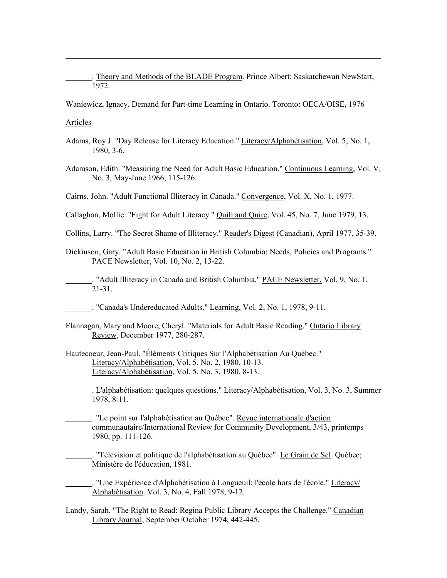. Theory and Methods of the BLADE Program. Prince Albert: Saskatchewan NewStart, 1972.

Waniewicz, Ignacy. Demand for Part-time Learning in Ontario. Toronto: OECA/OISE, 1976

Articles

 $\overline{a}$ 

- Adams, Roy J. "Day Release for Literacy Education." Literacy/Alphabétisation, Vol. 5, No. 1, 1980, 3-6.
- Adamson, Edith. "Measuring the Need for Adult Basic Education." Continuous Learning, Vol. V, No. 3, May-June 1966, 115-126.

Cairns, John. "Adult Functional Illiteracy in Canada." Convergence, Vol. X, No. 1, 1977.

Callaghan, Mollie. "Fight for Adult Literacy." Quill and Quire, Vol. 45, No. 7, June 1979, 13.

Collins, Larry. "The Secret Shame of Illiteracy." Reader's Digest (Canadian), April 1977, 35-39.

Dickinson, Gary. "Adult Basic Education in British Columbia: Needs, Policies and Programs." PACE Newsletter, Vol. 10, No. 2, 13-22.

. "Adult Illiteracy in Canada and British Columbia." **PACE Newsletter**, Vol. 9, No. 1, 21-31.

- . "Canada's Undereducated Adults." Learning, Vol. 2, No. 1, 1978, 9-11.
- Flannagan, Mary and Moore, Cheryl. "Materials for Adult Basic Reading." Ontario Library Review, December 1977, 280-287.
- Hautecoeur, Jean-Paul. "Éléments Critiques Sur I'Alphabétisation Au Québec." Literacy/Alphabétisation, Vol. 5, No. 2, 1980, 10-13. Literacy/Alphabétisation, Vol. 5, No. 3, 1980, 8-13.

. L'alphabétisation: quelques questions." Literacy/Alphabétisation, Vol. 3, No. 3, Summer 1978, 8-11.

. "Le point sur l'alphabétisation au Québec". Revue internationale d'action communautaire/International Review for Community Development, 3/43, printemps 1980, pp. 111-126.

. "Télévision et politique de l'alphabétisation au Québec". Le Grain de Sel. Québec; Ministère de l'éducation, 1981.

. "Une Expérience d'Alphabétisation à Longueuil: l'école hors de l'école." Literacy/ Alphabétisation. Vol. 3, No. 4, Fall 1978, 9-12.

Landy, Sarah. "The Right to Read: Regina Public Library Accepts the Challenge." Canadian Library Journal, September/October 1974, 442-445.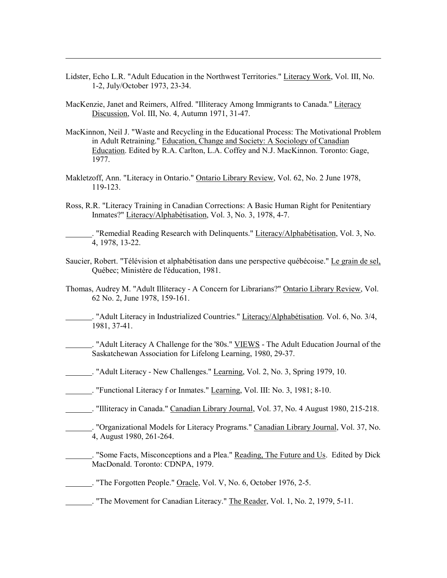- Lidster, Echo L.R. "Adult Education in the Northwest Territories." Literacy Work, Vol. III, No. 1-2, July/October 1973, 23-34.
- MacKenzie, Janet and Reimers, Alfred. "Illiteracy Among Immigrants to Canada." Literacy Discussion, Vol. III, No. 4, Autumn 1971, 31-47.

 $\overline{a}$ 

- MacKinnon, Neil J. "Waste and Recycling in the Educational Process: The Motivational Problem in Adult Retraining." Education, Change and Society: A Sociology of Canadian Education. Edited by R.A. Carlton, L.A. Coffey and N.J. MacKinnon. Toronto: Gage, 1977.
- Makletzoff, Ann. "Literacy in Ontario." Ontario Library Review, Vol. 62, No. 2 June 1978, 119-123.
- Ross, R.R. "Literacy Training in Canadian Corrections: A Basic Human Right for Penitentiary Inmates?" Literacy/Alphabétisation, Vol. 3, No. 3, 1978, 4-7.

. "Remedial Reading Research with Delinquents." Literacy/Alphabétisation, Vol. 3, No. 4, 1978, 13-22.

- Saucier, Robert. "Télévision et alphabétisation dans une perspective québécoise." Le grain de sel, Québec; Ministère de l'éducation, 1981.
- Thomas, Audrey M. "Adult Illiteracy A Concern for Librarians?" Ontario Library Review, Vol. 62 No. 2, June 1978, 159-161.
- . "Adult Literacy in Industrialized Countries." Literacy/Alphabétisation. Vol. 6, No. 3/4, 1981, 37-41.
- . "Adult Literacy A Challenge for the '80s." VIEWS The Adult Education Journal of the Saskatchewan Association for Lifelong Learning, 1980, 29-37.
- . "Adult Literacy New Challenges." Learning, Vol. 2, No. 3, Spring 1979, 10.
- . "Functional Literacy f or Inmates." Learning, Vol. III: No. 3, 1981; 8-10.
- . "Illiteracy in Canada." Canadian Library Journal, Vol. 37, No. 4 August 1980, 215-218.
- . "Organizational Models for Literacy Programs." Canadian Library Journal, Vol. 37, No. 4, August 1980, 261-264.
	- . "Some Facts, Misconceptions and a Plea." Reading, The Future and Us. Edited by Dick MacDonald. Toronto: CDNPA, 1979.
- . "The Forgotten People." Oracle, Vol. V, No. 6, October 1976, 2-5.
- . The Movement for Canadian Literacy." The Reader, Vol. 1, No. 2, 1979, 5-11.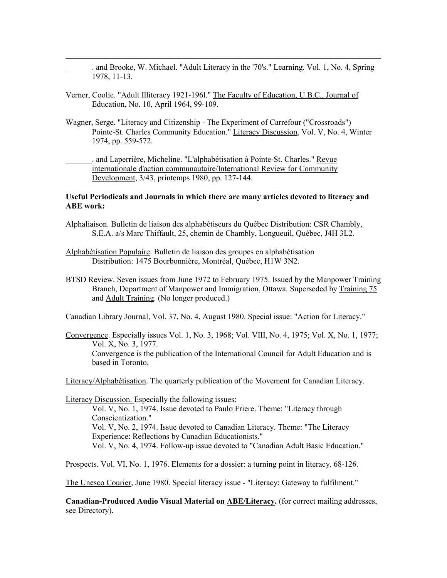. and Brooke, W. Michael. "Adult Literacy in the '70's." Learning. Vol. 1, No. 4, Spring 1978, 11-13.

Verner, Coolie. "Adult Illiteracy 1921-196l." The Faculty of Education, U.B.C., Journal of Education, No. 10, April 1964, 99-109.

 $\overline{a}$ 

- Wagner, Serge. "Literacy and Citizenship The Experiment of Carrefour ("Crossroads") Pointe-St. Charles Community Education." Literacy Discussion, Vol. V, No. 4, Winter 1974, pp. 559-572.
- . and Laperrière, Micheline. "L'alphabétisation à Pointe-St. Charles." Revue internationale d'action communautaire/International Review for Community Development, 3/43, printemps 1980, pp. 127-144.

#### **Useful Periodicals and Journals in which there are many articles devoted to literacy and ABE work:**

- Alphaliaison. Bulletin de liaison des alphabétiseurs du Québec Distribution: CSR Chambly, S.E.A. a/s Marc Thiffault, 25, chemin de Chambly, Longueuil, Québec, J4H 3L2.
- Alphabétisation Populaire. Bulletin de liaison des groupes en alphabétisation Distribution: 1475 Bourbonnière, Montréal, Québec, H1W 3N2.
- BTSD Review. Seven issues from June 1972 to February 1975. Issued by the Manpower Training Branch, Department of Manpower and Immigration, Ottawa. Superseded by Training 75 and Adult Training. (No longer produced.)

Canadian Library Journal, Vol. 37, No. 4, August 1980. Special issue: "Action for Literacy."

Convergence. Especially issues Vol. 1, No. 3, 1968; Vol. VIII, No. 4, 1975; Vol. X, No. 1, 1977; Vol. X, No. 3, 1977. Convergence is the publication of the International Council for Adult Education and is based in Toronto.

Literacy/Alphabétisation. The quarterly publication of the Movement for Canadian Literacy.

Literacy Discussion. Especially the following issues: Vol. V, No. 1, 1974. Issue devoted to Paulo Friere. Theme: "Literacy through Conscientization." Vol. V, No. 2, 1974. Issue devoted to Canadian Literacy. Theme: "The Literacy Experience: Reflections by Canadian Educationists." Vol. V, No. 4, 1974. Follow-up issue devoted to "Canadian Adult Basic Education."

Prospects. Vol. VI, No. 1, 1976. Elements for a dossier: a turning point in literacy. 68-126.

The Unesco Courier, June 1980. Special literacy issue - "Literacy: Gateway to fulfilment."

**Canadian-Produced Audio Visual Material on ABE/Literacy.** (for correct mailing addresses, see Directory).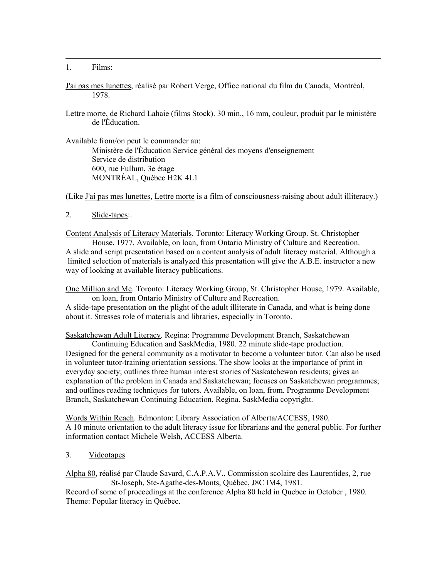1. Films:

 $\overline{a}$ 

- J'ai pas mes lunettes, réalisé par Robert Verge, Office national du film du Canada, Montréal, 1978.
- Lettre morte, de Richard Lahaie (films Stock). 30 min., 16 mm, couleur, produit par le ministère de l'Éducation.

Available from/on peut le commander au:

 Ministère de l'Éducation Service général des moyens d'enseignement Service de distribution 600, rue Fullum, 3e étage MONTRÉAL, Québec H2K 4L1

(Like J'ai pas mes lunettes, Lettre morte is a film of consciousness-raising about adult illiteracy.)

2. Slide-tapes:.

Content Analysis of Literacy Materials. Toronto: Literacy Working Group. St. Christopher

House, 1977. Available, on loan, from Ontario Ministry of Culture and Recreation. A slide and script presentation based on a content analysis of adult literacy material. Although a limited selection of materials is analyzed this presentation will give the A.B.E. instructor a new way of looking at available literacy publications.

One Million and Me. Toronto: Literacy Working Group, St. Christopher House, 1979. Available, on loan, from Ontario Ministry of Culture and Recreation.

A slide-tape presentation on the plight of the adult illiterate in Canada, and what is being done about it. Stresses role of materials and libraries, especially in Toronto.

Saskatchewan Adult Literacy. Regina: Programme Development Branch, Saskatchewan

Continuing Education and SaskMedia, 1980. 22 minute slide-tape production. Designed for the general community as a motivator to become a volunteer tutor. Can also be used in volunteer tutor-training orientation sessions. The show looks at the importance of print in everyday society; outlines three human interest stories of Saskatchewan residents; gives an explanation of the problem in Canada and Saskatchewan; focuses on Saskatchewan programmes; and outlines reading techniques for tutors. Available, on loan, from. Programme Development Branch, Saskatchewan Continuing Education, Regina. SaskMedia copyright.

Words Within Reach. Edmonton: Library Association of Alberta/ACCESS, 1980. A 10 minute orientation to the adult literacy issue for librarians and the general public. For further information contact Michele Welsh, ACCESS Alberta.

3. Videotapes

Alpha 80, réalisé par Claude Savard, C.A.P.A.V., Commission scolaire des Laurentides, 2, rue St-Joseph, Ste-Agathe-des-Monts, Québec, J8C IM4, 1981.

Record of some of proceedings at the conference Alpha 80 held in Quebec in October , 1980. Theme: Popular literacy in Québec.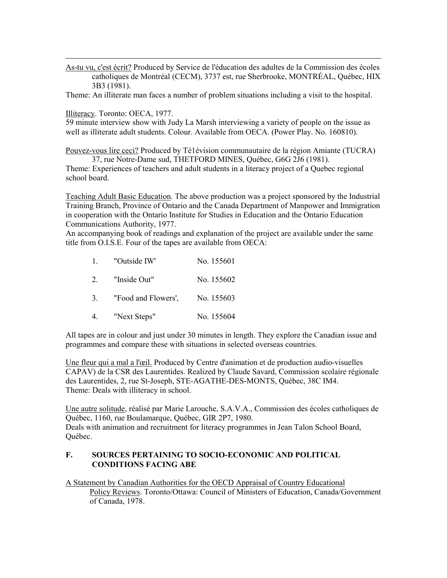As-tu vu, c'est écrit? Produced by Service de l'éducation des adultes de la Commission des écoles catholiques de Montréal (CECM), 3737 est, rue Sherbrooke, MONTRÉAL, Québec, HIX 3B3 (1981).

Theme: An illiterate man faces a number of problem situations including a visit to the hospital.

Illiteracy. Toronto: OECA, 1977.

 $\overline{a}$ 

59 minute interview show with Judy La Marsh interviewing a variety of people on the issue as well as illiterate adult students. Colour. Available from OECA. (Power Play. No. 160810).

Pouvez-vous lire ceci? Produced by Té1évision communautaire de la région Amiante (TUCRA) 37, rue Notre-Dame sud, THETFORD MINES, Québec, G6G 2J6 (1981).

Theme: Experiences of teachers and adult students in a literacy project of a Quebec regional school board.

Teaching Adult Basic Education. The above production was a project sponsored by the Industrial Training Branch, Province of Ontario and the Canada Department of Manpower and Immigration in cooperation with the Ontario Institute for Studies in Education and the Ontario Education Communications Authority, 1977.

An accompanying book of readings and explanation of the project are available under the same title from O.I.S.E. Four of the tapes are available from OECA:

|  | "Outside IW"                   | No. 155601 |
|--|--------------------------------|------------|
|  | 2. "Inside Out"                | No. 155602 |
|  | "Food and Flowers'. No. 155603 |            |

- 
- 4. "Next Steps" No. 155604

All tapes are in colour and just under 30 minutes in length. They explore the Canadian issue and programmes and compare these with situations in selected overseas countries.

Une fleur qui a mal a l'œil. Produced by Centre d'animation et de production audio-visuelles CAPAV) de la CSR des Laurentides. Realized by Claude Savard, Commission scolaire régionale des Laurentides, 2, rue St-Joseph, STE-AGATHE-DES-MONTS, Québec, 38C IM4. Theme: Deals with illiteracy in school.

Une autre solitude, réalisé par Marie Larouche, S.A.V.A., Commission des écoles catholiques de Québec, 1160, rue Boulamarque, Québec, GIR 2P7, 1980. Deals with animation and recruitment for literacy programmes in Jean Talon School Board, Québec.

#### **F. SOURCES PERTAINING TO SOCIO-ECONOMIC AND POLITICAL CONDITIONS FACING ABE**

A Statement by Canadian Authorities for the OECD Appraisal of Country Educational Policy Reviews. Toronto/Ottawa: Council of Ministers of Education, Canada/Government of Canada, 1978.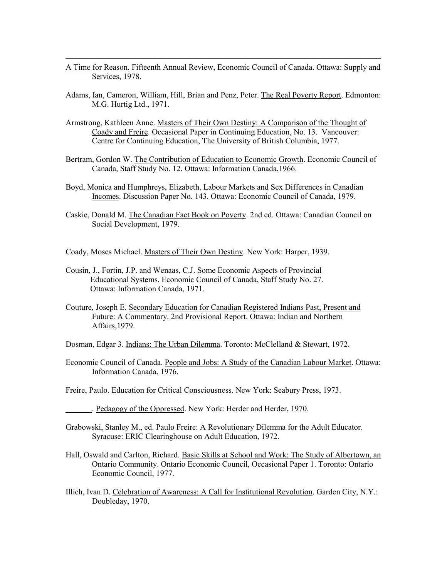A Time for Reason. Fifteenth Annual Review, Economic Council of Canada. Ottawa: Supply and Services, 1978.

- Adams, Ian, Cameron, William, Hill, Brian and Penz, Peter. The Real Poverty Report. Edmonton: M.G. Hurtig Ltd., 1971.
- Armstrong, Kathleen Anne. Masters of Their Own Destiny: A Comparison of the Thought of Coady and Freire. Occasional Paper in Continuing Education, No. 13. Vancouver: Centre for Continuing Education, The University of British Columbia, 1977.
- Bertram, Gordon W. The Contribution of Education to Economic Growth. Economic Council of Canada, Staff Study No. 12. Ottawa: Information Canada,1966.
- Boyd, Monica and Humphreys, Elizabeth. Labour Markets and Sex Differences in Canadian Incomes. Discussion Paper No. 143. Ottawa: Economic Council of Canada, 1979.
- Caskie, Donald M. The Canadian Fact Book on Poverty. 2nd ed. Ottawa: Canadian Council on Social Development, 1979.
- Coady, Moses Michael. Masters of Their Own Destiny. New York: Harper, 1939.
- Cousin, J., Fortin, J.P. and Wenaas, C.J. Some Economic Aspects of Provincial Educational Systems. Economic Council of Canada, Staff Study No. 27. Ottawa: Information Canada, 1971.
- Couture, Joseph E. Secondary Education for Canadian Registered Indians Past, Present and Future: A Commentary. 2nd Provisional Report. Ottawa: Indian and Northern Affairs,1979.
- Dosman, Edgar 3. Indians: The Urban Dilemma. Toronto: McClelland & Stewart, 1972.
- Economic Council of Canada. People and Jobs: A Study of the Canadian Labour Market. Ottawa: Information Canada, 1976.
- Freire, Paulo. Education for Critical Consciousness. New York: Seabury Press, 1973.
- . Pedagogy of the Oppressed. New York: Herder and Herder, 1970.
- Grabowski, Stanley M., ed. Paulo Freire: A Revolutionary Dilemma for the Adult Educator. Syracuse: ERIC Clearinghouse on Adult Education, 1972.
- Hall, Oswald and Carlton, Richard. Basic Skills at School and Work: The Study of Albertown, an Ontario Community. Ontario Economic Council, Occasional Paper 1. Toronto: Ontario Economic Council, 1977.
- Illich, Ivan D. Celebration of Awareness: A Call for Institutional Revolution. Garden City, N.Y.: Doubleday, 1970.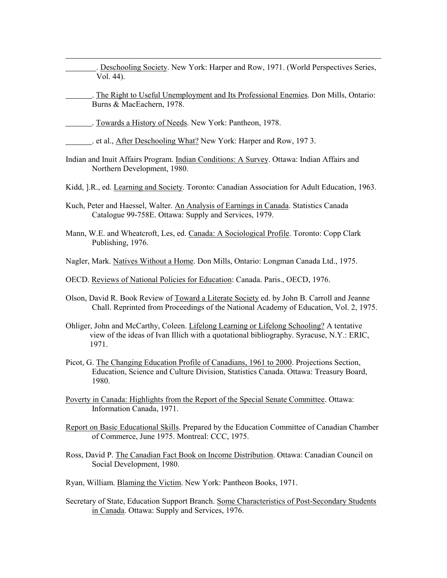- . Deschooling Society. New York: Harper and Row, 1971. (World Perspectives Series, Vol. 44).
- . The Right to Useful Unemployment and Its Professional Enemies. Don Mills, Ontario: Burns & MacEachern, 1978.
- . Towards a History of Needs. New York: Pantheon, 1978.

- . et al., After Deschooling What? New York: Harper and Row, 197 3.
- Indian and Inuit Affairs Program. Indian Conditions: A Survey. Ottawa: Indian Affairs and Northern Development, 1980.
- Kidd, ].R., ed. Learning and Society. Toronto: Canadian Association for Adult Education, 1963.
- Kuch, Peter and Haessel, Walter. An Analysis of Earnings in Canada. Statistics Canada Catalogue 99-758E. Ottawa: Supply and Services, 1979.
- Mann, W.E. and Wheatcroft, Les, ed. Canada: A Sociological Profile. Toronto: Copp Clark Publishing, 1976.
- Nagler, Mark. Natives Without a Home. Don Mills, Ontario: Longman Canada Ltd., 1975.
- OECD. Reviews of National Policies for Education: Canada. Paris., OECD, 1976.
- Olson, David R. Book Review of Toward a Literate Society ed. by John B. Carroll and Jeanne Chall. Reprinted from Proceedings of the National Academy of Education, Vol. 2, 1975.
- Ohliger, John and McCarthy, Coleen. Lifelong Learning or Lifelong Schooling? A tentative view of the ideas of Ivan Illich with a quotational bibliography. Syracuse, N.Y.: ERIC, 1971.
- Picot, G. The Changing Education Profile of Canadians, 1961 to 2000. Projections Section, Education, Science and Culture Division, Statistics Canada. Ottawa: Treasury Board, 1980.
- Poverty in Canada: Highlights from the Report of the Special Senate Committee. Ottawa: Information Canada, 1971.
- Report on Basic Educational Skills. Prepared by the Education Committee of Canadian Chamber of Commerce, June 1975. Montreal: CCC, 1975.
- Ross, David P. The Canadian Fact Book on Income Distribution. Ottawa: Canadian Council on Social Development, 1980.
- Ryan, William. Blaming the Victim. New York: Pantheon Books, 1971.
- Secretary of State, Education Support Branch. Some Characteristics of Post-Secondary Students in Canada. Ottawa: Supply and Services, 1976.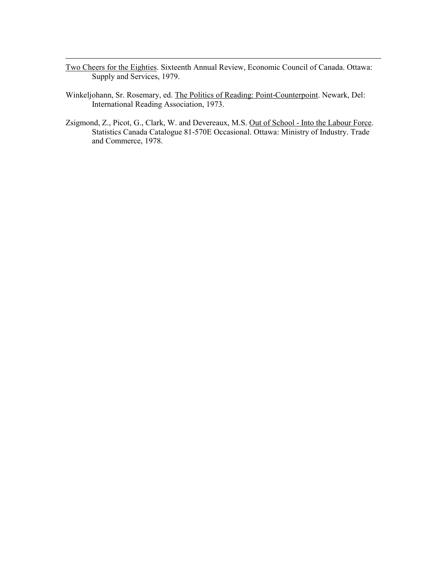Two Cheers for the Eighties. Sixteenth Annual Review, Economic Council of Canada. Ottawa: Supply and Services, 1979.

- Winkeljohann, Sr. Rosemary, ed. The Politics of Reading: Point-Counterpoint. Newark, Del: International Reading Association, 1973.
- Zsigmond, Z., Picot, G., Clark, W. and Devereaux, M.S. Out of School Into the Labour Force. Statistics Canada Catalogue 81-570E Occasional. Ottawa: Ministry of Industry. Trade and Commerce, 1978.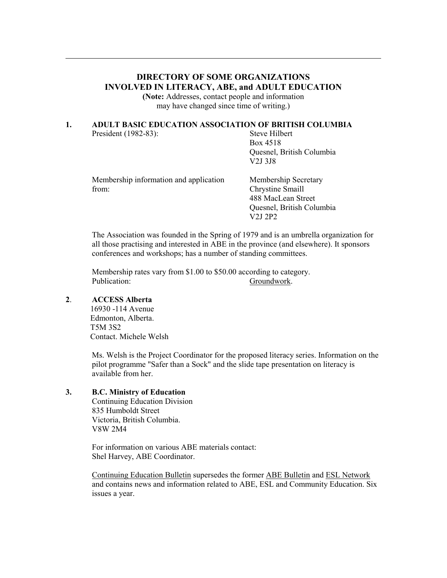# **DIRECTORY OF SOME ORGANIZATIONS INVOLVED IN LITERACY, ABE, and ADULT EDUCATION**

**(Note:** Addresses, contact people and information may have changed since time of writing.)

## **1. ADULT BASIC EDUCATION ASSOCIATION OF BRITISH COLUMBIA**

President (1982-83): Steve Hilbert

 $\overline{a}$ 

 Box 4518 Quesnel, British Columbia V2J 3J8

| Membership information and application | Membership Secretary      |
|----------------------------------------|---------------------------|
| from:                                  | Chrystine Smaill          |
|                                        | 488 MacLean Street        |
|                                        | Quesnel, British Columbia |

 The Association was founded in the Spring of 1979 and is an umbrella organization for all those practising and interested in ABE in the province (and elsewhere). It sponsors conferences and workshops; has a number of standing committees.

V2J 2P2

 Membership rates vary from \$1.00 to \$50.00 according to category. Publication: Groundwork.

## **2**. **ACCESS Alberta**

16930 -114 Avenue Edmonton, Alberta. T5M 3S2 Contact. Michele Welsh

 Ms. Welsh is the Project Coordinator for the proposed literacy series. Information on the pilot programme "Safer than a Sock" and the slide tape presentation on literacy is available from her.

## **3. B.C. Ministry of Education**

 Continuing Education Division 835 Humboldt Street Victoria, British Columbia. V8W 2M4

 For information on various ABE materials contact: Shel Harvey, ABE Coordinator.

 Continuing Education Bulletin supersedes the former ABE Bulletin and ESL Network and contains news and information related to ABE, ESL and Community Education. Six issues a year.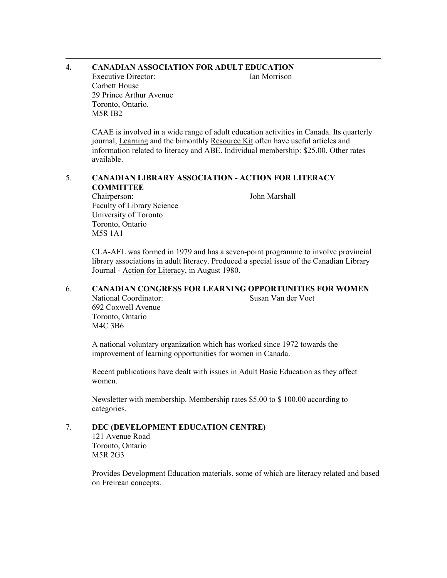#### $\overline{a}$ **4. CANADIAN ASSOCIATION FOR ADULT EDUCATION**

Executive Director: Ian Morrison

 Corbett House 29 Prince Arthur Avenue Toronto, Ontario. M5R IB2

 CAAE is involved in a wide range of adult education activities in Canada. Its quarterly journal, Learning and the bimonthly Resource Kit often have useful articles and information related to literacy and ABE. Individual membership: \$25.00. Other rates available.

## 5. **CANADIAN LIBRARY ASSOCIATION - ACTION FOR LITERACY COMMITTEE**

 Chairperson: John Marshall Faculty of Library Science University of Toronto Toronto, Ontario M5S 1A1

 CLA-AFL was formed in 1979 and has a seven-point programme to involve provincial library associations in adult literacy. Produced a special issue of the Canadian Library Journal - Action for Literacy, in August 1980.

## 6. **CANADIAN CONGRESS FOR LEARNING OPPORTUNITIES FOR WOMEN**

National Coordinator: Susan Van der Voet 692 Coxwell Avenue Toronto, Ontario M4C 3B6

 A national voluntary organization which has worked since 1972 towards the improvement of learning opportunities for women in Canada.

 Recent publications have dealt with issues in Adult Basic Education as they affect women.

 Newsletter with membership. Membership rates \$5.00 to \$ 100.00 according to categories.

## 7. **DEC (DEVELOPMENT EDUCATION CENTRE)**

121 Avenue Road Toronto, Ontario M5R 2G3

 Provides Development Education materials, some of which are literacy related and based on Freirean concepts.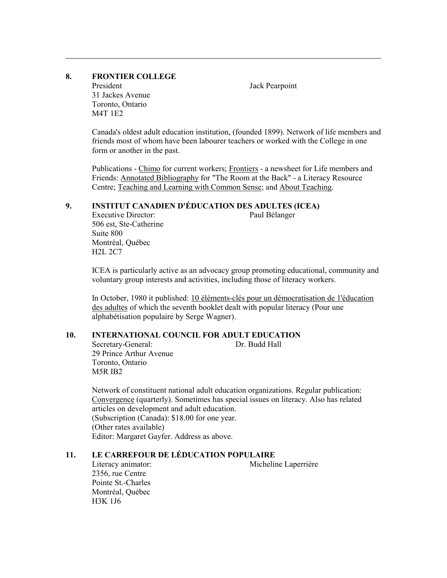## **8. FRONTIER COLLEGE**

 $\overline{a}$ 

President Jack Pearpoint 31 Jackes Avenue Toronto, Ontario M4T 1E2

 Canada's oldest adult education institution, (founded 1899). Network of life members and friends most of whom have been labourer teachers or worked with the College in one form or another in the past.

Publications - Chimo for current workers; Frontiers - a newsheet for Life members and Friends: Annotated Bibliography for "The Room at the Back" - a Literacy Resource Centre; Teaching and Learning with Common Sense; and About Teaching.

## **9. INSTITUT CANADIEN D'ÉDUCATION DES ADULTES (ICEA)**

 Executive Director: Paul Bélanger 506 est, Ste-Catherine Suite 800 Montréal, Québec H2L 2C7

 ICEA is particularly active as an advocacy group promoting educational, community and voluntary group interests and activities, including those of literacy workers.

 In October, 1980 it published: 10 éléments-clés pour un démocratisation de 1'éducation des adultes of which the seventh booklet dealt with popular literacy (Pour une alphabétisation populaire by Serge Wagner).

## **10. INTERNATIONAL COUNCIL FOR ADULT EDUCATION**

**Secretary-General:** Dr. Budd Hall 29 Prince Arthur Avenue Toronto, Ontario M5R IB2

 Network of constituent national adult education organizations. Regular publication: Convergence (quarterly). Sometimes has special issues on literacy. Also has related articles on development and adult education. (Subscription (Canada): \$18.00 for one year. (Other rates available) Editor: Margaret Gayfer. Address as above.

#### **11. LE CARREFOUR DE LÉDUCATION POPULAIRE**

 2356, rue Centre Pointe St.-Charles Montréal, Québec H3K 1J6

Literacy animator: Micheline Laperrière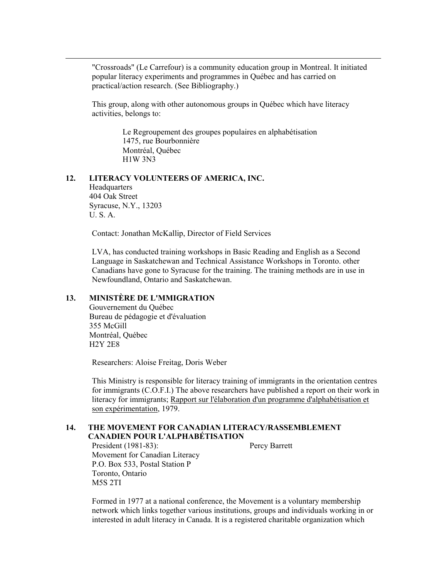"Crossroads" (Le Carrefour) is a community education group in Montreal. It initiated popular literacy experiments and programmes in Québec and has carried on practical/action research. (See Bibliography.)

 This group, along with other autonomous groups in Québec which have literacy activities, belongs to:

> Le Regroupement des groupes populaires en alphabétisation 1475, rue Bourbonnière Montréal, Québec H1W 3N3

#### **12. LITERACY VOLUNTEERS OF AMERICA, INC.**

**Headquarters**  404 Oak Street Syracuse, N.Y., 13203 U. S. A.

 $\overline{a}$ 

Contact: Jonathan McKallip, Director of Field Services

 LVA, has conducted training workshops in Basic Reading and English as a Second Language in Saskatchewan and Technical Assistance Workshops in Toronto. other Canadians have gone to Syracuse for the training. The training methods are in use in Newfoundland, Ontario and Saskatchewan.

## **13. MINISTÈRE DE L'MMIGRATION**

Gouvernement du Québec Bureau de pédagogie et d'évaluation 355 McGill Montréal, Québec H2Y 2E8

Researchers: Aloise Freitag, Doris Weber

 This Ministry is responsible for literacy training of immigrants in the orientation centres for immigrants (C.O.F.I.) The above researchers have published a report on their work in literacy for immigrants; Rapport sur l'élaboration d'un programme d'alphabétisation et son expérimentation, 1979.

#### **14. THE MOVEMENT FOR CANADIAN LITERACY/RASSEMBLEMENT CANADIEN POUR L'ALPHABÉTISATION**

 President (1981-83): Percy Barrett Movement for Canadian Literacy P.O. Box 533, Postal Station P Toronto, Ontario M5S 2TI

 Formed in 1977 at a national conference, the Movement is a voluntary membership network which links together various institutions, groups and individuals working in or interested in adult literacy in Canada. It is a registered charitable organization which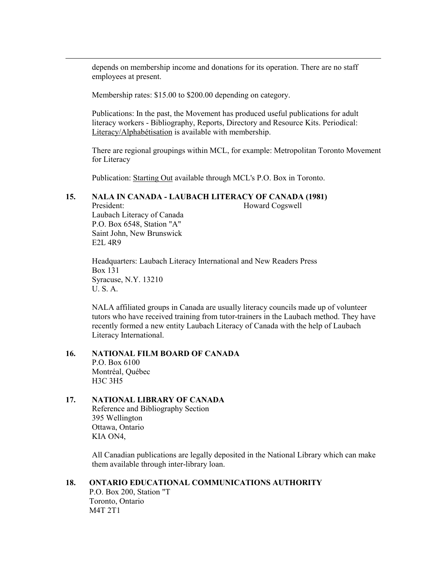depends on membership income and donations for its operation. There are no staff employees at present.

Membership rates: \$15.00 to \$200.00 depending on category.

 Publications: In the past, the Movement has produced useful publications for adult literacy workers - Bibliography, Reports, Directory and Resource Kits. Periodical: Literacy/Alphabétisation is available with membership.

 There are regional groupings within MCL, for example: Metropolitan Toronto Movement for Literacy

Publication: Starting Out available through MCL's P.O. Box in Toronto.

## **15. NALA IN CANADA - LAUBACH LITERACY OF CANADA (1981)**

President: Howard Cogswell

 Laubach Literacy of Canada P.O. Box 6548, Station "A" Saint John, New Brunswick E2L 4R9

 $\overline{a}$ 

 Headquarters: Laubach Literacy International and New Readers Press Box 131 Syracuse, N.Y. 13210 U. S. A.

 NALA affiliated groups in Canada are usually literacy councils made up of volunteer tutors who have received training from tutor-trainers in the Laubach method. They have recently formed a new entity Laubach Literacy of Canada with the help of Laubach Literacy International.

# **16. NATIONAL FILM BOARD OF CANADA**

 P.O. Box 6100 Montréal, Québec H3C 3H5

## **17. NATIONAL LIBRARY OF CANADA**

 Reference and Bibliography Section 395 Wellington Ottawa, Ontario KIA ON4,

 All Canadian publications are legally deposited in the National Library which can make them available through inter-library loan.

## **18. ONTARIO EDUCATIONAL COMMUNICATIONS AUTHORITY**

P.O. Box 200, Station "T Toronto, Ontario M4T 2T1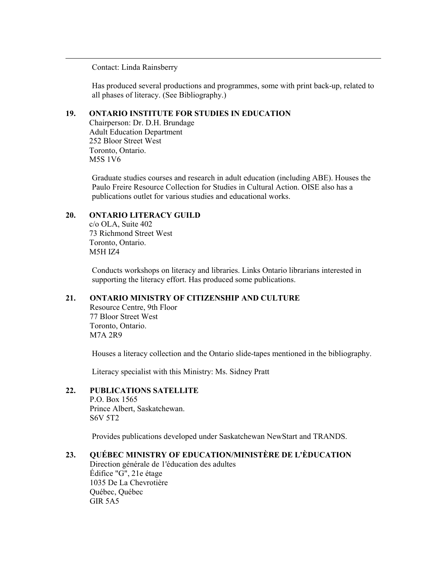Contact: Linda Rainsberry

 $\overline{a}$ 

 Has produced several productions and programmes, some with print back-up, related to all phases of literacy. (See Bibliography.)

## **19. ONTARIO INSTITUTE FOR STUDIES IN EDUCATION**

Chairperson: Dr. D.H. Brundage Adult Education Department 252 Bloor Street West Toronto, Ontario. M5S 1V6

 Graduate studies courses and research in adult education (including ABE). Houses the Paulo Freire Resource Collection for Studies in Cultural Action. OISE also has a publications outlet for various studies and educational works.

## **20. ONTARIO LITERACY GUILD**

c/o OLA, Suite 402 73 Richmond Street West Toronto, Ontario. M5H IZ4

 Conducts workshops on literacy and libraries. Links Ontario librarians interested in supporting the literacy effort. Has produced some publications.

## **21. ONTARIO MINISTRY OF CITIZENSHIP AND CULTURE**

Resource Centre, 9th Floor 77 Bloor Street West Toronto, Ontario. M7A 2R9

Houses a literacy collection and the Ontario slide-tapes mentioned in the bibliography.

Literacy specialist with this Ministry: Ms. Sidney Pratt

#### **22. PUBLICATIONS SATELLITE**

P.O. Box 1565 Prince Albert, Saskatchewan. S6V 5T2

Provides publications developed under Saskatchewan NewStart and TRANDS.

# **23. QUÉBEC MINISTRY OF EDUCATION/MINISTÈRE DE L'ÈDUCATION**

Direction générale de 1'éducation des adultes Édifice "G", 21e étage 1035 De La Chevrotière Québec, Québec GIR 5A5